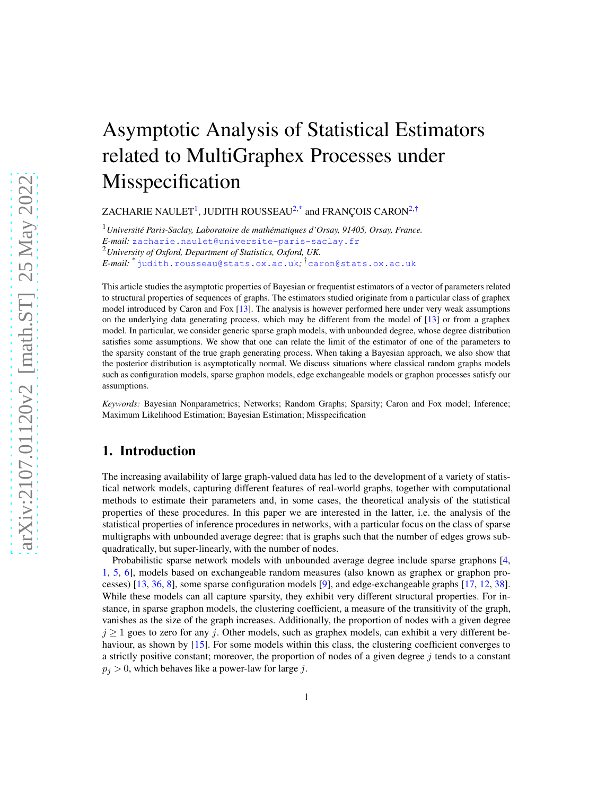# Asymptotic Analysis of Statistical Estimators related to MultiGraphex Processes under Misspecification

ZACHARIE NAULET $^1$  $^1$ , JUDITH ROUSSEAU $^{2, \ast}$  $^{2, \ast}$  $^{2, \ast}$  and FRANÇOIS CARON $^{2, \dag}$  $^{2, \dag}$  $^{2, \dag}$ 

<sup>1</sup>*Universit´e Paris-Saclay, Laboratoire de math´ematiques d'Orsay, 91405, Orsay, France. E-mail:* [zacharie.naulet@universite-paris-saclay.fr](mailto:zacharie.naulet@universite-paris-saclay.fr) <sup>2</sup>*University of Oxford, Department of Statistics, Oxford, UK. E-mail:* \*[judith.rousseau@stats.ox.ac.uk](mailto:judith.rousseau@stats.ox.ac.uk)*;* †[caron@stats.ox.ac.uk](mailto:caron@stats.ox.ac.uk)

This article studies the asymptotic properties of Bayesian or frequentist estimators of a vector of parameters related to structural properties of sequences of graphs. The estimators studied originate from a particular class of graphex model introduced by Caron and Fox [\[13](#page-78-0)]. The analysis is however performed here under very weak assumptions on the underlying data generating process, which may be different from the model of [\[13\]](#page-78-0) or from a graphex model. In particular, we consider generic sparse graph models, with unbounded degree, whose degree distribution satisfies some assumptions. We show that one can relate the limit of the estimator of one of the parameters to the sparsity constant of the true graph generating process. When taking a Bayesian approach, we also show that the posterior distribution is asymptotically normal. We discuss situations where classical random graphs models such as configuration models, sparse graphon models, edge exchangeable models or graphon processes satisfy our assumptions.

*Keywords:* Bayesian Nonparametrics; Networks; Random Graphs; Sparsity; Caron and Fox model; Inference; Maximum Likelihood Estimation; Bayesian Estimation; Misspecification

# 1. Introduction

The increasing availability of large graph-valued data has led to the development of a variety of statistical network models, capturing different features of real-world graphs, together with computational methods to estimate their parameters and, in some cases, the theoretical analysis of the statistical properties of these procedures. In this paper we are interested in the latter, i.e. the analysis of the statistical properties of inference procedures in networks, with a particular focus on the class of sparse multigraphs with unbounded average degree: that is graphs such that the number of edges grows subquadratically, but super-linearly, with the number of nodes.

Probabilistic sparse network models with unbounded average degree include sparse graphons [\[4,](#page-28-0) [1,](#page-28-1) [5,](#page-28-2) [6](#page-28-3)], models based on exchangeable random measures (also known as graphex or graphon processes) [\[13,](#page-78-0) [36](#page-30-0), [8](#page-29-0)], some sparse configuration models [\[9\]](#page-29-1), and edge-exchangeable graphs [\[17,](#page-29-2) [12,](#page-29-3) [38\]](#page-30-1). While these models can all capture sparsity, they exhibit very different structural properties. For instance, in sparse graphon models, the clustering coefficient, a measure of the transitivity of the graph, vanishes as the size of the graph increases. Additionally, the proportion of nodes with a given degree  $j \ge 1$  goes to zero for any j. Other models, such as graphex models, can exhibit a very different be-haviour, as shown by [\[15\]](#page-78-1). For some models within this class, the clustering coefficient converges to a strictly positive constant; moreover, the proportion of nodes of a given degree  $j$  tends to a constant  $p_j > 0$ , which behaves like a power-law for large j.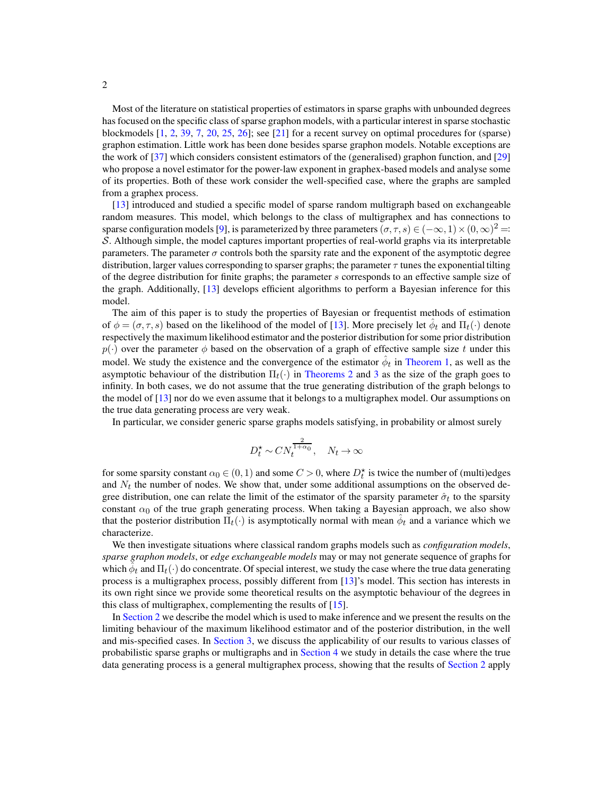Most of the literature on statistical properties of estimators in sparse graphs with unbounded degrees has focused on the specific class of sparse graphon models, with a particular interest in sparse stochastic blockmodels [\[1](#page-28-1), [2,](#page-28-4) [39,](#page-30-2) [7](#page-29-4), [20,](#page-29-5) [25](#page-29-6), [26\]](#page-29-7); see [\[21\]](#page-29-8) for a recent survey on optimal procedures for (sparse) graphon estimation. Little work has been done besides sparse graphon models. Notable exceptions are the work of [\[37\]](#page-30-3) which considers consistent estimators of the (generalised) graphon function, and [\[29](#page-29-9)] who propose a novel estimator for the power-law exponent in graphex-based models and analyse some of its properties. Both of these work consider the well-specified case, where the graphs are sampled from a graphex process.

[\[13](#page-78-0)] introduced and studied a specific model of sparse random multigraph based on exchangeable random measures. This model, which belongs to the class of multigraphex and has connections to sparse configuration models [\[9](#page-29-1)], is parameterized by three parameters  $(\sigma, \tau, s) \in (-\infty, 1) \times (0, \infty)^2 =$ S. Although simple, the model captures important properties of real-world graphs via its interpretable parameters. The parameter  $\sigma$  controls both the sparsity rate and the exponent of the asymptotic degree distribution, larger values corresponding to sparser graphs; the parameter  $\tau$  tunes the exponential tilting of the degree distribution for finite graphs; the parameter s corresponds to an effective sample size of the graph. Additionally, [\[13\]](#page-78-0) develops efficient algorithms to perform a Bayesian inference for this model.

The aim of this paper is to study the properties of Bayesian or frequentist methods of estimation of  $\phi = (\sigma, \tau, s)$  based on the likelihood of the model of [\[13](#page-78-0)]. More precisely let  $\hat{\phi}_t$  and  $\Pi_t(\cdot)$  denote respectively the maximum likelihood estimator and the posterior distribution for some prior distribution  $p(\cdot)$  over the parameter  $\phi$  based on the observation of a graph of effective sample size t under this model. We study the existence and the convergence of the estimator  $\hat{\phi}_t$  in [Theorem 1,](#page-4-0) as well as the asymptotic behaviour of the distribution  $\Pi_t(\cdot)$  in [Theorems 2](#page-5-0) and [3](#page-6-0) as the size of the graph goes to infinity. In both cases, we do not assume that the true generating distribution of the graph belongs to the model of [\[13\]](#page-78-0) nor do we even assume that it belongs to a multigraphex model. Our assumptions on the true data generating process are very weak.

In particular, we consider generic sparse graphs models satisfying, in probability or almost surely

$$
D_t^* \sim CN_t^{\frac{2}{1+\alpha_0}}, \quad N_t \to \infty
$$

for some sparsity constant  $\alpha_0 \in (0,1)$  and some  $C > 0$ , where  $D_t^*$  is twice the number of (multi)edges and  $N_t$  the number of nodes. We show that, under some additional assumptions on the observed degree distribution, one can relate the limit of the estimator of the sparsity parameter  $\hat{\sigma}_t$  to the sparsity constant  $\alpha_0$  of the true graph generating process. When taking a Bayesian approach, we also show that the posterior distribution  $\Pi_t(\cdot)$  is asymptotically normal with mean  $\hat{\phi}_t$  and a variance which we characterize.

We then investigate situations where classical random graphs models such as *configuration models*, *sparse graphon models*, or *edge exchangeable models* may or may not generate sequence of graphs for which  $\hat{\phi}_t$  and  $\Pi_t(\cdot)$  do concentrate. Of special interest, we study the case where the true data generating process is a multigraphex process, possibly different from [\[13\]](#page-78-0)'s model. This section has interests in its own right since we provide some theoretical results on the asymptotic behaviour of the degrees in this class of multigraphex, complementing the results of [\[15](#page-78-1)].

In [Section 2](#page-2-0) we describe the model which is used to make inference and we present the results on the limiting behaviour of the maximum likelihood estimator and of the posterior distribution, in the well and mis-specified cases. In [Section 3,](#page-8-0) we discuss the applicability of our results to various classes of probabilistic sparse graphs or multigraphs and in [Section 4](#page-10-0) we study in details the case where the true data generating process is a general multigraphex process, showing that the results of [Section 2](#page-2-0) apply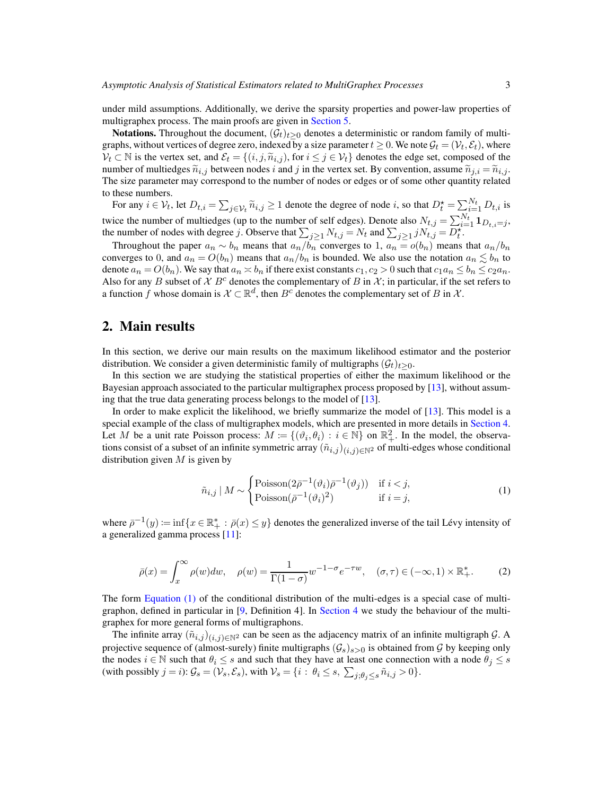under mild assumptions. Additionally, we derive the sparsity properties and power-law properties of multigraphex process. The main proofs are given in [Section 5.](#page-14-0)

**Notations.** Throughout the document,  $(\mathcal{G}_t)_{t>0}$  denotes a deterministic or random family of multigraphs, without vertices of degree zero, indexed by a size parameter  $t \geq 0$ . We note  $\mathcal{G}_t = (\mathcal{V}_t, \mathcal{E}_t)$ , where  $\mathcal{V}_t \subset \mathbb{N}$  is the vertex set, and  $\mathcal{E}_t = \{(i, j, \tilde{n}_{i,j}),$  for  $i \leq j \in \mathcal{V}_t\}$  denotes the edge set, composed of the number of multiedges  $\tilde{n}_{i,j}$  between nodes i and j in the vertex set. By convention, assume  $\tilde{n}_{j,i} = \tilde{n}_{i,j}$ . The size parameter may correspond to the number of nodes or edges or of some other quantity related to these numbers.

For any  $i \in V_t$ , let  $D_{t,i} = \sum_{j \in V_t} \widetilde{n}_{i,j} \ge 1$  denote the degree of node i, so that  $D_t^* = \sum_{i=1}^{N_t} D_{t,i}$  is twice the number of multiedges (up to the number of self edges). Denote also  $N_{t,j} = \sum_{i=1}^{N_t} \mathbf{1}_{D_{t,i}=j}$ , the number of nodes with degree j. Observe that  $\sum_{j\geq 1} N_{t,j} = N_t$  and  $\sum_{j\geq 1} jN_{t,j} = \overline{D_t^*}$ .

Throughout the paper  $a_n \sim b_n$  means that  $a_n/b_n$  converges to 1,  $a_n = o(b_n)$  means that  $a_n/b_n$ converges to 0, and  $a_n = O(b_n)$  means that  $a_n/b_n$  is bounded. We also use the notation  $a_n \lesssim b_n$  to denote  $a_n = O(b_n)$ . We say that  $a_n \approx b_n$  if there exist constants  $c_1, c_2 > 0$  such that  $c_1 a_n \leq b_n \leq c_2 a_n$ . Also for any B subset of  $X B^c$  denotes the complementary of B in X; in particular, if the set refers to a function f whose domain is  $\mathcal{X} \subset \mathbb{R}^d$ , then  $B^c$  denotes the complementary set of B in  $\mathcal{X}$ .

## <span id="page-2-0"></span>2. Main results

In this section, we derive our main results on the maximum likelihood estimator and the posterior distribution. We consider a given deterministic family of multigraphs  $(\mathcal{G}_t)_{t>0}$ .

In this section we are studying the statistical properties of either the maximum likelihood or the Bayesian approach associated to the particular multigraphex process proposed by [\[13](#page-78-0)], without assuming that the true data generating process belongs to the model of [\[13](#page-78-0)].

In order to make explicit the likelihood, we briefly summarize the model of [\[13](#page-78-0)]. This model is a special example of the class of multigraphex models, which are presented in more details in [Section 4.](#page-10-0) Let M be a unit rate Poisson process:  $M := \{(\vartheta_i, \theta_i) : i \in \mathbb{N}\}\$  on  $\mathbb{R}^2_+$ . In the model, the observations consist of a subset of an infinite symmetric array  $(\tilde{n}_{i,j})_{(i,j)\in\mathbb{N}^2}$  of multi-edges whose conditional distribution given  $M$  is given by

<span id="page-2-2"></span><span id="page-2-1"></span>
$$
\tilde{n}_{i,j} | M \sim \begin{cases}\n\text{Poisson}(2\bar{p}^{-1}(\vartheta_i)\bar{p}^{-1}(\vartheta_j)) & \text{if } i < j, \\
\text{Poisson}(\bar{p}^{-1}(\vartheta_i)^2) & \text{if } i = j,\n\end{cases}
$$
\n(1)

where  $\bar{\rho}^{-1}(y) := \inf\{x \in \mathbb{R}^+_{+} : \bar{\rho}(x) \leq y\}$  denotes the generalized inverse of the tail Lévy intensity of a generalized gamma process [\[11\]](#page-29-10):

$$
\bar{\rho}(x) = \int_x^{\infty} \rho(w) dw, \quad \rho(w) = \frac{1}{\Gamma(1-\sigma)} w^{-1-\sigma} e^{-\tau w}, \quad (\sigma, \tau) \in (-\infty, 1) \times \mathbb{R}_+^*.
$$
 (2)

The form [Equation \(1\)](#page-2-1) of the conditional distribution of the multi-edges is a special case of multigraphon, defined in particular in [\[9,](#page-29-1) Definition 4]. In [Section 4](#page-10-0) we study the behaviour of the multigraphex for more general forms of multigraphons.

The infinite array  $(\tilde{n}_{i,j})_{(i,j)\in\mathbb{N}^2}$  can be seen as the adjacency matrix of an infinite multigraph G. A projective sequence of (almost-surely) finite multigraphs  $(G_s)_{s>0}$  is obtained from G by keeping only the nodes  $i \in \mathbb{N}$  such that  $\theta_i \leq s$  and such that they have at least one connection with a node  $\theta_j \leq s$ (with possibly  $j = i$ ):  $\mathcal{G}_s = (\mathcal{V}_s, \mathcal{E}_s)$ , with  $\mathcal{V}_s = \{i : \theta_i \le s, \sum_{j; \theta_j \le s} \tilde{n}_{i,j} > 0\}.$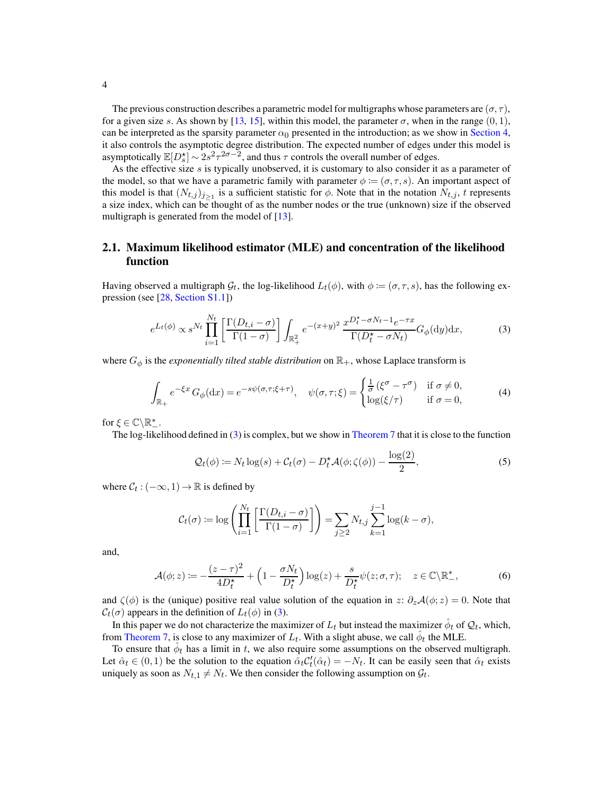The previous construction describes a parametric model for multigraphs whose parameters are  $(\sigma, \tau)$ , for a given size s. As shown by [\[13](#page-78-0), [15](#page-78-1)], within this model, the parameter  $\sigma$ , when in the range  $(0, 1)$ , can be interpreted as the sparsity parameter  $\alpha_0$  presented in the introduction; as we show in [Section 4,](#page-10-0) it also controls the asymptotic degree distribution. The expected number of edges under this model is asymptotically  $\mathbb{E}[D_s^{\star}] \sim 2s^2 \tau^{2\sigma - 2}$ , and thus  $\tau$  controls the overall number of edges.

As the effective size  $s$  is typically unobserved, it is customary to also consider it as a parameter of the model, so that we have a parametric family with parameter  $\phi := (\sigma, \tau, s)$ . An important aspect of this model is that  $(N_{t,j})_{j\geq 1}$  is a sufficient statistic for  $\phi$ . Note that in the notation  $N_{t,j}$ , t represents a size index, which can be thought of as the number nodes or the true (unknown) size if the observed multigraph is generated from the model of  $[13]$ .

## <span id="page-3-2"></span>2.1. Maximum likelihood estimator (MLE) and concentration of the likelihood function

Having observed a multigraph  $\mathcal{G}_t$ , the log-likelihood  $L_t(\phi)$ , with  $\phi := (\sigma, \tau, s)$ , has the following expression (see [\[28,](#page-29-11) [Section S1.1\]](#page-31-4))

<span id="page-3-0"></span>
$$
e^{L_t(\phi)} \propto s^{N_t} \prod_{i=1}^{N_t} \left[ \frac{\Gamma(D_{t,i} - \sigma)}{\Gamma(1 - \sigma)} \right] \int_{\mathbb{R}_+^2} e^{-(x+y)^2} \frac{x^{D_t^* - \sigma N_t - 1} e^{-\tau x}}{\Gamma(D_t^* - \sigma N_t)} G_{\phi}(\mathrm{d}y) \mathrm{d}x,\tag{3}
$$

where  $G_{\phi}$  is the *exponentially tilted stable distribution* on  $\mathbb{R}_{+}$ , whose Laplace transform is

<span id="page-3-4"></span>
$$
\int_{\mathbb{R}_+} e^{-\xi x} G_{\phi}(\mathrm{d}x) = e^{-s\psi(\sigma,\tau;\xi+\tau)}, \quad \psi(\sigma,\tau;\xi) = \begin{cases} \frac{1}{\sigma} \left( \xi^{\sigma} - \tau^{\sigma} \right) & \text{if } \sigma \neq 0, \\ \log(\xi/\tau) & \text{if } \sigma = 0, \end{cases} \tag{4}
$$

for  $\xi \in \mathbb{C} \backslash \mathbb{R}^*_-.$ 

The log-likelihood defined in [\(3\)](#page-3-0) is complex, but we show in [Theorem 7](#page-14-1) that it is close to the function

$$
\mathcal{Q}_t(\phi) \coloneqq N_t \log(s) + \mathcal{C}_t(\sigma) - D_t^{\star} \mathcal{A}(\phi; \zeta(\phi)) - \frac{\log(2)}{2},\tag{5}
$$

where  $C_t$  :  $(-\infty, 1) \rightarrow \mathbb{R}$  is defined by

$$
C_t(\sigma) := \log \left( \prod_{i=1}^{N_t} \left[ \frac{\Gamma(D_{t,i} - \sigma)}{\Gamma(1 - \sigma)} \right] \right) = \sum_{j \ge 2} N_{t,j} \sum_{k=1}^{j-1} \log(k - \sigma),
$$

and,

<span id="page-3-3"></span>
$$
\mathcal{A}(\phi;z) \coloneqq -\frac{(z-\tau)^2}{4D_t^*} + \left(1 - \frac{\sigma N_t}{D_t^*}\right) \log(z) + \frac{s}{D_t^*} \psi(z;\sigma,\tau); \quad z \in \mathbb{C} \backslash \mathbb{R}_-^*,\tag{6}
$$

and  $\zeta(\phi)$  is the (unique) positive real value solution of the equation in z:  $\partial_z \mathcal{A}(\phi; z) = 0$ . Note that  $C_t(\sigma)$  appears in the definition of  $L_t(\phi)$  in [\(3\)](#page-3-0).

In this paper we do not characterize the maximizer of  $L_t$  but instead the maximizer  $\hat{\phi}_t$  of  $\mathcal{Q}_t$ , which, from [Theorem 7,](#page-14-1) is close to any maximizer of  $L_t$ . With a slight abuse, we call  $\hat{\phi}_t$  the MLE.

<span id="page-3-1"></span>To ensure that  $\hat{\phi}_t$  has a limit in t, we also require some assumptions on the observed multigraph. Let  $\hat{\alpha}_t \in (0,1)$  be the solution to the equation  $\hat{\alpha}_t C'_t(\hat{\alpha}_t) = -N_t$ . It can be easily seen that  $\hat{\alpha}_t$  exists uniquely as soon as  $N_{t,1} \neq N_t$ . We then consider the following assumption on  $\mathcal{G}_t$ .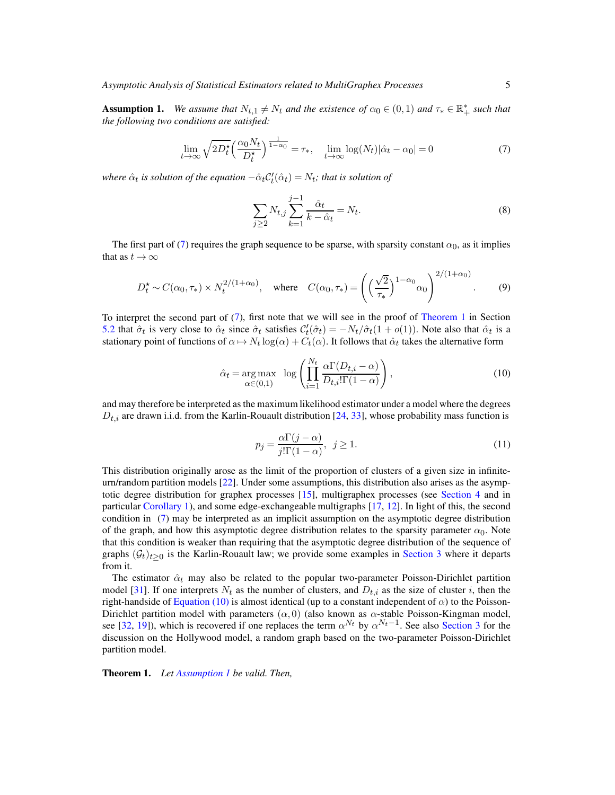Assumption 1. We assume that  $N_{t,1} \neq N_t$  and the existence of  $\alpha_0 \in (0,1)$  and  $\tau_* \in \mathbb{R}_+^*$  such that *the following two conditions are satisfied:*

$$
\lim_{t \to \infty} \sqrt{2D_t^{\star}} \left( \frac{\alpha_0 N_t}{D_t^{\star}} \right)^{\frac{1}{1 - \alpha_0}} = \tau_*, \quad \lim_{t \to \infty} \log(N_t) |\hat{\alpha}_t - \alpha_0| = 0 \tag{7}
$$

where  $\hat{\alpha}_t$  is solution of the equation  $-\hat{\alpha}_t C'_t(\hat{\alpha}_t) = N_t$ ; that is solution of

<span id="page-4-1"></span>
$$
\sum_{j\geq 2} N_{t,j} \sum_{k=1}^{j-1} \frac{\hat{\alpha}_t}{k - \hat{\alpha}_t} = N_t.
$$
 (8)

The first part of [\(7\)](#page-4-1) requires the graph sequence to be sparse, with sparsity constant  $\alpha_0$ , as it implies that as  $t \to \infty$ 

$$
D_t^{\star} \sim C(\alpha_0, \tau_*) \times N_t^{2/(1+\alpha_0)}, \quad \text{where} \quad C(\alpha_0, \tau_*) = \left( \left( \frac{\sqrt{2}}{\tau_*} \right)^{1-\alpha_0} \alpha_0 \right)^{2/(1+\alpha_0)}.
$$
 (9)

To interpret the second part of [\(7\)](#page-4-1), first note that we will see in the proof of [Theorem 1](#page-4-0) in Section [5.2](#page-16-0) that  $\hat{\sigma}_t$  is very close to  $\hat{\alpha}_t$  since  $\hat{\sigma}_t$  satisfies  $C'_t(\hat{\sigma}_t) = -N_t/\hat{\sigma}_t(1+o(1))$ . Note also that  $\hat{\alpha}_t$  is a stationary point of functions of  $\alpha \mapsto N_t \log(\alpha) + C_t(\alpha)$ . It follows that  $\hat{\alpha}_t$  takes the alternative form

$$
\hat{\alpha}_t = \underset{\alpha \in (0,1)}{\arg \max} \quad \log \left( \prod_{i=1}^{N_t} \frac{\alpha \Gamma(D_{t,i} - \alpha)}{D_{t,i}! \Gamma(1 - \alpha)} \right), \tag{10}
$$

and may therefore be interpreted as the maximum likelihood estimator under a model where the degrees  $D_{t,i}$  are drawn i.i.d. from the Karlin-Rouault distribution [\[24,](#page-29-12) [33\]](#page-30-4), whose probability mass function is

<span id="page-4-3"></span><span id="page-4-2"></span>
$$
p_j = \frac{\alpha \Gamma(j - \alpha)}{j! \Gamma(1 - \alpha)}, \ \ j \ge 1. \tag{11}
$$

This distribution originally arose as the limit of the proportion of clusters of a given size in infiniteurn/random partition models [\[22\]](#page-29-13). Under some assumptions, this distribution also arises as the asymptotic degree distribution for graphex processes [\[15\]](#page-78-1), multigraphex processes (see [Section 4](#page-10-0) and in particular [Corollary 1\)](#page-13-0), and some edge-exchangeable multigraphs [\[17](#page-29-2), [12](#page-29-3)]. In light of this, the second condition in [\(7\)](#page-4-1) may be interpreted as an implicit assumption on the asymptotic degree distribution of the graph, and how this asymptotic degree distribution relates to the sparsity parameter  $\alpha_0$ . Note that this condition is weaker than requiring that the asymptotic degree distribution of the sequence of graphs  $(\mathcal{G}_t)_{t>0}$  is the Karlin-Rouault law; we provide some examples in [Section 3](#page-8-0) where it departs from it.

The estimator  $\hat{\alpha}_t$  may also be related to the popular two-parameter Poisson-Dirichlet partition model [\[31](#page-30-5)]. If one interprets  $N_t$  as the number of clusters, and  $D_{t,i}$  as the size of cluster i, then the right-handside of [Equation \(10\)](#page-4-2) is almost identical (up to a constant independent of  $\alpha$ ) to the Poisson-Dirichlet partition model with parameters  $(\alpha, 0)$  (also known as  $\alpha$ -stable Poisson-Kingman model, see [\[32](#page-30-6), [19\]](#page-29-14)), which is recovered if one replaces the term  $\alpha^{N_t}$  by  $\alpha^{N_t-1}$ . See also [Section 3](#page-8-0) for the discussion on the Hollywood model, a random graph based on the two-parameter Poisson-Dirichlet partition model.

<span id="page-4-0"></span>Theorem 1. *Let [Assumption 1](#page-3-1) be valid. Then,*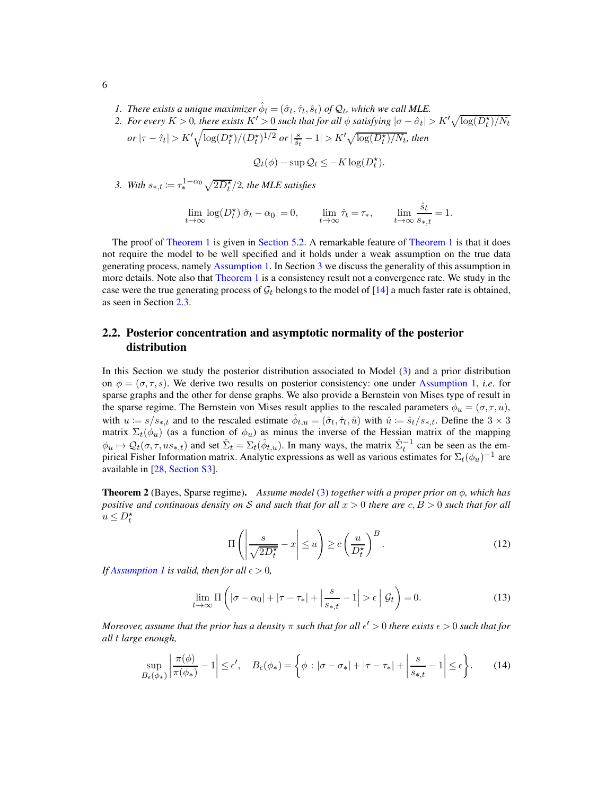- <span id="page-5-6"></span><span id="page-5-5"></span>*1. There exists a unique maximizer*  $\hat{\phi}_t = (\hat{\sigma}_t, \hat{\tau}_t, \hat{s}_t)$  *of*  $\mathcal{Q}_t$ *, which we call MLE.*
- 2. For every  $K > 0$ , there exists  $K' > 0$  such that for all  $\phi$  satisfying  $|\sigma \hat{\sigma}_t| > K' \sqrt{\log(D_t^*)/N_t}$  $or |\tau - \hat{\tau}_t| > K' \sqrt{\log(D_t^\star)/(D_t^\star)^{1/2}} \; or \; |\tfrac{s}{\hat{s}_t} - 1| > K' \sqrt{\log(D_t^\star)/N_t}, \textit{then}$

$$
Q_t(\phi) - \sup Q_t \leq -K \log(D_t^{\star}).
$$

<span id="page-5-7"></span>3. With  $s_{*,t} := \tau_*^{1-\alpha_0} \sqrt{2D_t^{\star}}/2$ , the MLE satisfies

$$
\lim_{t \to \infty} \log(D_t^{\star})|\hat{\sigma}_t - \alpha_0| = 0, \qquad \lim_{t \to \infty} \hat{\tau}_t = \tau_*, \qquad \lim_{t \to \infty} \frac{\hat{s}_t}{s_{*,t}} = 1.
$$

The proof of [Theorem 1](#page-4-0) is given in [Section 5.2.](#page-16-0) A remarkable feature of Theorem 1 is that it does not require the model to be well specified and it holds under a weak assumption on the true data generating process, namely [Assumption 1.](#page-3-1) In Section [3](#page-8-0) we discuss the generality of this assumption in more details. Note also that [Theorem 1](#page-4-0) is a consistency result not a convergence rate. We study in the case were the true generating process of  $\mathcal{G}_t$  belongs to the model of [\[14\]](#page-29-15) a much faster rate is obtained, as seen in Section [2.3.](#page-7-0)

## <span id="page-5-4"></span>2.2. Posterior concentration and asymptotic normality of the posterior distribution

In this Section we study the posterior distribution associated to Model [\(3\)](#page-3-0) and a prior distribution on  $\phi = (\sigma, \tau, s)$ . We derive two results on posterior consistency: one under [Assumption 1,](#page-3-1) *i.e.* for sparse graphs and the other for dense graphs. We also provide a Bernstein von Mises type of result in the sparse regime. The Bernstein von Mises result applies to the rescaled parameters  $\phi_u = (\sigma, \tau, u)$ , with  $u = s/s_{*,t}$  and to the rescaled estimate  $\hat{\phi}_{t,u} = (\hat{\sigma}_t, \hat{\tau}_t, \hat{u})$  with  $\hat{u} := \hat{s}_t/s_{*,t}$ . Define the  $3 \times 3$ matrix  $\Sigma_t(\phi_u)$  (as a function of  $\phi_u$ ) as minus the inverse of the Hessian matrix of the mapping  $\phi_u \mapsto \mathcal{Q}_t(\sigma, \tau, u s_{*,t})$  and set  $\hat{\Sigma}_t = \Sigma_t(\hat{\phi}_{t,u})$ . In many ways, the matrix  $\hat{\Sigma}_t^{-1}$  can be seen as the empirical Fisher Information matrix. Analytic expressions as well as various estimates for  $\Sigma_t(\phi_u)^{-1}$  are available in [\[28,](#page-29-11) [Section S3\]](#page-50-0).

<span id="page-5-0"></span>Theorem 2 (Bayes, Sparse regime). *Assume model* [\(3\)](#page-3-0) *together with a proper prior on* φ*, which has positive and continuous density on* S *and such that for all* x > 0 *there are* c, B > 0 *such that for all*  $u \leq D_t^*$ 

<span id="page-5-2"></span>
$$
\Pi\left(\left|\frac{s}{\sqrt{2D_t^*}} - x\right| \le u\right) \ge c\left(\frac{u}{D_t^*}\right)^B.
$$
\n(12)

*If [Assumption 1](#page-3-1) is valid, then for all*  $\epsilon > 0$ *,* 

<span id="page-5-1"></span>
$$
\lim_{t \to \infty} \Pi\left(|\sigma - \alpha_0| + |\tau - \tau_*| + \left|\frac{s}{s_{*,t}} - 1\right| > \epsilon \mid \mathcal{G}_t\right) = 0. \tag{13}
$$

*Moreover, assume that the prior has a density*  $\pi$  *such that for all*  $\epsilon' > 0$  *there exists*  $\epsilon > 0$  *such that for all* t *large enough,*

<span id="page-5-3"></span>
$$
\sup_{B_{\epsilon}(\phi_*)} \left| \frac{\pi(\phi)}{\pi(\phi_*)} - 1 \right| \le \epsilon', \quad B_{\epsilon}(\phi_*) = \left\{ \phi : |\sigma - \sigma_*| + |\tau - \tau_*| + \left| \frac{s}{s_{*,t}} - 1 \right| \le \epsilon \right\}.
$$
 (14)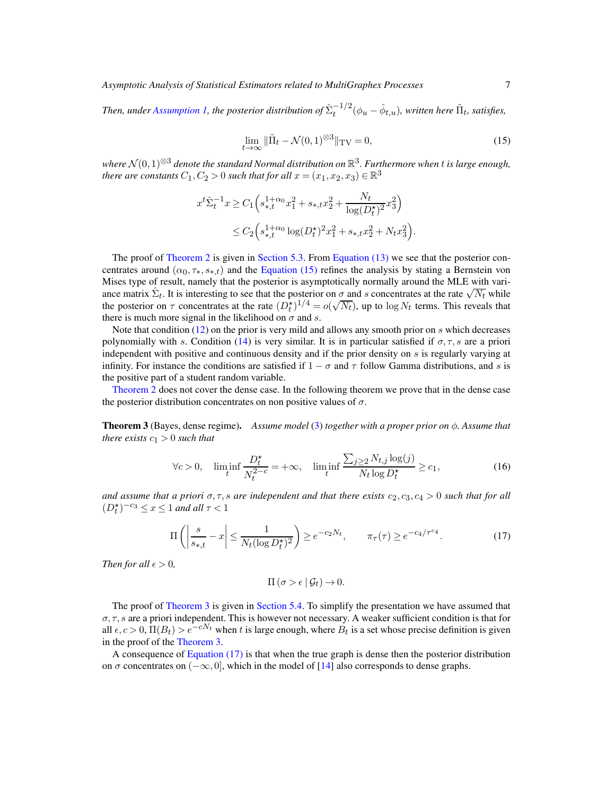*Asymptotic Analysis of Statistical Estimators related to MultiGraphex Processes* 7

*Then, under [Assumption 1,](#page-3-1) the posterior distribution of*  $\hat{\Sigma}_{t}^{-1/2}(\phi_u - \hat{\phi}_{t,u})$ *, written here*  $\tilde{\Pi}_t$ *, satisfies,* 

<span id="page-6-1"></span>
$$
\lim_{t \to \infty} \|\tilde{\Pi}_t - \mathcal{N}(0, 1)^{\otimes 3}\|_{\mathrm{TV}} = 0,
$$
\n(15)

*where* <sup>N</sup> (0, 1)⊗<sup>3</sup> *denote the standard Normal distribution on* <sup>R</sup> 3 *. Furthermore when* t *is large enough, there are constants*  $C_1, C_2 > 0$  *such that for all*  $x = (x_1, x_2, x_3) \in \mathbb{R}^3$ 

$$
x^{t} \hat{\Sigma}_{t}^{-1} x \ge C_{1} \left( s_{*,t}^{1+\alpha_{0}} x_{1}^{2} + s_{*,t} x_{2}^{2} + \frac{N_{t}}{\log(D_{t}^{*})^{2}} x_{3}^{2} \right)
$$
  

$$
\le C_{2} \left( s_{*,t}^{1+\alpha_{0}} \log(D_{t}^{*})^{2} x_{1}^{2} + s_{*,t} x_{2}^{2} + N_{t} x_{3}^{2} \right).
$$

The proof of [Theorem 2](#page-5-0) is given in [Section 5.3.](#page-20-0) From [Equation \(13\)](#page-5-1) we see that the posterior concentrates around  $(\alpha_0, \tau_*, s_{*,t})$  and the [Equation \(15\)](#page-6-1) refines the analysis by stating a Bernstein von Mises type of result, namely that the posterior is asymptotically normally around the MLE with variance matrix  $\hat{\Sigma}_t$ . It is interesting to see that the posterior on  $\sigma$  and s concentrates at the rate  $\sqrt{N_t}$  while the posterior on  $\tau$  concentrates at the rate  $(D_t^*)^{1/4} = o(\sqrt{N_t})$ , up to  $\log N_t$  terms. This reveals that there is much more signal in the likelihood on  $\sigma$  and s.

Note that condition  $(12)$  on the prior is very mild and allows any smooth prior on s which decreases polynomially with s. Condition [\(14\)](#page-5-3) is very similar. It is in particular satisfied if  $\sigma$ ,  $\tau$ , s are a priori independent with positive and continuous density and if the prior density on s is regularly varying at infinity. For instance the conditions are satisfied if  $1 - \sigma$  and  $\tau$  follow Gamma distributions, and s is the positive part of a student random variable.

<span id="page-6-0"></span>[Theorem 2](#page-5-0) does not cover the dense case. In the following theorem we prove that in the dense case the posterior distribution concentrates on non positive values of  $\sigma$ .

Theorem 3 (Bayes, dense regime). *Assume model* [\(3\)](#page-3-0) *together with a proper prior on* φ*. Assume that there exists*  $c_1 > 0$  *such that* 

<span id="page-6-3"></span>
$$
\forall c > 0, \quad \liminf_{t} \frac{D_t^*}{N_t^{2-c}} = +\infty, \quad \liminf_{t} \frac{\sum_{j\geq 2} N_{t,j} \log(j)}{N_t \log D_t^*} \geq c_1,\tag{16}
$$

*and assume that a priori*  $\sigma$ ,  $\tau$ , *s* are independent and that there exists  $c_2$ ,  $c_3$ ,  $c_4 > 0$  such that for all  $(D_t^{\star})^{-c_3} \leq x \leq 1$  and all  $\tau < 1$ 

$$
\Pi\left(\left|\frac{s}{s_{*,t}} - x\right| \le \frac{1}{N_t(\log D_t^{\star})^2}\right) \ge e^{-c_2 N_t}, \qquad \pi_\tau(\tau) \ge e^{-c_4/\tau^{c_4}}.\tag{17}
$$

*Then for all*  $\epsilon > 0$ *,* 

<span id="page-6-2"></span>
$$
\Pi\left(\sigma > \epsilon \mid \mathcal{G}_t\right) \to 0.
$$

The proof of [Theorem 3](#page-6-0) is given in [Section 5.4.](#page-22-0) To simplify the presentation we have assumed that  $\sigma$ ,  $\tau$ , s are a priori independent. This is however not necessary. A weaker sufficient condition is that for all  $\epsilon, c > 0$ ,  $\Pi(B_t) > e^{-cN_t}$  when t is large enough, where  $B_t$  is a set whose precise definition is given in the proof of the [Theorem 3.](#page-6-0)

A consequence of [Equation \(17\)](#page-6-2) is that when the true graph is dense then the posterior distribution on  $\sigma$  concentrates on  $(-\infty, 0]$ , which in the model of [\[14](#page-29-15)] also corresponds to dense graphs.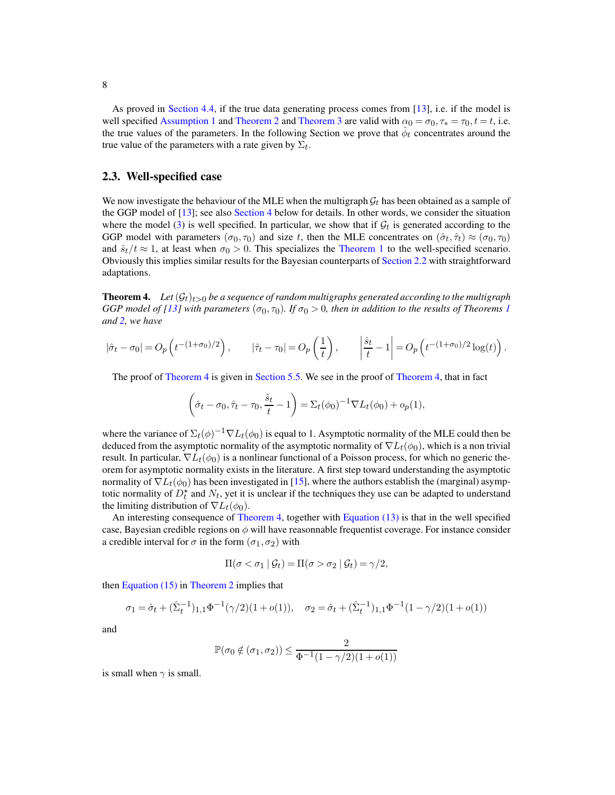As proved in [Section 4.4,](#page-13-1) if the true data generating process comes from [\[13\]](#page-78-0), i.e. if the model is well specified [Assumption 1](#page-3-1) and [Theorem 2](#page-5-0) and [Theorem 3](#page-6-0) are valid with  $\alpha_0 = \sigma_0, \tau_* = \tau_0, t = t$ , i.e. the true values of the parameters. In the following Section we prove that  $\hat{\phi}_t$  concentrates around the true value of the parameters with a rate given by  $\Sigma_t$ .

#### <span id="page-7-0"></span>2.3. Well-specified case

We now investigate the behaviour of the MLE when the multigraph  $G_t$  has been obtained as a sample of the GGP model of [\[13\]](#page-78-0); see also [Section 4](#page-10-0) below for details. In other words, we consider the situation where the model [\(3\)](#page-3-0) is well specified. In particular, we show that if  $\mathcal{G}_t$  is generated according to the GGP model with parameters  $(\sigma_0, \tau_0)$  and size t, then the MLE concentrates on  $(\hat{\sigma}_t, \hat{\tau}_t) \approx (\sigma_0, \tau_0)$ and  $\hat{s}_t/t \approx 1$ , at least when  $\sigma_0 > 0$ . This specializes the [Theorem 1](#page-4-0) to the well-specified scenario. Obviously this implies similar results for the Bayesian counterparts of [Section 2.2](#page-5-4) with straightforward adaptations.

<span id="page-7-1"></span>**Theorem 4.** Let  $(\mathcal{G}_t)_{t>0}$  be a sequence of random multigraphs generated according to the multigraph *GGP model of [\[13\]](#page-78-0)* with parameters  $(\sigma_0, \tau_0)$ *. If*  $\sigma_0 > 0$ *, then in addition to the results of Theorems [1](#page-4-0) and [2,](#page-5-0) we have*

$$
|\hat{\sigma}_t - \sigma_0| = O_p\left(t^{-(1+\sigma_0)/2}\right), \qquad |\hat{\tau}_t - \tau_0| = O_p\left(\frac{1}{t}\right), \qquad \left|\frac{\hat{s}_t}{t} - 1\right| = O_p\left(t^{-(1+\sigma_0)/2}\log(t)\right).
$$

The proof of [Theorem 4](#page-7-1) is given in [Section 5.5.](#page-23-0) We see in the proof of [Theorem 4,](#page-7-1) that in fact

$$
\left(\hat{\sigma}_t - \sigma_0, \hat{\tau}_t - \tau_0, \frac{\hat{s}_t}{t} - 1\right) = \Sigma_t(\phi_0)^{-1} \nabla L_t(\phi_0) + o_p(1),
$$

where the variance of  $\Sigma_t(\phi)^{-1} \nabla L_t(\phi_0)$  is equal to 1. Asymptotic normality of the MLE could then be deduced from the asymptotic normality of the asymptotic normality of  $\nabla L_t(\phi_0)$ , which is a non trivial result. In particular,  $\nabla L_t(\phi_0)$  is a nonlinear functional of a Poisson process, for which no generic theorem for asymptotic normality exists in the literature. A first step toward understanding the asymptotic normality of  $\nabla L_t(\phi_0)$  has been investigated in [\[15\]](#page-78-1), where the authors establish the (marginal) asymptotic normality of  $D_t^*$  and  $N_t$ , yet it is unclear if the techniques they use can be adapted to understand the limiting distribution of  $\nabla L_t(\phi_0)$ .

An interesting consequence of [Theorem 4,](#page-7-1) together with [Equation \(13\)](#page-5-1) is that in the well specified case, Bayesian credible regions on  $\phi$  will have reasonnable frequentist coverage. For instance consider a credible interval for  $\sigma$  in the form  $(\sigma_1, \sigma_2)$  with

$$
\Pi(\sigma < \sigma_1 \mid \mathcal{G}_t) = \Pi(\sigma > \sigma_2 \mid \mathcal{G}_t) = \gamma/2,
$$

then Equation  $(15)$  in [Theorem 2](#page-5-0) implies that

$$
\sigma_1 = \hat{\sigma}_t + (\hat{\Sigma}_t^{-1})_{1,1} \Phi^{-1}(\gamma/2)(1 + o(1)), \quad \sigma_2 = \hat{\sigma}_t + (\hat{\Sigma}_t^{-1})_{1,1} \Phi^{-1}(1 - \gamma/2)(1 + o(1))
$$

and

$$
\mathbb{P}(\sigma_0 \notin (\sigma_1,\sigma_2)) \leq \frac{2}{\Phi^{-1}(1-\gamma/2)(1+o(1))}
$$

is small when  $\gamma$  is small.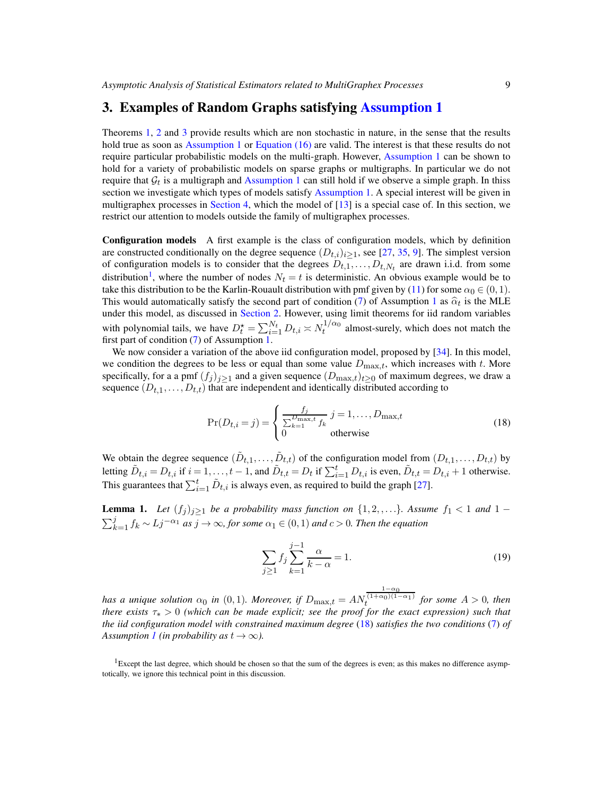# <span id="page-8-0"></span>3. Examples of Random Graphs satisfying [Assumption 1](#page-3-1)

Theorems [1,](#page-4-0) [2](#page-5-0) and [3](#page-6-0) provide results which are non stochastic in nature, in the sense that the results hold true as soon as [Assumption 1](#page-3-1) or [Equation \(16\)](#page-6-3) are valid. The interest is that these results do not require particular probabilistic models on the multi-graph. However, [Assumption 1](#page-3-1) can be shown to hold for a variety of probabilistic models on sparse graphs or multigraphs. In particular we do not require that  $\mathcal{G}_t$  is a multigraph and [Assumption 1](#page-3-1) can still hold if we observe a simple graph. In thiss section we investigate which types of models satisfy [Assumption 1.](#page-3-1) A special interest will be given in multigraphex processes in [Section 4,](#page-10-0) which the model of [\[13](#page-78-0)] is a special case of. In this section, we restrict our attention to models outside the family of multigraphex processes.

Configuration models A first example is the class of configuration models, which by definition are constructed conditionally on the degree sequence  $(D_{t,i})_{i>1}$ , see [\[27,](#page-29-16) [35,](#page-30-7) [9](#page-29-1)]. The simplest version of configuration models is to consider that the degrees  $D_{t,1}, \ldots, D_{t,N_t}$  are drawn i.i.d. from some distribution<sup>[1](#page-8-1)</sup>, where the number of nodes  $N_t = t$  is deterministic. An obvious example would be to take this distribution to be the Karlin-Rouault distribution with pmf given by [\(11\)](#page-4-3) for some  $\alpha_0 \in (0,1)$ . This would automatically satisfy the second part of condition [\(7\)](#page-4-1) of Assumption [1](#page-3-1) as  $\hat{\alpha}_t$  is the MLE under this model, as discussed in [Section 2.](#page-2-0) However, using limit theorems for iid random variables with polynomial tails, we have  $D_t^* = \sum_{i=1}^{N_t} D_{t,i} \asymp N_t^{1/\alpha_0}$  almost-surely, which does not match the first part of condition [\(7\)](#page-4-1) of Assumption [1.](#page-3-1)

We now consider a variation of the above iid configuration model, proposed by [\[34\]](#page-30-8). In this model, we condition the degrees to be less or equal than some value  $D_{\text{max},t}$ , which increases with t. More specifically, for a a pmf  $(f_i)_{i\geq 1}$  and a given sequence  $(D_{\text{max},t})_{t\geq 0}$  of maximum degrees, we draw a sequence  $(D_{t,1},...,D_{t,t})$  that are independent and identically distributed according to

$$
\Pr(D_{t,i} = j) = \begin{cases} \frac{f_j}{\sum_{k=1}^{D_{\text{max}},t} f_k} j = 1, \dots, D_{\text{max},t} \\ 0 \qquad \text{otherwise} \end{cases}
$$
(18)

We obtain the degree sequence  $(\tilde{D}_{t,1}, \ldots, \tilde{D}_{t,t})$  of the configuration model from  $(D_{t,1}, \ldots, D_{t,t})$  by letting  $\tilde{D}_{t,i} = D_{t,i}$  if  $i = 1, ..., t-1$ , and  $\tilde{D}_{t,t} = D_t$  if  $\sum_{i=1}^t D_{t,i}$  is even,  $\tilde{D}_{t,t} = D_{t,i} + 1$  otherwise. This guarantees that  $\sum_{i=1}^{t} \tilde{D}_{t,i}$  is always even, as required to build the graph [\[27\]](#page-29-16).

**Lemma 1.** Let  $(f_j)_{j\geq 1}$  be a probability mass function on  $\{1, 2, \ldots\}$ . Assume  $f_1 < 1$  and  $1 \sum_{k=1}^{j} f_k$  ∼  $Lj^{-\alpha_1}$  *as*  $j \to \infty$ *, for some*  $\alpha_1 \in (0,1)$  *and*  $c > 0$ *. Then the equation* 

<span id="page-8-2"></span>
$$
\sum_{j\geq 1} f_j \sum_{k=1}^{j-1} \frac{\alpha}{k-\alpha} = 1.
$$
 (19)

*has a unique solution*  $\alpha_0$  *in*  $(0,1)$ *. Moreover, if*  $D_{\max,t} = AN$  $\frac{1-\alpha_0}{(1+\alpha_0)(1-\alpha_1)}$  for some  $A > 0$ , then *there exists* τ∗ > 0 *(which can be made explicit; see the proof for the exact expression) such that the iid configuration model with constrained maximum degree* [\(18\)](#page-8-2) *satisfies the two conditions* [\(7\)](#page-4-1) *of Assumption [1](#page-3-1)* (*in probability as*  $t \to \infty$ *).* 

<span id="page-8-1"></span><sup>1</sup>Except the last degree, which should be chosen so that the sum of the degrees is even; as this makes no difference asymptotically, we ignore this technical point in this discussion.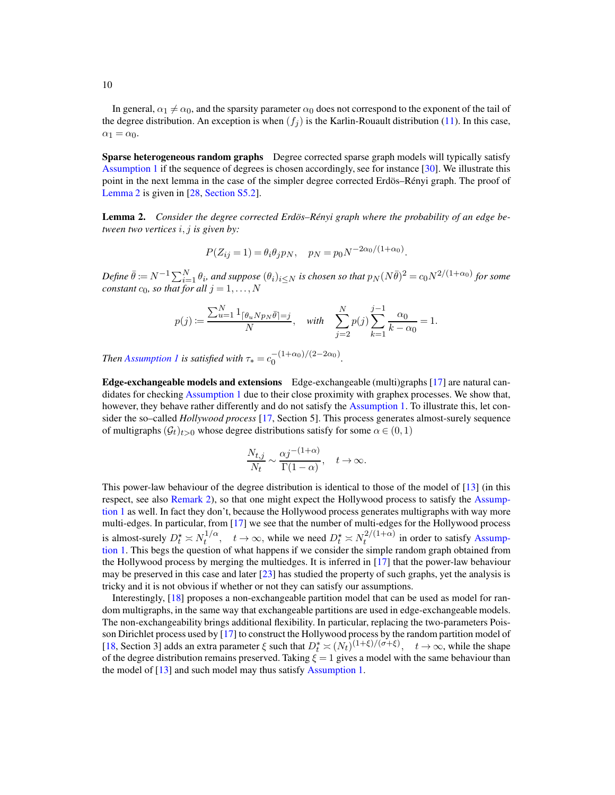In general,  $\alpha_1 \neq \alpha_0$ , and the sparsity parameter  $\alpha_0$  does not correspond to the exponent of the tail of the degree distribution. An exception is when  $(f_i)$  is the Karlin-Rouault distribution [\(11\)](#page-4-3). In this case,  $\alpha_1 = \alpha_0.$ 

Sparse heterogeneous random graphs Degree corrected sparse graph models will typically satisfy [Assumption 1](#page-3-1) if the sequence of degrees is chosen accordingly, see for instance [\[30](#page-78-2)]. We illustrate this point in the next lemma in the case of the simpler degree corrected Erdös–Rényi graph. The proof of [Lemma 2](#page-9-0) is given in [\[28](#page-29-11), [Section S5.2\]](#page-76-0).

<span id="page-9-0"></span>**Lemma 2.** Consider the degree corrected Erdös–Rényi graph where the probability of an edge be*tween two vertices* i, j *is given by:*

$$
P(Z_{ij} = 1) = \theta_i \theta_j p_N
$$
,  $p_N = p_0 N^{-2\alpha_0/(1+\alpha_0)}$ .

 $\emph{Define } \ \bar{\theta} \coloneqq N^{-1}\sum_{i=1}^N\theta_i,$  and suppose  $(\theta_i)_{i\leq N}$  is chosen so that  $p_N(N\bar{\theta})^2=c_0N^{2/(1+\alpha_0)}$  for some *constant*  $c_0$ *, so that for all*  $j = 1, \ldots, N$ 

$$
p(j) := \frac{\sum_{u=1}^{N} 1_{\lceil \theta_u N p_N \bar{\theta} \rceil = j}}{N}, \quad \text{with} \quad \sum_{j=2}^{N} p(j) \sum_{k=1}^{j-1} \frac{\alpha_0}{k - \alpha_0} = 1.
$$

*Then [Assumption 1](#page-3-1) is satisfied with*  $\tau_* = c_0^{-(1+\alpha_0)/(2-2\alpha_0)}$  $\frac{(-1+\alpha_0)}{2}$ .

Edge-exchangeable models and extensions Edge-exchangeable (multi)graphs [\[17\]](#page-29-2) are natural candidates for checking [Assumption 1](#page-3-1) due to their close proximity with graphex processes. We show that, however, they behave rather differently and do not satisfy the [Assumption 1.](#page-3-1) To illustrate this, let consider the so–called *Hollywood process* [\[17](#page-29-2), Section 5]. This process generates almost-surely sequence of multigraphs  $(\mathcal{G}_t)_{t>0}$  whose degree distributions satisfy for some  $\alpha \in (0,1)$ 

$$
\frac{N_{t,j}}{N_t} \sim \frac{\alpha j^{-(1+\alpha)}}{\Gamma(1-\alpha)}, \quad t \to \infty.
$$

This power-law behaviour of the degree distribution is identical to those of the model of [\[13\]](#page-78-0) (in this respect, see also [Remark 2\)](#page-14-2), so that one might expect the Hollywood process to satisfy the Assumption 1 as well. In fact they don't, because the Hollywood process generates multigraphs with way more multi-edges. In particular, from [\[17\]](#page-29-2) we see that the number of multi-edges for the Hollywood process is almost-surely  $D_t^* \asymp N_t^{1/\alpha}$  $t^{1/\alpha}$ ,  $t \to \infty$ , while we need  $D_t^* \asymp N_t^{2/(1+\alpha)}$  $t^{2/(1+\alpha)}$  in order to satisfy Assumption 1. This begs the question of what happens if we consider the simple random graph obtained from the Hollywood process by merging the multiedges. It is inferred in [\[17\]](#page-29-2) that the power-law behaviour may be preserved in this case and later [\[23](#page-29-17)] has studied the property of such graphs, yet the analysis is tricky and it is not obvious if whether or not they can satisfy our assumptions.

Interestingly, [\[18](#page-29-18)] proposes a non-exchangeable partition model that can be used as model for random multigraphs, in the same way that exchangeable partitions are used in edge-exchangeable models. The non-exchangeability brings additional flexibility. In particular, replacing the two-parameters Poisson Dirichlet process used by [\[17\]](#page-29-2) to construct the Hollywood process by the random partition model of [\[18](#page-29-18), Section 3] adds an extra parameter  $\xi$  such that  $D_t^* \approx (N_t)^{(1+\xi)/(\sigma+\xi)}$ ,  $t \to \infty$ , while the shape of the degree distribution remains preserved. Taking  $\xi = 1$  gives a model with the same behaviour than the model of  $[13]$  and such model may thus satisfy [Assumption 1.](#page-3-1)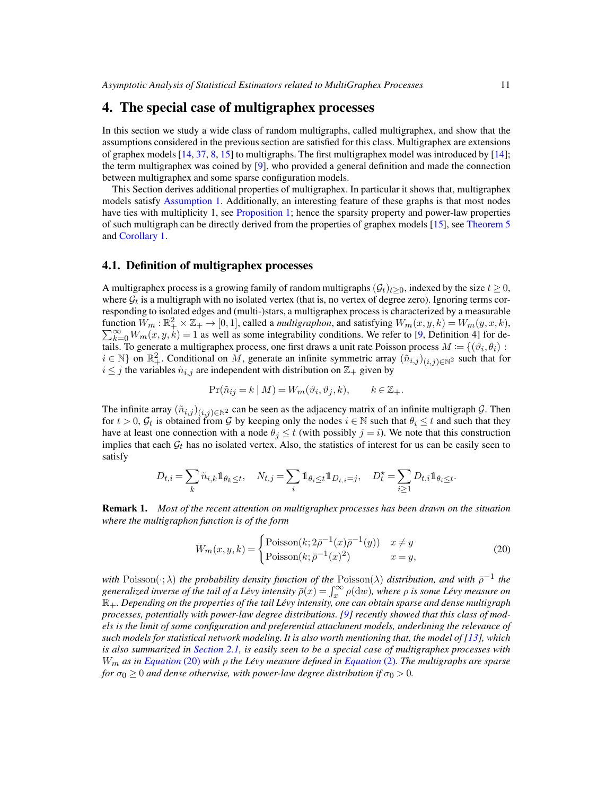# <span id="page-10-0"></span>4. The special case of multigraphex processes

In this section we study a wide class of random multigraphs, called multigraphex, and show that the assumptions considered in the previous section are satisfied for this class. Multigraphex are extensions of graphex models [\[14,](#page-29-15) [37](#page-30-3), [8,](#page-29-0) [15\]](#page-78-1) to multigraphs. The first multigraphex model was introduced by [\[14](#page-29-15)]; the term multigraphex was coined by [\[9\]](#page-29-1), who provided a general definition and made the connection between multigraphex and some sparse configuration models.

This Section derives additional properties of multigraphex. In particular it shows that, multigraphex models satisfy [Assumption 1.](#page-3-1) Additionally, an interesting feature of these graphs is that most nodes have ties with multiplicity 1, see [Proposition 1;](#page-12-0) hence the sparsity property and power-law properties of such multigraph can be directly derived from the properties of graphex models [\[15\]](#page-78-1), see [Theorem 5](#page-13-2) and [Corollary 1.](#page-13-0)

### 4.1. Definition of multigraphex processes

A multigraphex process is a growing family of random multigraphs  $(\mathcal{G}_t)_{t>0}$ , indexed by the size  $t \geq 0$ , where  $\mathcal{G}_t$  is a multigraph with no isolated vertex (that is, no vertex of degree zero). Ignoring terms corresponding to isolated edges and (multi-)stars, a multigraphex process is characterized by a measurable function  $W_m : \mathbb{R}^2_+ \times \mathbb{Z}_+ \to [0, 1]$ , called a *multigraphon*, and satisfying  $W_m(x, y, k) = W_m(y, x, k)$ ,  $\sum_{k=0}^{\infty} W_m(x, y, k) = 1$  as well as some integrability conditions. We refer to [\[9](#page-29-1), Definition 4] for details. To generate a multigraphex process, one first draws a unit rate Poisson process  $M = \{(\vartheta_i, \theta_i) :$  $i \in \mathbb{N}$  on  $\mathbb{R}^2_+$ . Conditional on M, generate an infinite symmetric array  $(\tilde{n}_{i,j})_{(i,j)\in\mathbb{N}^2}$  such that for  $i \leq j$  the variables  $\tilde{n}_{i,j}$  are independent with distribution on  $\mathbb{Z}_+$  given by

$$
\Pr(\tilde{n}_{ij} = k \mid M) = W_m(\vartheta_i, \vartheta_j, k), \qquad k \in \mathbb{Z}_+.
$$

The infinite array  $(\tilde{n}_{i,j})_{(i,j)\in\mathbb{N}^2}$  can be seen as the adjacency matrix of an infinite multigraph G. Then for  $t > 0$ ,  $\mathcal{G}_t$  is obtained from  $\mathcal G$  by keeping only the nodes  $i \in \mathbb N$  such that  $\theta_i \leq t$  and such that they have at least one connection with a node  $\theta_i \le t$  (with possibly  $j = i$ ). We note that this construction implies that each  $\mathcal{G}_t$  has no isolated vertex. Also, the statistics of interest for us can be easily seen to satisfy

$$
D_{t,i} = \sum_k \tilde{n}_{i,k} \mathbb{1}_{\theta_k \leq t}, \quad N_{t,j} = \sum_i \mathbb{1}_{\theta_i \leq t} \mathbb{1}_{D_{t,i} = j}, \quad D_t^\star = \sum_{i \geq 1} D_{t,i} \mathbb{1}_{\theta_i \leq t}.
$$

Remark 1. *Most of the recent attention on multigraphex processes has been drawn on the situation where the multigraphon function is of the form*

<span id="page-10-1"></span>
$$
W_m(x, y, k) = \begin{cases} \text{Poisson}(k; 2\bar{\rho}^{-1}(x)\bar{\rho}^{-1}(y)) & x \neq y \\ \text{Poisson}(k; \bar{\rho}^{-1}(x)^2) & x = y, \end{cases} \tag{20}
$$

*with* Poisson $(\cdot; \lambda)$  *the probability density function of the Poisson* $(\lambda)$  *distribution, and with*  $\bar{\rho}^{-1}$  *the* generalized inverse of the tail of a Lévy intensity  $\bar{\rho}(x) = \int_x^\infty \rho(\mathrm{d}w)$ , where  $\rho$  is some Lévy measure on R+*. Depending on the properties of the tail Levy intensity, one can obtain sparse and dense multigraph ´ processes, potentially with power-law degree distributions. [\[9\]](#page-29-1) recently showed that this class of models is the limit of some configuration and preferential attachment models, underlining the relevance of such models for statistical network modeling. It is also worth mentioning that, the model of [\[13](#page-78-0)], which is also summarized in [Section 2.1,](#page-3-2) is easily seen to be a special case of multigraphex processes with* Wm *as in [Equation](#page-10-1)* (20) *with* ρ *the Levy measure defined in ´ [Equation](#page-2-2)* (2)*. The multigraphs are sparse for*  $\sigma_0 \geq 0$  *and dense otherwise, with power-law degree distribution if*  $\sigma_0 > 0$ *.*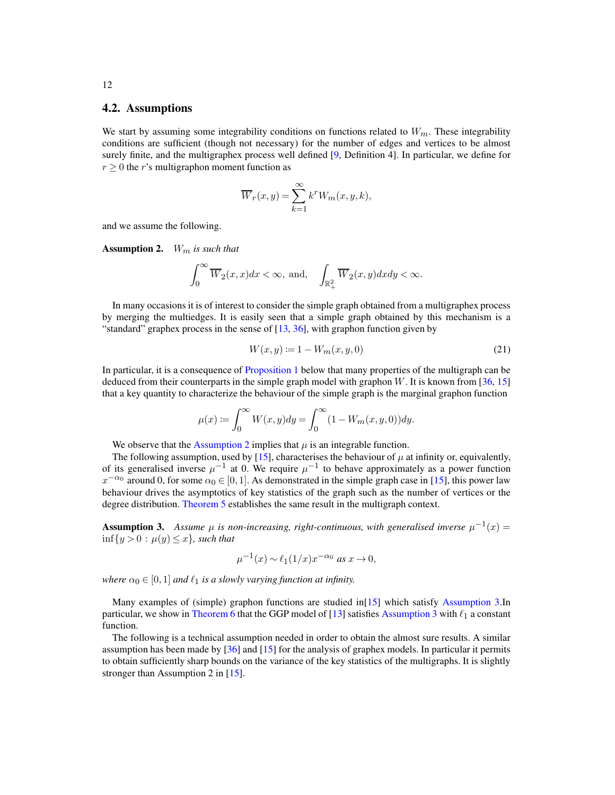#### 4.2. Assumptions

We start by assuming some integrability conditions on functions related to  $W_m$ . These integrability conditions are sufficient (though not necessary) for the number of edges and vertices to be almost surely finite, and the multigraphex process well defined [\[9,](#page-29-1) Definition 4]. In particular, we define for  $r \geq 0$  the r's multigraphon moment function as

$$
\overline{W}_r(x,y) = \sum_{k=1}^{\infty} k^r W_m(x,y,k),
$$

<span id="page-11-0"></span>and we assume the following.

Assumption 2. Wm *is such that*

$$
\int_0^\infty \overline{W}_2(x,x)dx < \infty, \text{ and, } \quad \int_{\mathbb{R}_+^2} \overline{W}_2(x,y) dx dy < \infty.
$$

In many occasions it is of interest to consider the simple graph obtained from a multigraphex process by merging the multiedges. It is easily seen that a simple graph obtained by this mechanism is a "standard" graphex process in the sense of  $[13, 36]$  $[13, 36]$ , with graphon function given by

$$
W(x, y) := 1 - W_m(x, y, 0)
$$
\n(21)

In particular, it is a consequence of [Proposition 1](#page-12-0) below that many properties of the multigraph can be deduced from their counterparts in the simple graph model with graphon  $W$ . It is known from [\[36](#page-30-0), [15](#page-78-1)] that a key quantity to characterize the behaviour of the simple graph is the marginal graphon function

$$
\mu(x) := \int_0^\infty W(x, y) dy = \int_0^\infty (1 - W_m(x, y, 0)) dy.
$$

We observe that the [Assumption 2](#page-11-0) implies that  $\mu$  is an integrable function.

The following assumption, used by [\[15\]](#page-78-1), characterises the behaviour of  $\mu$  at infinity or, equivalently, of its generalised inverse  $\mu^{-1}$  at 0. We require  $\mu^{-1}$  to behave approximately as a power function  $x^{-\alpha_0}$  around 0, for some  $\alpha_0 \in [0, 1]$ . As demonstrated in the simple graph case in [\[15](#page-78-1)], this power law behaviour drives the asymptotics of key statistics of the graph such as the number of vertices or the degree distribution. [Theorem 5](#page-13-2) establishes the same result in the multigraph context.

<span id="page-11-1"></span>**Assumption 3.** Assume  $\mu$  is non-increasing, right-continuous, with generalised inverse  $\mu^{-1}(x)$  =  $\inf\{y>0 : \mu(y)\leq x\}$ *, such that* 

$$
\mu^{-1}(x) \sim \ell_1(1/x)x^{-\alpha_0} \text{ as } x \to 0,
$$

*where*  $\alpha_0 \in [0, 1]$  *and*  $\ell_1$  *is a slowly varying function at infinity.* 

Many examples of (simple) graphon functions are studied in[\[15\]](#page-78-1) which satisfy [Assumption 3.](#page-11-1)In particular, we show in [Theorem 6](#page-13-3) that the GGP model of [\[13\]](#page-78-0) satisfies [Assumption 3](#page-11-1) with  $\ell_1$  a constant function.

<span id="page-11-2"></span>The following is a technical assumption needed in order to obtain the almost sure results. A similar assumption has been made by [\[36](#page-30-0)] and [\[15\]](#page-78-1) for the analysis of graphex models. In particular it permits to obtain sufficiently sharp bounds on the variance of the key statistics of the multigraphs. It is slightly stronger than Assumption 2 in [\[15](#page-78-1)].

12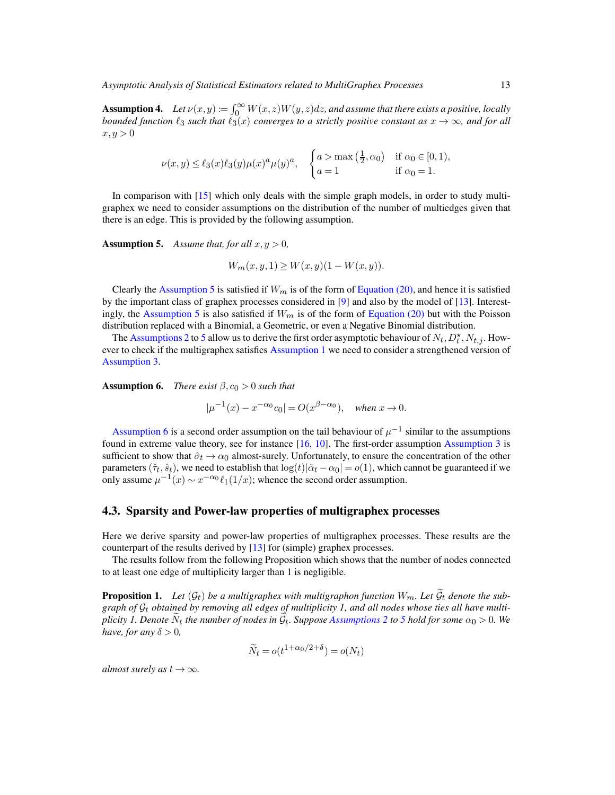**Assumption 4.** Let  $\nu(x, y) := \int_0^\infty W(x, z)W(y, z)dz$ , and assume that there exists a positive, locally *bounded function*  $\ell_3$  *such that*  $\ell_3(x)$  *converges to a strictly positive constant as*  $x \to \infty$ *, and for all*  $x, y > 0$ 

$$
\nu(x,y) \le \ell_3(x)\ell_3(y)\mu(x)^a \mu(y)^a, \quad \begin{cases} a > \max\left(\frac{1}{2}, \alpha_0\right) & \text{if } \alpha_0 \in [0,1), \\ a = 1 & \text{if } \alpha_0 = 1. \end{cases}
$$

<span id="page-12-1"></span>In comparison with [\[15](#page-78-1)] which only deals with the simple graph models, in order to study multigraphex we need to consider assumptions on the distribution of the number of multiedges given that there is an edge. This is provided by the following assumption.

**Assumption 5.** Assume that, for all  $x, y > 0$ ,

$$
W_m(x, y, 1) \ge W(x, y)(1 - W(x, y)).
$$

Clearly the [Assumption 5](#page-12-1) is satisfied if  $W_m$  is of the form of [Equation \(20\),](#page-10-1) and hence it is satisfied by the important class of graphex processes considered in [\[9\]](#page-29-1) and also by the model of [\[13\]](#page-78-0). Interest-ingly, the [Assumption 5](#page-12-1) is also satisfied if  $W_m$  is of the form of [Equation \(20\)](#page-10-1) but with the Poisson distribution replaced with a Binomial, a Geometric, or even a Negative Binomial distribution.

The [Assumptions 2](#page-11-0) to [5](#page-12-1) allow us to derive the first order asymptotic behaviour of  $N_t$ ,  $D_t^{\star}$ ,  $N_{t,j}$ . How-ever to check if the multigraphex satisfies [Assumption 1](#page-3-1) we need to consider a strengthened version of [Assumption 3.](#page-11-1)

<span id="page-12-2"></span>**Assumption 6.** *There exist*  $\beta$ ,  $c_0 > 0$  *such that* 

$$
|\mu^{-1}(x) - x^{-\alpha_0}c_0| = O(x^{\beta - \alpha_0}), \text{ when } x \to 0.
$$

[Assumption 6](#page-12-2) is a second order assumption on the tail behaviour of  $\mu^{-1}$  similar to the assumptions found in extreme value theory, see for instance [\[16](#page-29-19), [10\]](#page-29-20). The first-order assumption [Assumption 3](#page-11-1) is sufficient to show that  $\hat{\sigma}_t \to \alpha_0$  almost-surely. Unfortunately, to ensure the concentration of the other parameters  $(\hat{\tau}_t, \hat{s}_t)$ , we need to establish that  $\log(t)|\hat{\alpha}_t - \alpha_0| = o(1)$ , which cannot be guaranteed if we only assume  $\mu^{-1}(x) \sim x^{-\alpha_0} \ell_1(1/x)$ ; whence the second order assumption.

#### 4.3. Sparsity and Power-law properties of multigraphex processes

Here we derive sparsity and power-law properties of multigraphex processes. These results are the counterpart of the results derived by [\[13\]](#page-78-0) for (simple) graphex processes.

<span id="page-12-0"></span>The results follow from the following Proposition which shows that the number of nodes connected to at least one edge of multiplicity larger than 1 is negligible.

**Proposition 1.** Let  $(\mathcal{G}_t)$  be a multigraphex with multigraphon function  $W_m$ . Let  $\widetilde{\mathcal{G}}_t$  denote the subgraph of  $\mathcal{G}_t$  obtained by removing all edges of multiplicity 1, and all nodes whose ties all have multi*plicity 1. Denote*  $\tilde{N}_t$  *the number of nodes in*  $\tilde{G}_t$ *. Suppose [Assumptions 2](#page-11-0) to [5](#page-12-1) hold for some*  $\alpha_0 > 0$ *. We have, for any*  $\delta > 0$ *,* 

$$
\widetilde{N}_t = o(t^{1+\alpha_0/2+\delta}) = o(N_t)
$$

*almost surely as*  $t \to \infty$ *.*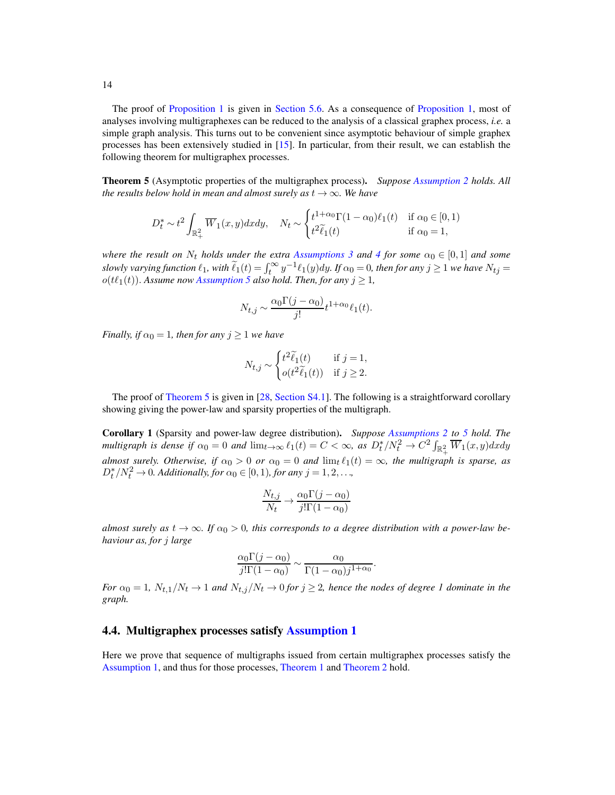The proof of [Proposition 1](#page-12-0) is given in [Section 5.6.](#page-26-0) As a consequence of [Proposition 1,](#page-12-0) most of analyses involving multigraphexes can be reduced to the analysis of a classical graphex process, *i.e.* a simple graph analysis. This turns out to be convenient since asymptotic behaviour of simple graphex processes has been extensively studied in [\[15\]](#page-78-1). In particular, from their result, we can establish the following theorem for multigraphex processes.

<span id="page-13-2"></span>Theorem 5 (Asymptotic properties of the multigraphex process). *Suppose [Assumption 2](#page-11-0) holds. All the results below hold in mean and almost surely as*  $t \rightarrow \infty$ *. We have* 

$$
D_t^* \sim t^2 \int_{\mathbb{R}_+^2} \overline{W}_1(x, y) dx dy, \quad N_t \sim \begin{cases} t^{1+\alpha_0} \Gamma(1-\alpha_0) \ell_1(t) & \text{if } \alpha_0 \in [0,1) \\ t^2 \widetilde{\ell}_1(t) & \text{if } \alpha_0 = 1, \end{cases}
$$

*where the result on*  $N_t$  *holds under the extra [Assumptions 3](#page-11-1) and [4](#page-11-2) for some*  $\alpha_0 \in [0,1]$  *and some slowly varying function*  $\ell_1$ , with  $\widetilde{\ell}_1(t) = \int_t^{\infty} y^{-1} \ell_1(y) dy$ . If  $\alpha_0 = 0$ , then for any  $j \ge 1$  we have  $N_{tj} =$  $o(t\ell_1(t))$ . Assume now [Assumption 5](#page-12-1) also hold. Then, for any  $j \geq 1$ ,

$$
N_{t,j} \sim \frac{\alpha_0 \Gamma(j - \alpha_0)}{j!} t^{1 + \alpha_0} \ell_1(t).
$$

*Finally, if*  $\alpha_0 = 1$ *, then for any*  $j \geq 1$  *we have* 

$$
N_{t,j} \sim \begin{cases} t^2 \widetilde{\ell}_1(t) & \text{if } j = 1, \\ o(t^2 \widetilde{\ell}_1(t)) & \text{if } j \ge 2. \end{cases}
$$

<span id="page-13-0"></span>The proof of [Theorem 5](#page-13-2) is given in [\[28,](#page-29-11) [Section S4.1\]](#page-58-0). The following is a straightforward corollary showing giving the power-law and sparsity properties of the multigraph.

Corollary 1 (Sparsity and power-law degree distribution). *Suppose [Assumptions 2](#page-11-0) to [5](#page-12-1) hold. The multigraph is dense if*  $\alpha_0 = 0$  *and*  $\lim_{t\to\infty} \ell_1(t) = C < \infty$ , as  $D_t^*/N_t^2 \to C^2 \int_{\mathbb{R}_+^2} \overline{W}_1(x, y) dx dy$ almost surely. Otherwise, if  $\alpha_0 > 0$  or  $\alpha_0 = 0$  and  $\lim_{t \to \infty} \ell_1(t) = \infty$ , the multigraph is sparse, as  $D_t^* / N_t^2 \to 0$ . Additionally, for  $\alpha_0 \in [0, 1)$ , for any  $j = 1, 2, ...$ ,

$$
\frac{N_{t,j}}{N_t} \to \frac{\alpha_0 \Gamma(j - \alpha_0)}{j! \Gamma(1 - \alpha_0)}
$$

*almost surely as*  $t \to \infty$ *. If*  $\alpha_0 > 0$ *, this corresponds to a degree distribution with a power-law behaviour as, for* j *large*

$$
\frac{\alpha_0 \Gamma(j - \alpha_0)}{j! \Gamma(1 - \alpha_0)} \sim \frac{\alpha_0}{\Gamma(1 - \alpha_0) j^{1 + \alpha_0}}.
$$

*For*  $\alpha_0 = 1$ ,  $N_{t,1}/N_t \rightarrow 1$  *and*  $N_{t,j}/N_t \rightarrow 0$  *for*  $j \geq 2$ *, hence the nodes of degree 1 dominate in the graph.*

#### <span id="page-13-1"></span>4.4. Multigraphex processes satisfy **Assumption** 1

<span id="page-13-3"></span>Here we prove that sequence of multigraphs issued from certain multigraphex processes satisfy the [Assumption 1,](#page-3-1) and thus for those processes, [Theorem 1](#page-4-0) and [Theorem 2](#page-5-0) hold.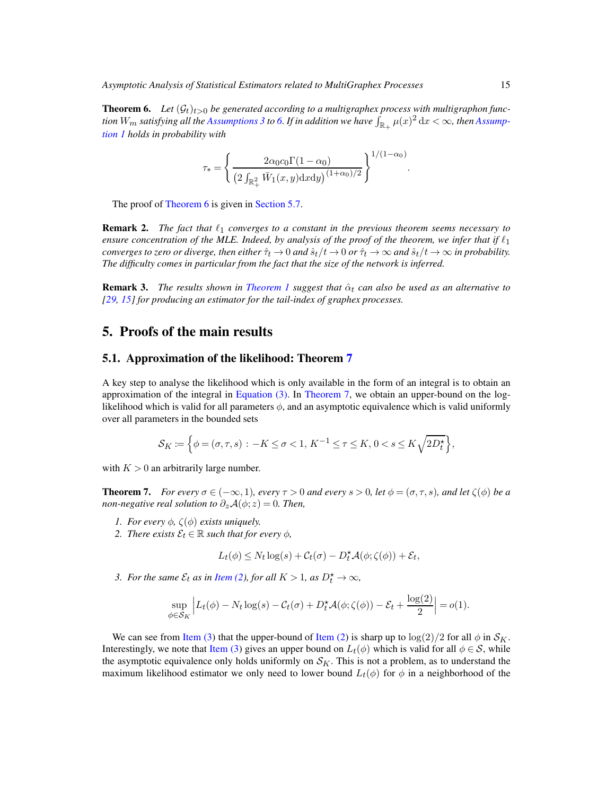**Theorem 6.** Let  $(\mathcal{G}_t)_{t>0}$  be generated according to a multigraphex process with multigraphon func $t$ *ion*  $W_m$  *satisfying all the [Assumptions 3](#page-11-1) to [6.](#page-12-2) If in addition we have*  $\int_{\mathbb{R}_+}\mu(x)^2\,\mathrm{d}x<\infty$ *, then Assumption 1 holds in probability with*

$$
\tau_* = \left\{ \frac{2\alpha_0 c_0 \Gamma(1 - \alpha_0)}{\left(2 \int_{\mathbb{R}_+^2} \bar{W}_1(x, y) \, dx \, dy\right)^{(1 + \alpha_0)/2}} \right\}^{1/(1 - \alpha_0)}
$$

.

<span id="page-14-2"></span>The proof of [Theorem 6](#page-13-3) is given in [Section 5.7.](#page-27-0)

**Remark 2.** *The fact that*  $\ell_1$  *converges to a constant in the previous theorem seems necessary to ensure concentration of the MLE. Indeed, by analysis of the proof of the theorem, we infer that if*  $\ell_1$ *converges to zero or diverge, then either*  $\hat{\tau}_t \to 0$  *and*  $\hat{s}_t/t \to 0$  *or*  $\hat{\tau}_t \to \infty$  *and*  $\hat{s}_t/t \to \infty$  *in probability. The difficulty comes in particular from the fact that the size of the network is inferred.*

**Remark 3.** *The results shown in [Theorem 1](#page-4-0) suggest that*  $\hat{\alpha}_t$  *can also be used as an alternative to [\[29,](#page-29-9) [15\]](#page-78-1) for producing an estimator for the tail-index of graphex processes.*

## <span id="page-14-6"></span><span id="page-14-0"></span>5. Proofs of the main results

### 5.1. Approximation of the likelihood: Theorem [7](#page-14-1)

A key step to analyse the likelihood which is only available in the form of an integral is to obtain an approximation of the integral in [Equation \(3\).](#page-3-0) In [Theorem 7,](#page-14-1) we obtain an upper-bound on the loglikelihood which is valid for all parameters  $\phi$ , and an asymptotic equivalence which is valid uniformly over all parameters in the bounded sets

$$
\mathcal{S}_K \coloneqq \Big\{ \phi = (\sigma, \tau, s) \, : \, -K \leq \sigma < 1, \, K^{-1} \leq \tau \leq K, \, 0 < s \leq K \sqrt{2 D_t^\star} \Big\},
$$

<span id="page-14-1"></span>with  $K > 0$  an arbitrarily large number.

**Theorem 7.** *For every*  $\sigma \in (-\infty, 1)$ *, every*  $\tau > 0$  *and every*  $s > 0$ *, let*  $\phi = (\sigma, \tau, s)$ *, and let*  $\zeta(\phi)$  *be a non-negative real solution to*  $\partial_z \mathcal{A}(\phi; z) = 0$ *. Then,* 

- <span id="page-14-5"></span><span id="page-14-3"></span>*1. For every*  $\phi$ ,  $\zeta(\phi)$  *exists uniquely.*
- *2. There exists*  $\mathcal{E}_t \in \mathbb{R}$  *such that for every*  $\phi$ *,*

$$
L_t(\phi) \le N_t \log(s) + C_t(\sigma) - D_t^{\star} \mathcal{A}(\phi; \zeta(\phi)) + \mathcal{E}_t,
$$

<span id="page-14-4"></span>*3. For the same*  $\mathcal{E}_t$  *as in [Item \(2\)](#page-14-3), for all*  $K > 1$ *, as*  $D_t^* \to \infty$ *,* 

$$
\sup_{\phi \in \mathcal{S}_K} \left| L_t(\phi) - N_t \log(s) - C_t(\sigma) + D_t^{\star} \mathcal{A}(\phi; \zeta(\phi)) - \mathcal{E}_t + \frac{\log(2)}{2} \right| = o(1).
$$

We can see from [Item \(3\)](#page-14-4) that the upper-bound of [Item \(2\)](#page-14-3) is sharp up to  $\log(2)/2$  for all  $\phi$  in  $\mathcal{S}_K$ . Interestingly, we note that [Item \(3\)](#page-14-4) gives an upper bound on  $L_t(\phi)$  which is valid for all  $\phi \in S$ , while the asymptotic equivalence only holds uniformly on  $S_K$ . This is not a problem, as to understand the maximum likelihood estimator we only need to lower bound  $L_t(\phi)$  for  $\phi$  in a neighborhood of the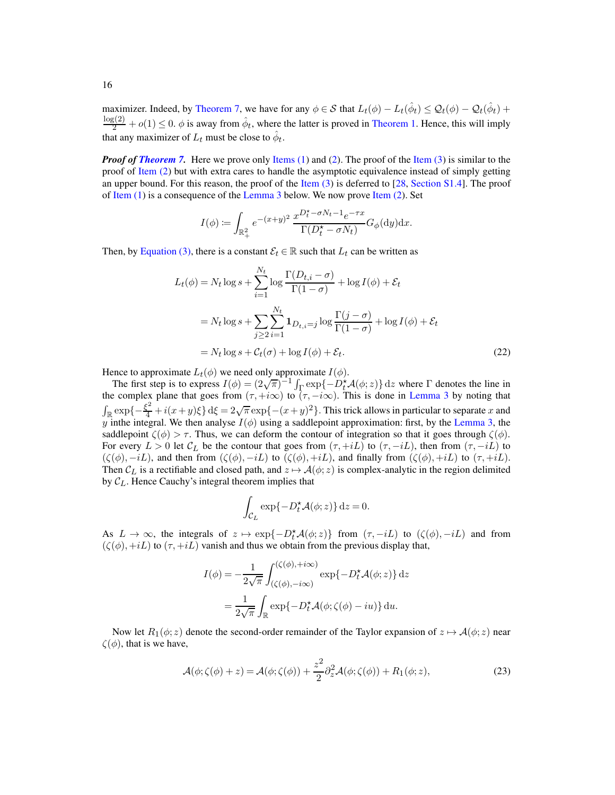maximizer. Indeed, by [Theorem 7,](#page-14-1) we have for any  $\phi \in S$  that  $L_t(\phi) - L_t(\hat{\phi}_t) \leq \mathcal{Q}_t(\phi) - \mathcal{Q}_t(\hat{\phi}_t) +$  $\frac{\log(2)}{2} + o(1) \le 0$ .  $\phi$  is away from  $\hat{\phi}_t$ , where the latter is proved in [Theorem 1.](#page-4-0) Hence, this will imply that any maximizer of  $L_t$  must be close to  $\hat{\phi}_t$ .

*Proof of [Theorem 7.](#page-14-1)* Here we prove only [Items \(1\)](#page-14-5) and [\(2\)](#page-14-3). The proof of the [Item \(3\)](#page-14-4) is similar to the proof of [Item \(2\)](#page-14-3) but with extra cares to handle the asymptotic equivalence instead of simply getting an upper bound. For this reason, the proof of the Item  $(3)$  is deferred to [\[28](#page-29-11), [Section S1.4\]](#page-34-0). The proof of [Item \(1\)](#page-14-5) is a consequence of the [Lemma 3](#page-16-1) below. We now prove [Item \(2\)](#page-14-3). Set

$$
I(\phi) \coloneqq \int_{\mathbb{R}_+^2} e^{-(x+y)^2} \, \frac{x^{D_t^\star - \sigma N_t - 1} e^{-\tau x}}{\Gamma(D_t^\star - \sigma N_t)} G_\phi(\textup{d} y) \textup{d} x.
$$

Then, by [Equation \(3\),](#page-3-0) there is a constant  $\mathcal{E}_t \in \mathbb{R}$  such that  $L_t$  can be written as

$$
L_t(\phi) = N_t \log s + \sum_{i=1}^{N_t} \log \frac{\Gamma(D_{t,i} - \sigma)}{\Gamma(1 - \sigma)} + \log I(\phi) + \mathcal{E}_t
$$
  
=  $N_t \log s + \sum_{j \ge 2} \sum_{i=1}^{N_t} \mathbf{1}_{D_{t,i} = j} \log \frac{\Gamma(j - \sigma)}{\Gamma(1 - \sigma)} + \log I(\phi) + \mathcal{E}_t$   
=  $N_t \log s + \mathcal{C}_t(\sigma) + \log I(\phi) + \mathcal{E}_t.$  (22)

Hence to approximate  $L_t(\phi)$  we need only approximate  $I(\phi)$ .

The first step is to express  $I(\phi) = (2\sqrt{\pi})^{-1} \int_{\Gamma} \exp\{-D_t^{\star} \mathcal{A}(\phi; z)\} dz$  where  $\Gamma$  denotes the line in the complex plane that goes from  $(\tau, +i\infty)$  to  $(\tau, -i\infty)$ . This is done in [Lemma 3](#page-16-1) by noting that  $\int_{\mathbb{R}} \exp\{-\frac{\xi^2}{4} + i(x+y)\xi\} d\xi = 2\sqrt{\pi} \exp\{-(x+y)^2\}$ . This trick allows in particular to separate x and y inthe integral. We then analyse  $I(\phi)$  using a saddlepoint approximation: first, by the [Lemma 3,](#page-16-1) the saddlepoint  $\zeta(\phi) > \tau$ . Thus, we can deform the contour of integration so that it goes through  $\zeta(\phi)$ . For every  $L > 0$  let  $C_L$  be the contour that goes from  $(\tau,+iL)$  to  $(\tau,-iL)$ , then from  $(\tau,-iL)$  to  $(\zeta(\phi),-iL)$ , and then from  $(\zeta(\phi),-iL)$  to  $(\zeta(\phi),+iL)$ , and finally from  $(\zeta(\phi),+iL)$  to  $(\tau,+iL)$ . Then  $C_L$  is a rectifiable and closed path, and  $z \mapsto \mathcal{A}(\phi; z)$  is complex-analytic in the region delimited by  $C_L$ . Hence Cauchy's integral theorem implies that

$$
\int_{\mathcal{C}_L} \exp\{-D_t^{\star}\mathcal{A}(\phi; z)\} \,dz = 0.
$$

As  $L \to \infty$ , the integrals of  $z \mapsto \exp\{-D_t^* \mathcal{A}(\phi; z)\}\$  from  $(\tau, -iL)$  to  $(\zeta(\phi), -iL)$  and from  $(\zeta(\phi),+iL)$  to  $(\tau,+iL)$  vanish and thus we obtain from the previous display that,

$$
I(\phi) = -\frac{1}{2\sqrt{\pi}} \int_{(\zeta(\phi), -i\infty)}^{(\zeta(\phi), +i\infty)} \exp\{-D_t^{\star} \mathcal{A}(\phi; z)\} dz
$$

$$
= \frac{1}{2\sqrt{\pi}} \int_{\mathbb{R}} \exp\{-D_t^{\star} \mathcal{A}(\phi; \zeta(\phi) - iu)\} du.
$$

Now let  $R_1(\phi; z)$  denote the second-order remainder of the Taylor expansion of  $z \mapsto \mathcal{A}(\phi; z)$  near  $\zeta(\phi)$ , that is we have,

<span id="page-15-0"></span>
$$
\mathcal{A}(\phi;\zeta(\phi)+z) = \mathcal{A}(\phi;\zeta(\phi)) + \frac{z^2}{2}\partial_z^2 \mathcal{A}(\phi;\zeta(\phi)) + R_1(\phi;z),\tag{23}
$$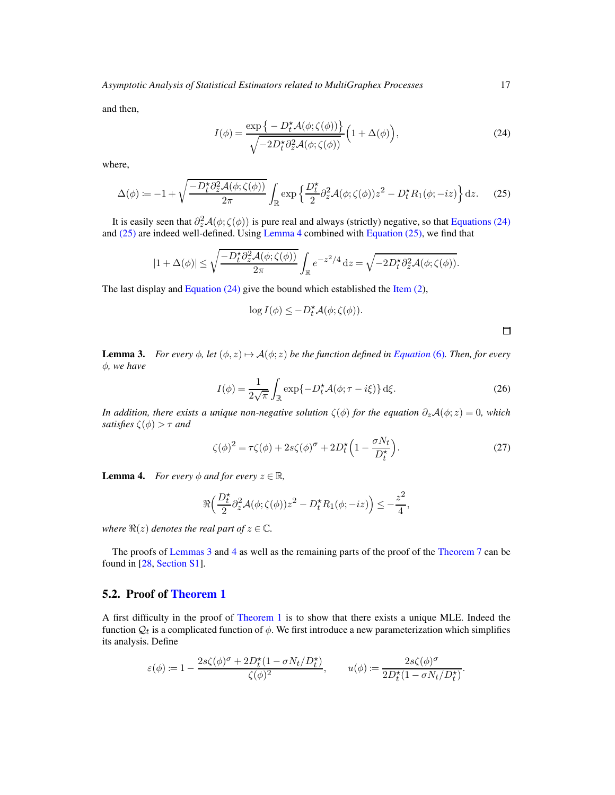and then,

<span id="page-16-2"></span>
$$
I(\phi) = \frac{\exp\{-D_t^* \mathcal{A}(\phi; \zeta(\phi))\}}{\sqrt{-2D_t^* \partial_z^2 \mathcal{A}(\phi; \zeta(\phi))}} \left(1 + \Delta(\phi)\right),\tag{24}
$$

where,

<span id="page-16-3"></span>
$$
\Delta(\phi) := -1 + \sqrt{\frac{-D_t^{\star} \partial_z^2 \mathcal{A}(\phi; \zeta(\phi))}{2\pi}} \int_{\mathbb{R}} \exp\left\{\frac{D_t^{\star}}{2} \partial_z^2 \mathcal{A}(\phi; \zeta(\phi)) z^2 - D_t^{\star} R_1(\phi; -iz)\right\} dz.
$$
 (25)

It is easily seen that  $\partial_z^2 \mathcal{A}(\phi; \zeta(\phi))$  is pure real and always (strictly) negative, so that [Equations \(24\)](#page-16-2) and [\(25\)](#page-16-3) are indeed well-defined. Using [Lemma 4](#page-16-4) combined with [Equation \(25\),](#page-16-3) we find that

$$
|1+\Delta(\phi)| \leq \sqrt{\frac{-D_t^{\star}\partial_z^2 \mathcal{A}(\phi;\zeta(\phi))}{2\pi}} \int_{\mathbb{R}} e^{-z^2/4} dz = \sqrt{-2D_t^{\star}\partial_z^2 \mathcal{A}(\phi;\zeta(\phi))}.
$$

The last display and [Equation \(24\)](#page-16-2) give the bound which established the [Item \(2\)](#page-14-3),

$$
\log I(\phi) \leq -D_t^{\star} \mathcal{A}(\phi; \zeta(\phi)).
$$

 $\Box$ 

<span id="page-16-1"></span>**Lemma 3.** *For every*  $\phi$ *, let*  $(\phi, z) \mapsto \mathcal{A}(\phi; z)$  *be the function defined in [Equation](#page-3-3)* (6)*. Then, for every* φ*, we have*

$$
I(\phi) = \frac{1}{2\sqrt{\pi}} \int_{\mathbb{R}} \exp\{-D_t^{\star} \mathcal{A}(\phi; \tau - i\xi)\} d\xi.
$$
 (26)

*In addition, there exists a unique non-negative solution*  $\zeta(\phi)$  *for the equation*  $\partial_z \mathcal{A}(\phi; z) = 0$ *, which satisfies*  $\zeta(\phi) > \tau$  *and* 

<span id="page-16-5"></span>
$$
\zeta(\phi)^2 = \tau \zeta(\phi) + 2s\zeta(\phi)^\sigma + 2D_t^\star \left(1 - \frac{\sigma N_t}{D_t^\star}\right). \tag{27}
$$

<span id="page-16-4"></span>**Lemma 4.** *For every*  $\phi$  *and for every*  $z \in \mathbb{R}$ *,* 

$$
\Re\Big(\frac{D_t^{\star}}{2}\partial_z^2\mathcal{A}(\phi;\zeta(\phi))z^2-D_t^{\star}R_1(\phi;-iz)\Big)\leq-\frac{z^2}{4},
$$

*where*  $\Re(z)$  *denotes the real part of*  $z \in \mathbb{C}$ *.* 

The proofs of [Lemmas 3](#page-16-1) and [4](#page-16-4) as well as the remaining parts of the proof of the [Theorem 7](#page-14-1) can be found in [\[28](#page-29-11), [Section S1\]](#page-31-5).

## <span id="page-16-0"></span>5.2. Proof of [Theorem 1](#page-4-0)

A first difficulty in the proof of [Theorem 1](#page-4-0) is to show that there exists a unique MLE. Indeed the function  $\mathcal{Q}_t$  is a complicated function of  $\phi$ . We first introduce a new parameterization which simplifies its analysis. Define

$$
\varepsilon(\phi) \coloneqq 1 - \frac{2s\zeta(\phi)^\sigma + 2D_t^\star(1-\sigma N_t/D_t^\star)}{\zeta(\phi)^2}, \qquad u(\phi) \coloneqq \frac{2s\zeta(\phi)^\sigma}{2D_t^\star(1-\sigma N_t/D_t^\star)}.
$$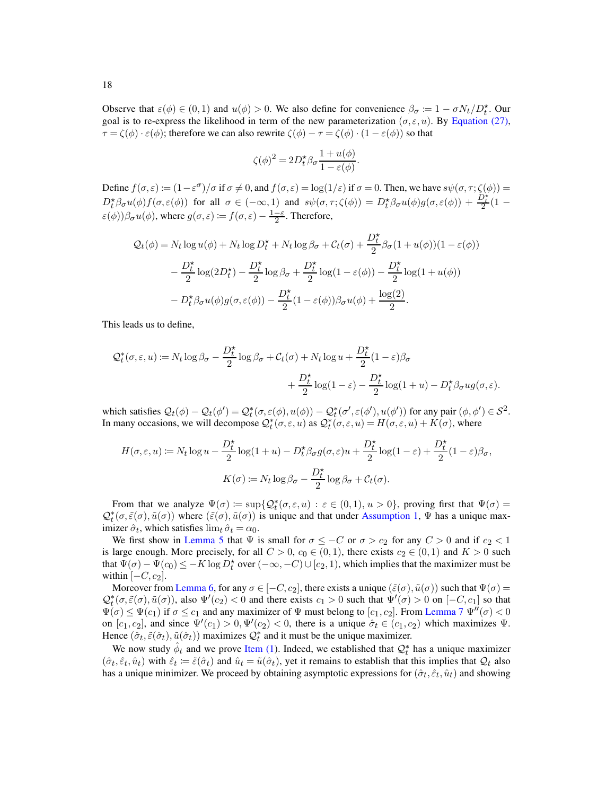Observe that  $\varepsilon(\phi) \in (0,1)$  and  $u(\phi) > 0$ . We also define for convenience  $\beta_{\sigma} := 1 - \sigma N_t / D_t^*$ . Our goal is to re-express the likelihood in term of the new parameterization ( $\sigma, \varepsilon, u$ ). By [Equation \(27\),](#page-16-5)  $\tau = \zeta(\phi) \cdot \varepsilon(\phi)$ ; therefore we can also rewrite  $\zeta(\phi) - \tau = \zeta(\phi) \cdot (1 - \varepsilon(\phi))$  so that

$$
\zeta(\phi)^2 = 2D_t^{\star}\beta_{\sigma}\frac{1+u(\phi)}{1-\varepsilon(\phi)}.
$$

Define  $f(\sigma, \varepsilon) := (1 - \varepsilon^{\sigma})/\sigma$  if  $\sigma \neq 0$ , and  $f(\sigma, \varepsilon) = \log(1/\varepsilon)$  if  $\sigma = 0$ . Then, we have  $s\psi(\sigma, \tau; \zeta(\phi)) =$  $D_t^{\star}\beta_{\sigma}u(\phi)f(\sigma,\varepsilon(\phi))$  for all  $\sigma \in (-\infty,1)$  and  $s\psi(\sigma,\tau;\zeta(\phi)) = D_t^{\star}\beta_{\sigma}u(\phi)g(\sigma,\varepsilon(\phi)) + \frac{D_t^{\star}}{2}(1-\phi)g(\sigma,\varepsilon(\phi))$  $\varepsilon(\phi))\beta_{\sigma}u(\phi)$ , where  $g(\sigma,\varepsilon) \coloneqq f(\sigma,\varepsilon) - \frac{1-\varepsilon}{2}$ . Therefore,

$$
Q_t(\phi) = N_t \log u(\phi) + N_t \log D_t^{\star} + N_t \log \beta_{\sigma} + C_t(\sigma) + \frac{D_t^{\star}}{2} \beta_{\sigma} (1 + u(\phi))(1 - \varepsilon(\phi))
$$
  

$$
- \frac{D_t^{\star}}{2} \log(2D_t^{\star}) - \frac{D_t^{\star}}{2} \log \beta_{\sigma} + \frac{D_t^{\star}}{2} \log(1 - \varepsilon(\phi)) - \frac{D_t^{\star}}{2} \log(1 + u(\phi))
$$
  

$$
- D_t^{\star} \beta_{\sigma} u(\phi) g(\sigma, \varepsilon(\phi)) - \frac{D_t^{\star}}{2} (1 - \varepsilon(\phi)) \beta_{\sigma} u(\phi) + \frac{\log(2)}{2}.
$$

This leads us to define,

$$
\mathcal{Q}_t^*(\sigma, \varepsilon, u) := N_t \log \beta_\sigma - \frac{D_t^*}{2} \log \beta_\sigma + C_t(\sigma) + N_t \log u + \frac{D_t^*}{2} (1 - \varepsilon) \beta_\sigma + \frac{D_t^*}{2} \log(1 - \varepsilon) - \frac{D_t^*}{2} \log(1 + u) - D_t^* \beta_\sigma u g(\sigma, \varepsilon).
$$

which satisfies  $Q_t(\phi) - Q_t(\phi') = Q_t^*(\sigma, \varepsilon(\phi), u(\phi)) - Q_t^*(\sigma', \varepsilon(\phi'), u(\phi'))$  for any pair  $(\phi, \phi') \in S^2$ . In many occasions, we will decompose  $Q_t^*(\sigma, \varepsilon, u)$  as  $Q_t^*(\sigma, \varepsilon, u) = H(\sigma, \varepsilon, u) + K(\sigma)$ , where

$$
H(\sigma, \varepsilon, u) \coloneqq N_t \log u - \frac{D_t^{\star}}{2} \log(1 + u) - D_t^{\star} \beta_{\sigma} g(\sigma, \varepsilon) u + \frac{D_t^{\star}}{2} \log(1 - \varepsilon) + \frac{D_t^{\star}}{2} (1 - \varepsilon) \beta_{\sigma},
$$

$$
K(\sigma) \coloneqq N_t \log \beta_{\sigma} - \frac{D_t^{\star}}{2} \log \beta_{\sigma} + C_t(\sigma).
$$

From that we analyze  $\Psi(\sigma) := \sup \{ \mathcal{Q}_t^*(\sigma, \varepsilon, u) : \varepsilon \in (0, 1), u > 0 \}$ , proving first that  $\Psi(\sigma) =$  $Q_t^*(\sigma, \tilde{\varepsilon}(\sigma), \tilde{u}(\sigma))$  where  $(\tilde{\varepsilon}(\sigma), \tilde{u}(\sigma))$  is unique and that under [Assumption 1,](#page-3-1)  $\Psi$  has a unique maximizer  $\hat{\sigma}_t$ , which satisfies  $\lim_{t} \hat{\sigma}_t = \alpha_0$ .

We first show in [Lemma 5](#page-19-0) that  $\Psi$  is small for  $\sigma \leq -C$  or  $\sigma > c_2$  for any  $C > 0$  and if  $c_2 < 1$ is large enough. More precisely, for all  $C > 0$ ,  $c_0 \in (0,1)$ , there exists  $c_2 \in (0,1)$  and  $K > 0$  such that  $\Psi(\sigma) - \Psi(c_0) \le -K \log D_t^*$  over  $(-\infty, -C) \cup [c_2, 1)$ , which implies that the maximizer must be within  $[-C, c_2]$ .

Moreover from [Lemma 6,](#page-19-1) for any  $\sigma \in [-C, c_2]$ , there exists a unique  $(\tilde{\varepsilon}(\sigma), \tilde{u}(\sigma))$  such that  $\Psi(\sigma)$  $Q_t^*(\sigma, \tilde{\varepsilon}(\sigma), \tilde{u}(\sigma))$ , also  $\Psi'(c_2) < 0$  and there exists  $c_1 > 0$  such that  $\Psi'(\sigma) > 0$  on  $[-C, c_1]$  so that  $\Psi(\sigma) \leq \Psi(c_1)$  if  $\sigma \leq c_1$  and any maximizer of  $\Psi$  must belong to  $[c_1, c_2]$ . From [Lemma 7](#page-19-2)  $\Psi''(\sigma) < 0$ on  $[c_1, c_2]$ , and since  $\Psi'(c_1) > 0$ ,  $\Psi'(c_2) < 0$ , there is a unique  $\hat{\sigma}_t \in (c_1, c_2)$  which maximizes  $\Psi$ . Hence  $(\hat{\sigma}_t, \tilde{\varepsilon}(\hat{\sigma}_t), \tilde{u}(\hat{\sigma}_t))$  maximizes  $\mathcal{Q}_t^*$  and it must be the unique maximizer.

We now study  $\hat{\phi}_t$  and we prove [Item \(1\)](#page-5-5). Indeed, we established that  $\mathcal{Q}_t^*$  has a unique maximizer  $(\hat{\sigma}_t, \hat{\varepsilon}_t, \hat{u}_t)$  with  $\hat{\varepsilon}_t := \tilde{\varepsilon}(\hat{\sigma}_t)$  and  $\hat{u}_t = \tilde{u}(\hat{\sigma}_t)$ , yet it remains to establish that this implies that  $Q_t$  also has a unique minimizer. We proceed by obtaining asymptotic expressions for  $(\hat{\sigma}_t, \hat{\varepsilon}_t, \hat{u}_t)$  and showing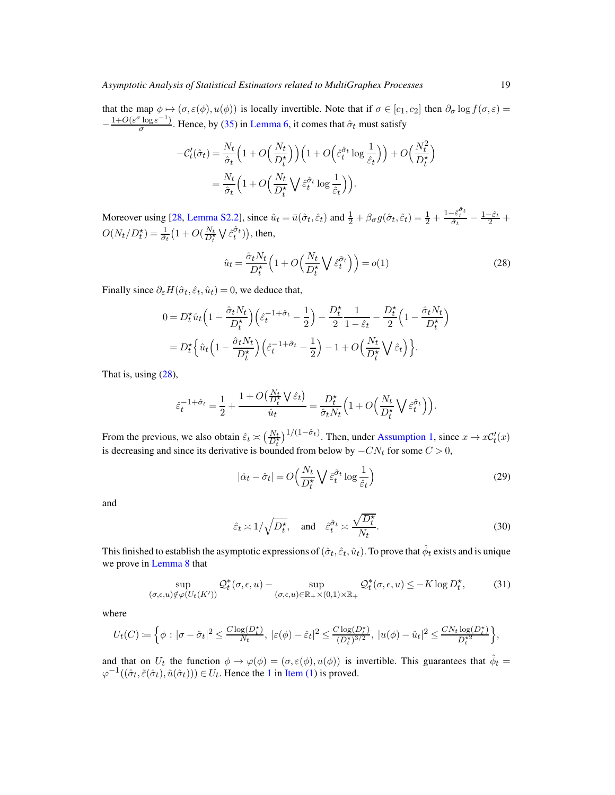that the map  $\phi \mapsto (\sigma, \varepsilon(\phi), u(\phi))$  is locally invertible. Note that if  $\sigma \in [c_1, c_2]$  then  $\partial_{\sigma} \log f(\sigma, \varepsilon) =$  $-\frac{1+O(\varepsilon^{\sigma}\log\varepsilon^{-1})}{\sigma}$  $\frac{\log \varepsilon}{\sigma}$ . Hence, by [\(35\)](#page-19-3) in [Lemma 6,](#page-19-1) it comes that  $\hat{\sigma}_t$  must satisfy

$$
-C'_t(\hat{\sigma}_t) = \frac{N_t}{\hat{\sigma}_t} \left( 1 + O\left(\frac{N_t}{D_t^{\star}}\right) \right) \left( 1 + O\left(\hat{\varepsilon}_t^{\hat{\sigma}_t} \log \frac{1}{\hat{\varepsilon}_t} \right) \right) + O\left(\frac{N_t^2}{D_t^{\star}}\right)
$$

$$
= \frac{N_t}{\hat{\sigma}_t} \left( 1 + O\left(\frac{N_t}{D_t^{\star}} \bigvee \hat{\varepsilon}_t^{\hat{\sigma}_t} \log \frac{1}{\hat{\varepsilon}_t} \right) \right).
$$

Moreover using [\[28](#page-29-11), [Lemma S2.2\]](#page-39-0), since  $\hat{u}_t = \bar{u}(\hat{\sigma}_t, \hat{\varepsilon}_t)$  and  $\frac{1}{2} + \beta_{\sigma} g(\hat{\sigma}_t, \hat{\varepsilon}_t) = \frac{1}{2} + \frac{1-\hat{\varepsilon}_t^2}{\hat{\sigma}_t} - \frac{1-\hat{\varepsilon}_t}{2} + \frac{1-\hat{\varepsilon}_t^2}{2}$  $O(N_t/D_t^{\star}) = \frac{1}{\hat{\sigma}_t} \left(1 + O(\frac{N_t}{D_t^{\star}} \bigvee \hat{\varepsilon}_t^{\hat{\sigma}_t})\right)$ , then,

<span id="page-18-0"></span>
$$
\hat{u}_t = \frac{\hat{\sigma}_t N_t}{D_t^{\star}} \left( 1 + O\left(\frac{N_t}{D_t^{\star}} \bigvee \hat{\varepsilon}_t^{\hat{\sigma}_t} \right) \right) = o(1)
$$
\n(28)

Finally since  $\partial_{\varepsilon}H(\hat{\sigma}_t, \hat{\varepsilon}_t, \hat{u}_t) = 0$ , we deduce that,

$$
0 = D_t^{\star} \hat{u}_t \left( 1 - \frac{\hat{\sigma}_t N_t}{D_t^{\star}} \right) \left( \hat{\varepsilon}_t^{-1 + \hat{\sigma}_t} - \frac{1}{2} \right) - \frac{D_t^{\star}}{2} \frac{1}{1 - \hat{\varepsilon}_t} - \frac{D_t^{\star}}{2} \left( 1 - \frac{\hat{\sigma}_t N_t}{D_t^{\star}} \right)
$$
  
= 
$$
D_t^{\star} \left\{ \hat{u}_t \left( 1 - \frac{\hat{\sigma}_t N_t}{D_t^{\star}} \right) \left( \hat{\varepsilon}_t^{-1 + \hat{\sigma}_t} - \frac{1}{2} \right) - 1 + O \left( \frac{N_t}{D_t^{\star}} \bigvee \hat{\varepsilon}_t \right) \right\}.
$$

That is, using [\(28\)](#page-18-0),

$$
\hat{\varepsilon}_t^{-1+\hat{\sigma}_t} = \frac{1}{2} + \frac{1 + O\left(\frac{N_t}{D_t^*} \sqrt{\hat{\varepsilon}_t}\right)}{\hat{u}_t} = \frac{D_t^{\star}}{\hat{\sigma}_t N_t} \left(1 + O\left(\frac{N_t}{D_t^{\star}} \sqrt{\hat{\varepsilon}_t^{\hat{\sigma}_t}}\right)\right).
$$

From the previous, we also obtain  $\hat{\varepsilon}_t \asymp \left(\frac{N_t}{D_t^*}\right)^{1/(1-\hat{\sigma}_t)}$ . Then, under [Assumption 1,](#page-3-1) since  $x \to xC_t'(x)$ is decreasing and since its derivative is bounded from below by  $-CN_t$  for some  $C > 0$ ,

$$
|\hat{\alpha}_t - \hat{\sigma}_t| = O\left(\frac{N_t}{D_t^{\star}} \bigvee \hat{\varepsilon}_t^{\hat{\sigma}_t} \log \frac{1}{\hat{\varepsilon}_t}\right)
$$
(29)

and

$$
\hat{\varepsilon}_t \asymp 1/\sqrt{D_t^{\star}}, \text{ and } \hat{\varepsilon}_t^{\hat{\sigma}_t} \asymp \frac{\sqrt{D_t^{\star}}}{N_t}.
$$
\n(30)

This finished to establish the asymptotic expressions of  $(\hat\sigma_t,\hat\varepsilon_t,\hat u_t)$ . To prove that  $\hat\phi_t$  exists and is unique we prove in [Lemma 8](#page-19-4) that

<span id="page-18-1"></span>
$$
\sup_{(\sigma,\epsilon,u)\notin\varphi(U_t(K'))} \mathcal{Q}_t^*(\sigma,\epsilon,u) - \sup_{(\sigma,\epsilon,u)\in\mathbb{R}_+\times(0,1)\times\mathbb{R}_+} \mathcal{Q}_t^*(\sigma,\epsilon,u) \le -K \log D_t^*,\tag{31}
$$

where

$$
U_t(C) \coloneqq \Big\{ \phi : |\sigma - \hat{\sigma}_t|^2 \le \frac{C \log(D_t^*)}{N_t}, \ |\varepsilon(\phi) - \hat{\varepsilon}_t|^2 \le \frac{C \log(D_t^*)}{(D_t^*)^{3/2}}, \ |u(\phi) - \hat{u}_t|^2 \le \frac{C N_t \log(D_t^*)}{D_t^{*2}} \Big\},
$$

and that on  $U_t$  the function  $\phi \to \varphi(\phi) = (\sigma, \varepsilon(\phi), u(\phi))$  is invertible. This guarantees that  $\hat{\phi}_t =$  $\varphi^{-1}((\hat{\sigma}_t, \tilde{\varepsilon}(\hat{\sigma}_t), \tilde{u}(\hat{\sigma}_t))) \in U_t$  $\varphi^{-1}((\hat{\sigma}_t, \tilde{\varepsilon}(\hat{\sigma}_t), \tilde{u}(\hat{\sigma}_t))) \in U_t$  $\varphi^{-1}((\hat{\sigma}_t, \tilde{\varepsilon}(\hat{\sigma}_t), \tilde{u}(\hat{\sigma}_t))) \in U_t$ . Hence the 1 in [Item \(1\)](#page-5-5) is proved.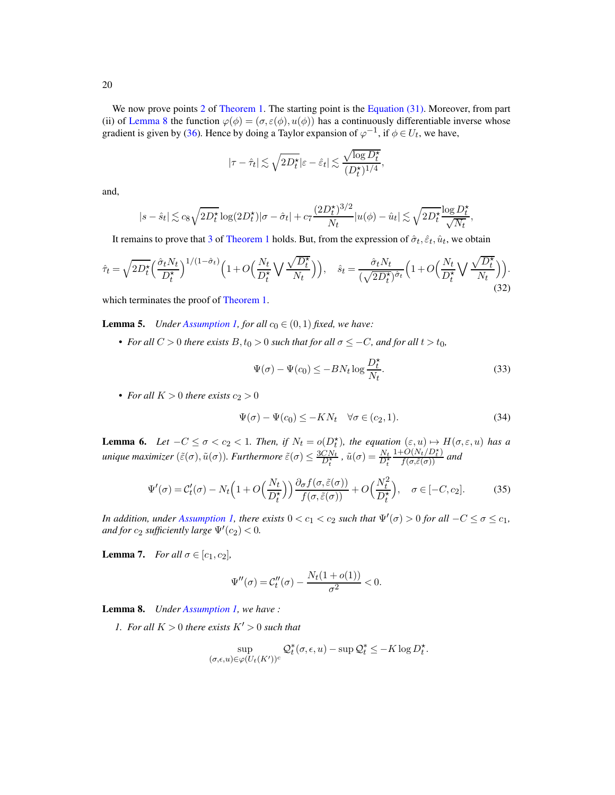We now prove points [2](#page-5-6) of [Theorem 1.](#page-4-0) The starting point is the [Equation \(31\).](#page-18-1) Moreover, from part (ii) of [Lemma 8](#page-19-4) the function  $\varphi(\phi) = (\sigma, \varepsilon(\phi), u(\phi))$  has a continuously differentiable inverse whose gradient is given by [\(36\)](#page-20-1). Hence by doing a Taylor expansion of  $\varphi^{-1}$ , if  $\phi \in U_t$ , we have,

$$
|\tau - \hat{\tau}_t| \lesssim \sqrt{2 D_t^\star} |\varepsilon - \hat{\varepsilon}_t| \lesssim \frac{\sqrt{\log D_t^\star}}{(D_t^\star)^{1/4}},
$$

and,

$$
|s - \hat{s}_t| \lesssim c_8 \sqrt{2D_t^{\star}} \log(2D_t^{\star}) |\sigma - \hat{\sigma}_t| + c_7 \frac{(2D_t^{\star})^{3/2}}{N_t} |u(\phi) - \hat{u}_t| \lesssim \sqrt{2D_t^{\star}} \frac{\log D_t^{\star}}{\sqrt{N_t}}
$$

It remains to prove that [3](#page-5-7) of [Theorem 1](#page-4-0) holds. But, from the expression of  $\hat{\sigma}_t$ ,  $\hat{\varepsilon}_t$ ,  $\hat{u}_t$ , we obtain

<span id="page-19-6"></span>
$$
\hat{\tau}_t = \sqrt{2D_t^{\star}} \Big( \frac{\hat{\sigma}_t N_t}{D_t^{\star}} \Big)^{1/(1-\hat{\sigma}_t)} \Big( 1 + O\Big( \frac{N_t}{D_t^{\star}} \bigvee \frac{\sqrt{D_t^{\star}}}{N_t} \Big) \Big), \quad \hat{s}_t = \frac{\hat{\sigma}_t N_t}{(\sqrt{2D_t^{\star}})^{\hat{\sigma}_t}} \Big( 1 + O\Big( \frac{N_t}{D_t^{\star}} \bigvee \frac{\sqrt{D_t^{\star}}}{N_t} \Big) \Big).
$$
\n(32)

<span id="page-19-0"></span>which terminates the proof of [Theorem 1.](#page-4-0)

**Lemma 5.** *Under [Assumption 1,](#page-3-1) for all*  $c_0 \in (0,1)$  *fixed, we have:* 

• *For all*  $C > 0$  *there exists*  $B, t_0 > 0$  *such that for all*  $\sigma \leq -C$ *, and for all*  $t > t_0$ *,* 

$$
\Psi(\sigma) - \Psi(c_0) \le -BN_t \log \frac{D_t^*}{N_t}.
$$
\n(33)

,

• *For all*  $K > 0$  *there exists*  $c_2 > 0$ 

<span id="page-19-5"></span>
$$
\Psi(\sigma) - \Psi(c_0) \le -KN_t \quad \forall \sigma \in (c_2, 1). \tag{34}
$$

<span id="page-19-1"></span>**Lemma 6.** Let  $-C \leq \sigma < c_2 < 1$ . Then, if  $N_t = o(D_t^*)$ , the equation  $(\varepsilon, u) \mapsto H(\sigma, \varepsilon, u)$  has a *unique maximizer*  $(\tilde{\varepsilon}(\sigma), \tilde{u}(\sigma))$ *. Furthermore*  $\tilde{\varepsilon}(\sigma) \leq \frac{3CN_t}{D_t^*}$ ,  $\tilde{u}(\sigma) = \frac{N_t}{D_t^*}$  $\frac{1+O(N_t/D_t^{\star})}{f(\sigma,\tilde{\varepsilon}(\sigma))}$  and

<span id="page-19-3"></span>
$$
\Psi'(\sigma) = C'_t(\sigma) - N_t \left( 1 + O\left(\frac{N_t}{D_t^{\star}}\right) \right) \frac{\partial_{\sigma} f(\sigma, \tilde{\varepsilon}(\sigma))}{f(\sigma, \tilde{\varepsilon}(\sigma))} + O\left(\frac{N_t^2}{D_t^{\star}}\right), \quad \sigma \in [-C, c_2].
$$
 (35)

*In addition, under [Assumption 1,](#page-3-1) there exists*  $0 < c_1 < c_2$  *such that*  $\Psi'(\sigma) > 0$  *for all*  $-C \le \sigma \le c_1$ *, and for*  $c_2$  *sufficiently large*  $\Psi'(c_2) < 0$ *.* 

<span id="page-19-2"></span>**Lemma 7.** *For all*  $\sigma \in [c_1, c_2]$ *,* 

$$
\Psi''(\sigma) = \mathcal{C}_t''(\sigma) - \frac{N_t(1 + o(1))}{\sigma^2} < 0.
$$

<span id="page-19-4"></span>Lemma 8. *Under [Assumption 1,](#page-3-1) we have :*

*1. For all*  $K > 0$  *there exists*  $K' > 0$  *such that* 

$$
\sup_{(\sigma,\epsilon,u)\in\varphi(U_t(K'))^c} \mathcal{Q}_t^*(\sigma,\epsilon,u) - \sup \mathcal{Q}_t^* \leq -K \log D_t^*.
$$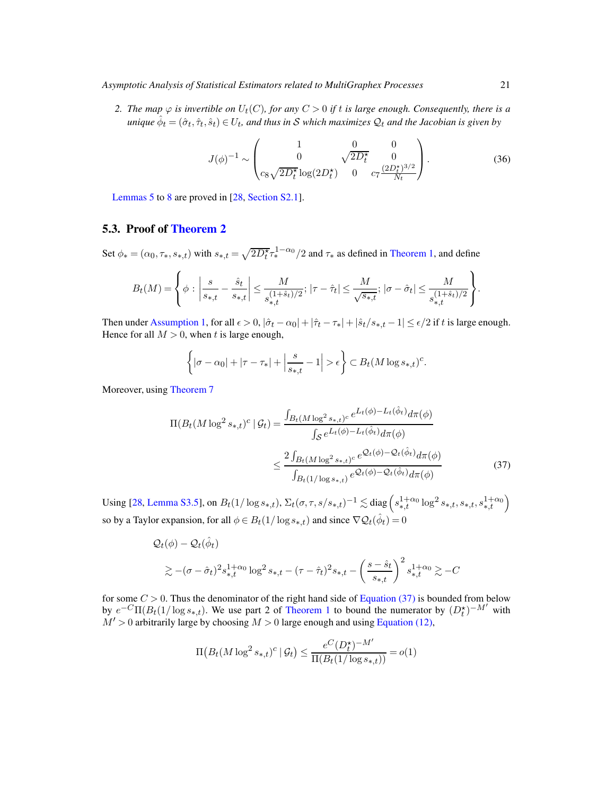*Asymptotic Analysis of Statistical Estimators related to MultiGraphex Processes* 21

*2. The map*  $\varphi$  *is invertible on*  $U_t(C)$ *, for any*  $C > 0$  *if t is large enough. Consequently, there is a*  $u$ nique  $\hat{\phi}_t = (\hat{\sigma}_t, \hat{\tau}_t, \hat{s}_t) \in U_t$ , and thus in  $\mathcal S$  which maximizes  $\mathcal Q_t$  and the Jacobian is given by

<span id="page-20-1"></span>
$$
J(\phi)^{-1} \sim \begin{pmatrix} 1 & 0 & 0 \\ 0 & \sqrt{2D_t^{\star}} & 0 \\ c_8 \sqrt{2D_t^{\star}} \log(2D_t^{\star}) & 0 & c_7 \frac{(2D_t^{\star})^{3/2}}{N_t} \end{pmatrix}.
$$
 (36)

[Lemmas 5](#page-19-0) to [8](#page-19-4) are proved in [\[28,](#page-29-11) [Section S2.1\]](#page-36-0).

## <span id="page-20-0"></span>5.3. Proof of [Theorem 2](#page-5-0)

Set  $\phi_* = (\alpha_0, \tau_*, s_{*,t})$  with  $s_{*,t} = \sqrt{2D_t^{\star}} \tau_*^{1-\alpha_0}/2$  and  $\tau_*$  as defined in [Theorem 1,](#page-4-0) and define

$$
B_t(M) = \left\{ \phi \, : \, \left| \frac{s}{s_{*,t}} - \frac{\hat{s}_t}{s_{*,t}} \right| \leq \frac{M}{s_{*,t}^{(1+\hat{s}_t)/2}}; \, |\tau - \hat{\tau}_t| \leq \frac{M}{\sqrt{s_{*,t}}}; \, |\sigma - \hat{\sigma}_t| \leq \frac{M}{s_{*,t}^{(1+\hat{s}_t)/2}} \right\}.
$$

Then under [Assumption 1,](#page-3-1) for all  $\epsilon > 0$ ,  $|\hat{\sigma}_t - \alpha_0| + |\hat{\tau}_t - \tau_*| + |\hat{s}_t/s_{*,t} - 1| \le \epsilon/2$  if t is large enough. Hence for all  $M > 0$ , when t is large enough,

<span id="page-20-2"></span>
$$
\left\{ |\sigma - \alpha_0| + |\tau - \tau_*| + \left| \frac{s}{s_{*,t}} - 1 \right| > \epsilon \right\} \subset B_t(M \log s_{*,t})^c.
$$

Moreover, using [Theorem 7](#page-14-1)

$$
\Pi(B_t(M \log^2 s_{*,t})^c | \mathcal{G}_t) = \frac{\int_{B_t(M \log^2 s_{*,t})^c} e^{L_t(\phi) - L_t(\hat{\phi}_t)} d\pi(\phi)}{\int_{\mathcal{S}} e^{L_t(\phi) - L_t(\hat{\phi}_t)} d\pi(\phi)} \le \frac{2 \int_{B_t(M \log^2 s_{*,t})^c} e^{\mathcal{Q}_t(\phi) - \mathcal{Q}_t(\hat{\phi}_t)} d\pi(\phi)}{\int_{B_t(1/\log s_{*,t})} e^{\mathcal{Q}_t(\phi) - \mathcal{Q}_t(\hat{\phi}_t)} d\pi(\phi)}
$$
(37)

Using [\[28,](#page-29-11) [Lemma S3.5\]](#page-51-0), on  $B_t(1/\log s_{*,t})$ ,  $\Sigma_t(\sigma, \tau, s/s_{*,t})^{-1} \lesssim \text{diag}\left(s_{*,t}^{1+\alpha_0} \log^2 s_{*,t}, s_{*,t}, s_{*,t}^{1+\alpha_0}\right)$ so by a Taylor expansion, for all  $\phi \in B_t(1/\log s_{*,t})$  and since  $\nabla \mathcal{Q}_t(\hat{\phi}_t) = 0$ 

$$
Q_t(\phi) - Q_t(\hat{\phi}_t)
$$
  
\$\geq -(\sigma - \hat{\sigma}\_t)^2 s\_{\*,t}^{1+\alpha\_0} \log^2 s\_{\*,t} - (\tau - \hat{\tau}\_t)^2 s\_{\*,t} - \left(\frac{s - \hat{s}\_t}{s\_{\*,t}}\right)^2 s\_{\*,t}^{1+\alpha\_0} \gtrsim -C\$

for some  $C > 0$ . Thus the denominator of the right hand side of [Equation \(37\)](#page-20-2) is bounded from below by  $e^{-C}\Pi(B_t(1/\log s_{*,t}))$ . We use part 2 of [Theorem 1](#page-4-0) to bound the numerator by  $(D_t^{\star})^{-M'}$  with  $M' > 0$  arbitrarily large by choosing  $M > 0$  large enough and using [Equation \(12\),](#page-5-2)

$$
\Pi(B_t(M\log^2 s_{*,t})^c \mid \mathcal{G}_t) \le \frac{e^C (D_t^\star)^{-M'}}{\Pi(B_t(1/\log s_{*,t}))} = o(1)
$$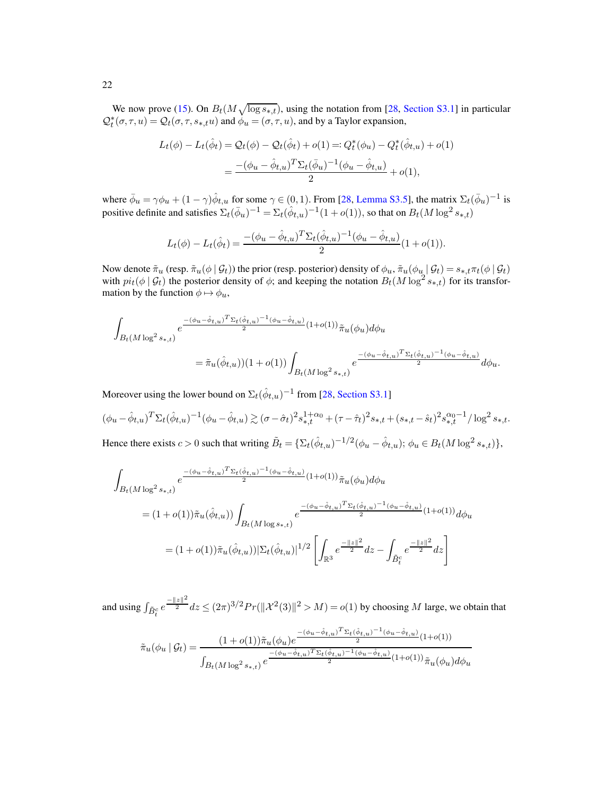We now prove [\(15\)](#page-6-1). On  $B_t(M\sqrt{\log s_{*,t}})$ , using the notation from [\[28,](#page-29-11) [Section S3.1\]](#page-50-1) in particular  $\mathcal{Q}_t^*(\sigma, \tau, u) = \mathcal{Q}_t(\sigma, \tau, s_{*,t} u)$  and  $\dot{\phi}_u = (\sigma, \tau, u)$ , and by a Taylor expansion,

$$
L_t(\phi) - L_t(\hat{\phi}_t) = \mathcal{Q}_t(\phi) - \mathcal{Q}_t(\hat{\phi}_t) + o(1) =: Q_t^*(\phi_u) - Q_t^*(\hat{\phi}_{t,u}) + o(1)
$$
  
= 
$$
\frac{-(\phi_u - \hat{\phi}_{t,u})^T \Sigma_t(\bar{\phi}_u)^{-1}(\phi_u - \hat{\phi}_{t,u})}{2} + o(1),
$$

where  $\bar{\phi}_u = \gamma \phi_u + (1 - \gamma) \hat{\phi}_{t,u}$  for some  $\gamma \in (0, 1)$ . From [\[28,](#page-29-11) [Lemma S3.5\]](#page-51-0), the matrix  $\Sigma_t(\bar{\phi}_u)^{-1}$  is positive definite and satisfies  $\Sigma_t(\bar{\phi}_u)^{-1} = \Sigma_t(\hat{\phi}_{t,u})^{-1}(1+o(1)),$  so that on  $B_t(M\log^2 s_{*,t})$ 

$$
L_t(\phi) - L_t(\hat{\phi}_t) = \frac{- (\phi_u - \hat{\phi}_{t,u})^T \Sigma_t (\hat{\phi}_{t,u})^{-1} (\phi_u - \hat{\phi}_{t,u})}{2} (1 + o(1)).
$$

Now denote  $\tilde{\pi}_u$  (resp.  $\tilde{\pi}_u(\phi | \mathcal{G}_t)$ ) the prior (resp. posterior) density of  $\phi_u$ ,  $\tilde{\pi}_u(\phi_u | \mathcal{G}_t) = s_{*,t} \pi_t(\phi | \mathcal{G}_t)$ with  $pi_t(\phi | \mathcal{G}_t)$  the posterior density of  $\phi$ ; and keeping the notation  $B_t(M \log^2 s_{*,t})$  for its transformation by the function  $\phi \mapsto \phi_u$ ,

$$
\begin{split} \int_{B_{t}(M\log^{2}s_{*,t})}e^{-\frac{(-(\phi_{u}-\hat{\phi}_{t,u})^{T}\Sigma_{t}(\hat{\phi}_{t,u})^{-1}(\phi_{u}-\hat{\phi}_{t,u})}{2}(1+o(1))}\tilde{\pi}_{u}(\phi_{u})d\phi_{u} \\ =\tilde{\pi}_{u}(\hat{\phi}_{t,u}))(1+o(1))\int_{B_{t}(M\log^{2}s_{*,t})}e^{\frac{-(\phi_{u}-\hat{\phi}_{t,u})^{T}\Sigma_{t}(\hat{\phi}_{t,u})^{-1}(\phi_{u}-\hat{\phi}_{t,u})}{2}}d\phi_{u}. \end{split}
$$

Moreover using the lower bound on  $\Sigma_t(\hat{\phi}_{t,u})^{-1}$  from [\[28](#page-29-11), [Section S3.1\]](#page-50-1)

$$
(\phi_u - \hat{\phi}_{t,u})^T \Sigma_t (\hat{\phi}_{t,u})^{-1} (\phi_u - \hat{\phi}_{t,u}) \gtrsim (\sigma - \hat{\sigma}_t)^2 s_{*,t}^{1 + \alpha_0} + (\tau - \hat{\tau}_t)^2 s_{*,t} + (s_{*,t} - \hat{s}_t)^2 s_{*,t}^{\alpha_0 - 1} / \log^2 s_{*,t}.
$$
  
\nHence there exists  $\alpha > 0$  such that writing  $\tilde{P}_t = (\Sigma_t(\hat{\phi}_{t,u})^{-1/2} (\phi_t - \hat{\phi}_{t,u})) \Leftrightarrow \epsilon \in \mathcal{P}_t(M) \text{ or } \tilde{\mathcal{P}}_t(M) \text{ or } \tilde{\mathcal{P}}_t(M) \text{ or } \tilde{\mathcal{P}}_t(M) \text{ or } \tilde{\mathcal{P}}_t(M) \text{ or } \tilde{\mathcal{P}}_t(M) \text{ or } \tilde{\mathcal{P}}_t(M) \text{ or } \tilde{\mathcal{P}}_t(M) \text{ or } \tilde{\mathcal{P}}_t(M) \text{ or } \tilde{\mathcal{P}}_t(M) \text{ or } \tilde{\mathcal{P}}_t(M) \text{ or } \tilde{\mathcal{P}}_t(M) \text{ or } \tilde{\mathcal{P}}_t(M) \text{ or } \tilde{\mathcal{P}}_t(M) \text{ or } \tilde{\mathcal{P}}_t(M) \text{ or } \tilde{\mathcal{P}}_t(M) \text{ or } \tilde{\mathcal{P}}_t(M) \text{ or } \tilde{\mathcal{P}}_t(M) \text{ or } \tilde{\mathcal{P}}_t(M) \text{ or } \tilde{\mathcal{P}}_t(M) \text{ or } \tilde{\mathcal{P}}_t(M) \text{ or } \tilde{\mathcal{P}}_t(M) \text{ or } \tilde{\mathcal{P}}_t(M) \text{ or } \tilde{\mathcal{P}}_t(M) \text{ or } \tilde{\mathcal{P}}_t(M) \text{ or } \tilde{\mathcal{P}}_t(M) \text{ or } \tilde{\mathcal{P}}_t(M) \text{ or } \tilde{\mathcal{P}}_t(M) \text{ or } \tilde{\mathcal{P}}_t(M) \text{ or } \tilde{\mathcal{P}}_t(M) \text{ or } \tilde{\mathcal{P}}_t(M) \text{ or } \tilde{\mathcal{P}}_t$ 

Hence there exists  $c > 0$  such that writing  $\tilde{B}_t = \{\Sigma_t(\hat{\phi}_{t,u})^{-1/2}(\phi_u - \hat{\phi}_{t,u}); \phi_u \in B_t(M \log^2 s_{*,t})\},$ 

$$
\int_{B_t(M\log^2 s_{*,t})} e^{\frac{-(\phi_u - \hat{\phi}_{t,u})^T \Sigma_t (\hat{\phi}_{t,u})^{-1} (\phi_u - \hat{\phi}_{t,u})}{2} (1+o(1))} \tilde{\pi}_u(\phi_u) d\phi_u
$$
\n
$$
= (1+o(1)) \tilde{\pi}_u(\hat{\phi}_{t,u})) \int_{B_t(M\log s_{*,t})} e^{\frac{-(\phi_u - \hat{\phi}_{t,u})^T \Sigma_t (\hat{\phi}_{t,u})^{-1} (\phi_u - \hat{\phi}_{t,u})}{2} (1+o(1))} d\phi_u
$$
\n
$$
= (1+o(1)) \tilde{\pi}_u(\hat{\phi}_{t,u})) |\Sigma_t(\hat{\phi}_{t,u})|^{1/2} \left[ \int_{\mathbb{R}^3} e^{\frac{-\|z\|^2}{2}} dz - \int_{\tilde{B}_t^c} e^{\frac{-\|z\|^2}{2}} dz \right]
$$

and using  $\int_{\tilde{B}_t^c} e^{-\frac{||z||^2}{2}} dz \le (2\pi)^{3/2} Pr(||\mathcal{X}^2(3)||^2 > M) = o(1)$  by choosing M large, we obtain that

$$
\tilde{\pi}_u(\phi_u \mid \mathcal{G}_t) = \frac{(1 + o(1))\tilde{\pi}_u(\phi_u)e^{-\frac{-(\phi_u - \hat{\phi}_{t,u})^T \Sigma_t(\hat{\phi}_{t,u})^{-1}(\phi_u - \hat{\phi}_{t,u})}{2}(1 + o(1))}}{\int_{B_t(M \log^2 s_{*,t})} e^{\frac{-(\phi_u - \hat{\phi}_{t,u})^T \Sigma_t(\hat{\phi}_{t,u})^{-1}(\phi_u - \hat{\phi}_{t,u})}{2}(1 + o(1))}\tilde{\pi}_u(\phi_u)d\phi_u}
$$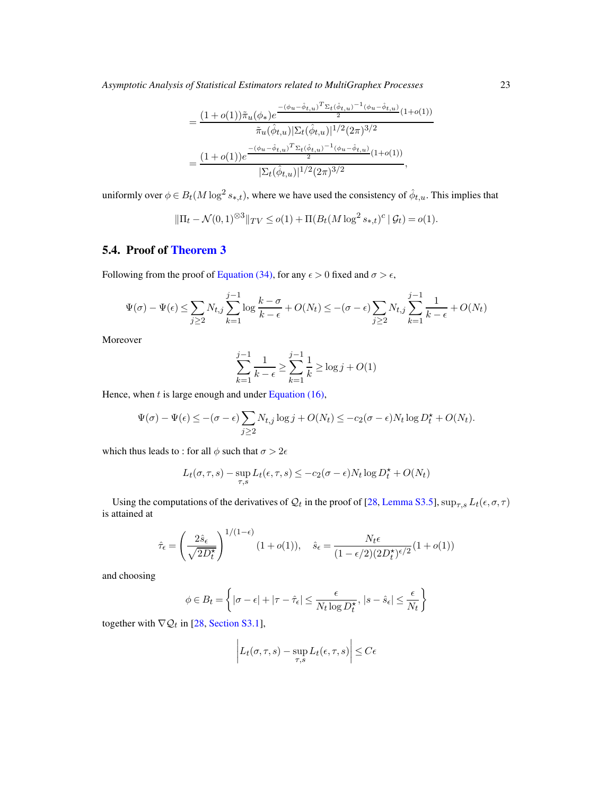*Asymptotic Analysis of Statistical Estimators related to MultiGraphex Processes* 23

$$
= \frac{(1+o(1))\tilde{\pi}_u(\phi_*)e^{-\frac{(\phi_u-\hat{\phi}_{t,u})^T \Sigma_t(\hat{\phi}_{t,u})^{-1}(\phi_u-\hat{\phi}_{t,u})}{2}(1+o(1))}}{\tilde{\pi}_u(\hat{\phi}_{t,u})|\Sigma_t(\hat{\phi}_{t,u})|^{1/2}(2\pi)^{3/2}}
$$

$$
= \frac{(1+o(1))e^{\frac{-(\phi_u-\hat{\phi}_{t,u})^T \Sigma_t(\hat{\phi}_{t,u})^{-1}(\phi_u-\hat{\phi}_{t,u})}{2}(1+o(1))}}{|\Sigma_t(\hat{\phi}_{t,u})|^{1/2}(2\pi)^{3/2}},
$$

uniformly over  $\phi \in B_t(M\log^2 s_{*,t})$ , where we have used the consistency of  $\hat{\phi}_{t,u}$ . This implies that

$$
\|\Pi_t - \mathcal{N}(0, 1)^{\otimes 3}\|_{TV} \le o(1) + \Pi(B_t(M \log^2 s_{*,t})^c \mid \mathcal{G}_t) = o(1).
$$

## <span id="page-22-0"></span>5.4. Proof of [Theorem 3](#page-6-0)

Following from the proof of [Equation \(34\),](#page-19-5) for any  $\epsilon > 0$  fixed and  $\sigma > \epsilon$ ,

$$
\Psi(\sigma) - \Psi(\epsilon) \le \sum_{j\ge 2} N_{t,j} \sum_{k=1}^{j-1} \log \frac{k-\sigma}{k-\epsilon} + O(N_t) \le -(\sigma - \epsilon) \sum_{j\ge 2} N_{t,j} \sum_{k=1}^{j-1} \frac{1}{k-\epsilon} + O(N_t)
$$

Moreover

$$
\sum_{k=1}^{j-1} \frac{1}{k - \epsilon} \ge \sum_{k=1}^{j-1} \frac{1}{k} \ge \log j + O(1)
$$

Hence, when  $t$  is large enough and under [Equation \(16\),](#page-6-3)

$$
\Psi(\sigma) - \Psi(\epsilon) \leq -(\sigma - \epsilon) \sum_{j \geq 2} N_{t,j} \log j + O(N_t) \leq -c_2(\sigma - \epsilon) N_t \log D_t^{\star} + O(N_t).
$$

which thus leads to : for all  $\phi$  such that  $\sigma > 2\epsilon$ 

$$
L_t(\sigma, \tau, s) - \sup_{\tau, s} L_t(\epsilon, \tau, s) \le -c_2(\sigma - \epsilon)N_t \log D_t^* + O(N_t)
$$

Using the computations of the derivatives of  $Q_t$  in the proof of [\[28,](#page-29-11) [Lemma S3.5\]](#page-51-0),  $\sup_{\tau,s} L_t(\epsilon,\sigma,\tau)$ is attained at

$$
\hat{\tau}_{\epsilon} = \left(\frac{2\hat{s}_{\epsilon}}{\sqrt{2D_{t}^{\star}}}\right)^{1/(1-\epsilon)}(1+o(1)), \quad \hat{s}_{\epsilon} = \frac{N_{t}\epsilon}{(1-\epsilon/2)(2D_{t}^{\star})^{\epsilon/2}}(1+o(1))
$$

and choosing

$$
\phi \in B_t = \left\{ |\sigma - \epsilon| + |\tau - \hat{\tau}_{\epsilon}| \le \frac{\epsilon}{N_t \log D^{\star}_t}, |s - \hat{s}_{\epsilon}| \le \frac{\epsilon}{N_t} \right\}
$$

together with  $\nabla Q_t$  in [\[28](#page-29-11), [Section S3.1\]](#page-50-1),

$$
\left| L_t(\sigma, \tau, s) - \sup_{\tau, s} L_t(\epsilon, \tau, s) \right| \le C\epsilon
$$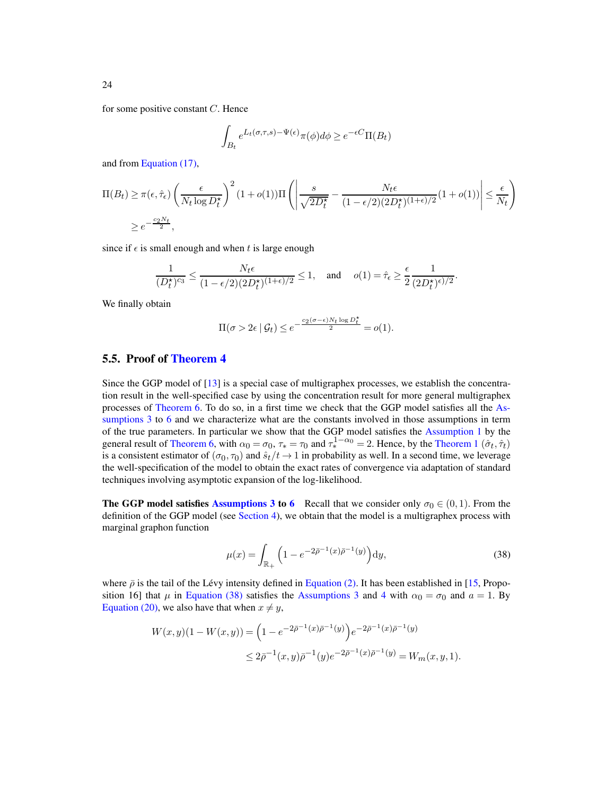for some positive constant  $C$ . Hence

$$
\int_{B_t} e^{L_t(\sigma,\tau,s)-\Psi(\epsilon)} \pi(\phi) d\phi \ge e^{-\epsilon C} \Pi(B_t)
$$

and from [Equation \(17\),](#page-6-2)

$$
\Pi(B_t) \ge \pi(\epsilon, \hat{\tau}_{\epsilon}) \left(\frac{\epsilon}{N_t \log D_t^{\star}}\right)^2 (1 + o(1)) \Pi\left(\left|\frac{s}{\sqrt{2D_t^{\star}}} - \frac{N_t \epsilon}{(1 - \epsilon/2)(2D_t^{\star})^{(1 + \epsilon)/2}} (1 + o(1))\right| \le \frac{\epsilon}{N_t}\right)
$$
  

$$
\ge e^{-\frac{c_2 N_t}{2}},
$$

since if  $\epsilon$  is small enough and when t is large enough

$$
\frac{1}{(D_t^\star)^{c_3}} \leq \frac{N_t\epsilon}{(1-\epsilon/2)(2D_t^\star)^{(1+\epsilon)/2}} \leq 1, \quad \text{and } \quad o(1) = \hat{\tau}_\epsilon \geq \frac{\epsilon}{2} \frac{1}{(2D_t^\star)^{\epsilon)/2}}.
$$

We finally obtain

$$
\Pi(\sigma > 2\epsilon \mid \mathcal{G}_t) \le e^{-\frac{c_2(\sigma - \epsilon)N_t \log D_t^{\star}}{2}} = o(1).
$$

### <span id="page-23-0"></span>5.5. Proof of [Theorem 4](#page-7-1)

Since the GGP model of [\[13](#page-78-0)] is a special case of multigraphex processes, we establish the concentration result in the well-specified case by using the concentration result for more general multigraphex processes of [Theorem 6.](#page-13-3) To do so, in a first time we check that the GGP model satisfies all the As-sumptions 3 to [6](#page-12-2) [and we characterize what are the constants involved in those](#page-11-1) assumptions in term of the true parameters. In particular we show that the GGP model satisfies the [Assumption 1](#page-3-1) by the general result of [Theorem 6,](#page-13-3) with  $\alpha_0 = \sigma_0$ ,  $\tau_* = \tau_0$  and  $\tau_*^{1-\alpha_0} = 2$ . Hence, by the [Theorem 1](#page-4-0)  $(\hat{\sigma}_t, \hat{\tau}_t)$ is a consistent estimator of  $(\sigma_0, \tau_0)$  and  $\hat{s}_t/t \to 1$  in probability as well. In a second time, we leverage the well-specification of the model to obtain the exact rates of convergence via adaptation of standard techniques involving asymptotic expansion of the log-likelihood.

**The GGP model satisfies [Assumptions 3](#page-11-1) to [6](#page-12-2)** Recall that we consider only  $\sigma_0 \in (0,1)$ . From the definition of the GGP model (see [Section 4\)](#page-10-0), we obtain that the model is a multigraphex process with marginal graphon function

<span id="page-23-1"></span>
$$
\mu(x) = \int_{\mathbb{R}_+} \left( 1 - e^{-2\bar{\rho}^{-1}(x)\bar{\rho}^{-1}(y)} \right) dy,
$$
\n(38)

where  $\bar{\rho}$  is the tail of the Lévy intensity defined in [Equation \(2\).](#page-2-2) It has been established in [\[15](#page-78-1), Proposition 16] that  $\mu$  in [Equation \(38\)](#page-23-1) satisfies the [Assumptions 3](#page-11-1) and [4](#page-11-2) with  $\alpha_0 = \sigma_0$  and  $a = 1$ . By [Equation \(20\),](#page-10-1) we also have that when  $x \neq y$ ,

$$
W(x,y)(1 - W(x,y)) = \left(1 - e^{-2\overline{\rho}^{-1}(x)\overline{\rho}^{-1}(y)}\right) e^{-2\overline{\rho}^{-1}(x)\overline{\rho}^{-1}(y)}
$$
  

$$
\leq 2\overline{\rho}^{-1}(x,y)\overline{\rho}^{-1}(y)e^{-2\overline{\rho}^{-1}(x)\overline{\rho}^{-1}(y)} = W_m(x,y,1).
$$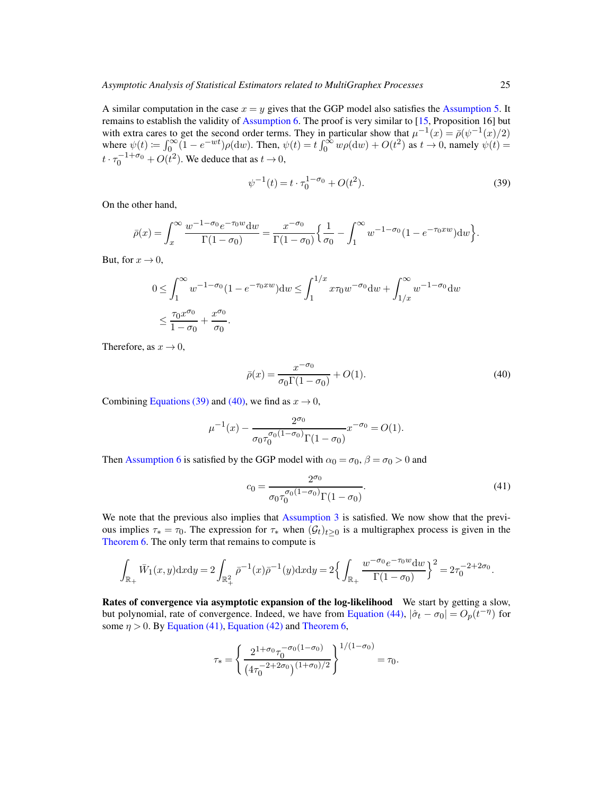A similar computation in the case  $x = y$  gives that the GGP model also satisfies the [Assumption 5.](#page-12-1) It remains to establish the validity of [Assumption 6.](#page-12-2) The proof is very similar to [\[15,](#page-78-1) Proposition 16] but with extra cares to get the second order terms. They in particular show that  $\mu^{-1}(x) = \bar{\rho}(\psi^{-1}(x)/2)$ where  $\psi(t) := \int_0^\infty (1 - e^{-wt}) \rho(dw)$ . Then,  $\psi(t) = t \int_0^\infty w \rho(dw) + O(t^2)$  as  $t \to 0$ , namely  $\psi(t) =$  $t \cdot \tau_0^{-1+\sigma_0} + O(t^2)$ . We deduce that as  $t \to 0$ ,

<span id="page-24-0"></span>
$$
\psi^{-1}(t) = t \cdot \tau_0^{1 - \sigma_0} + O(t^2). \tag{39}
$$

On the other hand,

$$
\bar{\rho}(x) = \int_x^{\infty} \frac{w^{-1-\sigma_0} e^{-\tau_0 w} dw}{\Gamma(1-\sigma_0)} = \frac{x^{-\sigma_0}}{\Gamma(1-\sigma_0)} \left\{ \frac{1}{\sigma_0} - \int_1^{\infty} w^{-1-\sigma_0} (1 - e^{-\tau_0 x w}) dw \right\}.
$$

But, for  $x \to 0$ ,

$$
0 \le \int_1^{\infty} w^{-1-\sigma_0} (1 - e^{-\tau_0 x w}) dw \le \int_1^{1/x} x \tau_0 w^{-\sigma_0} dw + \int_{1/x}^{\infty} w^{-1-\sigma_0} dw
$$
  

$$
\le \frac{\tau_0 x^{\sigma_0}}{1 - \sigma_0} + \frac{x^{\sigma_0}}{\sigma_0}.
$$

Therefore, as  $x \to 0$ ,

<span id="page-24-1"></span>
$$
\bar{\rho}(x) = \frac{x^{-\sigma_0}}{\sigma_0 \Gamma(1 - \sigma_0)} + O(1). \tag{40}
$$

Combining [Equations \(39\)](#page-24-0) and [\(40\),](#page-24-1) we find as  $x \to 0$ ,

$$
\mu^{-1}(x) - \frac{2^{\sigma_0}}{\sigma_0 \tau_0^{\sigma_0 (1 - \sigma_0)} \Gamma(1 - \sigma_0)} x^{-\sigma_0} = O(1).
$$

Then [Assumption 6](#page-12-2) is satisfied by the GGP model with  $\alpha_0 = \sigma_0$ ,  $\beta = \sigma_0 > 0$  and

<span id="page-24-2"></span>
$$
c_0 = \frac{2^{\sigma_0}}{\sigma_0 \tau_0^{\sigma_0 (1 - \sigma_0)} \Gamma(1 - \sigma_0)}.
$$
\n(41)

We note that the previous also implies that [Assumption 3](#page-11-1) is satisfied. We now show that the previous implies  $\tau_* = \tau_0$ . The expression for  $\tau_*$  when  $(\mathcal{G}_t)_{t>0}$  is a multigraphex process is given in the [Theorem 6.](#page-13-3) The only term that remains to compute is

<span id="page-24-3"></span>
$$
\int_{\mathbb{R}_+} \bar{W}_1(x,y) \, dx \, dy = 2 \int_{\mathbb{R}_+^2} \bar{\rho}^{-1}(x) \bar{\rho}^{-1}(y) \, dx \, dy = 2 \left\{ \int_{\mathbb{R}_+} \frac{w^{-\sigma_0} e^{-\tau_0 w} \, dw}{\Gamma(1-\sigma_0)} \right\}^2 = 2\tau_0^{-2+2\sigma_0}.
$$

Rates of convergence via asymptotic expansion of the log-likelihood We start by getting a slow, but polynomial, rate of convergence. Indeed, we have from [Equation \(44\),](#page-27-1)  $|\hat{\sigma}_t - \sigma_0| = O_p(t^{-\eta})$  for some  $\eta > 0$ . By [Equation \(41\),](#page-24-2) [Equation \(42\)](#page-24-3) and [Theorem 6,](#page-13-3)

$$
\tau_* = \left\{ \frac{2^{1+\sigma_0} \tau_0^{-\sigma_0(1-\sigma_0)}}{(4\tau_0^{-2+2\sigma_0})^{(1+\sigma_0)/2}} \right\}^{1/(1-\sigma_0)} = \tau_0.
$$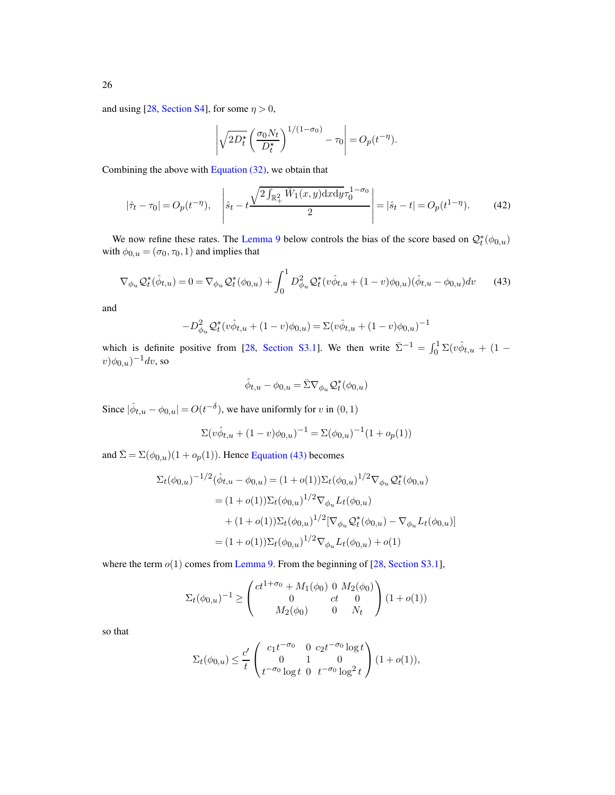and using [\[28](#page-29-11), [Section S4\]](#page-58-1), for some  $\eta > 0$ ,

$$
\left| \sqrt{2D_t^{\star}} \left( \frac{\sigma_0 N_t}{D_t^{\star}} \right)^{1/(1-\sigma_0)} - \tau_0 \right| = O_p(t^{-\eta}).
$$

Combining the above with Equation  $(32)$ , we obtain that

$$
|\hat{\tau}_t - \tau_0| = O_p(t^{-\eta}), \quad \left| \hat{s}_t - t \frac{\sqrt{2 \int_{\mathbb{R}_+^2} \bar{W}_1(x, y) \, dx \, dy} \tau_0^{1 - \sigma_0}}{2} \right| = |\hat{s}_t - t| = O_p(t^{1 - \eta}). \tag{42}
$$

We now refine these rates. The [Lemma 9](#page-26-1) below controls the bias of the score based on  $\mathcal{Q}_t^*(\phi_{0,u})$ with  $\phi_{0,u} = (\sigma_0, \tau_0, 1)$  and implies that

$$
\nabla_{\phi_u} \mathcal{Q}_t^*(\hat{\phi}_{t,u}) = 0 = \nabla_{\phi_u} \mathcal{Q}_t^*(\phi_{0,u}) + \int_0^1 D_{\phi_u}^2 \mathcal{Q}_t^*(v\hat{\phi}_{t,u} + (1-v)\phi_{0,u})(\hat{\phi}_{t,u} - \phi_{0,u})dv \qquad (43)
$$

and

$$
-D^2_{\phi_u} \mathcal{Q}_t^*(v\hat{\phi}_{t,u} + (1-v)\phi_{0,u}) = \Sigma(v\hat{\phi}_{t,u} + (1-v)\phi_{0,u})^{-1}
$$

which is definite positive from [\[28,](#page-29-11) [Section S3.1\]](#page-50-1). We then write  $\bar{\Sigma}^{-1} = \int_0^1 \Sigma(v\hat{\phi}_{t,u} + (1 (v)\phi_{0,u})^{-1}dv$ , so

<span id="page-25-0"></span>
$$
\hat{\phi}_{t,u} - \phi_{0,u} = \bar{\Sigma} \nabla_{\phi_u} \mathcal{Q}_t^*(\phi_{0,u})
$$

Since  $|\hat{\phi}_{t,u} - \phi_{0,u}| = O(t^{-\delta})$ , we have uniformly for v in  $(0, 1)$ 

$$
\Sigma(v\hat{\phi}_{t,u} + (1-v)\phi_{0,u})^{-1} = \Sigma(\phi_{0,u})^{-1}(1+o_p(1))
$$

and  $\bar{\Sigma} = \Sigma(\phi_{0,u})(1+o_p(1)).$  Hence [Equation \(43\)](#page-25-0) becomes

$$
\Sigma_t(\phi_{0,u})^{-1/2}(\hat{\phi}_{t,u} - \phi_{0,u}) = (1 + o(1))\Sigma_t(\phi_{0,u})^{1/2} \nabla_{\phi_u} \mathcal{Q}_t^*(\phi_{0,u})
$$
  
\n
$$
= (1 + o(1))\Sigma_t(\phi_{0,u})^{1/2} \nabla_{\phi_u} L_t(\phi_{0,u})
$$
  
\n
$$
+ (1 + o(1))\Sigma_t(\phi_{0,u})^{1/2} [\nabla_{\phi_u} \mathcal{Q}_t^*(\phi_{0,u}) - \nabla_{\phi_u} L_t(\phi_{0,u})]
$$
  
\n
$$
= (1 + o(1))\Sigma_t(\phi_{0,u})^{1/2} \nabla_{\phi_u} L_t(\phi_{0,u}) + o(1)
$$

where the term  $o(1)$  comes from [Lemma 9.](#page-26-1) From the beginning of [\[28,](#page-29-11) [Section S3.1\]](#page-50-1),

$$
\Sigma_t(\phi_{0,u})^{-1} \ge \begin{pmatrix} ct^{1+\sigma_0} + M_1(\phi_0) & 0 & M_2(\phi_0) \\ 0 & ct & 0 \\ M_2(\phi_0) & 0 & N_t \end{pmatrix} (1+o(1))
$$

so that

$$
\Sigma_t(\phi_{0,u}) \le \frac{c'}{t} \begin{pmatrix} c_1 t^{-\sigma_0} & 0 & c_2 t^{-\sigma_0} \log t \\ 0 & 1 & 0 \\ t^{-\sigma_0} \log t & 0 & t^{-\sigma_0} \log^2 t \end{pmatrix} (1 + o(1)),
$$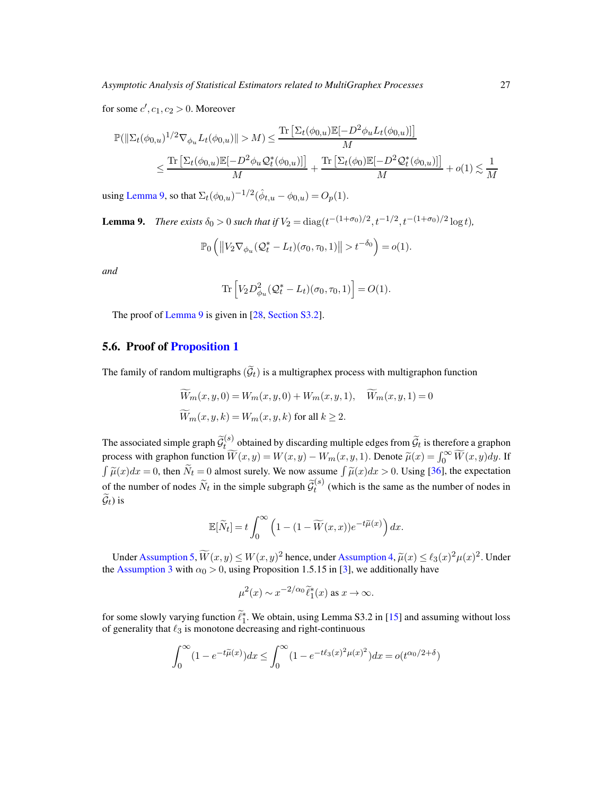for some  $c', c_1, c_2 > 0$ . Moreover

$$
\begin{aligned} &\mathbb{P}(\|\Sigma_t(\phi_{0,u})^{1/2}\nabla_{\phi_u}L_t(\phi_{0,u})\|>M)\leq \frac{\text{Tr}\left[\Sigma_t(\phi_{0,u})\mathbb{E}[-D^2\phi_uL_t(\phi_{0,u})]\right]}{M}\\ &\leq \frac{\text{Tr}\left[\Sigma_t(\phi_{0,u})\mathbb{E}[-D^2\phi_u\mathcal{Q}_t^*(\phi_{0,u})]\right]}{M}+\frac{\text{Tr}\left[\Sigma_t(\phi_0)\mathbb{E}[-D^2\mathcal{Q}_t^*(\phi_{0,u})]\right]}{M}+o(1)\lesssim \frac{1}{M} \end{aligned}
$$

<span id="page-26-1"></span>using [Lemma 9,](#page-26-1) so that  $\Sigma_t(\phi_{0,u})^{-1/2}(\hat{\phi}_{t,u} - \phi_{0,u}) = O_p(1)$ .

**Lemma 9.** *There exists*  $\delta_0 > 0$  *such that if*  $V_2 = \text{diag}(t^{-(1+\sigma_0)/2}, t^{-1/2}, t^{-(1+\sigma_0)/2} \log t)$ *,* 

$$
\mathbb{P}_0\left(\left\|V_2\nabla_{\phi_u}(\mathcal{Q}_t^*-L_t)(\sigma_0,\tau_0,1)\right\|>t^{-\delta_0}\right)=o(1).
$$

*and*

$$
\operatorname{Tr}\left[V_2 D_{\phi_u}^2(\mathcal{Q}_t^*-L_t)(\sigma_0,\tau_0,1)\right]=O(1).
$$

The proof of [Lemma 9](#page-26-1) is given in [\[28,](#page-29-11) [Section S3.2\]](#page-54-0).

### <span id="page-26-0"></span>5.6. Proof of [Proposition 1](#page-12-0)

The family of random multigraphs  $(\widetilde{\mathcal{G}}_t)$  is a multigraphex process with multigraphon function

$$
\widetilde{W}_m(x, y, 0) = W_m(x, y, 0) + W_m(x, y, 1), \quad \widetilde{W}_m(x, y, 1) = 0
$$
  

$$
\widetilde{W}_m(x, y, k) = W_m(x, y, k) \text{ for all } k \ge 2.
$$

The associated simple graph  $\widetilde{\mathcal{G}}_t^{(s)}$ <sup>(s)</sup> obtained by discarding multiple edges from  $\mathcal{G}_t$  is therefore a graphon process with graphon function  $\widetilde{W}(x, y) = W(x, y) - W_m(x, y, 1)$ . Denote  $\widetilde{\mu}(x) = \int_0^\infty \widetilde{W}(x, y) dy$ . If  $\int \widetilde{\mu}(x)dx = 0$ , then  $\widetilde{N}_t = 0$  almost surely. We now assume  $\int \widetilde{\mu}(x)dx > 0$ . Using [\[36](#page-30-0)], the expectation of the number of nodes  $\widetilde{N}_t$  in the simple subgraph  $\widetilde{\mathcal{G}}_t^{(s)}$  $t^{(s)}$  (which is the same as the number of nodes in  $\mathcal{G}_t$ ) is

$$
\mathbb{E}[\widetilde{N}_t]=t\int_0^\infty \left(1-(1-\widetilde{W}(x,x))e^{-t\widetilde{\mu}(x)}\right)dx.
$$

Under [Assumption 5,](#page-12-1)  $\widetilde{W}(x, y) \leq W(x, y)^2$  hence, under [Assumption 4,](#page-11-2)  $\widetilde{\mu}(x) \leq \ell_3(x)^2 \mu(x)^2$ . Under the [Assumption 3](#page-11-1) with  $\alpha_0 > 0$ , using Proposition 1.5.15 in [\[3](#page-77-0)], we additionally have

$$
\mu^2(x) \sim x^{-2/\alpha_0} \widetilde{\ell}_1^*(x) \text{ as } x \to \infty.
$$

for some slowly varying function  $\tilde{\ell}_1^*$ . We obtain, using Lemma S3.2 in [\[15](#page-78-1)] and assuming without loss of generality that  $\ell_3$  is monotone decreasing and right-continuous

$$
\int_0^\infty (1 - e^{-t\tilde{\mu}(x)}) dx \le \int_0^\infty (1 - e^{-t\ell_3(x)^2 \mu(x)^2}) dx = o(t^{\alpha_0/2 + \delta})
$$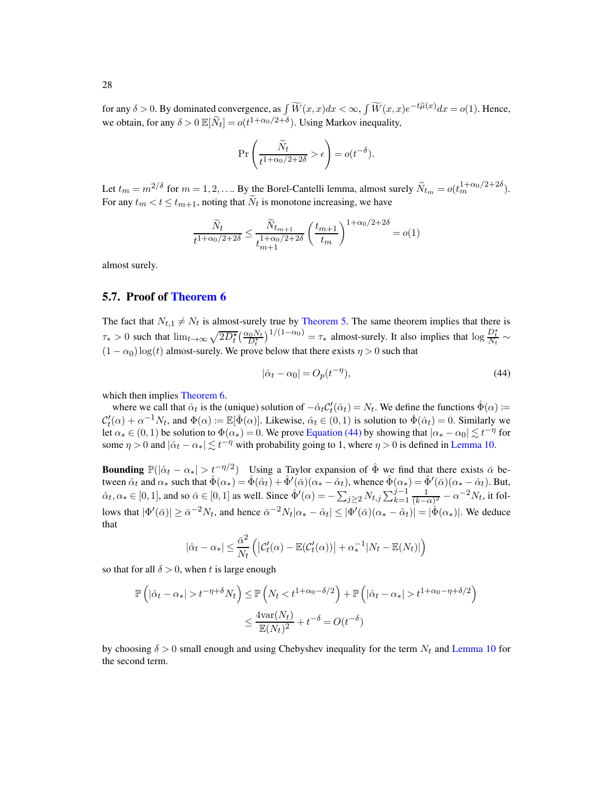for any  $\delta > 0$ . By dominated convergence, as  $\int \widetilde{W}(x, x)dx < \infty$ ,  $\int \widetilde{W}(x, x)e^{-t\widetilde{\mu}(x)}dx = o(1)$ . Hence, we obtain, for any  $\delta > 0 \mathbb{E}[\tilde{N}_t] = o(t^{1+\alpha_0/2+\delta})$ . Using Markov inequality,

$$
\Pr\left(\frac{\widetilde{N}_t}{t^{1+\alpha_0/2+2\delta}} > \epsilon\right) = o(t^{-\delta}).
$$

Let  $t_m = m^{2/\delta}$  for  $m = 1, 2, ...$  By the Borel-Cantelli lemma, almost surely  $\widetilde{N}_{t_m} = o(t_m^{1+\alpha_0/2+2\delta})$ . For any  $t_m < t \leq t_{m+1}$ , noting that  $N_t$  is monotone increasing, we have

$$
\frac{\widetilde{N}_t}{t^{1+\alpha_0/2+2\delta}} \le \frac{\widetilde{N}_{t_{m+1}}}{t_{m+1}^{1+\alpha_0/2+2\delta}} \left(\frac{t_{m+1}}{t_m}\right)^{1+\alpha_0/2+2\delta} = o(1)
$$

almost surely.

#### <span id="page-27-0"></span>5.7. Proof of [Theorem 6](#page-13-3)

The fact that  $N_{t,1} \neq N_t$  is almost-surely true by [Theorem 5.](#page-13-2) The same theorem implies that there is  $\tau_* > 0$  such that  $\lim_{t \to \infty} \sqrt{2D_t^{\star}} \left( \frac{\alpha_0 N_t}{D_t^{\star}} \right)^{1/(1-\alpha_0)} = \tau_*$  almost-surely. It also implies that  $\log \frac{D_t^{\star}}{N_t} \sim$  $(1 - \alpha_0) \log(t)$  almost-surely. We prove below that there exists  $\eta > 0$  such that

<span id="page-27-1"></span>
$$
|\hat{\alpha}_t - \alpha_0| = O_p(t^{-\eta}),\tag{44}
$$

which then implies [Theorem 6.](#page-13-3)

where we call that  $\hat{\alpha}_t$  is the (unique) solution of  $-\hat{\alpha}_t C_t'(\hat{\alpha}_t) = N_t$ . We define the functions  $\hat{\Phi}(\alpha)$  :=  $\mathcal{C}'_t(\alpha) + \alpha^{-1} N_t$ , and  $\Phi(\alpha) := \mathbb{E}[\hat{\Phi}(\alpha)]$ . Likewise,  $\hat{\alpha}_t \in (0, 1)$  is solution to  $\hat{\Phi}(\hat{\alpha}_t) = 0$ . Similarly we let  $\alpha_* \in (0,1)$  be solution to  $\Phi(\alpha_*) = 0$ . We prove [Equation \(44\)](#page-27-1) by showing that  $|\alpha_* - \alpha_0| \lesssim t^{-\eta}$  for some  $\eta > 0$  and  $|\hat{\alpha}_t - \alpha_*| \lesssim t^{-\eta}$  with probability going to 1, where  $\eta > 0$  is defined in [Lemma 10.](#page-28-5)

**Bounding**  $\mathbb{P}(|\hat{\alpha}_t - \alpha_*| > t^{-\eta/2})$  Using a Taylor expansion of  $\hat{\Phi}$  we find that there exists  $\bar{\alpha}$  between  $\hat{\alpha}_t$  and  $\alpha_*$  such that  $\hat{\Phi}(\alpha_*) = \hat{\Phi}(\hat{\alpha}_t) + \hat{\Phi}'(\bar{\alpha})(\alpha_* - \hat{\alpha}_t)$ , whence  $\hat{\Phi}(\alpha_*) = \hat{\Phi}'(\bar{\alpha})(\alpha_* - \hat{\alpha}_t)$ . But,  $\hat{\alpha}_t, \alpha_* \in [0, 1]$ , and so  $\bar{\alpha} \in [0, 1]$  as well. Since  $\hat{\Phi}'(\alpha) = -\sum_{j \geq 2} N_{t,j} \sum_{k=1}^{j-1} \frac{1}{(k-1)!}$  $\frac{1}{(k-\alpha)^2} - \alpha^{-2} N_t$ , it follows that  $|\Phi'(\bar{\alpha})| \ge \bar{\alpha}^{-2} N_t$ , and hence  $\bar{\alpha}^{-2} N_t |\alpha_* - \hat{\alpha}_t| \le |\Phi'(\bar{\alpha}) (\alpha_* - \hat{\alpha}_t)| = |\hat{\Phi}(\alpha_*)|$ . We deduce that

$$
|\hat{\alpha}_t - \alpha_*| \leq \frac{\bar{\alpha}^2}{N_t} \left( |C'_t(\alpha) - \mathbb{E}(C'_t(\alpha))| + \alpha_*^{-1}|N_t - \mathbb{E}(N_t)| \right)
$$

so that for all  $\delta > 0$ , when t is large enough

$$
\mathbb{P}\left(|\hat{\alpha}_t - \alpha_*| > t^{-\eta + \delta} N_t\right) \le \mathbb{P}\left(N_t < t^{1 + \alpha_0 - \delta/2}\right) + \mathbb{P}\left(|\hat{\alpha}_t - \alpha_*| > t^{1 + \alpha_0 - \eta + \delta/2}\right)
$$

$$
\le \frac{4\text{var}(N_t)}{\mathbb{E}(N_t)^2} + t^{-\delta} = O(t^{-\delta})
$$

by choosing  $\delta > 0$  small enough and using Chebyshev inequality for the term  $N_t$  and [Lemma 10](#page-28-5) for the second term.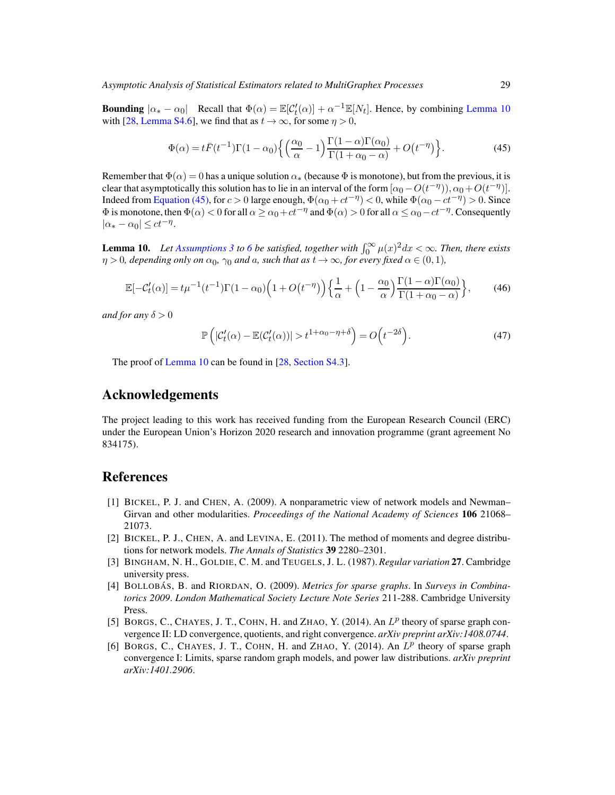**Bounding**  $|\alpha_* - \alpha_0|$  Recall that  $\Phi(\alpha) = \mathbb{E}[\mathcal{C}'_t(\alpha)] + \alpha^{-1} \mathbb{E}[N_t]$ . Hence, by combining [Lemma 10](#page-28-5) with [\[28](#page-29-11), [Lemma S4.6\]](#page-60-0), we find that as  $t \to \infty$ , for some  $\eta > 0$ ,

<span id="page-28-6"></span>
$$
\Phi(\alpha) = t\bar{F}(t^{-1})\Gamma(1-\alpha_0)\left\{ \left(\frac{\alpha_0}{\alpha} - 1\right)\frac{\Gamma(1-\alpha)\Gamma(\alpha_0)}{\Gamma(1+\alpha_0-\alpha)} + O(t^{-\eta}) \right\}.
$$
\n(45)

Remember that  $\Phi(\alpha) = 0$  has a unique solution  $\alpha_*$  (because  $\Phi$  is monotone), but from the previous, it is clear that asymptotically this solution has to lie in an interval of the form  $[\alpha_0 - O(t^{-\eta}), \alpha_0 + O(t^{-\eta})]$ . Indeed from [Equation \(45\),](#page-28-6) for  $c > 0$  large enough,  $\Phi(\alpha_0 + ct^{-\eta}) < 0$ , while  $\Phi(\alpha_0 - ct^{-\eta}) > 0$ . Since  $\Phi$  is monotone, then  $\Phi(\alpha) < 0$  for all  $\alpha \ge \alpha_0 + ct^{-\eta}$  and  $\Phi(\alpha) > 0$  for all  $\alpha \le \alpha_0 - ct^{-\eta}$ . Consequently  $|\alpha_* - \alpha_0| \le ct^{-\eta}.$ 

<span id="page-28-5"></span>**Lemma 10.** Let [Assumptions 3](#page-11-1) to [6](#page-12-2) be satisfied, together with  $\int_0^\infty \mu(x)^2 dx < \infty$ . Then, there exists  $\eta > 0$ , depending only on  $\alpha_0$ ,  $\gamma_0$  and  $\alpha$ , such that as  $t \to \infty$ , for every fixed  $\alpha \in (0,1)$ ,

$$
\mathbb{E}[-\mathcal{C}'_t(\alpha)] = t\mu^{-1}(t^{-1})\Gamma(1-\alpha_0)\left(1+O(t^{-\eta})\right)\left\{\frac{1}{\alpha} + \left(1-\frac{\alpha_0}{\alpha}\right)\frac{\Gamma(1-\alpha)\Gamma(\alpha_0)}{\Gamma(1+\alpha_0-\alpha)}\right\},\tag{46}
$$

*and for any*  $\delta > 0$ 

$$
\mathbb{P}\left(|\mathcal{C}'_t(\alpha) - \mathbb{E}(\mathcal{C}'_t(\alpha))| > t^{1+\alpha_0-\eta+\delta}\right) = O\left(t^{-2\delta}\right). \tag{47}
$$

The proof of [Lemma 10](#page-28-5) can be found in [\[28,](#page-29-11) [Section S4.3\]](#page-61-0).

# Acknowledgements

The project leading to this work has received funding from the European Research Council (ERC) under the European Union's Horizon 2020 research and innovation programme (grant agreement No 834175).

# References

- <span id="page-28-1"></span>[1] BICKEL, P. J. and CHEN, A. (2009). A nonparametric view of network models and Newman– Girvan and other modularities. *Proceedings of the National Academy of Sciences* 106 21068– 21073.
- <span id="page-28-4"></span>[2] BICKEL, P. J., CHEN, A. and LEVINA, E. (2011). The method of moments and degree distributions for network models. *The Annals of Statistics* 39 2280–2301.
- [3] BINGHAM, N. H., GOLDIE, C. M. and TEUGELS, J. L. (1987). *Regular variation* 27. Cambridge university press.
- <span id="page-28-0"></span>[4] BOLLOBAS´ , B. and RIORDAN, O. (2009). *Metrics for sparse graphs*. In *Surveys in Combinatorics 2009*. *London Mathematical Society Lecture Note Series* 211-288. Cambridge University Press.
- <span id="page-28-2"></span>[5] BORGS, C., CHAYES, J. T., COHN, H. and ZHAO, Y. (2014). An  $L^p$  theory of sparse graph convergence II: LD convergence, quotients, and right convergence. *arXiv preprint arXiv:1408.0744*.
- <span id="page-28-3"></span>[6] BORGS, C., CHAYES, J. T., COHN, H. and ZHAO, Y. (2014). An  $L^p$  theory of sparse graph convergence I: Limits, sparse random graph models, and power law distributions. *arXiv preprint arXiv:1401.2906*.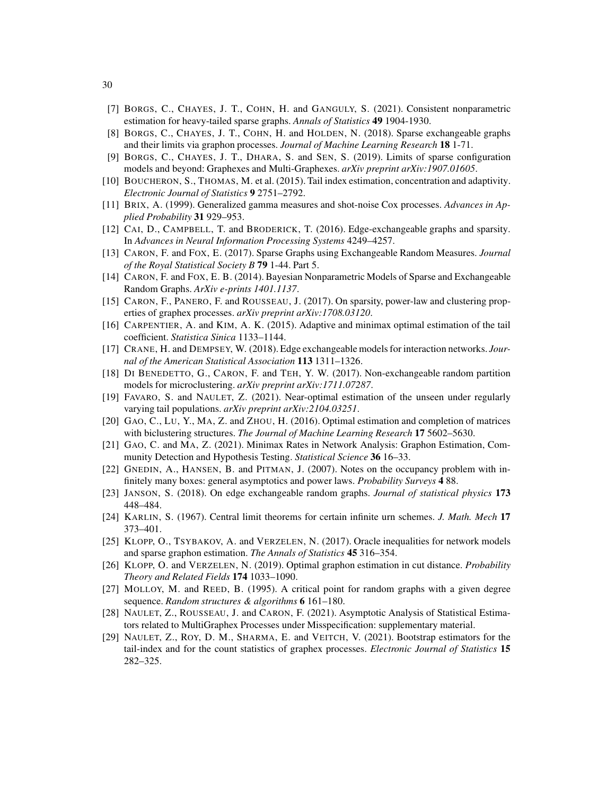- <span id="page-29-4"></span>[7] BORGS, C., CHAYES, J. T., COHN, H. and GANGULY, S. (2021). Consistent nonparametric estimation for heavy-tailed sparse graphs. *Annals of Statistics* 49 1904-1930.
- <span id="page-29-0"></span>[8] BORGS, C., CHAYES, J. T., COHN, H. and HOLDEN, N. (2018). Sparse exchangeable graphs and their limits via graphon processes. *Journal of Machine Learning Research* 18 1-71.
- <span id="page-29-1"></span>[9] BORGS, C., CHAYES, J. T., DHARA, S. and SEN, S. (2019). Limits of sparse configuration models and beyond: Graphexes and Multi-Graphexes. *arXiv preprint arXiv:1907.01605*.
- <span id="page-29-20"></span>[10] BOUCHERON, S., THOMAS, M. et al. (2015). Tail index estimation, concentration and adaptivity. *Electronic Journal of Statistics* 9 2751–2792.
- <span id="page-29-10"></span>[11] BRIX, A. (1999). Generalized gamma measures and shot-noise Cox processes. *Advances in Applied Probability* 31 929–953.
- <span id="page-29-3"></span>[12] CAI, D., CAMPBELL, T. and BRODERICK, T. (2016). Edge-exchangeable graphs and sparsity. In *Advances in Neural Information Processing Systems* 4249–4257.
- [13] CARON, F. and FOX, E. (2017). Sparse Graphs using Exchangeable Random Measures. *Journal of the Royal Statistical Society B* 79 1-44. Part 5.
- <span id="page-29-15"></span>[14] CARON, F. and FOX, E. B. (2014). Bayesian Nonparametric Models of Sparse and Exchangeable Random Graphs. *ArXiv e-prints 1401.1137*.
- [15] CARON, F., PANERO, F. and ROUSSEAU, J. (2017). On sparsity, power-law and clustering properties of graphex processes. *arXiv preprint arXiv:1708.03120*.
- <span id="page-29-19"></span>[16] CARPENTIER, A. and KIM, A. K. (2015). Adaptive and minimax optimal estimation of the tail coefficient. *Statistica Sinica* 1133–1144.
- <span id="page-29-2"></span>[17] CRANE, H. and DEMPSEY, W. (2018). Edge exchangeable models for interaction networks. *Journal of the American Statistical Association* 113 1311–1326.
- <span id="page-29-18"></span>[18] DI BENEDETTO, G., CARON, F. and TEH, Y. W. (2017). Non-exchangeable random partition models for microclustering. *arXiv preprint arXiv:1711.07287*.
- <span id="page-29-14"></span>[19] FAVARO, S. and NAULET, Z. (2021). Near-optimal estimation of the unseen under regularly varying tail populations. *arXiv preprint arXiv:2104.03251*.
- <span id="page-29-5"></span>[20] GAO, C., LU, Y., MA, Z. and ZHOU, H. (2016). Optimal estimation and completion of matrices with biclustering structures. *The Journal of Machine Learning Research* 17 5602–5630.
- <span id="page-29-8"></span>[21] GAO, C. and MA, Z. (2021). Minimax Rates in Network Analysis: Graphon Estimation, Community Detection and Hypothesis Testing. *Statistical Science* 36 16–33.
- <span id="page-29-13"></span>[22] GNEDIN, A., HANSEN, B. and PITMAN, J. (2007). Notes on the occupancy problem with infinitely many boxes: general asymptotics and power laws. *Probability Surveys* 4 88.
- <span id="page-29-17"></span>[23] JANSON, S. (2018). On edge exchangeable random graphs. *Journal of statistical physics* 173 448–484.
- <span id="page-29-12"></span>[24] KARLIN, S. (1967). Central limit theorems for certain infinite urn schemes. *J. Math. Mech* 17 373–401.
- <span id="page-29-6"></span>[25] KLOPP, O., TSYBAKOV, A. and VERZELEN, N. (2017). Oracle inequalities for network models and sparse graphon estimation. *The Annals of Statistics* 45 316–354.
- <span id="page-29-7"></span>[26] KLOPP, O. and VERZELEN, N. (2019). Optimal graphon estimation in cut distance. *Probability Theory and Related Fields* 174 1033–1090.
- <span id="page-29-16"></span>[27] MOLLOY, M. and REED, B. (1995). A critical point for random graphs with a given degree sequence. *Random structures & algorithms* 6 161–180.
- <span id="page-29-11"></span>[28] NAULET, Z., ROUSSEAU, J. and CARON, F. (2021). Asymptotic Analysis of Statistical Estimators related to MultiGraphex Processes under Misspecification: supplementary material.
- <span id="page-29-9"></span>[29] NAULET, Z., ROY, D. M., SHARMA, E. and VEITCH, V. (2021). Bootstrap estimators for the tail-index and for the count statistics of graphex processes. *Electronic Journal of Statistics* 15 282–325.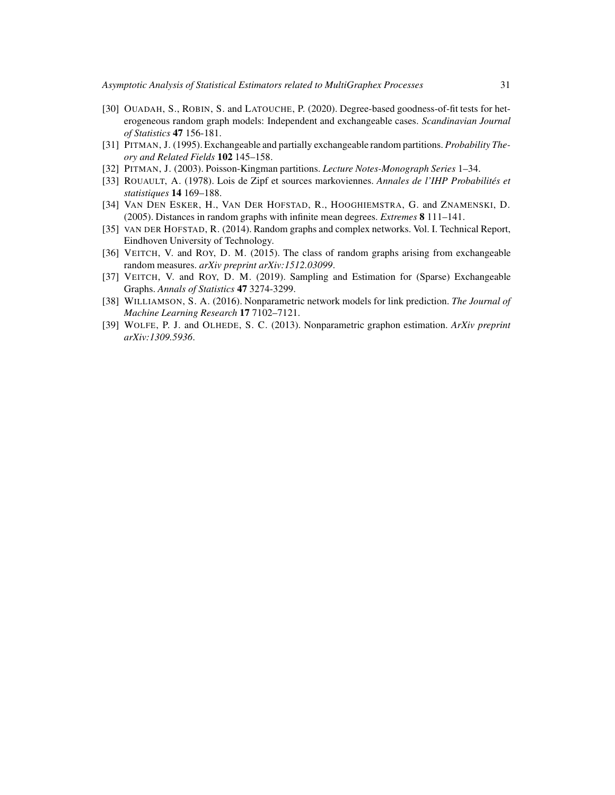- [30] OUADAH, S., ROBIN, S. and LATOUCHE, P. (2020). Degree-based goodness-of-fit tests for heterogeneous random graph models: Independent and exchangeable cases. *Scandinavian Journal of Statistics* 47 156-181.
- <span id="page-30-5"></span>[31] PITMAN, J. (1995). Exchangeable and partially exchangeable random partitions. *Probability Theory and Related Fields* 102 145–158.
- <span id="page-30-6"></span>[32] PITMAN, J. (2003). Poisson-Kingman partitions. *Lecture Notes-Monograph Series* 1–34.
- <span id="page-30-4"></span>[33] ROUAULT, A. (1978). Lois de Zipf et sources markoviennes. *Annales de l'IHP Probabilites et ´ statistiques* 14 169–188.
- <span id="page-30-8"></span>[34] VAN DEN ESKER, H., VAN DER HOFSTAD, R., HOOGHIEMSTRA, G. and ZNAMENSKI, D. (2005). Distances in random graphs with infinite mean degrees. *Extremes* 8 111–141.
- <span id="page-30-7"></span>[35] VAN DER HOFSTAD, R. (2014). Random graphs and complex networks. Vol. I. Technical Report, Eindhoven University of Technology.
- <span id="page-30-0"></span>[36] VEITCH, V. and ROY, D. M. (2015). The class of random graphs arising from exchangeable random measures. *arXiv preprint arXiv:1512.03099*.
- <span id="page-30-3"></span>[37] VEITCH, V. and ROY, D. M. (2019). Sampling and Estimation for (Sparse) Exchangeable Graphs. *Annals of Statistics* 47 3274-3299.
- <span id="page-30-1"></span>[38] WILLIAMSON, S. A. (2016). Nonparametric network models for link prediction. *The Journal of Machine Learning Research* 17 7102–7121.
- <span id="page-30-2"></span>[39] WOLFE, P. J. and OLHEDE, S. C. (2013). Nonparametric graphon estimation. *ArXiv preprint arXiv:1309.5936*.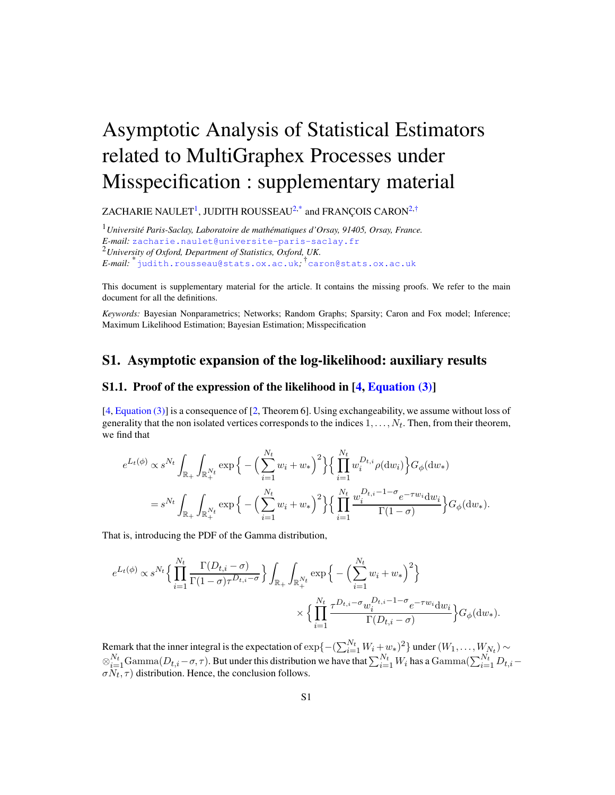# Asymptotic Analysis of Statistical Estimators related to MultiGraphex Processes under Misspecification : supplementary material

ZACHARIE NAULET $^1$  $^1$ , JUDITH ROUSSEAU $^{2, \ast}$  $^{2, \ast}$  $^{2, \ast}$  and FRANÇOIS CARON $^{2, \dag}$  $^{2, \dag}$  $^{2, \dag}$ 

<span id="page-31-1"></span><span id="page-31-0"></span><sup>1</sup> Université Paris-Saclay, Laboratoire de mathématiques d'Orsay, 91405, Orsay, France. *E-mail:* [zacharie.naulet@universite-paris-saclay.fr](mailto:zacharie.naulet@universite-paris-saclay.fr) <sup>2</sup>*University of Oxford, Department of Statistics, Oxford, UK. E-mail:* \*[judith.rousseau@stats.ox.ac.uk](mailto:judith.rousseau@stats.ox.ac.uk)*;* †[caron@stats.ox.ac.uk](mailto:caron@stats.ox.ac.uk)

<span id="page-31-3"></span><span id="page-31-2"></span>This document is supplementary material for the article. It contains the missing proofs. We refer to the main document for all the definitions.

*Keywords:* Bayesian Nonparametrics; Networks; Random Graphs; Sparsity; Caron and Fox model; Inference; Maximum Likelihood Estimation; Bayesian Estimation; Misspecification

# <span id="page-31-5"></span>S1. Asymptotic expansion of the log-likelihood: auxiliary results

#### <span id="page-31-4"></span>S1.1. Proof of the expression of the likelihood in [\[4](#page-78-3), [Equation \(3\)\]](#page-3-0)

[\[4](#page-78-3), [Equation \(3\)\]](#page-3-0) is a consequence of [\[2,](#page-78-0) Theorem 6]. Using exchangeability, we assume without loss of generality that the non isolated vertices corresponds to the indices  $1, \ldots, N_t$ . Then, from their theorem, we find that

$$
e^{L_t(\phi)} \propto s^{N_t} \int_{\mathbb{R}_+} \int_{\mathbb{R}_+^{N_t}} \exp \Big\{ - \Big( \sum_{i=1}^{N_t} w_i + w_* \Big)^2 \Big\} \Big\{ \prod_{i=1}^{N_t} w_i^{D_{t,i}} \rho(\mathrm{d}w_i) \Big\} G_{\phi}(\mathrm{d}w_*)
$$
  
=  $s^{N_t} \int_{\mathbb{R}_+} \int_{\mathbb{R}_+^{N_t}} \exp \Big\{ - \Big( \sum_{i=1}^{N_t} w_i + w_* \Big)^2 \Big\} \Big\{ \prod_{i=1}^{N_t} \frac{w_i^{D_{t,i}} - 1 - \sigma_e - \tau w_i \mathrm{d}w_i}{\Gamma(1 - \sigma)} \Big\} G_{\phi}(\mathrm{d}w_*) .$ 

That is, introducing the PDF of the Gamma distribution,

$$
e^{L_t(\phi)} \propto s^{N_t} \Big\{ \prod_{i=1}^{N_t} \frac{\Gamma(D_{t,i} - \sigma)}{\Gamma(1 - \sigma) \tau^{D_{t,i} - \sigma}} \Big\} \int_{\mathbb{R}_+} \int_{\mathbb{R}_+^{N_t} } \exp \Big\{ - \Big( \sum_{i=1}^{N_t} w_i + w_* \Big)^2 \Big\} \times \Big\{ \prod_{i=1}^{N_t} \frac{\tau^{D_{t,i} - \sigma} w_i^{D_{t,i} - 1 - \sigma} e^{-\tau w_i} dw_i}{\Gamma(D_{t,i} - \sigma)} \Big\} G_{\phi}(\mathrm{d}w_*).
$$

Remark that the inner integral is the expectation of  $\exp\{-\left(\sum_{i=1}^{N_t} W_i + w_*\right)^2\}$  under  $(W_1, \ldots, W_{N_t}) \sim$  $\otimes_{i=1}^{N_t} \text{Gamma}(D_{t,i}-\sigma,\tau)$ . But under this distribution we have that  $\sum_{i=1}^{N_t} W_i$  has a  $\text{Gamma}(\sum_{i=1}^{N_t} D_{t,i}-\sigma,\tau)$  $\sigma N_t$ ,  $\tau$ ) distribution. Hence, the conclusion follows.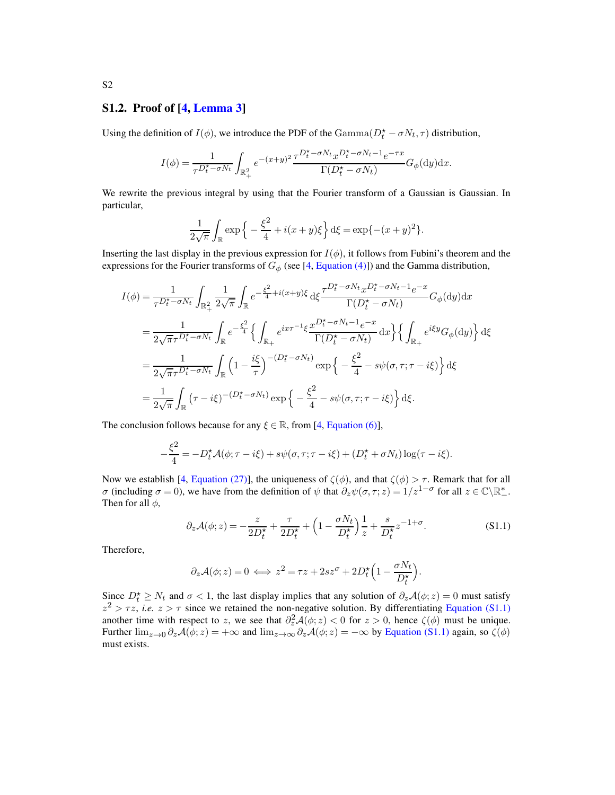#### S1.2. Proof of [\[4,](#page-78-3) [Lemma 3\]](#page-16-1)

Using the definition of  $I(\phi)$ , we introduce the PDF of the Gamma $(D_t^* - \sigma N_t, \tau)$  distribution,

$$
I(\phi)=\frac{1}{\tau^{D_t^\star-\sigma N_t}}\int_{\mathbb{R}_+^2}e^{-(x+y)^2}\frac{\tau^{D_t^\star-\sigma N_t}x^{D_t^\star-\sigma N_t-1}e^{-\tau x}}{\Gamma(D_t^\star-\sigma N_t)}G_\phi(\mathrm{d} y)\mathrm{d} x.
$$

We rewrite the previous integral by using that the Fourier transform of a Gaussian is Gaussian. In particular,

$$
\frac{1}{2\sqrt{\pi}} \int_{\mathbb{R}} \exp\left\{-\frac{\xi^2}{4} + i(x+y)\xi\right\} d\xi = \exp\{-(x+y)^2\}.
$$

Inserting the last display in the previous expression for  $I(\phi)$ , it follows from Fubini's theorem and the expressions for the Fourier transforms of  $G_{\phi}$  (see [\[4,](#page-78-3) [Equation \(4\)\]](#page-3-4)) and the Gamma distribution,

$$
I(\phi) = \frac{1}{\tau^{D_t^{\star} - \sigma N_t}} \int_{\mathbb{R}_+^2} \frac{1}{2\sqrt{\pi}} \int_{\mathbb{R}} e^{-\frac{\xi^2}{4} + i(x+y)\xi} d\xi \frac{\tau^{D_t^{\star} - \sigma N_t} x^{D_t^{\star} - \sigma N_t - 1} e^{-x}}{\Gamma(D_t^{\star} - \sigma N_t)} G_{\phi}(dy) dx
$$
  
\n
$$
= \frac{1}{2\sqrt{\pi}\tau^{D_t^{\star} - \sigma N_t}} \int_{\mathbb{R}} e^{-\frac{\xi^2}{4}} \left\{ \int_{\mathbb{R}_+} e^{ix\tau^{-1}\xi} \frac{x^{D_t^{\star} - \sigma N_t - 1} e^{-x}}{\Gamma(D_t^{\star} - \sigma N_t)} dx \right\} \left\{ \int_{\mathbb{R}_+} e^{i\xi y} G_{\phi}(dy) \right\} d\xi
$$
  
\n
$$
= \frac{1}{2\sqrt{\pi}\tau^{D_t^{\star} - \sigma N_t}} \int_{\mathbb{R}} \left( 1 - \frac{i\xi}{\tau} \right)^{-(D_t^{\star} - \sigma N_t)} \exp \left\{ -\frac{\xi^2}{4} - s\psi(\sigma, \tau; \tau - i\xi) \right\} d\xi
$$
  
\n
$$
= \frac{1}{2\sqrt{\pi}} \int_{\mathbb{R}} (\tau - i\xi)^{-(D_t^{\star} - \sigma N_t)} \exp \left\{ -\frac{\xi^2}{4} - s\psi(\sigma, \tau; \tau - i\xi) \right\} d\xi.
$$

The conclusion follows because for any  $\xi \in \mathbb{R}$ , from [\[4,](#page-78-3) [Equation \(6\)\]](#page-3-3),

$$
-\frac{\xi^2}{4} = -D_t^{\star} \mathcal{A}(\phi; \tau - i\xi) + s\psi(\sigma, \tau; \tau - i\xi) + (D_t^{\star} + \sigma N_t) \log(\tau - i\xi).
$$

Now we establish [\[4,](#page-78-3) [Equation \(27\)\]](#page-16-5), the uniqueness of  $\zeta(\phi)$ , and that  $\zeta(\phi) > \tau$ . Remark that for all *σ* (including *σ* = 0), we have from the definition of  $\psi$  that  $\partial_z \psi(\sigma, \tau; z) = 1/z^{1-\sigma}$  for all  $z \in \mathbb{C} \setminus \mathbb{R}^*$ . Then for all  $\phi$ ,

<span id="page-32-0"></span>
$$
\partial_z \mathcal{A}(\phi; z) = -\frac{z}{2D_t^{\star}} + \frac{\tau}{2D_t^{\star}} + \left(1 - \frac{\sigma N_t}{D_t^{\star}}\right) \frac{1}{z} + \frac{s}{D_t^{\star}} z^{-1 + \sigma}.
$$
 (S1.1)

.

Therefore,

$$
\partial_z \mathcal{A}(\phi; z) = 0 \iff z^2 = \tau z + 2sz^{\sigma} + 2D_t^{\star} \left( 1 - \frac{\sigma N_t}{D_t^{\star}} \right)
$$

Since  $D_t^* \geq N_t$  and  $\sigma < 1$ , the last display implies that any solution of  $\partial_z \mathcal{A}(\phi; z) = 0$  must satisfy  $z^2 > \tau z$ , *i.e.*  $z > \tau$  since we retained the non-negative solution. By differentiating [Equation \(S1.1\)](#page-32-0) another time with respect to z, we see that  $\partial_z^2 \mathcal{A}(\phi; z) < 0$  for  $z > 0$ , hence  $\zeta(\phi)$  must be unique. Further  $\lim_{z\to 0} \partial_z \mathcal{A}(\phi; z) = +\infty$  and  $\lim_{z\to \infty} \partial_z \mathcal{A}(\phi; z) = -\infty$  by [Equation \(S1.1\)](#page-32-0) again, so  $\zeta(\phi)$ must exists.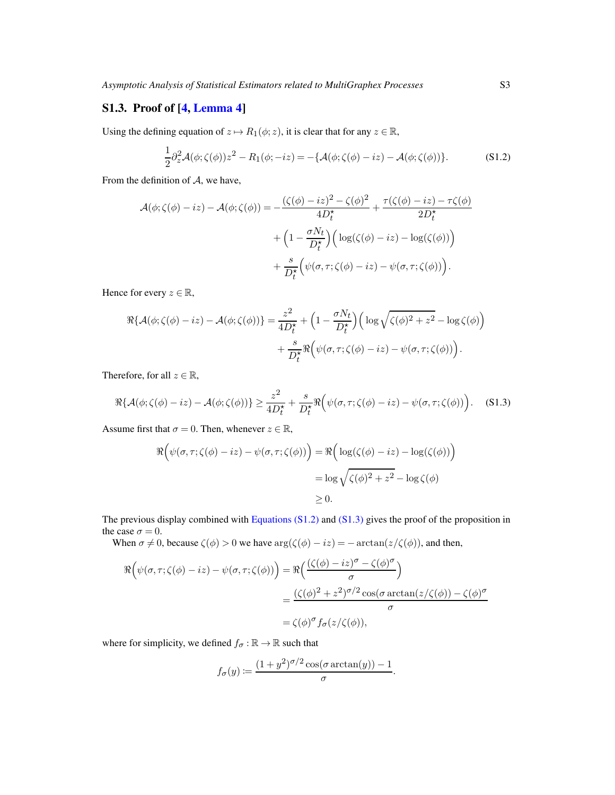## S1.3. Proof of [\[4,](#page-78-3) [Lemma 4\]](#page-16-4)

Using the defining equation of  $z \mapsto R_1(\phi; z)$ , it is clear that for any  $z \in \mathbb{R}$ ,

<span id="page-33-0"></span>
$$
\frac{1}{2}\partial_z^2 \mathcal{A}(\phi;\zeta(\phi))z^2 - R_1(\phi;-iz) = -\{\mathcal{A}(\phi;\zeta(\phi)-iz) - \mathcal{A}(\phi;\zeta(\phi))\}.
$$
 (S1.2)

From the definition of  $A$ , we have,

$$
\mathcal{A}(\phi;\zeta(\phi)-iz) - \mathcal{A}(\phi;\zeta(\phi)) = -\frac{(\zeta(\phi)-iz)^2 - \zeta(\phi)^2}{4D_t^*} + \frac{\tau(\zeta(\phi)-iz) - \tau\zeta(\phi)}{2D_t^*} + \left(1 - \frac{\sigma N_t}{D_t^*}\right) \left(\log(\zeta(\phi)-iz) - \log(\zeta(\phi))\right) + \frac{s}{D_t^*} \left(\psi(\sigma,\tau;\zeta(\phi)-iz) - \psi(\sigma,\tau;\zeta(\phi))\right).
$$

Hence for every  $z \in \mathbb{R}$ ,

$$
\Re\{\mathcal{A}(\phi;\zeta(\phi)-iz)-\mathcal{A}(\phi;\zeta(\phi))\}=\frac{z^2}{4D_t^{\star}}+\left(1-\frac{\sigma N_t}{D_t^{\star}}\right)\left(\log\sqrt{\zeta(\phi)^2+z^2}-\log\zeta(\phi)\right)\\+\frac{s}{D_t^{\star}}\Re\left(\psi(\sigma,\tau;\zeta(\phi)-iz)-\psi(\sigma,\tau;\zeta(\phi))\right).
$$

Therefore, for all  $z \in \mathbb{R}$ ,

<span id="page-33-1"></span>
$$
\Re\{\mathcal{A}(\phi;\zeta(\phi)-iz)-\mathcal{A}(\phi;\zeta(\phi))\}\geq \frac{z^2}{4D_t^{\star}}+\frac{s}{D_t^{\star}}\Re\Big(\psi(\sigma,\tau;\zeta(\phi)-iz)-\psi(\sigma,\tau;\zeta(\phi))\Big). \tag{S1.3}
$$

Assume first that  $\sigma = 0$ . Then, whenever  $z \in \mathbb{R}$ ,

$$
\Re\left(\psi(\sigma,\tau;\zeta(\phi)-iz)-\psi(\sigma,\tau;\zeta(\phi))\right) = \Re\left(\log(\zeta(\phi)-iz)-\log(\zeta(\phi))\right)
$$

$$
= \log\sqrt{\zeta(\phi)^2 + z^2} - \log\zeta(\phi)
$$

$$
\geq 0.
$$

The previous display combined with Equations  $(S1.2)$  and  $(S1.3)$  gives the proof of the proposition in the case  $\sigma = 0$ .

When  $\sigma \neq 0$ , because  $\zeta(\phi) > 0$  we have  $\arg(\zeta(\phi) - iz) = -\arctan(z/\zeta(\phi))$ , and then,

$$
\Re\left(\psi(\sigma,\tau;\zeta(\phi)-iz)-\psi(\sigma,\tau;\zeta(\phi))\right) = \Re\left(\frac{(\zeta(\phi)-iz)^{\sigma}-\zeta(\phi)^{\sigma}}{\sigma}\right)
$$

$$
=\frac{(\zeta(\phi)^{2}+z^{2})^{\sigma/2}\cos(\sigma\arctan(z/\zeta(\phi))-\zeta(\phi)^{\sigma})}{\sigma}
$$

$$
=\zeta(\phi)^{\sigma}f_{\sigma}(z/\zeta(\phi)),
$$

where for simplicity, we defined  $f_{\sigma} : \mathbb{R} \to \mathbb{R}$  such that

$$
f_{\sigma}(y) := \frac{(1+y^2)^{\sigma/2}\cos(\sigma\arctan(y)) - 1}{\sigma}.
$$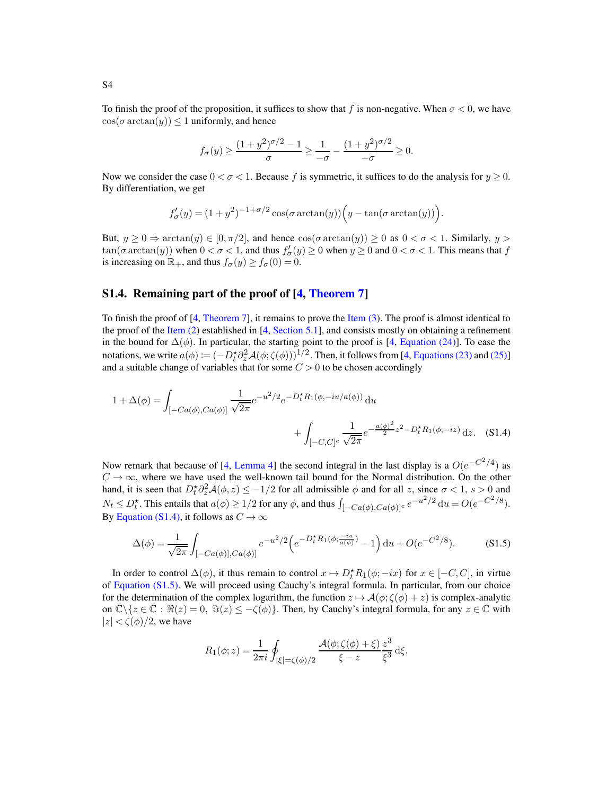To finish the proof of the proposition, it suffices to show that f is non-negative. When  $\sigma < 0$ , we have  $cos(\sigma arctan(y)) \leq 1$  uniformly, and hence

$$
f_{\sigma}(y) \ge \frac{(1+y^2)^{\sigma/2} - 1}{\sigma} \ge \frac{1}{-\sigma} - \frac{(1+y^2)^{\sigma/2}}{-\sigma} \ge 0.
$$

Now we consider the case  $0 < \sigma < 1$ . Because f is symmetric, it suffices to do the analysis for  $y \ge 0$ . By differentiation, we get

$$
f'_{\sigma}(y) = (1+y^2)^{-1+\sigma/2}\cos(\sigma\arctan(y))\Big(y-\tan(\sigma\arctan(y))\Big).
$$

But,  $y \ge 0 \Rightarrow \arctan(y) \in [0, \pi/2]$ , and hence  $\cos(\sigma \arctan(y)) \ge 0$  as  $0 < \sigma < 1$ . Similarly,  $y >$  $\tan(\sigma \arctan(y))$  when  $0 < \sigma < 1$ , and thus  $f'_{\sigma}(y) \ge 0$  when  $y \ge 0$  and  $0 < \sigma < 1$ . This means that f is increasing on  $\mathbb{R}_+$ , and thus  $f_{\sigma}(y) \ge f_{\sigma}(0) = 0$ .

#### <span id="page-34-0"></span>S1.4. Remaining part of the proof of [\[4,](#page-78-3) [Theorem 7\]](#page-14-1)

To finish the proof of [\[4](#page-78-3), [Theorem 7\]](#page-14-1), it remains to prove the [Item \(3\)](#page-14-4). The proof is almost identical to the proof of the [Item \(2\)](#page-14-3) established in [\[4,](#page-78-3) [Section 5.1\]](#page-14-6), and consists mostly on obtaining a refinement in the bound for  $\Delta(\phi)$ . In particular, the starting point to the proof is [\[4,](#page-78-3) [Equation \(24\)\]](#page-16-2). To ease the notations, we write  $a(\phi) := (-D_t^* \partial_z^2 \mathcal{A}(\phi; \zeta(\phi)))^{1/2}$ . Then, it follows from [\[4](#page-78-3), [Equations \(23\)](#page-15-0) and [\(25\)\]](#page-16-3) and a suitable change of variables that for some  $C > 0$  to be chosen accordingly

$$
1 + \Delta(\phi) = \int_{[-Ca(\phi), Ca(\phi)]} \frac{1}{\sqrt{2\pi}} e^{-u^2/2} e^{-D_t^* R_1(\phi, -iu/a(\phi))} du
$$

$$
+ \int_{[-C,C]^c} \frac{1}{\sqrt{2\pi}} e^{-\frac{a(\phi)^2}{2}z^2 - D_t^* R_1(\phi, -iz)} dz. \quad (S1.4)
$$

Now remark that because of [\[4,](#page-78-3) [Lemma 4\]](#page-16-4) the second integral in the last display is a  $O(e^{-C^2/4})$  as  $C \rightarrow \infty$ , where we have used the well-known tail bound for the Normal distribution. On the other hand, it is seen that  $D_t^* \partial_z^2 \mathcal{A}(\phi, z) \leq -1/2$  for all admissible  $\phi$  and for all z, since  $\sigma < 1$ ,  $s > 0$  and  $N_t \leq D_t^*$ . This entails that  $a(\phi) \geq 1/2$  for any  $\phi$ , and thus  $\int_{[-Ca(\phi),Ca(\phi)]^c} e^{-u^2/2} du = O(e^{-C^2/8})$ . By [Equation \(S1.4\),](#page-34-1) it follows as  $C \to \infty$ 

<span id="page-34-2"></span>
$$
\Delta(\phi) = \frac{1}{\sqrt{2\pi}} \int_{[-Ca(\phi)], Ca(\phi)]} e^{-u^2/2} \left( e^{-D_t^* R_1(\phi; \frac{-iu}{a(\phi)})} - 1 \right) du + O(e^{-C^2/8}). \tag{S1.5}
$$

In order to control  $\Delta(\phi)$ , it thus remain to control  $x \mapsto D_t^* R_1(\phi; -ix)$  for  $x \in [-C, C]$ , in virtue of [Equation \(S1.5\).](#page-34-2) We will proceed using Cauchy's integral formula. In particular, from our choice for the determination of the complex logarithm, the function  $z \mapsto \mathcal{A}(\phi; \zeta(\phi) + z)$  is complex-analytic on  $\mathbb{C}\setminus\{z\in\mathbb{C}: \Re(z)=0, \Im(z)\leq -\zeta(\phi)\}\.$  Then, by Cauchy's integral formula, for any  $z\in\mathbb{C}$  with  $|z| < \zeta(\phi)/2$ , we have

<span id="page-34-1"></span>
$$
R_1(\phi; z) = \frac{1}{2\pi i} \oint_{|\xi| = \zeta(\phi)/2} \frac{\mathcal{A}(\phi; \zeta(\phi) + \xi)}{\xi - z} \frac{z^3}{\xi^3} \, \mathrm{d}\xi.
$$

S4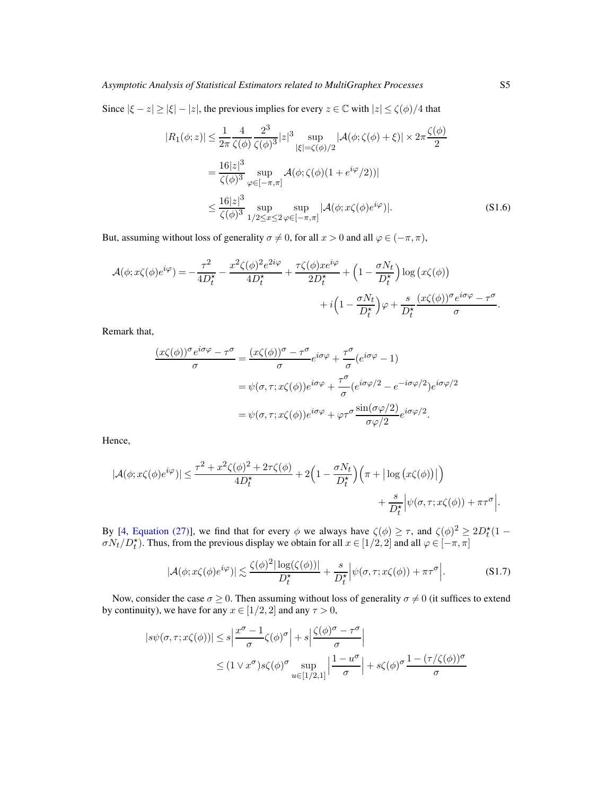Since  $|\xi - z| \ge |\xi| - |z|$ , the previous implies for every  $z \in \mathbb{C}$  with  $|z| \le \zeta(\phi)/4$  that

$$
|R_1(\phi; z)| \le \frac{1}{2\pi} \frac{4}{\zeta(\phi)} \frac{2^3}{\zeta(\phi)^3} |z|^3 \sup_{|\xi| = \zeta(\phi)/2} |\mathcal{A}(\phi; \zeta(\phi) + \xi)| \times 2\pi \frac{\zeta(\phi)}{2}
$$
  
=  $\frac{16|z|^3}{\zeta(\phi)^3} \sup_{\varphi \in [-\pi, \pi]} \mathcal{A}(\phi; \zeta(\phi)(1 + e^{i\varphi}/2))|$   
 $\le \frac{16|z|^3}{\zeta(\phi)^3} \sup_{1/2 \le x \le 2} \sup_{\varphi \in [-\pi, \pi]} |\mathcal{A}(\phi; x\zeta(\phi)e^{i\varphi})|.$  (S1.6)

But, assuming without loss of generality  $\sigma \neq 0$ , for all  $x > 0$  and all  $\varphi \in (-\pi, \pi)$ ,

$$
\mathcal{A}(\phi; x\zeta(\phi)e^{i\varphi}) = -\frac{\tau^2}{4D_t^{\star}} - \frac{x^2\zeta(\phi)^2e^{2i\varphi}}{4D_t^{\star}} + \frac{\tau\zeta(\phi)x e^{i\varphi}}{2D_t^{\star}} + \left(1 - \frac{\sigma N_t}{D_t^{\star}}\right)\log\left(x\zeta(\phi)\right) + i\left(1 - \frac{\sigma N_t}{D_t^{\star}}\right)\varphi + \frac{s}{D_t^{\star}}\frac{(x\zeta(\phi))^{\sigma}e^{i\sigma\varphi} - \tau^{\sigma}}{\sigma}.
$$

Remark that,

$$
\frac{(x\zeta(\phi))^{\sigma}e^{i\sigma\varphi} - \tau^{\sigma}}{\sigma} = \frac{(x\zeta(\phi))^{\sigma} - \tau^{\sigma}}{\sigma}e^{i\sigma\varphi} + \frac{\tau^{\sigma}}{\sigma}(e^{i\sigma\varphi} - 1)
$$

$$
= \psi(\sigma, \tau; x\zeta(\phi))e^{i\sigma\varphi} + \frac{\tau^{\sigma}}{\sigma}(e^{i\sigma\varphi/2} - e^{-i\sigma\varphi/2})e^{i\sigma\varphi/2}
$$

$$
= \psi(\sigma, \tau; x\zeta(\phi))e^{i\sigma\varphi} + \varphi\tau^{\sigma}\frac{\sin(\sigma\varphi/2)}{\sigma\varphi/2}e^{i\sigma\varphi/2}.
$$

Hence,

$$
|\mathcal{A}(\phi; x\zeta(\phi)e^{i\varphi})| \le \frac{\tau^2 + x^2\zeta(\phi)^2 + 2\tau\zeta(\phi)}{4D_t^{\star}} + 2\Big(1 - \frac{\sigma N_t}{D_t^{\star}}\Big)\Big(\pi + |\log(x\zeta(\phi))|\Big) + \frac{s}{D_t^{\star}}\Big|\psi(\sigma, \tau; x\zeta(\phi)) + \pi\tau^{\sigma}\Big|.
$$

By [\[4,](#page-78-3) [Equation \(27\)\]](#page-16-5), we find that for every  $\phi$  we always have  $\zeta(\phi) \ge \tau$ , and  $\zeta(\phi)^2 \ge 2D_t^*(1 \sigma N_t/D_t^*$ ). Thus, from the previous display we obtain for all  $x \in [1/2, 2]$  and all  $\varphi \in [-\pi, \pi]$ 

$$
|\mathcal{A}(\phi; x\zeta(\phi)e^{i\varphi})| \lesssim \frac{\zeta(\phi)^2 |\log(\zeta(\phi))|}{D_t^*} + \frac{s}{D_t^*} |\psi(\sigma, \tau; x\zeta(\phi)) + \pi\tau^{\sigma}|.
$$
 (S1.7)

Now, consider the case  $\sigma \geq 0$ . Then assuming without loss of generality  $\sigma \neq 0$  (it suffices to extend by continuity), we have for any  $x \in [1/2, 2]$  and any  $\tau > 0$ ,

$$
|s\psi(\sigma,\tau;x\zeta(\phi))| \le s \left| \frac{x^{\sigma} - 1}{\sigma} \zeta(\phi)^{\sigma} \right| + s \left| \frac{\zeta(\phi)^{\sigma} - \tau^{\sigma}}{\sigma} \right|
$$
  
 
$$
\le (1 \vee x^{\sigma})s\zeta(\phi)^{\sigma} \sup_{u \in [1/2,1]} \left| \frac{1 - u^{\sigma}}{\sigma} \right| + s\zeta(\phi)^{\sigma} \frac{1 - (\tau/\zeta(\phi))^{\sigma}}{\sigma}
$$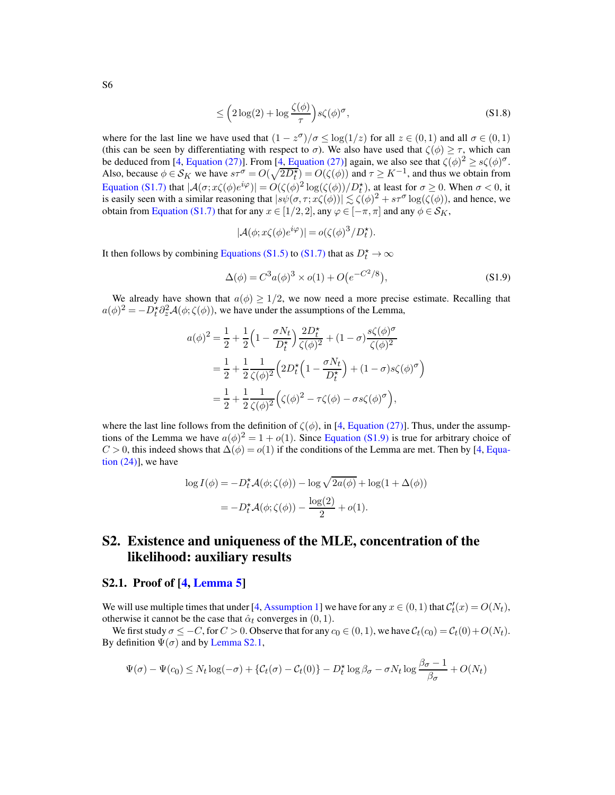<span id="page-36-1"></span>
$$
\leq \left(2\log(2) + \log\frac{\zeta(\phi)}{\tau}\right)s\zeta(\phi)^{\sigma},\tag{S1.8}
$$

where for the last line we have used that  $(1 - z^{\sigma})/\sigma \le \log(1/z)$  for all  $z \in (0,1)$  and all  $\sigma \in (0,1)$ (this can be seen by differentiating with respect to  $\sigma$ ). We also have used that  $\zeta(\phi) \geq \tau$ , which can be deduced from [\[4](#page-78-0), [Equation \(27\)\]](#page-16-0). From [\[4,](#page-78-0) Equation (27)] again, we also see that  $\zeta(\phi)^2 \ge s\zeta(\phi)^\sigma$ . Also, because  $\phi \in \mathcal{S}_K$  we have  $s\tau^{\sigma} = O(\sqrt{2D_t^*}) = O(\zeta(\phi))$  and  $\tau \geq K^{-1}$ , and thus we obtain from [Equation \(S1.7\)](#page-35-0) that  $|A(\sigma; x\zeta(\phi)e^{i\varphi})| = O(\zeta(\phi)^2 \log(\zeta(\phi))/D_t^*)$ , at least for  $\sigma \ge 0$ . When  $\sigma < 0$ , it Equation (S1.*t*) that  $|\mathcal{A}(\sigma; \mathcal{X}\zeta(\varphi)e^{i\theta})| = O(\zeta(\varphi)) \log(\zeta(\varphi))/D_t$ , at least for  $\sigma \geq 0$ . When  $\sigma < 0$ , it is easily seen with a similar reasoning that  $|s\psi(\sigma, \tau; \mathcal{X}(\varphi))| \lesssim \zeta(\varphi)^2 + s\tau^{\sigma} \log(\zeta(\varphi))$ , and hen obtain from [Equation \(S1.7\)](#page-35-0) that for any  $x \in [1/2, 2]$ , any  $\varphi \in [-\pi, \pi]$  and any  $\phi \in \mathcal{S}_K$ ,

<span id="page-36-0"></span>
$$
|\mathcal{A}(\phi; x\zeta(\phi)e^{i\varphi})| = o(\zeta(\phi)^3/D_t^{\star}).
$$

It then follows by combining [Equations \(S1.5\)](#page-34-0) to [\(S1.7\)](#page-35-0) that as  $D_t^* \to \infty$ 

$$
\Delta(\phi) = C^3 a(\phi)^3 \times o(1) + O(e^{-C^2/8}), \tag{S1.9}
$$

We already have shown that  $a(\phi) \geq 1/2$ , we now need a more precise estimate. Recalling that  $a(\phi)^2 = -D_t^* \partial_z^2 \mathcal{A}(\phi; \zeta(\phi))$ , we have under the assumptions of the Lemma,

$$
a(\phi)^2 = \frac{1}{2} + \frac{1}{2} \left( 1 - \frac{\sigma N_t}{D_t^*} \right) \frac{2D_t^*}{\zeta(\phi)^2} + (1 - \sigma) \frac{s\zeta(\phi)^{\sigma}}{\zeta(\phi)^2}
$$
  
= 
$$
\frac{1}{2} + \frac{1}{2} \frac{1}{\zeta(\phi)^2} \left( 2D_t^* \left( 1 - \frac{\sigma N_t}{D_t^*} \right) + (1 - \sigma) s\zeta(\phi)^{\sigma} \right)
$$
  
= 
$$
\frac{1}{2} + \frac{1}{2} \frac{1}{\zeta(\phi)^2} \left( \zeta(\phi)^2 - \tau\zeta(\phi) - \sigma s\zeta(\phi)^{\sigma} \right),
$$

where the last line follows from the definition of  $\zeta(\phi)$ , in [\[4](#page-78-0), [Equation \(27\)\]](#page-16-0). Thus, under the assumptions of the Lemma we have  $a(\phi)^2 = 1 + o(1)$ . Since [Equation \(S1.9\)](#page-36-0) is true for arbitrary choice of  $C > 0$ , this indeed shows that  $\Delta(\phi) = o(1)$  if the conditions of the Lemma are met. Then by [\[4,](#page-78-0) Equation  $(24)$ ], we have

$$
\log I(\phi) = -D_t^* \mathcal{A}(\phi; \zeta(\phi)) - \log \sqrt{2a(\phi)} + \log(1 + \Delta(\phi))
$$
  
= 
$$
-D_t^* \mathcal{A}(\phi; \zeta(\phi)) - \frac{\log(2)}{2} + o(1).
$$

## S2. Existence and uniqueness of the MLE, concentration of the likelihood: auxiliary results

### S2.1. Proof of [\[4,](#page-78-0) [Lemma 5\]](#page-19-0)

We will use multiple times that under [\[4](#page-78-0), [Assumption 1\]](#page-3-0) we have for any  $x \in (0, 1)$  that  $\mathcal{C}'_t(x) = O(N_t)$ , otherwise it cannot be the case that  $\hat{\alpha}_t$  converges in  $(0, 1)$ .

We first study  $\sigma \leq -C$ , for  $C > 0$ . Observe that for any  $c_0 \in (0, 1)$ , we have  $\mathcal{C}_t(c_0) = \mathcal{C}_t(0) + O(N_t)$ . By definition  $\Psi(\sigma)$  and by [Lemma S2.1,](#page-38-0)

$$
\Psi(\sigma) - \Psi(c_0) \le N_t \log(-\sigma) + \{C_t(\sigma) - C_t(0)\} - D_t^{\star} \log \beta_{\sigma} - \sigma N_t \log \frac{\beta_{\sigma} - 1}{\beta_{\sigma}} + O(N_t)
$$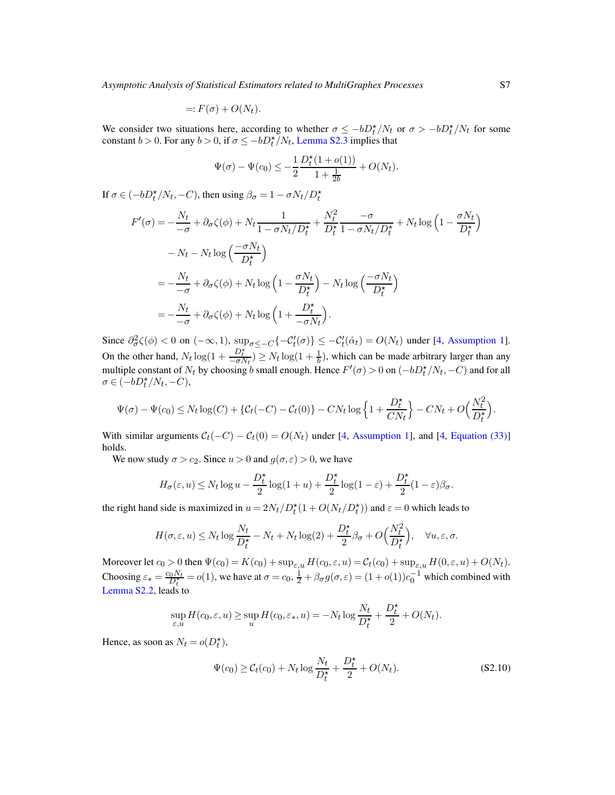$$
=: F(\sigma) + O(N_t).
$$

We consider two situations here, according to whether  $\sigma \le -bD_t^*/N_t$  or  $\sigma > -bD_t^*/N_t$  for some constant  $b > 0$ . For any  $b > 0$ , if  $\sigma \le -bD_t^* / N_t$ , [Lemma S2.3](#page-40-0) implies that

$$
\Psi(\sigma) - \Psi(c_0) \le -\frac{1}{2} \frac{D_t^{\star} (1 + o(1))}{1 + \frac{1}{2b}} + O(N_t).
$$

If  $\sigma \in (-bD_t^* / N_t, -C)$ , then using  $\beta_{\sigma} = 1 - \sigma N_t / D_t^*$ 

$$
F'(\sigma) = -\frac{N_t}{-\sigma} + \partial_{\sigma} \zeta(\phi) + N_t \frac{1}{1 - \sigma N_t / D_t^{\star}} + \frac{N_t^2}{D_t^{\star}} \frac{-\sigma}{1 - \sigma N_t / D_t^{\star}} + N_t \log \left(1 - \frac{\sigma N_t}{D_t^{\star}}\right)
$$
  

$$
- N_t - N_t \log \left(\frac{-\sigma N_t}{D_t^{\star}}\right)
$$
  

$$
= -\frac{N_t}{-\sigma} + \partial_{\sigma} \zeta(\phi) + N_t \log \left(1 - \frac{\sigma N_t}{D_t^{\star}}\right) - N_t \log \left(\frac{-\sigma N_t}{D_t^{\star}}\right)
$$
  

$$
= -\frac{N_t}{-\sigma} + \partial_{\sigma} \zeta(\phi) + N_t \log \left(1 + \frac{D_t^{\star}}{-\sigma N_t}\right).
$$

Since  $\partial^2_{\sigma} \zeta(\phi) < 0$  on  $(-\infty, 1)$ ,  $\sup_{\sigma \leq -C} \{-\mathcal{C}'_t(\sigma)\} \leq -\mathcal{C}'_t(\hat{\alpha}_t) = O(N_t)$  under [\[4,](#page-78-0) [Assumption 1\]](#page-3-0). On the other hand,  $N_t \log(1 + \frac{D_t^*}{-\sigma N_t}) \geq N_t \log(1 + \frac{1}{b})$ , which can be made arbitrary larger than any multiple constant of  $N_t$  by choosing b small enough. Hence  $F'(\sigma) > 0$  on  $(-bD_t^*/N_t, -C)$  and for all  $\sigma \in \left(-bD_t^{\star}/N_t, -C\right),$ 

$$
\Psi(\sigma) - \Psi(c_0) \le N_t \log(C) + \left\{ \mathcal{C}_t(-C) - \mathcal{C}_t(0) \right\} - CN_t \log\left\{ 1 + \frac{D_t^{\star}}{CN_t} \right\} - CN_t + O\left(\frac{N_t^2}{D_t^{\star}}\right).
$$

With similar arguments  $C_t(-C) - C_t(0) = O(N_t)$  under [\[4](#page-78-0), [Assumption 1\]](#page-3-0), and [4, [Equation \(33\)\]](#page-19-1) holds.

We now study  $\sigma > c_2$ . Since  $u > 0$  and  $g(\sigma, \varepsilon) > 0$ , we have

$$
H_{\sigma}(\varepsilon, u) \le N_t \log u - \frac{D_t^{\star}}{2} \log(1 + u) + \frac{D_t^{\star}}{2} \log(1 - \varepsilon) + \frac{D_t^{\star}}{2} (1 - \varepsilon) \beta_{\sigma}.
$$

the right hand side is maximized in  $u = 2N_t/D_t^*(1 + O(N_t/D_t^*))$  and  $\varepsilon = 0$  which leads to

$$
H(\sigma, \varepsilon, u) \le N_t \log \frac{N_t}{D_t^{\star}} - N_t + N_t \log(2) + \frac{D_t^{\star}}{2} \beta_{\sigma} + O\left(\frac{N_t^2}{D_t^{\star}}\right), \quad \forall u, \varepsilon, \sigma.
$$

Moreover let  $c_0 > 0$  then  $\Psi(c_0) = K(c_0) + \sup_{\varepsilon, u} H(c_0, \varepsilon, u) = C_t(c_0) + \sup_{\varepsilon, u} H(0, \varepsilon, u) + O(N_t)$ . Choosing  $\varepsilon_* = \frac{c_0 N_t}{D_t^*} = o(1)$ , we have at  $\sigma = c_0$ ,  $\frac{1}{2} + \beta_\sigma g(\sigma, \varepsilon) = (1 + o(1))c_0^{-1}$  which combined with [Lemma S2.2,](#page-39-0) leads to

$$
\sup_{\varepsilon,u} H(c_0,\varepsilon,u) \ge \sup_u H(c_0,\varepsilon_*,u) = -N_t \log \frac{N_t}{D_t^{\star}} + \frac{D_t^{\star}}{2} + O(N_t).
$$

Hence, as soon as  $N_t = o(D_t^*)$ ,

<span id="page-37-0"></span>
$$
\Psi(c_0) \ge C_t(c_0) + N_t \log \frac{N_t}{D_t^{\star}} + \frac{D_t^{\star}}{2} + O(N_t).
$$
\n(S2.10)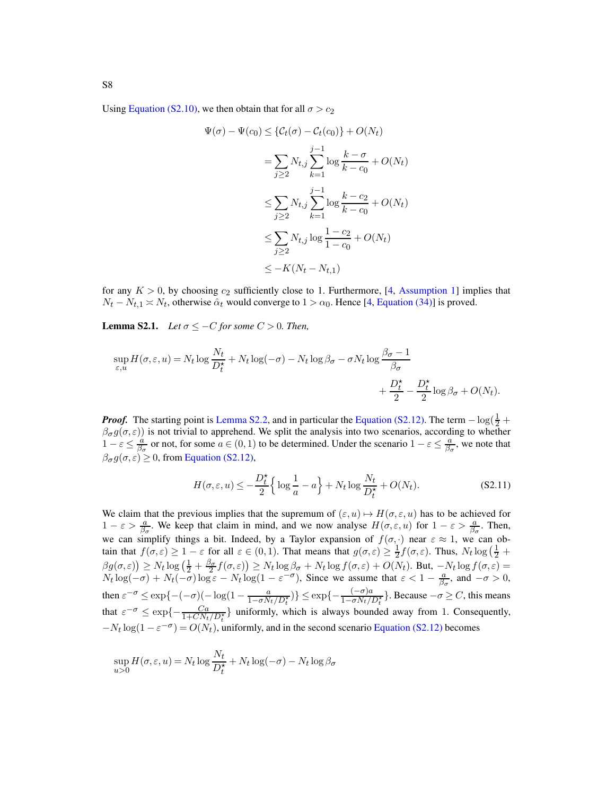Using [Equation \(S2.10\),](#page-37-0) we then obtain that for all  $\sigma > c_2$ 

$$
\Psi(\sigma) - \Psi(c_0) \leq \{C_t(\sigma) - C_t(c_0)\} + O(N_t)
$$
\n
$$
= \sum_{j \geq 2} N_{t,j} \sum_{k=1}^{j-1} \log \frac{k - \sigma}{k - c_0} + O(N_t)
$$
\n
$$
\leq \sum_{j \geq 2} N_{t,j} \sum_{k=1}^{j-1} \log \frac{k - c_2}{k - c_0} + O(N_t)
$$
\n
$$
\leq \sum_{j \geq 2} N_{t,j} \log \frac{1 - c_2}{1 - c_0} + O(N_t)
$$
\n
$$
\leq -K(N_t - N_{t,1})
$$

<span id="page-38-0"></span>for any  $K > 0$ , by choosing  $c_2$  sufficiently close to 1. Furthermore, [\[4](#page-78-0), [Assumption 1\]](#page-3-0) implies that  $N_t - N_{t,1} \approx N_t$ , otherwise  $\hat{\alpha}_t$  would converge to  $1 > \alpha_0$ . Hence [\[4](#page-78-0), [Equation \(34\)\]](#page-19-2) is proved.

**Lemma S2.1.** *Let*  $\sigma \leq -C$  *for some*  $C > 0$ *. Then,* 

$$
\sup_{\varepsilon, u} H(\sigma, \varepsilon, u) = N_t \log \frac{N_t}{D_t^{\star}} + N_t \log(-\sigma) - N_t \log \beta_{\sigma} - \sigma N_t \log \frac{\beta_{\sigma} - 1}{\beta_{\sigma}} + \frac{D_t^{\star}}{2} - \frac{D_t^{\star}}{2} \log \beta_{\sigma} + O(N_t).
$$

*Proof.* The starting point is [Lemma S2.2,](#page-39-0) and in particular the [Equation \(S2.12\).](#page-39-1) The term  $-\log(\frac{1}{2} + \frac{1}{2})$  $\beta_{\sigma}g(\sigma,\varepsilon)$ ) is not trivial to apprehend. We split the analysis into two scenarios, according to whether  $1-\varepsilon \leq \frac{a}{\beta_{\sigma}}$  or not, for some  $a \in (0,1)$  to be determined. Under the scenario  $1-\varepsilon \leq \frac{a}{\beta_{\sigma}}$ , we note that  $\beta_{\sigma} g(\sigma, \varepsilon) \geq 0$ , from [Equation \(S2.12\),](#page-39-1)

<span id="page-38-1"></span>
$$
H(\sigma, \varepsilon, u) \le -\frac{D_t^*}{2} \left\{ \log \frac{1}{a} - a \right\} + N_t \log \frac{N_t}{D_t^*} + O(N_t). \tag{S2.11}
$$

We claim that the previous implies that the supremum of  $(\varepsilon, u) \mapsto H(\sigma, \varepsilon, u)$  has to be achieved for  $1 - \varepsilon > \frac{a}{\beta_{\sigma}}$ . We keep that claim in mind, and we now analyse  $H(\sigma, \varepsilon, u)$  for  $1 - \varepsilon > \frac{a}{\beta_{\sigma}}$ . Then, we can simplify things a bit. Indeed, by a Taylor expansion of  $f(\sigma, \cdot)$  near  $\varepsilon \approx 1$ , we can obtain that  $f(\sigma, \varepsilon) \geq 1 - \varepsilon$  for all  $\varepsilon \in (0, 1)$ . That means that  $g(\sigma, \varepsilon) \geq \frac{1}{2} f(\sigma, \varepsilon)$ . Thus,  $N_t \log(\frac{1}{2} + \varepsilon)$  $\beta g(\sigma,\varepsilon)$   $\geq N_t \log\left(\frac{1}{2} + \frac{\beta_\sigma}{2} f(\sigma,\varepsilon)\right) \geq N_t \log \beta_\sigma + N_t \log f(\sigma,\varepsilon) + O(N_t)$ . But,  $-N_t \log f(\sigma,\varepsilon)$  =  $N_t \log(-\sigma) + N_t(-\sigma) \log \varepsilon - N_t \log(1 - \varepsilon^{-\sigma})$ , Since we assume that  $\varepsilon < 1 - \frac{a}{\beta \sigma}$ , and  $-\sigma > 0$ , then  $\varepsilon^{-\sigma} \le \exp\{-(-\sigma)(-\log(1-\frac{a}{1-\sigma N_t/D_t^*})\} \le \exp\{-\frac{(-\sigma)a}{1-\sigma N_t/D_t^*}\}$ . Because  $-\sigma \ge C$ , this means that  $\varepsilon^{-\sigma} \le \exp\{-\frac{Ca}{1+CN_t/D_t^*}\}\$  uniformly, which is always bounded away from 1. Consequently,  $-N_t \log(1 - \varepsilon^{-\sigma}) = O(N_t)$ , uniformly, and in the second scenario [Equation \(S2.12\)](#page-39-1) becomes

$$
\sup_{u>0} H(\sigma, \varepsilon, u) = N_t \log \frac{N_t}{D_t^{\star}} + N_t \log(-\sigma) - N_t \log \beta_{\sigma}
$$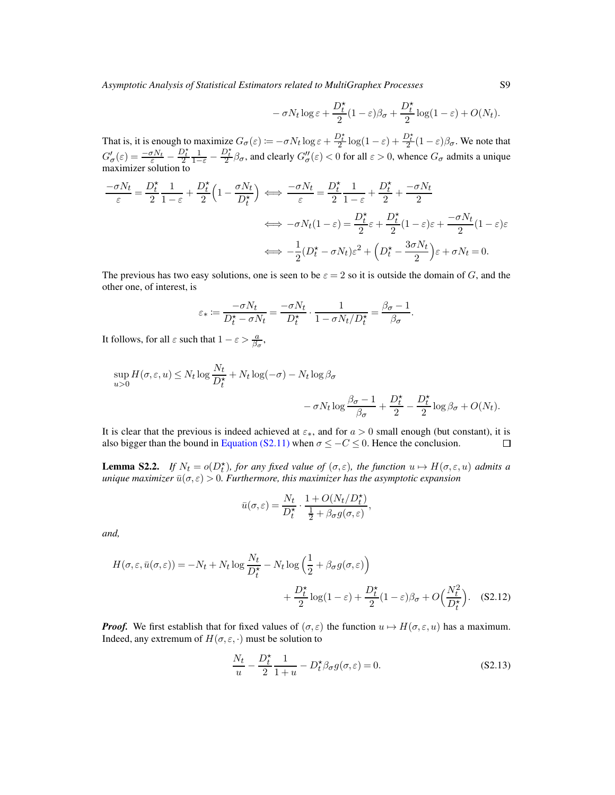$$
-\sigma N_t \log \varepsilon + \frac{D_t^{\star}}{2} (1-\varepsilon)\beta_{\sigma} + \frac{D_t^{\star}}{2} \log(1-\varepsilon) + O(N_t).
$$

That is, it is enough to maximize  $G_{\sigma}(\varepsilon) := -\sigma N_t \log \varepsilon + \frac{D_t^*}{2} \log(1-\varepsilon) + \frac{D_t^*}{2} (1-\varepsilon) \beta_{\sigma}$ . We note that  $G'_{\sigma}(\varepsilon) = \frac{-\sigma N_t}{\varepsilon}$  –  $\frac{D_t^{\star}}{2} \frac{1}{1-\varepsilon}$  –  $\frac{D_t^*}{2}$   $\beta_\sigma$ , and clearly  $G''_{\sigma}(\varepsilon) < 0$  for all  $\varepsilon > 0$ , whence  $G_{\sigma}$  admits a unique maximizer solution to

$$
\frac{-\sigma N_t}{\varepsilon} = \frac{D_t^{\star}}{2} \frac{1}{1-\varepsilon} + \frac{D_t^{\star}}{2} \left( 1 - \frac{\sigma N_t}{D_t^{\star}} \right) \iff \frac{-\sigma N_t}{\varepsilon} = \frac{D_t^{\star}}{2} \frac{1}{1-\varepsilon} + \frac{D_t^{\star}}{2} + \frac{-\sigma N_t}{2}
$$

$$
\iff -\sigma N_t (1-\varepsilon) = \frac{D_t^{\star}}{2} \varepsilon + \frac{D_t^{\star}}{2} (1-\varepsilon) \varepsilon + \frac{-\sigma N_t}{2} (1-\varepsilon) \varepsilon
$$

$$
\iff -\frac{1}{2} (D_t^{\star} - \sigma N_t) \varepsilon^2 + \left( D_t^{\star} - \frac{3\sigma N_t}{2} \right) \varepsilon + \sigma N_t = 0.
$$

The previous has two easy solutions, one is seen to be  $\varepsilon = 2$  so it is outside the domain of G, and the other one, of interest, is

$$
\varepsilon_* := \frac{-\sigma N_t}{D_t^\star - \sigma N_t} = \frac{-\sigma N_t}{D_t^\star} \cdot \frac{1}{1 - \sigma N_t / D_t^\star} = \frac{\beta_\sigma - 1}{\beta_\sigma}.
$$

It follows, for all  $\varepsilon$  such that  $1 - \varepsilon > \frac{a}{\beta_{\sigma}},$ 

$$
\sup_{u>0} H(\sigma, \varepsilon, u) \le N_t \log \frac{N_t}{D_t^{\star}} + N_t \log(-\sigma) - N_t \log \beta_{\sigma}
$$

$$
- \sigma N_t \log \frac{\beta_{\sigma} - 1}{\beta_{\sigma}} + \frac{D_t^{\star}}{2} - \frac{D_t^{\star}}{2} \log \beta_{\sigma} + O(N_t).
$$

It is clear that the previous is indeed achieved at  $\varepsilon_*,$  and for  $a > 0$  small enough (but constant), it is also bigger than the bound in [Equation \(S2.11\)](#page-38-1) when  $\sigma \leq -C \leq 0$ . Hence the conclusion.  $\Box$ 

<span id="page-39-0"></span>**Lemma S2.2.** *If*  $N_t = o(D_t^*)$ *, for any fixed value of*  $(\sigma, \varepsilon)$ *, the function*  $u \mapsto H(\sigma, \varepsilon, u)$  *admits a unique maximizer*  $\bar{u}(\sigma, \varepsilon) > 0$ *. Furthermore, this maximizer has the asymptotic expansion* 

<span id="page-39-1"></span>
$$
\bar{u}(\sigma,\varepsilon) = \frac{N_t}{D_t^\star} \cdot \frac{1 + O(N_t/D_t^\star)}{\frac{1}{2} + \beta_\sigma g(\sigma,\varepsilon)},
$$

*and,*

$$
H(\sigma, \varepsilon, \bar{u}(\sigma, \varepsilon)) = -N_t + N_t \log \frac{N_t}{D_t^{\star}} - N_t \log \left( \frac{1}{2} + \beta_{\sigma} g(\sigma, \varepsilon) \right)
$$
  
+ 
$$
\frac{D_t^{\star}}{2} \log(1 - \varepsilon) + \frac{D_t^{\star}}{2} (1 - \varepsilon) \beta_{\sigma} + O\left(\frac{N_t^2}{D_t^{\star}}\right).
$$
 (S2.12)

*Proof.* We first establish that for fixed values of  $(\sigma, \varepsilon)$  the function  $u \mapsto H(\sigma, \varepsilon, u)$  has a maximum. Indeed, any extremum of  $H(\sigma, \varepsilon, \cdot)$  must be solution to

<span id="page-39-2"></span>
$$
\frac{N_t}{u} - \frac{D_t^*}{2} \frac{1}{1+u} - D_t^* \beta_\sigma g(\sigma, \varepsilon) = 0.
$$
 (S2.13)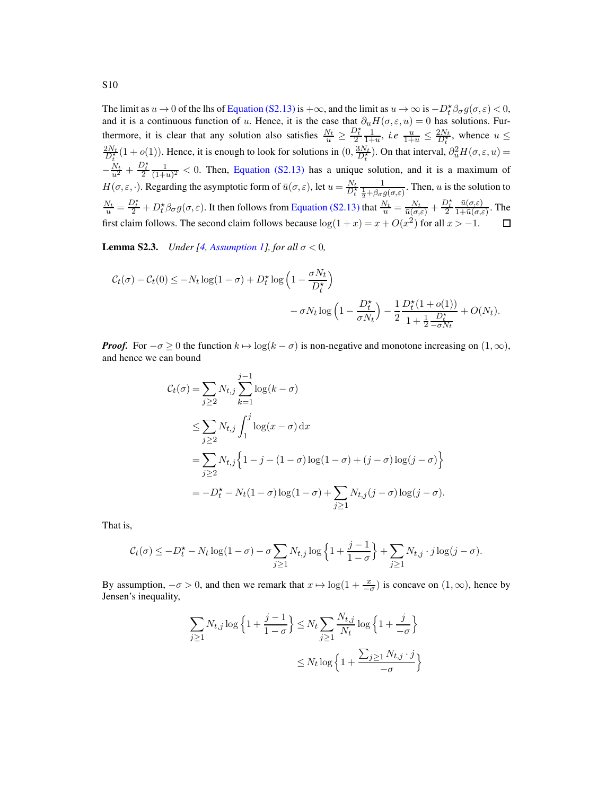The limit as  $u \to 0$  of the lhs of [Equation \(S2.13\)](#page-39-2) is  $+\infty$ , and the limit as  $u \to \infty$  is  $-D_t^* \beta_\sigma g(\sigma, \varepsilon) < 0$ , The fifth as  $u \to 0$  of the fits of Equation (32.15) is  $+\infty$ , and the fifth as  $u \to \infty$  is  $-D_t p_{\sigma} g(\theta, \epsilon) < 0$ ,<br>and it is a continuous function of u. Hence, it is the case that  $\partial_u H(\sigma, \epsilon, u) = 0$  has solutions. Fur- $\frac{D_t^*}{2} \frac{1}{1+u}$ , *i.e*  $\frac{u}{1+u} \leq \frac{2N_t}{D_t^*}$ , whence  $u \leq$ thermore, it is clear that any solution also satisfies  $\frac{N_t}{u} \geq$  $\frac{2N_t}{D_t^*}(1+o(1))$ . Hence, it is enough to look for solutions in  $(0, \frac{3N_t}{D_t^*})$ . On that interval,  $\partial_u^2 H(\sigma, \varepsilon, u) =$  $-\frac{N_t}{u^2} + \frac{D_t^{\star}}{2} \frac{1}{(1+\tau)}$  $\frac{1}{(1+u)^2}$  < 0. Then, [Equation \(S2.13\)](#page-39-2) has a unique solution, and it is a maximum of  $H(\sigma, \varepsilon, \cdot)$ . Regarding the asymptotic form of  $\bar{u}(\sigma, \varepsilon)$ , let  $u = \frac{N_t}{D_t^*}$  $\frac{1}{2} + \beta_{\sigma} g(\sigma, \varepsilon)$ . Then, *u* is the solution to  $\frac{N_t}{u} = \frac{D_t^*}{2} + D_t^* \beta_\sigma g(\sigma, \varepsilon)$ . It then follows from [Equation \(S2.13\)](#page-39-2) that  $\frac{N_t}{u} = \frac{N_t}{\bar{u}(\sigma, \varepsilon)} + \frac{D_t^*}{2}$  $\bar{u}(\sigma,\varepsilon)$  $\frac{u(\sigma,\varepsilon)}{1+\bar{u}(\sigma,\varepsilon)}$ . The first claim follows. The second claim follows because  $\log(1 + x) = x + O(x^2)$  for all  $x > -1$ .  $\Box$ 

<span id="page-40-0"></span>**Lemma S2.3.** *Under* [\[4](#page-78-0), *[Assumption 1\]](#page-3-0), for all*  $\sigma < 0$ *,* 

$$
C_t(\sigma) - C_t(0) \le -N_t \log(1 - \sigma) + D_t^{\star} \log\left(1 - \frac{\sigma N_t}{D_t^{\star}}\right)
$$

$$
- \sigma N_t \log\left(1 - \frac{D_t^{\star}}{\sigma N_t}\right) - \frac{1}{2} \frac{D_t^{\star}(1 + o(1))}{1 + \frac{1}{2} \frac{D_t^{\star}}{-\sigma N_t}} + O(N_t).
$$

*Proof.* For  $-\sigma \ge 0$  the function  $k \mapsto \log(k - \sigma)$  is non-negative and monotone increasing on  $(1, \infty)$ , and hence we can bound

$$
\mathcal{C}_t(\sigma) = \sum_{j\geq 2} N_{t,j} \sum_{k=1}^{j-1} \log(k-\sigma)
$$
  
\n
$$
\leq \sum_{j\geq 2} N_{t,j} \int_1^j \log(x-\sigma) dx
$$
  
\n
$$
= \sum_{j\geq 2} N_{t,j} \left\{ 1 - j - (1-\sigma) \log(1-\sigma) + (j-\sigma) \log(j-\sigma) \right\}
$$
  
\n
$$
= -D_t^* - N_t(1-\sigma) \log(1-\sigma) + \sum_{j\geq 1} N_{t,j}(j-\sigma) \log(j-\sigma).
$$

That is,

$$
\mathcal{C}_t(\sigma) \leq -D_t^{\star} - N_t \log(1-\sigma) - \sigma \sum_{j \geq 1} N_{t,j} \log \left\{ 1 + \frac{j-1}{1-\sigma} \right\} + \sum_{j \geq 1} N_{t,j} \cdot j \log(j-\sigma).
$$

By assumption,  $-\sigma > 0$ , and then we remark that  $x \mapsto \log(1 + \frac{x}{-\sigma})$  is concave on  $(1, \infty)$ , hence by Jensen's inequality,

$$
\sum_{j\geq 1} N_{t,j} \log \left\{ 1 + \frac{j-1}{1-\sigma} \right\} \leq N_t \sum_{j\geq 1} \frac{N_{t,j}}{N_t} \log \left\{ 1 + \frac{j}{-\sigma} \right\}
$$

$$
\leq N_t \log \left\{ 1 + \frac{\sum_{j\geq 1} N_{t,j} \cdot j}{-\sigma} \right\}
$$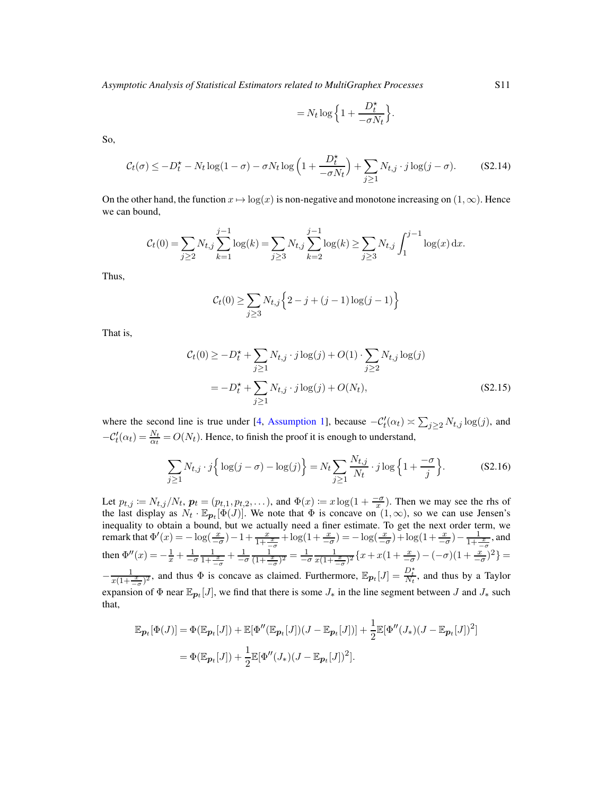$$
= N_t \log \left\{ 1 + \frac{D_t^{\star}}{-\sigma N_t} \right\}.
$$

So,

$$
C_t(\sigma) \le -D_t^* - N_t \log(1 - \sigma) - \sigma N_t \log\left(1 + \frac{D_t^*}{-\sigma N_t}\right) + \sum_{j \ge 1} N_{t,j} \cdot j \log(j - \sigma). \tag{S2.14}
$$

On the other hand, the function  $x \mapsto \log(x)$  is non-negative and monotone increasing on  $(1,\infty)$ . Hence we can bound,

$$
C_t(0) = \sum_{j\geq 2} N_{t,j} \sum_{k=1}^{j-1} \log(k) = \sum_{j\geq 3} N_{t,j} \sum_{k=2}^{j-1} \log(k) \geq \sum_{j\geq 3} N_{t,j} \int_1^{j-1} \log(x) dx.
$$

Thus,

$$
C_t(0) \ge \sum_{j\ge3} N_{t,j} \left\{ 2 - j + (j-1)\log(j-1) \right\}
$$

That is,

<span id="page-41-0"></span>
$$
\mathcal{C}_t(0) \ge -D_t^* + \sum_{j\ge 1} N_{t,j} \cdot j \log(j) + O(1) \cdot \sum_{j\ge 2} N_{t,j} \log(j)
$$
  
=  $-D_t^* + \sum_{j\ge 1} N_{t,j} \cdot j \log(j) + O(N_t),$  (S2.15)

where the second line is true under [\[4,](#page-78-0) [Assumption 1\]](#page-3-0), because  $-C'_t(\alpha_t) \approx \sum_{j\geq 2} N_{t,j} \log(j)$ , and  $-C'_{t}(\alpha_{t}) = \frac{N_{t}}{\alpha_{t}} = O(N_{t}).$  Hence, to finish the proof it is enough to understand,

$$
\sum_{j\geq 1} N_{t,j} \cdot j \left\{ \log(j - \sigma) - \log(j) \right\} = N_t \sum_{j\geq 1} \frac{N_{t,j}}{N_t} \cdot j \log \left\{ 1 + \frac{-\sigma}{j} \right\}.
$$
 (S2.16)

Let  $p_{t,j} := N_{t,j}/N_t$ ,  $p_t = (p_{t,1}, p_{t,2}, \ldots)$ , and  $\Phi(x) := x \log(1 + \frac{-\sigma}{x})$ . Then we may see the rhs of the last display as  $N_t \cdot \mathbb{E}_{p_t}[\Phi(J)]$ . We note that  $\Phi$  is concave on  $(1,\infty)$ , so we can use Jensen's inequality to obtain a bound, but we actually need a finer estimate. To get the next order term, we remark that  $\Phi'(x) = -\log(\frac{x}{-\sigma}) - 1 + \frac{x}{1 + \frac{x}{-\sigma}} + \log(1 + \frac{x}{-\sigma}) = -\log(\frac{x}{-\sigma}) + \log(1 + \frac{x}{-\sigma}) - \frac{1}{1 + \frac{x}{-\sigma}}$ , and then  $\Phi''(x) = -\frac{1}{x} + \frac{1}{-\sigma} \frac{1}{1 + \frac{x}{-\sigma}} + \frac{1}{-\sigma} \frac{1}{(1 + \frac{x}{-\sigma})^2} = \frac{1}{-\sigma} \frac{1}{x(1 + \frac{x}{-\sigma})^2} \{x + x(1 + \frac{x}{-\sigma}) - (-\sigma)(1 + \frac{x}{-\sigma})^2\} =$  $-\frac{1}{x(1+\frac{x}{-\sigma})^2}$ , and thus  $\Phi$  is concave as claimed. Furthermore,  $\mathbb{E}_{\mathbf{p}_t}[J] = \frac{D_t^*}{N_t}$ , and thus by a Taylor expansion of  $\Phi$  near  $\mathbb{E}_{\mathbf{p}_t}[J]$ , we find that there is some  $J_*$  in the line segment between  $J$  and  $J_*$  such that,

$$
\mathbb{E}_{\boldsymbol{p}_t}[\Phi(J)] = \Phi(\mathbb{E}_{\boldsymbol{p}_t}[J]) + \mathbb{E}[\Phi''(\mathbb{E}_{\boldsymbol{p}_t}[J])(J - \mathbb{E}_{\boldsymbol{p}_t}[J])] + \frac{1}{2} \mathbb{E}[\Phi''(J_*)(J - \mathbb{E}_{\boldsymbol{p}_t}[J])^2]
$$
  
= 
$$
\Phi(\mathbb{E}_{\boldsymbol{p}_t}[J]) + \frac{1}{2} \mathbb{E}[\Phi''(J_*)(J - \mathbb{E}_{\boldsymbol{p}_t}[J])^2].
$$

<span id="page-41-1"></span>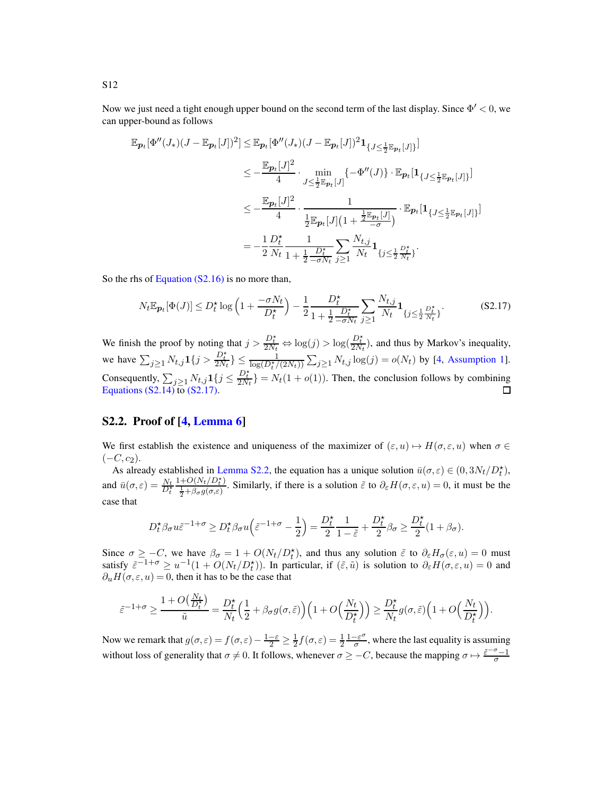Now we just need a tight enough upper bound on the second term of the last display. Since  $\Phi' < 0$ , we can upper-bound as follows

$$
\mathbb{E}_{\mathbf{p}_t}[\Phi''(J_*)(J - \mathbb{E}_{\mathbf{p}_t}[J])^2] \leq \mathbb{E}_{\mathbf{p}_t}[\Phi''(J_*)(J - \mathbb{E}_{\mathbf{p}_t}[J])^2 \mathbf{1}_{\{J \leq \frac{1}{2} \mathbb{E}_{\mathbf{p}_t}[J]\}}]
$$
\n
$$
\leq -\frac{\mathbb{E}_{\mathbf{p}_t}[J]^2}{4} \cdot \min_{J \leq \frac{1}{2} \mathbb{E}_{\mathbf{p}_t}[J]} \{-\Phi''(J)\} \cdot \mathbb{E}_{\mathbf{p}_t}[\mathbf{1}_{\{J \leq \frac{1}{2} \mathbb{E}_{\mathbf{p}_t}[J]\}}]
$$
\n
$$
\leq -\frac{\mathbb{E}_{\mathbf{p}_t}[J]^2}{4} \cdot \frac{1}{\frac{1}{2} \mathbb{E}_{\mathbf{p}_t}[J](1 + \frac{\frac{1}{2} \mathbb{E}_{\mathbf{p}_t}[J]}{\sigma})} \cdot \mathbb{E}_{\mathbf{p}_t}[\mathbf{1}_{\{J \leq \frac{1}{2} \mathbb{E}_{\mathbf{p}_t}[J]\}}]
$$
\n
$$
= -\frac{1}{2} \frac{D_t^{\star}}{N_t} \frac{1}{1 + \frac{1}{2} \frac{D_t^{\star}}{-\sigma N_t}} \sum_{j \geq 1} \frac{N_{t,j}}{N_t} \mathbf{1}_{\{j \leq \frac{1}{2} \frac{D_t^{\star}}{N_t}\}}.
$$

So the rhs of [Equation \(S2.16\)](#page-41-0) is no more than,

<span id="page-42-0"></span>
$$
N_t \mathbb{E}_{\mathbf{p}_t}[\Phi(J)] \le D_t^{\star} \log \left( 1 + \frac{-\sigma N_t}{D_t^{\star}} \right) - \frac{1}{2} \frac{D_t^{\star}}{1 + \frac{1}{2} \frac{D_t^{\star}}{-\sigma N_t}} \sum_{j \ge 1} \frac{N_{t,j}}{N_t} \mathbf{1}_{\{j \le \frac{1}{2} \frac{D_t^{\star}}{N_t}\}}. \tag{S2.17}
$$

We finish the proof by noting that  $j > \frac{D_t^*}{2N_t} \Leftrightarrow \log(j) > \log(\frac{D_t^*}{2N_t})$ , and thus by Markov's inequality, we have  $\sum_{j\geq 1} N_{t,j} 1\{j > \frac{D_t^*}{2N_t}\}\leq \frac{1}{\log(D_t^*/(2N_t))} \sum_{j\geq 1} N_{t,j} \log(j) = o(N_t)$  by [\[4,](#page-78-0) [Assumption 1\]](#page-3-0). Consequently,  $\sum_{j\geq 1} N_{t,j}\mathbf{1}\{j \leq \frac{D_t^*}{2N_t}\} = N_t(1+o(1))$ . Then, the conclusion follows by combining Equations  $(S2.14)$  to  $(S2.17)$ .

### S2.2. Proof of [\[4,](#page-78-0) [Lemma 6\]](#page-19-3)

We first establish the existence and uniqueness of the maximizer of  $(\varepsilon, u) \mapsto H(\sigma, \varepsilon, u)$  when  $\sigma \in$  $(-C, c_2)$ .

As already established in [Lemma S2.2,](#page-39-0) the equation has a unique solution  $\bar{u}(\sigma, \varepsilon) \in (0, 3N_t/D_t^{\star})$ , and  $\bar{u}(\sigma, \varepsilon) = \frac{N_t}{D_t^*}$  $\frac{1+O(N_t/D_t^*)}{\frac{1}{2}+\beta_{\sigma}g(\sigma,\varepsilon)}$ . Similarly, if there is a solution  $\tilde{\varepsilon}$  to  $\partial_{\varepsilon}H(\sigma,\varepsilon,u)=0$ , it must be the case that

$$
D_t^{\star}\beta_{\sigma}u\tilde{\varepsilon}^{-1+\sigma}\geq D_t^{\star}\beta_{\sigma}u\left(\tilde{\varepsilon}^{-1+\sigma}-\frac{1}{2}\right)=\frac{D_t^{\star}}{2}\frac{1}{1-\tilde{\varepsilon}}+\frac{D_t^{\star}}{2}\beta_{\sigma}\geq \frac{D_t^{\star}}{2}(1+\beta_{\sigma}).
$$

Since  $\sigma \geq -C$ , we have  $\beta_{\sigma} = 1 + O(N_t/D_t^*)$ , and thus any solution  $\tilde{\varepsilon}$  to  $\partial_{\varepsilon}H_{\sigma}(\varepsilon, u) = 0$  must satisfy  $\tilde{\varepsilon}^{-1+\sigma} \ge u^{-1}(1 + O(N_t/D_t^*))$ . In particular, if  $(\tilde{\varepsilon}, \tilde{u})$  is solution to  $\partial_{\varepsilon}H(\sigma, \varepsilon, u) = 0$  and  $\partial_u H(\sigma, \varepsilon, u) = 0$ , then it has to be the case that

$$
\tilde{\varepsilon}^{-1+\sigma}\geq \frac{1+O\big(\frac{N_t}{D_t^\star}\big)}{\tilde{u}}=\frac{D_t^\star}{N_t}\Big(\frac{1}{2}+\beta_{\sigma} g(\sigma,\tilde{\varepsilon})\Big)\Big(1+O\Big(\frac{N_t}{D_t^\star}\Big)\Big)\geq \frac{D_t^\star}{N_t}g(\sigma,\tilde{\varepsilon})\Big(1+O\Big(\frac{N_t}{D_t^\star}\Big)\Big).
$$

Now we remark that  $g(\sigma, \varepsilon) = f(\sigma, \varepsilon) - \frac{1-\varepsilon}{2} \ge \frac{1}{2} f(\sigma, \varepsilon) = \frac{1}{2} \frac{1-\varepsilon^{\sigma}}{\sigma}$  $\frac{1-\varepsilon^{\circ}}{\sigma}$ , where the last equality is assuming without loss of generality that  $\sigma \neq 0$ . It follows, whenever  $\sigma \geq -C$ , because the mapping  $\sigma \mapsto \frac{\varepsilon^{-\sigma}-1}{\sigma}$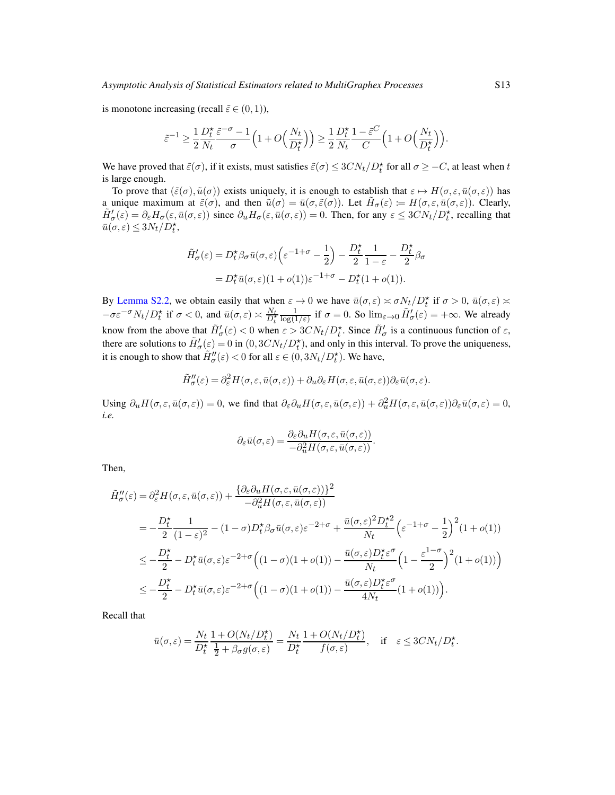is monotone increasing (recall  $\tilde{\varepsilon} \in (0, 1)$ ),

$$
\tilde{\varepsilon}^{-1} \ge \frac{1}{2} \frac{D_t^{\star}}{N_t} \frac{\tilde{\varepsilon}^{-\sigma} - 1}{\sigma} \left( 1 + O\left(\frac{N_t}{D_t^{\star}}\right) \right) \ge \frac{1}{2} \frac{D_t^{\star}}{N_t} \frac{1 - \tilde{\varepsilon}^C}{C} \left( 1 + O\left(\frac{N_t}{D_t^{\star}}\right) \right).
$$

We have proved that  $\tilde{\varepsilon}(\sigma)$ , if it exists, must satisfies  $\tilde{\varepsilon}(\sigma) \leq 3CN_t/D_t^*$  for all  $\sigma \geq -C$ , at least when t is large enough.

To prove that  $(\tilde{\varepsilon}(\sigma), \tilde{u}(\sigma))$  exists uniquely, it is enough to establish that  $\varepsilon \mapsto H(\sigma, \varepsilon, \bar{u}(\sigma, \varepsilon))$  has a unique maximum at  $\tilde{\varepsilon}(\sigma)$ , and then  $\tilde{u}(\sigma) = \bar{u}(\sigma, \tilde{\varepsilon}(\sigma))$ . Let  $\tilde{H}_{\sigma}(\varepsilon) := H(\sigma, \varepsilon, \bar{u}(\sigma, \varepsilon))$ . Clearly,  $\tilde{H}'_{\sigma}(\varepsilon) = \partial_{\varepsilon} H_{\sigma}(\varepsilon, \bar{u}(\sigma, \varepsilon))$  since  $\partial_{u} H_{\sigma}(\varepsilon, \bar{u}(\sigma, \varepsilon)) = 0$ . Then, for any  $\varepsilon \leq 3CN_t/D_t^*$ , recalling that  $\bar{u}(\sigma,\varepsilon) \leq 3N_t/D_t^*$ 

$$
\tilde{H}'_{\sigma}(\varepsilon) = D_t^{\star} \beta_{\sigma} \bar{u}(\sigma, \varepsilon) \left( \varepsilon^{-1+\sigma} - \frac{1}{2} \right) - \frac{D_t^{\star}}{2} \frac{1}{1 - \varepsilon} - \frac{D_t^{\star}}{2} \beta_{\sigma}
$$
\n
$$
= D_t^{\star} \bar{u}(\sigma, \varepsilon) (1 + o(1)) \varepsilon^{-1+\sigma} - D_t^{\star} (1 + o(1)).
$$

By [Lemma S2.2,](#page-39-0) we obtain easily that when  $\varepsilon \to 0$  we have  $\bar{u}(\sigma, \varepsilon) \asymp \sigma N_t/D_t^*$  if  $\sigma > 0$ ,  $\bar{u}(\sigma, \varepsilon) \asymp$  $-\sigma \varepsilon^{-\sigma} N_t / D_t^*$  if  $\sigma < 0$ , and  $\bar{u}(\sigma, \varepsilon) \approx \frac{N_t}{D_t^*}$  $\frac{1}{\log(1/\varepsilon)}$  if  $\sigma = 0$ . So  $\lim_{\varepsilon \to 0} \tilde{H}'_{\sigma}(\varepsilon) = +\infty$ . We already know from the above that  $\tilde{H}'_{\sigma}(\varepsilon) < 0$  when  $\varepsilon > 3CN_t/D_t^*$ . Since  $\tilde{H}'_{\sigma}$  is a continuous function of  $\varepsilon$ , there are solutions to  $\tilde{H}'_{\sigma}(\varepsilon) = 0$  in  $(0, 3CN_t/D_t^*)$ , and only in this interval. To prove the uniqueness, it is enough to show that  $\tilde{H}''_{\sigma}(\varepsilon) < 0$  for all  $\varepsilon \in (0, 3N_t/D_t^{\star})$ . We have,

$$
\tilde{H}''_{\sigma}(\varepsilon) = \partial_{\varepsilon}^{2} H(\sigma, \varepsilon, \bar{u}(\sigma, \varepsilon)) + \partial_{u} \partial_{\varepsilon} H(\sigma, \varepsilon, \bar{u}(\sigma, \varepsilon)) \partial_{\varepsilon} \bar{u}(\sigma, \varepsilon).
$$

Using  $\partial_u H(\sigma, \varepsilon, \bar{u}(\sigma, \varepsilon)) = 0$ , we find that  $\partial_{\varepsilon} \partial_u H(\sigma, \varepsilon, \bar{u}(\sigma, \varepsilon)) + \partial_u^2 H(\sigma, \varepsilon, \bar{u}(\sigma, \varepsilon))\partial_{\varepsilon} \bar{u}(\sigma, \varepsilon) = 0$ , *i.e.*

$$
\partial_{\varepsilon}\bar{u}(\sigma,\varepsilon)=\frac{\partial_{\varepsilon}\partial_{u}H(\sigma,\varepsilon,\bar{u}(\sigma,\varepsilon))}{-\partial_{u}^{2}H(\sigma,\varepsilon,\bar{u}(\sigma,\varepsilon))}.
$$

Then,

$$
\tilde{H}''_{\sigma}(\varepsilon) = \partial_{\varepsilon}^{2} H(\sigma, \varepsilon, \bar{u}(\sigma, \varepsilon)) + \frac{\{\partial_{\varepsilon}\partial_{u} H(\sigma, \varepsilon, \bar{u}(\sigma, \varepsilon))\}^{2}}{-\partial_{u}^{2} H(\sigma, \varepsilon, \bar{u}(\sigma, \varepsilon))}
$$
\n
$$
= -\frac{D_{t}^{\star}}{2} \frac{1}{(1-\varepsilon)^{2}} - (1-\sigma)D_{t}^{\star}\beta_{\sigma}\bar{u}(\sigma, \varepsilon)\varepsilon^{-2+\sigma} + \frac{\bar{u}(\sigma, \varepsilon)^{2}D_{t}^{\star 2}}{N_{t}} \left(\varepsilon^{-1+\sigma} - \frac{1}{2}\right)^{2}(1+o(1))
$$
\n
$$
\leq -\frac{D_{t}^{\star}}{2} - D_{t}^{\star}\bar{u}(\sigma, \varepsilon)\varepsilon^{-2+\sigma} \left((1-\sigma)(1+o(1)) - \frac{\bar{u}(\sigma, \varepsilon)D_{t}^{\star}\varepsilon^{\sigma}}{N_{t}}\left(1 - \frac{\varepsilon^{1-\sigma}}{2}\right)^{2}(1+o(1))\right)
$$
\n
$$
\leq -\frac{D_{t}^{\star}}{2} - D_{t}^{\star}\bar{u}(\sigma, \varepsilon)\varepsilon^{-2+\sigma} \left((1-\sigma)(1+o(1)) - \frac{\bar{u}(\sigma, \varepsilon)D_{t}^{\star}\varepsilon^{\sigma}}{4N_{t}}(1+o(1))\right).
$$

Recall that

$$
\bar{u}(\sigma,\varepsilon) = \frac{N_t}{D_t^{\star}} \frac{1 + O(N_t/D_t^{\star})}{\frac{1}{2} + \beta_{\sigma}g(\sigma,\varepsilon)} = \frac{N_t}{D_t^{\star}} \frac{1 + O(N_t/D_t^{\star})}{f(\sigma,\varepsilon)}, \quad \text{if} \quad \varepsilon \le 3CN_t/D_t^{\star}.
$$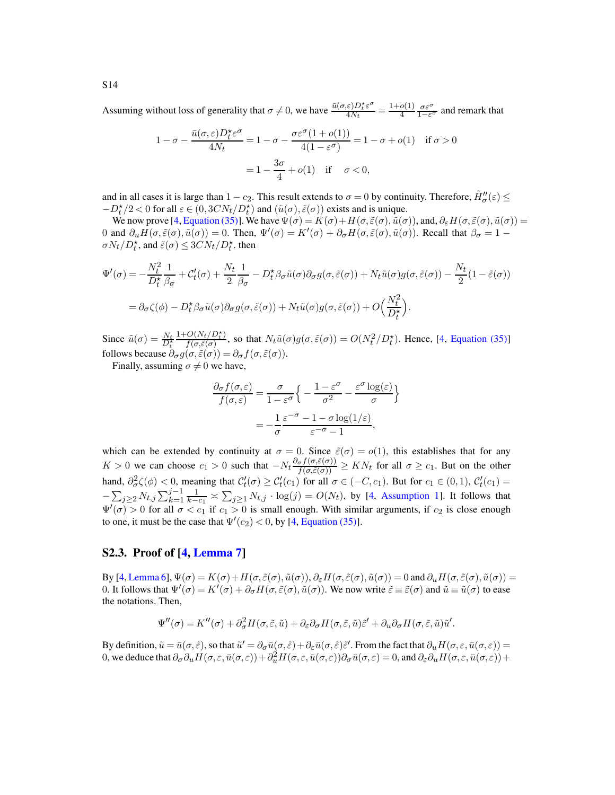Assuming without loss of generality that  $\sigma \neq 0$ , we have  $\frac{\bar{u}(\sigma,\varepsilon)D_t^* \varepsilon^{\sigma}}{4N_t}$  $\frac{\varepsilon D_t^* \varepsilon^{\sigma}}{4N_t} = \frac{1+o(1)}{4}$  $\frac{o(1)}{4} \frac{\sigma \varepsilon^{\sigma}}{1 - \varepsilon^{\sigma}}$  and remark that

$$
1 - \sigma - \frac{\bar{u}(\sigma, \varepsilon)D_t^* \varepsilon^{\sigma}}{4N_t} = 1 - \sigma - \frac{\sigma \varepsilon^{\sigma} (1 + o(1))}{4(1 - \varepsilon^{\sigma})} = 1 - \sigma + o(1) \quad \text{if } \sigma > 0
$$

$$
= 1 - \frac{3\sigma}{4} + o(1) \quad \text{if } \sigma < 0,
$$

and in all cases it is large than  $1 - c_2$ . This result extends to  $\sigma = 0$  by continuity. Therefore,  $\tilde{H}''_{\sigma}(\varepsilon) \leq$  $-D_t^{\star}/2 < 0$  for all  $\varepsilon \in (0, 3CN_t/D_t^{\star})$  and  $(\tilde{u}(\sigma), \tilde{\varepsilon}(\sigma))$  exists and is unique.

We now prove [\[4](#page-78-0), [Equation \(35\)\]](#page-19-4). We have  $\Psi(\sigma) = K(\sigma) + H(\sigma, \tilde{\varepsilon}(\sigma), \tilde{u}(\sigma))$ , and,  $\partial_{\varepsilon} H(\sigma, \tilde{\varepsilon}(\sigma), \tilde{u}(\sigma)) =$ 0 and  $\partial_u H(\sigma, \tilde{\varepsilon}(\sigma), \tilde{u}(\sigma)) = 0$ . Then,  $\Psi'(\sigma) = K'(\sigma) + \partial_\sigma H(\sigma, \tilde{\varepsilon}(\sigma), \tilde{u}(\sigma))$ . Recall that  $\beta_\sigma = 1 \sigma N_t/D_t^*$ , and  $\tilde{\varepsilon}(\sigma) \leq 3CN_t/D_t^*$ . then

$$
\Psi'(\sigma) = -\frac{N_t^2}{D_t^*} \frac{1}{\beta_{\sigma}} + C'_t(\sigma) + \frac{N_t}{2} \frac{1}{\beta_{\sigma}} - D_t^* \beta_{\sigma} \tilde{u}(\sigma) \partial_{\sigma} g(\sigma, \tilde{\varepsilon}(\sigma)) + N_t \tilde{u}(\sigma) g(\sigma, \tilde{\varepsilon}(\sigma)) - \frac{N_t}{2} (1 - \tilde{\varepsilon}(\sigma))
$$
  
=  $\partial_{\sigma} \zeta(\phi) - D_t^* \beta_{\sigma} \tilde{u}(\sigma) \partial_{\sigma} g(\sigma, \tilde{\varepsilon}(\sigma)) + N_t \tilde{u}(\sigma) g(\sigma, \tilde{\varepsilon}(\sigma)) + O\left(\frac{N_t^2}{D_t^*}\right).$ 

Since  $\tilde{u}(\sigma) = \frac{N_t}{D_t^*}$  $1 + O(N_t/D_t^*)$  $\frac{O(N_t/D_t^x)}{f(\sigma,\tilde{\varepsilon}(\sigma))}$ , so that  $N_t\tilde{u}(\sigma)g(\sigma,\tilde{\varepsilon}(\sigma)) = O(N_t^2/D_t^*)$ . Hence, [\[4,](#page-78-0) [Equation \(35\)\]](#page-19-4) follows because  $\partial_{\sigma} g(\sigma, \tilde{\varepsilon}(\sigma)) = \partial_{\sigma} f(\sigma, \tilde{\varepsilon}(\sigma))$ .

Finally, assuming  $\sigma \neq 0$  we have,

$$
\frac{\partial_{\sigma} f(\sigma, \varepsilon)}{f(\sigma, \varepsilon)} = \frac{\sigma}{1 - \varepsilon^{\sigma}} \left\{ -\frac{1 - \varepsilon^{\sigma}}{\sigma^2} - \frac{\varepsilon^{\sigma} \log(\varepsilon)}{\sigma} \right\}
$$

$$
= -\frac{1}{\sigma} \frac{\varepsilon^{-\sigma} - 1 - \sigma \log(1/\varepsilon)}{\varepsilon^{-\sigma} - 1},
$$

which can be extended by continuity at  $\sigma = 0$ . Since  $\tilde{\varepsilon}(\sigma) = o(1)$ , this establishes that for any  $K > 0$  we can choose  $c_1 > 0$  such that  $-N_t \frac{\partial_{\sigma} f(\sigma, \tilde{\varepsilon}(\sigma))}{f(\sigma, \tilde{\varepsilon}(\sigma))} \geq KN_t$  for all  $\sigma \geq c_1$ . But on the other hand,  $\partial^2_{\sigma} \zeta(\phi) < 0$ , meaning that  $\mathcal{C}'_t(\sigma) \geq \mathcal{C}'_t(c_1)$  for all  $\sigma \in (-C, c_1)$ . But for  $c_1 \in (0, 1)$ ,  $\mathcal{C}'_t(c_1) =$  $-\sum_{j\geq 2} N_{t,j}\sum_{k=1}^{j-1}\frac{1}{k-c_1} \asymp \sum_{j\geq 1} N_{t,j} \cdot \log(j) = O(N_t)$ , by [\[4](#page-78-0), [Assumption 1\]](#page-3-0). It follows that  $\Psi'(\sigma) > 0$  for all  $\sigma < c_1$  if  $c_1 > 0$  is small enough. With similar arguments, if  $c_2$  is close enough to one, it must be the case that  $\Psi'(c_2) < 0$ , by [\[4,](#page-78-0) [Equation \(35\)\]](#page-19-4).

#### S2.3. Proof of [\[4,](#page-78-0) [Lemma 7\]](#page-19-5)

By [\[4,](#page-78-0) [Lemma 6\]](#page-19-3),  $\Psi(\sigma) = K(\sigma) + H(\sigma, \tilde{\varepsilon}(\sigma), \tilde{u}(\sigma))$ ,  $\partial_{\varepsilon} H(\sigma, \tilde{\varepsilon}(\sigma), \tilde{u}(\sigma)) = 0$  and  $\partial_u H(\sigma, \tilde{\varepsilon}(\sigma), \tilde{u}(\sigma)) = 0$ 0. It follows that  $\Psi'(\sigma) = K'(\sigma) + \partial_{\sigma} H(\sigma, \tilde{\varepsilon}(\sigma), \tilde{u}(\sigma))$ . We now write  $\tilde{\varepsilon} \equiv \tilde{\varepsilon}(\sigma)$  and  $\tilde{u} \equiv \tilde{u}(\sigma)$  to ease the notations. Then,

$$
\Psi''(\sigma) = K''(\sigma) + \partial_{\sigma}^2 H(\sigma, \tilde{\varepsilon}, \tilde{u}) + \partial_{\varepsilon} \partial_{\sigma} H(\sigma, \tilde{\varepsilon}, \tilde{u}) \tilde{\varepsilon}' + \partial_u \partial_{\sigma} H(\sigma, \tilde{\varepsilon}, \tilde{u}) \tilde{u}'.
$$

By definition,  $\tilde{u} = \bar{u}(\sigma, \tilde{\varepsilon})$ , so that  $\tilde{u}' = \partial_{\sigma} \bar{u}(\sigma, \tilde{\varepsilon}) + \partial_{\varepsilon} \bar{u}(\sigma, \tilde{\varepsilon}) \tilde{\varepsilon}'$ . From the fact that  $\partial_{u} H(\sigma, \varepsilon, \bar{u}(\sigma, \varepsilon)) =$ 0, we deduce that  $\partial_{\sigma} \partial_{u} H(\sigma, \varepsilon, \bar{u}(\sigma, \varepsilon)) + \partial_{u}^{2} H(\sigma, \varepsilon, \bar{u}(\sigma, \varepsilon))\partial_{\sigma} \bar{u}(\sigma, \varepsilon) = 0$ , and  $\partial_{\varepsilon} \partial_{u} H(\sigma, \varepsilon, \bar{u}(\sigma, \varepsilon)) +$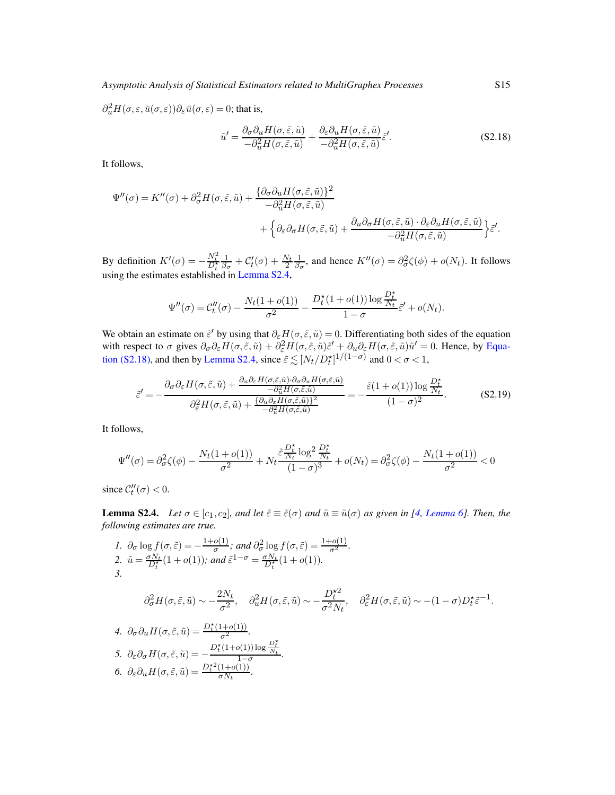$\partial_u^2 H(\sigma,\varepsilon,\bar{u}(\sigma,\varepsilon))\partial_{\varepsilon}\bar{u}(\sigma,\varepsilon) = 0$ ; that is,

<span id="page-45-1"></span>
$$
\tilde{u}' = \frac{\partial_{\sigma}\partial_{u}H(\sigma,\tilde{\varepsilon},\tilde{u})}{-\partial_{u}^{2}H(\sigma,\tilde{\varepsilon},\tilde{u})} + \frac{\partial_{\varepsilon}\partial_{u}H(\sigma,\tilde{\varepsilon},\tilde{u})}{-\partial_{u}^{2}H(\sigma,\tilde{\varepsilon},\tilde{u})}\tilde{\varepsilon}'.
$$
\n(S2.18)

It follows,

$$
\Psi''(\sigma) = K''(\sigma) + \partial_{\sigma}^{2} H(\sigma, \tilde{\varepsilon}, \tilde{u}) + \frac{\{\partial_{\sigma} \partial_{u} H(\sigma, \tilde{\varepsilon}, \tilde{u})\}^{2}}{-\partial_{u}^{2} H(\sigma, \tilde{\varepsilon}, \tilde{u})} + \left\{\partial_{\varepsilon} \partial_{\sigma} H(\sigma, \tilde{\varepsilon}, \tilde{u}) + \frac{\partial_{u} \partial_{\sigma} H(\sigma, \tilde{\varepsilon}, \tilde{u}) \cdot \partial_{\varepsilon} \partial_{u} H(\sigma, \tilde{\varepsilon}, \tilde{u})}{-\partial_{u}^{2} H(\sigma, \tilde{\varepsilon}, \tilde{u})}\right\} \tilde{\varepsilon}'.
$$

By definition  $K'(\sigma) = -\frac{N_t^2}{D_t^*}$  $\frac{1}{\beta_{\sigma}} + C_t'(\sigma) + \frac{N_t}{2} \frac{1}{\beta_{\sigma}},$  and hence  $K''(\sigma) = \partial_{\sigma}^2 \zeta(\phi) + o(N_t)$ . It follows using the estimates established in [Lemma S2.4,](#page-45-0)

$$
\Psi''(\sigma) = C_t''(\sigma) - \frac{N_t(1+o(1))}{\sigma^2} - \frac{D_t^{\star}(1+o(1))\log\frac{D_t^{\star}}{N_t}}{1-\sigma}\tilde{\varepsilon}' + o(N_t).
$$

We obtain an estimate on  $\tilde{\varepsilon}'$  by using that  $\partial_{\varepsilon}H(\sigma,\tilde{\varepsilon},\tilde{u})=0$ . Differentiating both sides of the equation with respect to  $\sigma$  gives  $\partial_{\sigma} \partial_{\varepsilon} H(\sigma, \tilde{\varepsilon}, \tilde{u}) + \partial_{\varepsilon}^2 H(\sigma, \tilde{\varepsilon}, \tilde{u}) \tilde{\varepsilon}' + \partial_u \partial_{\varepsilon} H(\sigma, \tilde{\varepsilon}, \tilde{u}) \tilde{u}' = 0$ . Hence, by Equa-tion (S2.18), and then by [Lemma S2.4,](#page-45-0) since  $\tilde{\varepsilon} \lesssim [N_t/D_t^{\star}]^{1/(1-\sigma)}$  $\tilde{\varepsilon} \lesssim [N_t/D_t^{\star}]^{1/(1-\sigma)}$  $\tilde{\varepsilon} \lesssim [N_t/D_t^{\star}]^{1/(1-\sigma)}$  and  $0 < \sigma < 1$ ,

$$
\tilde{\varepsilon}' = -\frac{\partial_{\sigma}\partial_{\varepsilon}H(\sigma,\tilde{\varepsilon},\tilde{u}) + \frac{\partial_{u}\partial_{\varepsilon}H(\sigma,\tilde{\varepsilon},\tilde{u})\cdot\partial_{\sigma}\partial_{u}H(\sigma,\tilde{\varepsilon},\tilde{u})}{-\partial_{u}^{2}H(\sigma,\tilde{\varepsilon},\tilde{u})}}{\partial_{\varepsilon}^{2}H(\sigma,\tilde{\varepsilon},\tilde{u}) + \frac{\{\partial_{u}\partial_{\varepsilon}H(\sigma,\tilde{\varepsilon},\tilde{u})\}^{2}}{-\partial_{u}^{2}H(\sigma,\tilde{\varepsilon},\tilde{u})}} = -\frac{\tilde{\varepsilon}(1+o(1))\log\frac{D_{t}^{*}}{N_{t}}}{(1-\sigma)^{2}}.
$$
(S2.19)

It follows,

$$
\Psi''(\sigma) = \partial_{\sigma}^2 \zeta(\phi) - \frac{N_t(1 + o(1))}{\sigma^2} + N_t \frac{\tilde{\varepsilon} \frac{D_t^{\star}}{N_t} \log^2 \frac{D_t^{\star}}{N_t}}{(1 - \sigma)^3} + o(N_t) = \partial_{\sigma}^2 \zeta(\phi) - \frac{N_t(1 + o(1))}{\sigma^2} < 0
$$

<span id="page-45-0"></span>since  $\mathcal{C}_t''(\sigma) < 0$ .

**Lemma S2.4.** *Let*  $\sigma \in [c_1, c_2]$ *, and let*  $\tilde{\varepsilon} \equiv \tilde{\varepsilon}(\sigma)$  *and*  $\tilde{u} \equiv \tilde{u}(\sigma)$  *as given in [\[4,](#page-78-0) [Lemma 6\]](#page-19-3). Then, the following estimates are true.*

<span id="page-45-7"></span><span id="page-45-6"></span><span id="page-45-5"></span><span id="page-45-4"></span><span id="page-45-3"></span><span id="page-45-2"></span>\n- \n
$$
\begin{aligned}\n 1. \ \partial_{\sigma} \log f(\sigma, \tilde{\varepsilon}) &= -\frac{1 + o(1)}{\sigma}; \text{ and } \partial_{\sigma}^{2} \log f(\sigma, \tilde{\varepsilon}) = \frac{1 + o(1)}{\sigma^{2}}. \\
2. \ \tilde{u} &= \frac{\sigma N_{t}}{D_{t}^{*}} (1 + o(1)); \text{ and } \tilde{\varepsilon}^{1 - \sigma} = \frac{\sigma N_{t}}{D_{t}^{*}} (1 + o(1)). \\
3. \ \partial_{\sigma}^{2} H(\sigma, \tilde{\varepsilon}, \tilde{u}) &\sim -\frac{2N_{t}}{\sigma^{2}}, \quad \partial_{u}^{2} H(\sigma, \tilde{\varepsilon}, \tilde{u}) &\sim -\frac{D_{t}^{*2}}{\sigma^{2} N_{t}}, \quad \partial_{\varepsilon}^{2} H(\sigma, \tilde{\varepsilon}, \tilde{u}) &\sim - (1 - \sigma) D_{t}^{*} \tilde{\varepsilon}^{-1}.\n \end{aligned}
$$
\n
\n- \n
$$
\begin{aligned}\n 4. \ \partial_{\sigma} \partial_{u} H(\sigma, \tilde{\varepsilon}, \tilde{u}) &= \frac{D_{t}^{*} (1 + o(1))}{\sigma^{2}}. \\
5. \ \partial_{\varepsilon} \partial_{\sigma} H(\sigma, \tilde{\varepsilon}, \tilde{u}) &= -\frac{D_{t}^{*} (1 + o(1)) \log \frac{D_{t}^{*}}{N_{t}}}{1 - \sigma}.\n \end{aligned}
$$
\n
\n- \n
$$
\begin{aligned}\n 6. \ \partial_{\varepsilon} \partial_{u} H(\sigma, \tilde{\varepsilon}, \tilde{u}) &= \frac{D_{t}^{*} (1 + o(1))}{\sigma N_{t}}.\n \end{aligned}
$$
\n
\n

<span id="page-45-8"></span>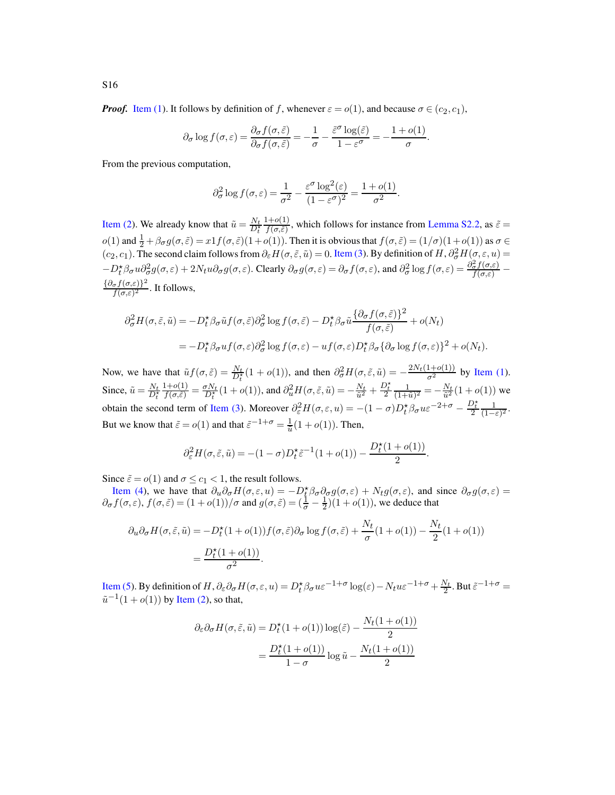*Proof.* [Item \(1\)](#page-45-2). It follows by definition of f, whenever  $\varepsilon = o(1)$ , and because  $\sigma \in (c_2, c_1)$ ,

$$
\partial_{\sigma} \log f(\sigma, \varepsilon) = \frac{\partial_{\sigma} f(\sigma, \tilde{\varepsilon})}{\partial_{\sigma} f(\sigma, \tilde{\varepsilon})} = -\frac{1}{\sigma} - \frac{\tilde{\varepsilon}^{\sigma} \log(\tilde{\varepsilon})}{1 - \varepsilon^{\sigma}} = -\frac{1 + o(1)}{\sigma}.
$$

From the previous computation,

$$
\partial_{\sigma}^{2} \log f(\sigma, \varepsilon) = \frac{1}{\sigma^{2}} - \frac{\varepsilon^{\sigma} \log^{2}(\varepsilon)}{(1 - \varepsilon^{\sigma})^{2}} = \frac{1 + o(1)}{\sigma^{2}}.
$$

[Item \(2\)](#page-45-3). We already know that  $\tilde{u} = \frac{N_t}{D_t^*}$  $1+o(1)$  $\frac{f(\tau)}{f(\sigma,\tilde{\varepsilon})}$ , which follows for instance from [Lemma S2.2,](#page-39-0) as  $\tilde{\varepsilon} =$  $o(1)$  and  $\frac{1}{2} + \beta \sigma g(\sigma, \tilde{\varepsilon}) = x1f(\sigma, \tilde{\varepsilon})(1+o(1))$ . Then it is obvious that  $f(\sigma, \tilde{\varepsilon}) = (1/\sigma)(1+o(1))$  as  $\sigma \in$  $(c_2, c_1)$ . The second claim follows from  $\partial_{\varepsilon} H(\sigma, \tilde{\varepsilon}, \tilde{u}) = 0$ . [Item \(3\)](#page-45-4). By definition of  $H$ ,  $\partial_{\sigma}^2 H(\sigma, \varepsilon, u) =$  $-D_t^{\star}\beta_{\sigma}u\partial_{\sigma}^2g(\sigma,\varepsilon)+2Nu\partial_{\sigma}g(\sigma,\varepsilon)$ . Clearly  $\partial_{\sigma}g(\sigma,\varepsilon)=\partial_{\sigma}f(\sigma,\varepsilon)$ , and  $\partial_{\sigma}^2\log f(\sigma,\varepsilon)=\frac{\partial_{\sigma}^2f(\sigma,\varepsilon)}{f(\sigma,\varepsilon)}$  $\{\partial_{\sigma} f(\sigma,\varepsilon)\}^2$  $\frac{\sigma J(\sigma,\varepsilon)f}{f(\sigma,\varepsilon)^2}$ . It follows,

$$
\partial_{\sigma}^{2} H(\sigma, \tilde{\varepsilon}, \tilde{u}) = -D_{t}^{\star} \beta_{\sigma} \tilde{u} f(\sigma, \tilde{\varepsilon}) \partial_{\sigma}^{2} \log f(\sigma, \tilde{\varepsilon}) - D_{t}^{\star} \beta_{\sigma} \tilde{u} \frac{\{\partial_{\sigma} f(\sigma, \tilde{\varepsilon})\}^{2}}{f(\sigma, \tilde{\varepsilon})} + o(N_{t})
$$
  
= 
$$
-D_{t}^{\star} \beta_{\sigma} u f(\sigma, \varepsilon) \partial_{\sigma}^{2} \log f(\sigma, \varepsilon) - u f(\sigma, \varepsilon) D_{t}^{\star} \beta_{\sigma} {\{\partial_{\sigma} \log f(\sigma, \varepsilon)\}}^{2} + o(N_{t}).
$$

Now, we have that  $\tilde{u}f(\sigma,\tilde{\varepsilon}) = \frac{N_t}{D_t^2}(1 + o(1)),$  and then  $\partial_{\sigma}^2 H(\sigma,\tilde{\varepsilon},\tilde{u}) = -\frac{2N_t(1+o(1))}{\sigma^2}$  by [Item \(1\)](#page-45-2). Since,  $\tilde{u} = \frac{N_t}{D_t^*}$  $1+o(1)$  $\frac{d_1 + o(1)}{d_1 f(\sigma, \tilde{\varepsilon})} = \frac{\sigma N_t}{D_t^*} (1 + o(1)),$  and  $\partial_u^2 H(\sigma, \tilde{\varepsilon}, \tilde{u}) = -\frac{N_t}{\tilde{u}^2} + \frac{D_t^*}{2} \frac{1}{(1 + \sigma^2)^2}$  $\frac{1}{(1+\tilde{u})^2} = -\frac{N_t}{\tilde{u}^2}(1+o(1))$  we obtain the second term of [Item \(3\)](#page-45-4). Moreover  $\partial_{\varepsilon}^{2}H(\sigma,\varepsilon,u) = -(1-\sigma)D_{t}^{*}\beta_{\sigma}u\varepsilon^{-2+\sigma} - \frac{D_{t}^{*}}{2}\frac{1}{(1-\varepsilon)}$  $\frac{1}{(1-\varepsilon)^2}$ . But we know that  $\tilde{\varepsilon} = o(1)$  and that  $\tilde{\varepsilon}^{-1+\sigma} = \frac{1}{\tilde{u}}(1+o(1)).$  Then,

$$
\partial_\varepsilon^2 H(\sigma,\tilde\varepsilon,\tilde u)=-(1-\sigma)D_t^\star\tilde\varepsilon^{-1}(1+o(1))-\frac{D_t^\star(1+o(1))}{2}.
$$

Since  $\tilde{\varepsilon} = o(1)$  and  $\sigma \leq c_1 < 1$ , the result follows.

[Item \(4\)](#page-45-5), we have that  $\partial_u \partial_\sigma H(\sigma, \varepsilon, u) = -D_t^* \beta_\sigma \partial_\sigma g(\sigma, \varepsilon) + N_t g(\sigma, \varepsilon)$ , and since  $\partial_\sigma g(\sigma, \varepsilon) =$  $\partial_{\sigma} f(\sigma,\varepsilon), f(\sigma,\tilde{\varepsilon}) = (1+o(1))/\sigma$  and  $g(\sigma,\tilde{\varepsilon}) = (\frac{1}{\sigma} - \frac{1}{2})(1+o(1)),$  we deduce that

$$
\partial_u \partial_\sigma H(\sigma, \tilde{\varepsilon}, \tilde{u}) = -D_t^{\star} (1 + o(1)) f(\sigma, \tilde{\varepsilon}) \partial_\sigma \log f(\sigma, \tilde{\varepsilon}) + \frac{N_t}{\sigma} (1 + o(1)) - \frac{N_t}{2} (1 + o(1))
$$

$$
= \frac{D_t^{\star} (1 + o(1))}{\sigma^2}.
$$

[Item \(5\)](#page-45-6). By definition of H,  $\partial_{\epsilon}\partial_{\sigma}H(\sigma,\epsilon,u) = D_t^{\star}\beta_{\sigma}u\epsilon^{-1+\sigma}\log(\epsilon) - N_t u\epsilon^{-1+\sigma} + \frac{N_t}{2}$ . But  $\tilde{\epsilon}^{-1+\sigma} =$  $\tilde{u}^{-1}(1+o(1))$  by [Item \(2\)](#page-45-3), so that,

$$
\partial_{\varepsilon} \partial_{\sigma} H(\sigma, \tilde{\varepsilon}, \tilde{u}) = D_t^{\star} (1 + o(1)) \log(\tilde{\varepsilon}) - \frac{N_t (1 + o(1))}{2}
$$

$$
= \frac{D_t^{\star} (1 + o(1))}{1 - \sigma} \log \tilde{u} - \frac{N_t (1 + o(1))}{2}
$$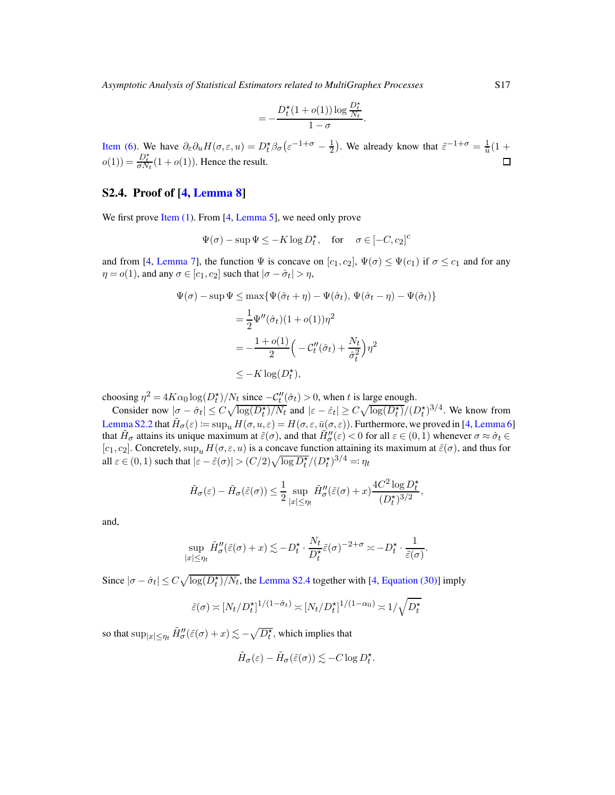$$
=-\frac{D_t^{\star}(1+o(1))\log\frac{D_t^{\star}}{N_t}}{1-\sigma}.
$$

[Item \(6\)](#page-45-7). We have  $\partial_{\varepsilon} \partial_u H(\sigma, \varepsilon, u) = D_t^* \beta_\sigma (\varepsilon^{-1+\sigma} - \frac{1}{2})$ . We already know that  $\tilde{\varepsilon}^{-1+\sigma} = \frac{1}{\tilde{u}} (1 +$  $o(1) = \frac{D_t^*}{\sigma N_t} (1 + o(1))$ . Hence the result.

### S2.4. Proof of [\[4,](#page-78-0) [Lemma 8\]](#page-19-6)

We first prove [Item \(1\)](#page-19-7). From [\[4](#page-78-0), [Lemma 5\]](#page-19-0), we need only prove

$$
\Psi(\sigma) - \sup \Psi \le -K \log D_t^{\star}, \quad \text{for } \quad \sigma \in [-C, c_2]^c
$$

and from [\[4,](#page-78-0) [Lemma 7\]](#page-19-5), the function  $\Psi$  is concave on  $[c_1, c_2]$ ,  $\Psi(\sigma) \leq \Psi(c_1)$  if  $\sigma \leq c_1$  and for any  $\eta = o(1)$ , and any  $\sigma \in [c_1, c_2]$  such that  $|\sigma - \hat{\sigma}_t| > \eta$ ,

$$
\Psi(\sigma) - \sup \Psi \le \max \{ \Psi(\hat{\sigma}_t + \eta) - \Psi(\hat{\sigma}_t), \Psi(\hat{\sigma}_t - \eta) - \Psi(\hat{\sigma}_t) \}
$$
  
\n
$$
= \frac{1}{2} \Psi''(\hat{\sigma}_t) (1 + o(1)) \eta^2
$$
  
\n
$$
= -\frac{1 + o(1)}{2} \left( -C_t''(\hat{\sigma}_t) + \frac{N_t}{\hat{\sigma}_t^2} \right) \eta^2
$$
  
\n
$$
\le -K \log(D_t^*),
$$

choosing  $\eta^2 = 4K\alpha_0 \log(D_t^*)/N_t$  since  $-C_t''(\hat{\sigma}_t) > 0$ , when t is large enough.

Consider now  $|\sigma - \hat{\sigma}_t| \le C \sqrt{\log(D_t^*)/N_t}$  and  $|\varepsilon - \hat{\varepsilon}_t| \ge C \sqrt{\log(D_t^*)}/(D_t^*)^{3/4}$ . We know from [Lemma S2.2](#page-39-0) that  $\tilde{H}_{\sigma}(\varepsilon) \coloneqq \sup_{u} H(\sigma, u, \varepsilon) = H(\sigma, \varepsilon, \bar{u}(\sigma, \varepsilon))$ . Furthermore, we proved in [\[4](#page-78-0), [Lemma 6\]](#page-19-3) that  $H_{\sigma}$  attains its unique maximum at  $\tilde{\varepsilon}(\sigma)$ , and that  $\tilde{H}''_{\sigma}(\varepsilon) < 0$  for all  $\varepsilon \in (0,1)$  whenever  $\sigma \approx \hat{\sigma}_t \in$ [c<sub>1</sub>, c<sub>2</sub>]. Concretely,  $\sup_u H(\sigma, \varepsilon, u)$  is a concave function attaining its maximum at  $\tilde{\varepsilon}(\sigma)$ , and thus for all  $\varepsilon \in (0, 1)$  such that  $|\varepsilon - \tilde{\varepsilon}(\sigma)| > (C/2)\sqrt{\log D_{t}^{*}} / (D_{t}^{*})^{3/4} =: \eta_{t}$ 

$$
\tilde{H}_{\sigma}(\varepsilon) - \tilde{H}_{\sigma}(\tilde{\varepsilon}(\sigma)) \le \frac{1}{2} \sup_{|x| \le \eta_t} \tilde{H}_{\sigma}^{\prime\prime}(\tilde{\varepsilon}(\sigma) + x) \frac{4C^2 \log D_t^{\star}}{(D_t^{\star})^{3/2}},
$$

and,

$$
\sup_{|x| \le \eta_t} \tilde{H}''_{\sigma}(\tilde{\varepsilon}(\sigma) + x) \lesssim -D_t^{\star} \cdot \frac{N_t}{D_t^{\star}} \tilde{\varepsilon}(\sigma)^{-2+\sigma} \asymp -D_t^{\star} \cdot \frac{1}{\tilde{\varepsilon}(\sigma)}.
$$

Since  $|\sigma - \hat{\sigma}_t| \le C \sqrt{\log(D_t^*)/N_t}$ , the [Lemma S2.4](#page-45-0) together with [\[4](#page-78-0), [Equation \(30\)\]](#page-18-0) imply

$$
\tilde{\varepsilon}(\sigma) \asymp [N_t/D_t^{\star}]^{1/(1-\hat{\sigma}_t)} \asymp [N_t/D_t^{\star}]^{1/(1-\alpha_0)} \asymp 1/\sqrt{D_t^{\star}}
$$

so that  $\sup_{|x|\leq\eta_t}\tilde H_\sigma''(\tilde\varepsilon(\sigma)+x)\lesssim-\sqrt{D^\star_t},$  which implies that

$$
\tilde{H}_{\sigma}(\varepsilon) - \tilde{H}_{\sigma}(\tilde{\varepsilon}(\sigma)) \lesssim -C \log D_t^{\star}.
$$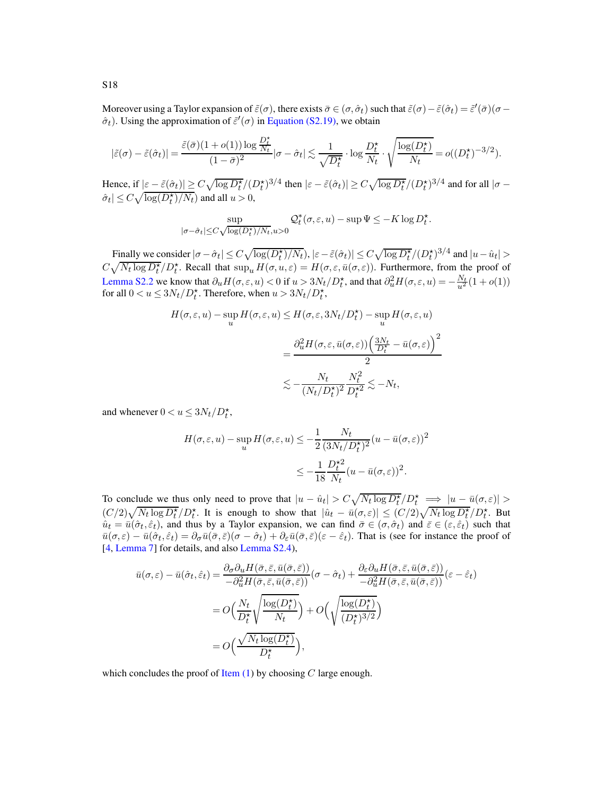Moreover using a Taylor expansion of  $\tilde{\varepsilon}(\sigma)$ , there exists  $\bar{\sigma} \in (\sigma, \hat{\sigma}_t)$  such that  $\tilde{\varepsilon}(\sigma) - \tilde{\varepsilon}(\hat{\sigma}_t) = \tilde{\varepsilon}'(\bar{\sigma})(\sigma - \tilde{\varepsilon})$  $\hat{\sigma}_t$ ). Using the approximation of  $\tilde{\varepsilon}'(\sigma)$  in [Equation \(S2.19\),](#page-45-8) we obtain

$$
|\tilde{\varepsilon}(\sigma)-\tilde{\varepsilon}(\hat{\sigma}_t)|=\frac{\tilde{\varepsilon}(\bar{\sigma})(1+o(1))\log\frac{D_t^\star}{N_t}}{(1-\bar{\sigma})^2}|\sigma-\hat{\sigma}_t|\lesssim \frac{1}{\sqrt{D_t^\star}}\cdot\log\frac{D_t^\star}{N_t}\cdot\sqrt{\frac{\log(D_t^\star)}{N_t}}=o((D_t^\star)^{-3/2}).
$$

Hence, if  $|\varepsilon - \tilde{\varepsilon}(\hat{\sigma}_t)| \ge C \sqrt{\log D_t^{\star}} / (D_t^{\star})^{3/4}$  then  $|\varepsilon - \tilde{\varepsilon}(\hat{\sigma}_t)| \ge C \sqrt{\log D_t^{\star}} / (D_t^{\star})^{3/4}$  and for all  $|\sigma - \varepsilon|$  $\left|\hat{\sigma}_t\right| \leq C\sqrt{\log(D_t^{\star})/N_t}$  and all  $u > 0$ ,

$$
\sup_{|\sigma-\hat{\sigma}_t|\leq C\sqrt{\log(D^\star_t)/N_t}, u>0} \mathcal{Q}^*_t(\sigma, \varepsilon, u) - \sup \Psi \leq -K \log D^\star_t.
$$

Finally we consider  $|\sigma - \hat{\sigma}_t| \le C \sqrt{\log(D_t^{\star})/N_t}$ ,  $|\varepsilon - \tilde{\varepsilon}(\hat{\sigma}_t)| \le C \sqrt{\log D_t^{\star}}/(D_t^{\star})^{3/4}$  and  $|u - \hat{u}_t| >$  $C\sqrt{N_t \log D_t^{\star}}/D_t^{\star}$ . Recall that  $\sup_u H(\sigma, u, \varepsilon) = H(\sigma, \varepsilon, \bar{u}(\sigma, \varepsilon))$ . Furthermore, from the proof of [Lemma S2.2](#page-39-0) we know that  $\partial_u H(\sigma, \varepsilon, u) < 0$  if  $u > 3N_t/D_t^*$ , and that  $\partial_u^2 H(\sigma, \varepsilon, u) = -\frac{N_t}{u^2}(1 + o(1))$ for all  $0 < u \leq 3N_t/D_t^*$ . Therefore, when  $u > 3N_t/D_t^*$ ,

$$
H(\sigma, \varepsilon, u) - \sup_{u} H(\sigma, \varepsilon, u) \le H(\sigma, \varepsilon, 3N_t/D_t^*) - \sup_{u} H(\sigma, \varepsilon, u)
$$
  

$$
= \frac{\partial_u^2 H(\sigma, \varepsilon, \bar{u}(\sigma, \varepsilon)) \left(\frac{3N_t}{D_t^*} - \bar{u}(\sigma, \varepsilon)\right)^2}{2}
$$
  

$$
\lesssim -\frac{N_t}{(N_t/D_t^*)^2} \frac{N_t^2}{D_t^*} \lesssim -N_t,
$$

and whenever  $0 < u \leq 3N_t/D_t^*$ ,

$$
H(\sigma, \varepsilon, u) - \sup_{u} H(\sigma, \varepsilon, u) \le -\frac{1}{2} \frac{N_t}{(3N_t/D_t^{\star})^2} (u - \bar{u}(\sigma, \varepsilon))^2
$$
  

$$
\le -\frac{1}{18} \frac{D_t^{\star 2}}{N_t} (u - \bar{u}(\sigma, \varepsilon))^2.
$$

To conclude we thus only need to prove that  $|u - \hat{u}_t| > C \sqrt{N_t \log D_t^{\star}} / D_t^{\star} \implies |u - \bar{u}(\sigma, \varepsilon)| >$  $(C/2)\sqrt{N_t \log D_t^{\star}}/D_t^{\star}$ . It is enough to show that  $|\hat{u}_t - \bar{u}(\sigma,\varepsilon)| \le (C/2)\sqrt{N_t \log D_t^{\star}}/D_t^{\star}$ . But  $\hat{u}_t = \bar{u}(\hat{\sigma}_t, \hat{\varepsilon}_t)$ , and thus by a Taylor expansion, we can find  $\bar{\sigma} \in (\sigma, \hat{\sigma}_t)$  and  $\bar{\varepsilon} \in (\varepsilon, \hat{\varepsilon}_t)$  such that  $\bar{u}(\sigma,\varepsilon) - \bar{u}(\hat{\sigma}_t,\hat{\varepsilon}_t) = \partial_{\sigma} \bar{u}(\bar{\sigma},\bar{\varepsilon})(\sigma - \hat{\sigma}_t) + \partial_{\varepsilon} \bar{u}(\bar{\sigma},\bar{\varepsilon})(\varepsilon - \hat{\varepsilon}_t)$ . That is (see for instance the proof of [\[4](#page-78-0), [Lemma 7\]](#page-19-5) for details, and also [Lemma S2.4\)](#page-45-0),

$$
\bar{u}(\sigma,\varepsilon) - \bar{u}(\hat{\sigma}_t, \hat{\varepsilon}_t) = \frac{\partial_{\sigma} \partial_{u} H(\bar{\sigma}, \bar{\varepsilon}, \bar{u}(\bar{\sigma}, \bar{\varepsilon}))}{-\partial_{u}^{2} H(\bar{\sigma}, \bar{\varepsilon}, \bar{u}(\bar{\sigma}, \bar{\varepsilon}))} (\sigma - \hat{\sigma}_t) + \frac{\partial_{\varepsilon} \partial_{u} H(\bar{\sigma}, \bar{\varepsilon}, \bar{u}(\bar{\sigma}, \bar{\varepsilon}))}{-\partial_{u}^{2} H(\bar{\sigma}, \bar{\varepsilon}, \bar{u}(\bar{\sigma}, \bar{\varepsilon}))} (\varepsilon - \hat{\varepsilon}_t)
$$
\n
$$
= O\left(\frac{N_t}{D_t^{\star}} \sqrt{\frac{\log(D_t^{\star})}{N_t}}\right) + O\left(\sqrt{\frac{\log(D_t^{\star})}{(D_t^{\star})^{3/2}}}\right)
$$
\n
$$
= O\left(\frac{\sqrt{N_t \log(D_t^{\star})}}{D_t^{\star}}\right),
$$

which concludes the proof of Item  $(1)$  by choosing C large enough.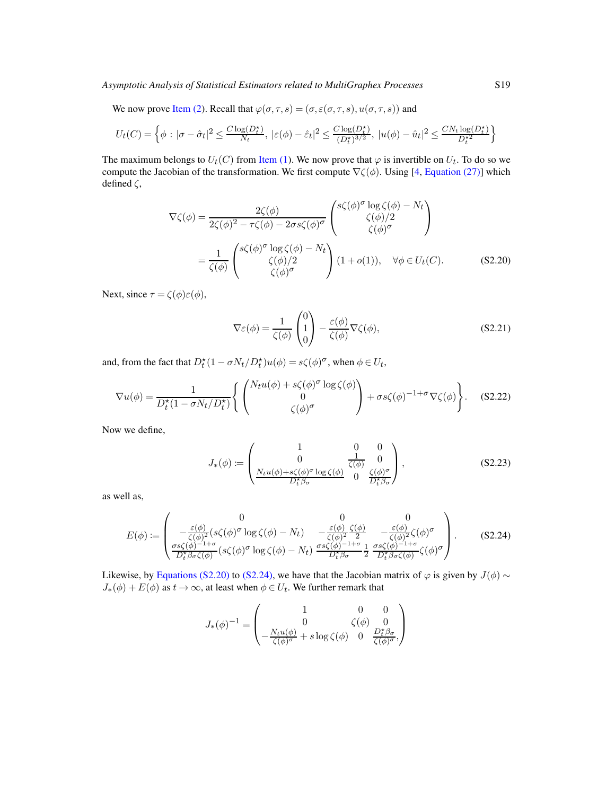We now prove [Item \(2\)](#page-20-0). Recall that  $\varphi(\sigma, \tau, s) = (\sigma, \varepsilon(\sigma, \tau, s), u(\sigma, \tau, s))$  and

$$
U_t(C) = \left\{ \phi : |\sigma - \hat{\sigma}_t|^2 \le \frac{C \log(D_t^*)}{N_t}, \ |\varepsilon(\phi) - \hat{\varepsilon}_t|^2 \le \frac{C \log(D_t^*)}{(D_t^*)^{3/2}}, \ |u(\phi) - \hat{u}_t|^2 \le \frac{C N_t \log(D_t^*)}{D_t^*^2} \right\}
$$

The maximum belongs to  $U_t(C)$  from [Item \(1\)](#page-19-7). We now prove that  $\varphi$  is invertible on  $U_t$ . To do so we compute the Jacobian of the transformation. We first compute  $\nabla \zeta(\phi)$ . Using [\[4,](#page-78-0) [Equation \(27\)\]](#page-16-0) which defined  $\zeta$ ,

$$
\nabla \zeta(\phi) = \frac{2\zeta(\phi)}{2\zeta(\phi)^2 - \tau\zeta(\phi) - 2\sigma s\zeta(\phi)^{\sigma}} \begin{pmatrix} s\zeta(\phi)^{\sigma} \log \zeta(\phi) - N_t \\ \zeta(\phi)/2 \\ \zeta(\phi)^{\sigma} \end{pmatrix}
$$
  
=  $\frac{1}{\zeta(\phi)} \begin{pmatrix} s\zeta(\phi)^{\sigma} \log \zeta(\phi) - N_t \\ \zeta(\phi)/2 \\ \zeta(\phi)^{\sigma} \end{pmatrix} (1 + o(1)), \quad \forall \phi \in U_t(C).$  (S2.20)

Next, since  $\tau = \zeta(\phi)\varepsilon(\phi)$ ,

<span id="page-49-0"></span>
$$
\nabla \varepsilon(\phi) = \frac{1}{\zeta(\phi)} \begin{pmatrix} 0 \\ 1 \\ 0 \end{pmatrix} - \frac{\varepsilon(\phi)}{\zeta(\phi)} \nabla \zeta(\phi), \tag{S2.21}
$$

and, from the fact that  $D_t^*(1 - \sigma N_t/D_t^*)u(\phi) = s\zeta(\phi)^\sigma$ , when  $\phi \in U_t$ ,

$$
\nabla u(\phi) = \frac{1}{D_t^{\star}(1 - \sigma N_t/D_t^{\star})} \left\{ \begin{pmatrix} N_t u(\phi) + s\zeta(\phi)^{\sigma} \log \zeta(\phi) \\ 0 \\ \zeta(\phi)^{\sigma} \end{pmatrix} + \sigma s \zeta(\phi)^{-1 + \sigma} \nabla \zeta(\phi) \right\}.
$$
 (S2.22)

Now we define,

$$
J_{*}(\phi) := \begin{pmatrix} 1 & 0 & 0 \\ 0 & \frac{1}{\zeta(\phi)} & 0 \\ \frac{N_t u(\phi) + s\zeta(\phi)^{\sigma} \log \zeta(\phi)}{D_t^{\star} \beta_{\sigma}} & 0 & \frac{\zeta(\phi)^{\sigma}}{D_t^{\star} \beta_{\sigma}} \end{pmatrix},
$$
(S2.23)

as well as,

<span id="page-49-1"></span>
$$
E(\phi) := \begin{pmatrix} 0 & 0 & 0 \\ -\frac{\varepsilon(\phi)}{\zeta(\phi)^2} (s\zeta(\phi)^{\sigma} \log \zeta(\phi) - N_t) & -\frac{\varepsilon(\phi)}{\zeta(\phi)^2} \frac{\zeta(\phi)}{2} & -\frac{\varepsilon(\phi)}{\zeta(\phi)^2} \zeta(\phi)^{\sigma} \\ \frac{\sigma s\zeta(\phi)^{-1+\sigma}}{D_t^{\star} \beta_{\sigma} \zeta(\phi)} (s\zeta(\phi)^{\sigma} \log \zeta(\phi) - N_t) & \frac{\sigma s\zeta(\phi)^{-1+\sigma}}{D_t^{\star} \beta_{\sigma}} \frac{1}{2} \frac{\sigma s\zeta(\phi)^{-1+\sigma}}{D_t^{\star} \beta_{\sigma} \zeta(\phi)} \zeta(\phi)^{\sigma} \end{pmatrix}.
$$
 (S2.24)

Likewise, by [Equations \(S2.20\)](#page-49-0) to [\(S2.24\),](#page-49-1) we have that the Jacobian matrix of  $\varphi$  is given by  $J(\phi) \sim$  $J_*(\phi) + E(\phi)$  as  $t \to \infty$ , at least when  $\phi \in U_t$ . We further remark that

$$
J_*(\phi)^{-1}=\begin{pmatrix}1&0&0\\0&\zeta(\phi)&0\\-\frac{N_tu(\phi)}{\zeta(\phi)^{\sigma}}+s\log\zeta(\phi)&0&\frac{D_t^*\beta_{\sigma}}{\zeta(\phi)^{\sigma}},\end{pmatrix}
$$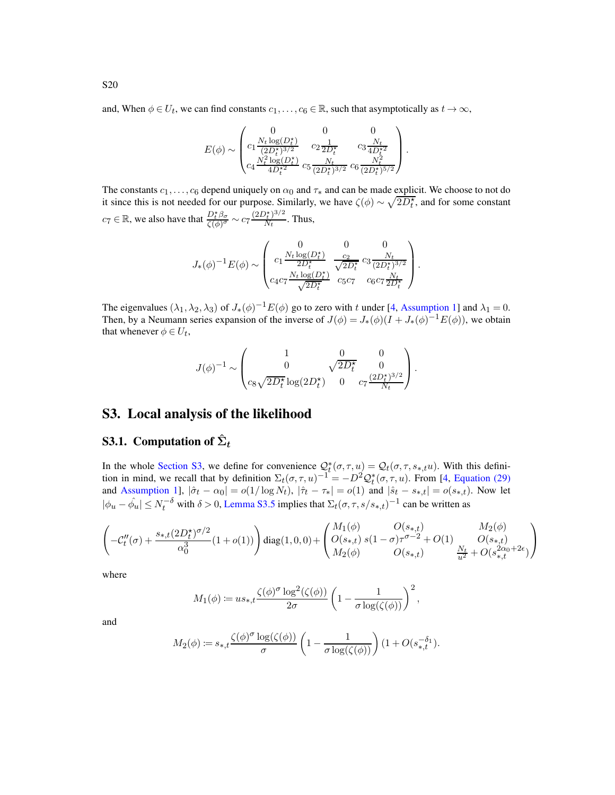and, When  $\phi \in U_t$ , we can find constants  $c_1, \ldots, c_6 \in \mathbb{R}$ , such that asymptotically as  $t \to \infty$ ,

$$
E(\phi) \sim \begin{pmatrix} 0 & 0 & 0 \\ c_1 \frac{N_t \log(D_t^{\star})}{(2D_t^{\star})^{3/2}} & c_2 \frac{1}{2D_t^{\star}} & c_3 \frac{N_t}{4D_t^{\star 2}} \\ c_4 \frac{N_t^2 \log(D_t^{\star})}{4D_t^{\star 2}} & c_5 \frac{N_t}{(2D_t^{\star})^{3/2}} & c_6 \frac{N_t^2}{(2D_t^{\star})^{5/2}} \end{pmatrix}.
$$

The constants  $c_1, \ldots, c_6$  depend uniquely on  $\alpha_0$  and  $\tau_*$  and can be made explicit. We choose to not do it since this is not needed for our purpose. Similarly, we have  $\zeta(\phi) \sim \sqrt{2D_t^*}$ , and for some constant  $c_7 \in \mathbb{R}$ , we also have that  $\frac{D_t^* \beta_\sigma}{\zeta(\phi)^\sigma} \sim c_7 \frac{(2D_t^*)^{3/2}}{N_t}$  $\frac{\gamma_t}{N_t}$ . Thus,

$$
J_{*}(\phi)^{-1}E(\phi) \sim \begin{pmatrix} 0 & 0 & 0 \\ c_{1}\frac{N_{t}\log(D_{t}^{\star})}{2D_{t}^{\star}} & \frac{c_{2}}{\sqrt{2D_{t}^{\star}}}c_{3}\frac{N_{t}}{(2D_{t}^{\star})^{3/2}}\\ c_{4}c_{7}\frac{N_{t}\log(D_{t}^{\star})}{\sqrt{2D_{t}^{\star}}} & c_{5}c_{7} & c_{6}c_{7}\frac{N_{t}}{2D_{t}^{\star}} \end{pmatrix}.
$$

The eigenvalues  $(\lambda_1, \lambda_2, \lambda_3)$  of  $J_*(\phi)^{-1} E(\phi)$  go to zero with t under [\[4,](#page-78-0) [Assumption 1\]](#page-3-0) and  $\lambda_1 = 0$ . Then, by a Neumann series expansion of the inverse of  $J(\phi) = J_*(\phi)(I + J_*(\phi)^{-1}E(\phi))$ , we obtain that whenever  $\phi \in U_t$ ,

$$
J(\phi)^{-1} \sim \begin{pmatrix} 1 & 0 & 0 \\ 0 & \sqrt{2D_t^{\star}} & 0 \\ c_8 \sqrt{2D_t^{\star}} \log(2D_t^{\star}) & 0 & c_7 \frac{(2D_t^{\star})^{3/2}}{N_t} \end{pmatrix}.
$$

## <span id="page-50-0"></span>S3. Local analysis of the likelihood

## S3.1. Computation of  $\hat{\Sigma}_t$

In the whole [Section S3,](#page-50-0) we define for convenience  $Q_t^*(\sigma, \tau, u) = Q_t(\sigma, \tau, s_{*,t}u)$ . With this definition in mind, we recall that by definition  $\Sigma_t(\sigma, \tau, u)^{-1} = -D^2 \mathcal{Q}_t^*(\sigma, \tau, u)$ . From [\[4](#page-78-0), [Equation \(29\)](#page-18-1) and [Assumption 1\]](#page-3-0),  $|\hat{\sigma}_t - \alpha_0| = o(1/\log N_t)$ ,  $|\hat{\tau}_t - \tau_*| = o(1)$  and  $|\hat{s}_t - s_{*,t}| = o(s_{*,t})$ . Now let  $|\phi_u - \hat{\phi_u}| \le N_t^{-\delta}$  with  $\delta > 0$ , [Lemma S3.5](#page-51-0) implies that  $\Sigma_t(\sigma, \tau, s/s_{*,t})^{-1}$  can be written as

$$
\left(-\mathcal{C}''_t(\sigma) + \frac{s_{*,t}(2D_t^\star)^{\sigma/2}}{\alpha_0^3}(1+o(1))\right)\mathrm{diag}(1,0,0) + \left(\begin{matrix} M_1(\phi) & O(s_{*,t}) & M_2(\phi) \\ O(s_{*,t}) & s(1-\sigma)\tau^{\sigma-2} + O(1) & O(s_{*,t}) \\ M_2(\phi) & O(s_{*,t}) & \frac{N_t}{u^2} + O(s_{*,t}^{2\alpha_0+2\epsilon}) \end{matrix}\right)
$$

where

$$
M_1(\phi) \coloneqq u s_{*,t} \frac{\zeta(\phi)^\sigma \log^2(\zeta(\phi))}{2\sigma} \left(1 - \frac{1}{\sigma \log(\zeta(\phi))}\right)^2,
$$

and

$$
M_2(\phi) \coloneqq s_{*,t} \frac{\zeta(\phi)^{\sigma} \log(\zeta(\phi))}{\sigma} \left(1 - \frac{1}{\sigma \log(\zeta(\phi))}\right) \left(1 + O(s_{*,t}^{-\delta_1})\right).
$$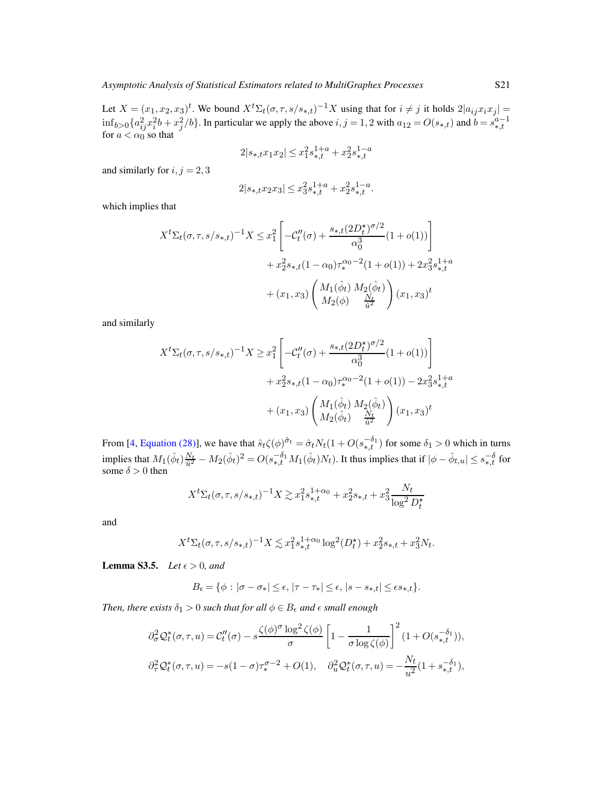Let  $X = (x_1, x_2, x_3)^t$ . We bound  $X^t \Sigma_t (\sigma, \tau, s/s_{*,t})^{-1} X$  using that for  $i \neq j$  it holds  $2|a_{ij}x_ix_j| =$  $\inf_{b>0} \{a_{ij}^2 x_i^2 b + x_j^2/b\}$ . In particular we apply the above  $i, j = 1, 2$  with  $a_{12} = O(s_{*,t})$  and  $b = s_{*,t}^{a-1}$  for  $a < \alpha_0$  so that

$$
2|s_{\ast, t} x_1 x_2| \leq x_1^2 s_{\ast, t}^{1+a} + x_2^2 s_{\ast, t}^{1-a}
$$

and similarly for  $i, j = 2, 3$ 

$$
2|s_{\ast,t} x_2 x_3|\le x_3^2s_{\ast,t}^{1+a}+x_2^2s_{\ast,t}^{1-a}.
$$

which implies that

$$
X^{t} \Sigma_{t}(\sigma, \tau, s/s_{*,t})^{-1} X \leq x_{1}^{2} \left[ -\mathcal{C}_{t}^{"}(\sigma) + \frac{s_{*,t}(2D_{t}^{*})^{\sigma/2}}{\alpha_{0}^{3}} (1 + o(1)) \right] + x_{2}^{2} s_{*,t} (1 - \alpha_{0}) \tau_{*}^{\alpha_{0} - 2} (1 + o(1)) + 2x_{3}^{2} s_{*,t}^{1 + a} + (x_{1}, x_{3}) \left( \frac{M_{1}(\hat{\phi}_{t}) M_{2}(\hat{\phi}_{t})}{M_{2}(\phi)} \right) (x_{1}, x_{3})^{t}
$$

and similarly

$$
X^{t} \Sigma_{t}(\sigma, \tau, s/s_{*,t})^{-1} X \geq x_{1}^{2} \left[ -C_{t}^{"}(\sigma) + \frac{s_{*,t}(2D_{t}^{*})^{\sigma/2}}{\alpha_{0}^{3}} (1+o(1)) \right] + x_{2}^{2} s_{*,t} (1-\alpha_{0}) \tau_{*}^{\alpha_{0}-2} (1+o(1)) - 2x_{3}^{2} s_{*,t}^{1+a} + (x_{1}, x_{3}) \left( \frac{M_{1}(\hat{\phi}_{t}) M_{2}(\hat{\phi}_{t})}{M_{2}(\hat{\phi}_{t})} \frac{N_{t}}{\hat{u}^{2}} \right) (x_{1}, x_{3})^{t}
$$

From [\[4,](#page-78-0) [Equation \(28\)\]](#page-18-2), we have that  $\hat{s}_t \zeta(\phi)^{\hat{\sigma}_t} = \hat{\sigma}_t N_t (1 + O(s_{*,t}^{-\delta_1})$  for some  $\delta_1 > 0$  which in turns implies that  $M_1(\hat{\phi}_t)\frac{N_t}{\hat{u}^2} - M_2(\hat{\phi}_t)^2 = O(s_{*,t}^{-\delta_1}M_1(\hat{\phi}_t)N_t)$ . It thus implies that if  $|\phi - \hat{\phi}_{t,u}| \leq s_{*,t}^{-\delta}$  for some  $\delta > 0$  then

$$
X^{t} \Sigma_{t}(\sigma, \tau, s/s_{*,t})^{-1} X \gtrsim x_{1}^{2} s_{*,t}^{1+\alpha_{0}} + x_{2}^{2} s_{*,t} + x_{3}^{2} \frac{N_{t}}{\log^{2} D_{t}^{*}}
$$

and

$$
X^{t} \Sigma_{t}(\sigma, \tau, s/s_{*,t})^{-1} X \lesssim x_1^{2} s_{*,t}^{1+\alpha_0} \log^{2}(D_t^{\star}) + x_2^{2} s_{*,t} + x_3^{2} N_t.
$$

<span id="page-51-0"></span>**Lemma S3.5.** *Let*  $\epsilon > 0$ *, and* 

$$
B_{\epsilon} = \{ \phi : |\sigma - \sigma_*| \leq \epsilon, |\tau - \tau_*| \leq \epsilon, |s - s_{*,t}| \leq \epsilon s_{*,t} \}.
$$

*Then, there exists*  $\delta_1 > 0$  *such that for all*  $\phi \in B_\epsilon$  *and*  $\epsilon$  *small enough* 

$$
\partial_{\sigma}^{2} \mathcal{Q}_{t}^{*}(\sigma,\tau,u) = \mathcal{C}_{t}''(\sigma) - s \frac{\zeta(\phi)^{\sigma} \log^{2} \zeta(\phi)}{\sigma} \left[1 - \frac{1}{\sigma \log \zeta(\phi)}\right]^{2} (1 + O(s_{*,t}^{-\delta_{1}})),
$$
  

$$
\partial_{\tau}^{2} \mathcal{Q}_{t}^{*}(\sigma,\tau,u) = -s(1-\sigma)\tau_{*}^{\sigma-2} + O(1), \quad \partial_{u}^{2} \mathcal{Q}_{t}^{*}(\sigma,\tau,u) = -\frac{N_{t}}{u^{2}}(1 + s_{*,t}^{-\delta_{1}}),
$$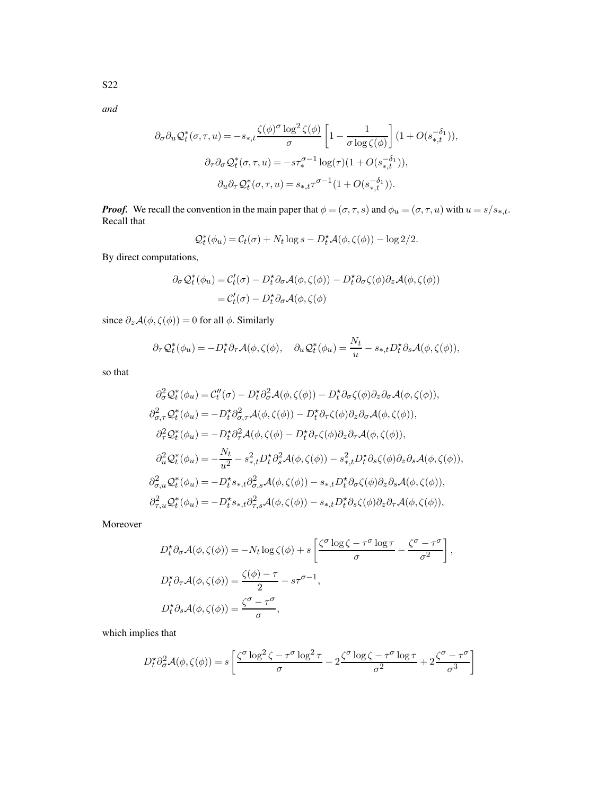*and*

$$
\partial_{\sigma} \partial_{u} Q_{t}^{*}(\sigma, \tau, u) = -s_{*,t} \frac{\zeta(\phi)^{\sigma} \log^{2} \zeta(\phi)}{\sigma} \left[ 1 - \frac{1}{\sigma \log \zeta(\phi)} \right] (1 + O(s_{*,t}^{-\delta_{1}})),
$$
  

$$
\partial_{\tau} \partial_{\sigma} Q_{t}^{*}(\sigma, \tau, u) = -s \tau_{*}^{\sigma-1} \log(\tau) (1 + O(s_{*,t}^{-\delta_{1}})),
$$
  

$$
\partial_{u} \partial_{\tau} Q_{t}^{*}(\sigma, \tau, u) = s_{*,t} \tau^{\sigma-1} (1 + O(s_{*,t}^{-\delta_{1}})).
$$

*Proof.* We recall the convention in the main paper that  $\phi = (\sigma, \tau, s)$  and  $\phi_u = (\sigma, \tau, u)$  with  $u = s/s_{*,t}$ . Recall that

$$
\mathcal{Q}_t^*(\phi_u) = \mathcal{C}_t(\sigma) + N_t \log s - D_t^* \mathcal{A}(\phi, \zeta(\phi)) - \log 2/2.
$$

By direct computations,

$$
\partial_{\sigma} Q_{t}^{*}(\phi_{u}) = C_{t}'(\sigma) - D_{t}^{*} \partial_{\sigma} \mathcal{A}(\phi, \zeta(\phi)) - D_{t}^{*} \partial_{\sigma} \zeta(\phi) \partial_{z} \mathcal{A}(\phi, \zeta(\phi))
$$

$$
= C_{t}'(\sigma) - D_{t}^{*} \partial_{\sigma} \mathcal{A}(\phi, \zeta(\phi))
$$

since  $\partial_z \mathcal{A}(\phi, \zeta(\phi)) = 0$  for all  $\phi$ . Similarly

$$
\partial_{\tau} \mathcal{Q}_t^*(\phi_u) = -D_t^* \partial_{\tau} \mathcal{A}(\phi, \zeta(\phi), \quad \partial_u \mathcal{Q}_t^*(\phi_u) = \frac{N_t}{u} - s_{*,t} D_t^* \partial_s \mathcal{A}(\phi, \zeta(\phi)),
$$

so that

$$
\partial_{\sigma}^{2} \mathcal{Q}_{t}^{*}(\phi_{u}) = \mathcal{C}_{t}^{\prime\prime}(\sigma) - D_{t}^{*} \partial_{\sigma}^{2} \mathcal{A}(\phi, \zeta(\phi)) - D_{t}^{*} \partial_{\sigma} \zeta(\phi) \partial_{z} \partial_{\sigma} \mathcal{A}(\phi, \zeta(\phi)),
$$
  
\n
$$
\partial_{\sigma, \tau}^{2} \mathcal{Q}_{t}^{*}(\phi_{u}) = -D_{t}^{*} \partial_{\sigma, \tau}^{2} \mathcal{A}(\phi, \zeta(\phi)) - D_{t}^{*} \partial_{\tau} \zeta(\phi) \partial_{z} \partial_{\sigma} \mathcal{A}(\phi, \zeta(\phi)),
$$
  
\n
$$
\partial_{\tau}^{2} \mathcal{Q}_{t}^{*}(\phi_{u}) = -D_{t}^{*} \partial_{\tau}^{2} \mathcal{A}(\phi, \zeta(\phi) - D_{t}^{*} \partial_{\tau} \zeta(\phi) \partial_{z} \partial_{\tau} \mathcal{A}(\phi, \zeta(\phi)),
$$
  
\n
$$
\partial_{u}^{2} \mathcal{Q}_{t}^{*}(\phi_{u}) = -\frac{N_{t}}{u^{2}} - s_{*,t}^{2} D_{t}^{*} \partial_{s}^{2} \mathcal{A}(\phi, \zeta(\phi)) - s_{*,t}^{2} D_{t}^{*} \partial_{s} \zeta(\phi) \partial_{z} \partial_{s} \mathcal{A}(\phi, \zeta(\phi)),
$$
  
\n
$$
\partial_{\sigma, u}^{2} \mathcal{Q}_{t}^{*}(\phi_{u}) = -D_{t}^{*} s_{*,t} \partial_{\sigma, s}^{2} \mathcal{A}(\phi, \zeta(\phi)) - s_{*,t} D_{t}^{*} \partial_{\sigma} \zeta(\phi) \partial_{z} \partial_{s} \mathcal{A}(\phi, \zeta(\phi)),
$$
  
\n
$$
\partial_{\tau, u}^{2} \mathcal{Q}_{t}^{*}(\phi_{u}) = -D_{t}^{*} s_{*,t} \partial_{\tau, s}^{2} \mathcal{A}(\phi, \zeta(\phi)) - s_{*,t} D_{t}^{*} \partial_{s} \zeta(\phi) \partial_{z} \partial_{\tau} \mathcal{A}(\phi, \zeta(\phi)),
$$

Moreover

$$
D_t^{\star} \partial_{\sigma} \mathcal{A}(\phi, \zeta(\phi)) = -N_t \log \zeta(\phi) + s \left[ \frac{\zeta^{\sigma} \log \zeta - \tau^{\sigma} \log \tau}{\sigma} - \frac{\zeta^{\sigma} - \tau^{\sigma}}{\sigma^2} \right],
$$
  
\n
$$
D_t^{\star} \partial_{\tau} \mathcal{A}(\phi, \zeta(\phi)) = \frac{\zeta(\phi) - \tau}{2} - s\tau^{\sigma - 1},
$$
  
\n
$$
D_t^{\star} \partial_s \mathcal{A}(\phi, \zeta(\phi)) = \frac{\zeta^{\sigma} - \tau^{\sigma}}{\sigma},
$$

which implies that

$$
D_t^{\star} \partial_{\sigma}^2 \mathcal{A}(\phi, \zeta(\phi)) = s \left[ \frac{\zeta^{\sigma} \log^2 \zeta - \tau^{\sigma} \log^2 \tau}{\sigma} - 2 \frac{\zeta^{\sigma} \log \zeta - \tau^{\sigma} \log \tau}{\sigma^2} + 2 \frac{\zeta^{\sigma} - \tau^{\sigma}}{\sigma^3} \right]
$$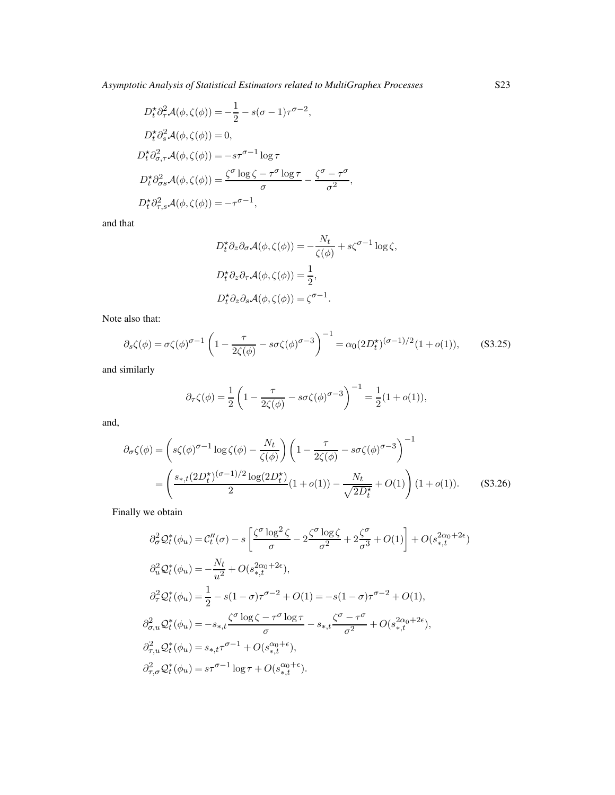$$
D_t^* \partial_\tau^2 \mathcal{A}(\phi, \zeta(\phi)) = -\frac{1}{2} - s(\sigma - 1)\tau^{\sigma - 2},
$$
  
\n
$$
D_t^* \partial_s^2 \mathcal{A}(\phi, \zeta(\phi)) = 0,
$$
  
\n
$$
D_t^* \partial_{\sigma, \tau}^2 \mathcal{A}(\phi, \zeta(\phi)) = -s\tau^{\sigma - 1} \log \tau
$$
  
\n
$$
D_t^* \partial_{\sigma s}^2 \mathcal{A}(\phi, \zeta(\phi)) = \frac{\zeta^{\sigma} \log \zeta - \tau^{\sigma} \log \tau}{\sigma} - \frac{\zeta^{\sigma} - \tau^{\sigma}}{\sigma^2},
$$
  
\n
$$
D_t^* \partial_{\tau, s}^2 \mathcal{A}(\phi, \zeta(\phi)) = -\tau^{\sigma - 1},
$$

and that

$$
D_t^{\star} \partial_z \partial_{\sigma} \mathcal{A}(\phi, \zeta(\phi)) = -\frac{N_t}{\zeta(\phi)} + s\zeta^{\sigma - 1} \log \zeta,
$$
  

$$
D_t^{\star} \partial_z \partial_\tau \mathcal{A}(\phi, \zeta(\phi)) = \frac{1}{2},
$$
  

$$
D_t^{\star} \partial_z \partial_s \mathcal{A}(\phi, \zeta(\phi)) = \zeta^{\sigma - 1}.
$$

Note also that:

$$
\partial_s \zeta(\phi) = \sigma \zeta(\phi)^{\sigma - 1} \left( 1 - \frac{\tau}{2\zeta(\phi)} - s\sigma \zeta(\phi)^{\sigma - 3} \right)^{-1} = \alpha_0 (2D_t^{\star})^{(\sigma - 1)/2} (1 + o(1)), \quad (S3.25)
$$

and similarly

<span id="page-53-1"></span>
$$
\partial_{\tau} \zeta(\phi) = \frac{1}{2} \left( 1 - \frac{\tau}{2\zeta(\phi)} - s\sigma \zeta(\phi)^{\sigma - 3} \right)^{-1} = \frac{1}{2} (1 + o(1)),
$$

and,

$$
\partial_{\sigma}\zeta(\phi) = \left(s\zeta(\phi)^{\sigma-1}\log\zeta(\phi) - \frac{N_t}{\zeta(\phi)}\right) \left(1 - \frac{\tau}{2\zeta(\phi)} - s\sigma\zeta(\phi)^{\sigma-3}\right)^{-1}
$$

$$
= \left(\frac{s_{*,t}(2D_t^{\star})(\sigma-1)/2\log(2D_t^{\star})}{2}(1+o(1)) - \frac{N_t}{\sqrt{2D_t^{\star}}} + O(1)\right)(1+o(1)).\tag{S3.26}
$$

Finally we obtain

$$
\partial_{\sigma}^{2} \mathcal{Q}_{t}^{*}(\phi_{u}) = \mathcal{C}_{t}''(\sigma) - s \left[ \frac{\zeta^{\sigma} \log^{2} \zeta}{\sigma} - 2 \frac{\zeta^{\sigma} \log \zeta}{\sigma^{2}} + 2 \frac{\zeta^{\sigma}}{\sigma^{3}} + O(1) \right] + O(s_{*,t}^{2\alpha_{0}+2\epsilon})
$$
  
\n
$$
\partial_{u}^{2} \mathcal{Q}_{t}^{*}(\phi_{u}) = -\frac{N_{t}}{u^{2}} + O(s_{*,t}^{2\alpha_{0}+2\epsilon}),
$$
  
\n
$$
\partial_{\tau}^{2} \mathcal{Q}_{t}^{*}(\phi_{u}) = \frac{1}{2} - s(1-\sigma)\tau^{\sigma-2} + O(1) = -s(1-\sigma)\tau^{\sigma-2} + O(1),
$$
  
\n
$$
\partial_{\sigma,u}^{2} \mathcal{Q}_{t}^{*}(\phi_{u}) = -s_{*,t} \frac{\zeta^{\sigma} \log \zeta - \tau^{\sigma} \log \tau}{\sigma} - s_{*,t} \frac{\zeta^{\sigma} - \tau^{\sigma}}{\sigma^{2}} + O(s_{*,t}^{2\alpha_{0}+2\epsilon}),
$$
  
\n
$$
\partial_{\tau,u}^{2} \mathcal{Q}_{t}^{*}(\phi_{u}) = s_{*,t} \tau^{\sigma-1} + O(s_{*,t}^{\alpha_{0}+\epsilon}),
$$
  
\n
$$
\partial_{\tau,\sigma}^{2} \mathcal{Q}_{t}^{*}(\phi_{u}) = s\tau^{\sigma-1} \log \tau + O(s_{*,t}^{\alpha_{0}+\epsilon}).
$$

<span id="page-53-0"></span>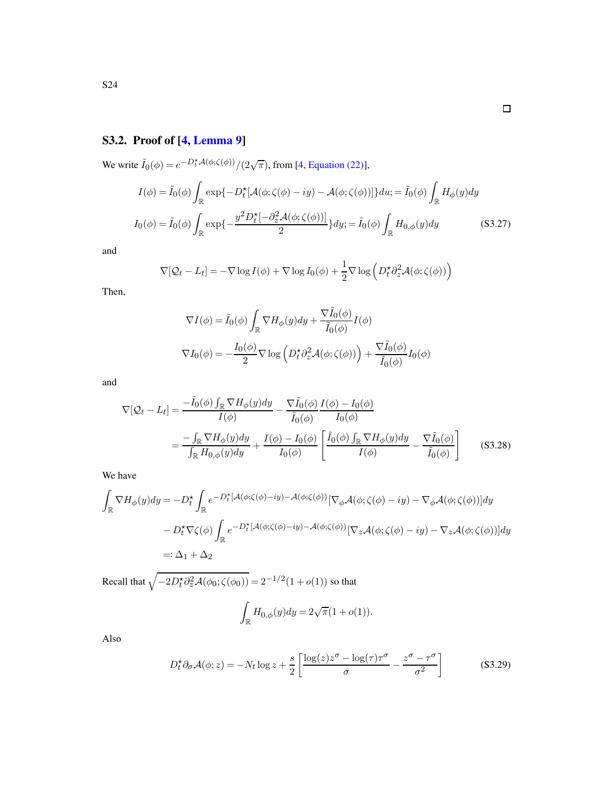# S3.2. Proof of [\[4,](#page-78-0) [Lemma 9\]](#page-26-0)

We write  $\tilde{I}_0(\phi) = e^{-D_t^* A(\phi; \zeta(\phi))} / (2\sqrt{\pi})$ , from [\[4](#page-78-0), [Equation \(22\)\]](#page-15-0),

$$
I(\phi) = \tilde{I}_0(\phi) \int_{\mathbb{R}} \exp\{-D_t^{\star}[\mathcal{A}(\phi; \zeta(\phi) - iy) - \mathcal{A}(\phi; \zeta(\phi))]\} du; = \tilde{I}_0(\phi) \int_{\mathbb{R}} H_{\phi}(y) dy
$$

$$
I_0(\phi) = \tilde{I}_0(\phi) \int_{\mathbb{R}} \exp\{-\frac{y^2 D_t^{\star}[-\partial_z^2 \mathcal{A}(\phi; \zeta(\phi))]}{2}\} dy; = \tilde{I}_0(\phi) \int_{\mathbb{R}} H_{0,\phi}(y) dy
$$
(S3.27)

and

$$
\nabla[\mathcal{Q}_t - L_t] = -\nabla \log I(\phi) + \nabla \log I_0(\phi) + \frac{1}{2} \nabla \log \left( D_t^{\star} \partial_z^2 \mathcal{A}(\phi; \zeta(\phi)) \right)
$$

Then,

$$
\nabla I(\phi) = \tilde{I}_0(\phi) \int_{\mathbb{R}} \nabla H_{\phi}(y) dy + \frac{\nabla \tilde{I}_0(\phi)}{\tilde{I}_0(\phi)} I(\phi)
$$

$$
\nabla I_0(\phi) = -\frac{I_0(\phi)}{2} \nabla \log \left( D_t^* \partial_z^2 \mathcal{A}(\phi; \zeta(\phi)) \right) + \frac{\nabla \tilde{I}_0(\phi)}{\tilde{I}_0(\phi)} I_0(\phi)
$$

and

$$
\nabla[\mathcal{Q}_t - L_t] = \frac{-\tilde{I}_0(\phi) \int_{\mathbb{R}} \nabla H_{\phi}(y) dy}{I(\phi)} - \frac{\nabla \tilde{I}_0(\phi)}{\tilde{I}_0(\phi)} \frac{I(\phi) - I_0(\phi)}{I_0(\phi)}
$$
  
= 
$$
\frac{-\int_{\mathbb{R}} \nabla H_{\phi}(y) dy}{\int_{\mathbb{R}} H_{0,\phi}(y) dy} + \frac{I(\phi) - I_0(\phi)}{I_0(\phi)} \left[ \frac{\tilde{I}_0(\phi) \int_{\mathbb{R}} \nabla H_{\phi}(y) dy}{I(\phi)} - \frac{\nabla \tilde{I}_0(\phi)}{\tilde{I}_0(\phi)} \right]
$$
(S3.28)

We have

$$
\int_{\mathbb{R}} \nabla H_{\phi}(y) dy = -D_t^{\star} \int_{\mathbb{R}} e^{-D_t^{\star} \left[ \mathcal{A}(\phi; \zeta(\phi) - iy) - \mathcal{A}(\phi; \zeta(\phi)) \right] \left[ \nabla_{\phi} \mathcal{A}(\phi; \zeta(\phi) - iy) - \nabla_{\phi} \mathcal{A}(\phi; \zeta(\phi)) \right] dy} \n- D_t^{\star} \nabla \zeta(\phi) \int_{\mathbb{R}} e^{-D_t^{\star} \left[ \mathcal{A}(\phi; \zeta(\phi) - iy) - \mathcal{A}(\phi; \zeta(\phi)) \right] \left[ \nabla_z \mathcal{A}(\phi; \zeta(\phi) - iy) - \nabla_z \mathcal{A}(\phi; \zeta(\phi)) \right] dy} \n=:\Delta_1 + \Delta_2
$$

Recall that  $\sqrt{-2D_t^{\star}\partial_z^2\mathcal{A}(\phi_0;\zeta(\phi_0))} = 2^{-1/2}(1+o(1))$  so that

<span id="page-54-1"></span><span id="page-54-0"></span>
$$
\int_{\mathbb{R}} H_{0,\phi}(y) dy = 2\sqrt{\pi}(1 + o(1)).
$$

Also

$$
D_t^{\star} \partial_{\sigma} \mathcal{A}(\phi; z) = -N_t \log z + \frac{s}{2} \left[ \frac{\log(z) z^{\sigma} - \log(\tau) \tau^{\sigma}}{\sigma} - \frac{z^{\sigma} - \tau^{\sigma}}{\sigma^2} \right]
$$
(S3.29)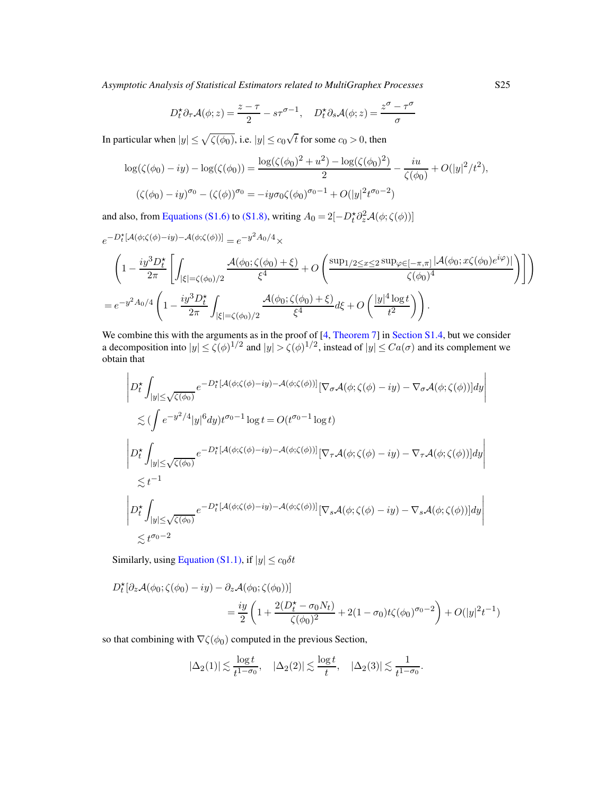$$
D_t^{\star} \partial_{\tau} \mathcal{A}(\phi; z) = \frac{z - \tau}{2} - s\tau^{\sigma - 1}, \quad D_t^{\star} \partial_s \mathcal{A}(\phi; z) = \frac{z^{\sigma} - \tau^{\sigma}}{\sigma}
$$

In particular when  $|y| \le \sqrt{\zeta(\phi_0)}$ , i.e.  $|y| \le c_0 \sqrt{t}$  for some  $c_0 > 0$ , then

$$
\log(\zeta(\phi_0) - iy) - \log(\zeta(\phi_0)) = \frac{\log(\zeta(\phi_0)^2 + u^2) - \log(\zeta(\phi_0)^2)}{2} - \frac{iu}{\zeta(\phi_0)} + O(|y|^2/t^2),
$$
  

$$
(\zeta(\phi_0) - iy)^{\sigma_0} - (\zeta(\phi))^{\sigma_0} = -iy\sigma_0\zeta(\phi_0)^{\sigma_0 - 1} + O(|y|^2 t^{\sigma_0 - 2})
$$

and also, from [Equations \(S1.6\)](#page-35-1) to [\(S1.8\),](#page-36-1) writing  $A_0 = 2[-D_t^* \partial_z^2 \mathcal{A}(\phi; \zeta(\phi))]$ 

$$
e^{-D_t^{\star}[A(\phi;\zeta(\phi)-iy)-A(\phi;\zeta(\phi))]} = e^{-y^2A_0/4} \times
$$
  

$$
\left(1 - \frac{iy^3D_t^{\star}}{2\pi} \left[ \int_{|\xi|=\zeta(\phi_0)/2} \frac{A(\phi_0;\zeta(\phi_0)+\xi)}{\xi^4} + O\left(\frac{\sup_{1/2 \le x \le 2} \sup_{\varphi \in [-\pi,\pi]} |A(\phi_0;x\zeta(\phi_0)e^{i\varphi})|}{\zeta(\phi_0)^4} \right) \right] \right)
$$
  

$$
= e^{-y^2A_0/4} \left(1 - \frac{iy^3D_t^{\star}}{2\pi} \int_{|\xi|=\zeta(\phi_0)/2} \frac{A(\phi_0;\zeta(\phi_0)+\xi)}{\xi^4} d\xi + O\left(\frac{|y|^4 \log t}{t^2}\right) \right).
$$

We combine this with the arguments as in the proof of [\[4,](#page-78-0) [Theorem 7\]](#page-14-0) in [Section S1.4,](#page-34-1) but we consider a decomposition into  $|y| \le \zeta(\phi)^{1/2}$  and  $|y| > \zeta(\phi)^{1/2}$ , instead of  $|y| \le Ca(\sigma)$  and its complement we obtain that

$$
\left| D_t^{\star} \int_{|y| \le \sqrt{\zeta(\phi_0)}} e^{-D_t^{\star} [\mathcal{A}(\phi; \zeta(\phi) - iy) - \mathcal{A}(\phi; \zeta(\phi))]} [\nabla_{\sigma} \mathcal{A}(\phi; \zeta(\phi) - iy) - \nabla_{\sigma} \mathcal{A}(\phi; \zeta(\phi))] dy \right|
$$
  
\n
$$
\lesssim (\int e^{-y^2/4} |y|^6 dy) t^{\sigma_0 - 1} \log t = O(t^{\sigma_0 - 1} \log t)
$$
  
\n
$$
\left| D_t^{\star} \int_{|y| \le \sqrt{\zeta(\phi_0)}} e^{-D_t^{\star} [\mathcal{A}(\phi; \zeta(\phi) - iy) - \mathcal{A}(\phi; \zeta(\phi))]} [\nabla_{\tau} \mathcal{A}(\phi; \zeta(\phi) - iy) - \nabla_{\tau} \mathcal{A}(\phi; \zeta(\phi))] dy \right|
$$
  
\n
$$
\lesssim t^{-1}
$$
  
\n
$$
\left| D_t^{\star} \int_{|y| \le \sqrt{\zeta(\phi_0)}} e^{-D_t^{\star} [\mathcal{A}(\phi; \zeta(\phi) - iy) - \mathcal{A}(\phi; \zeta(\phi))]} [\nabla_s \mathcal{A}(\phi; \zeta(\phi) - iy) - \nabla_s \mathcal{A}(\phi; \zeta(\phi))] dy \right|
$$
  
\n
$$
\lesssim t^{\sigma_0 - 2}
$$

Similarly, using [Equation \(S1.1\),](#page-32-0) if  $|y| \le c_0 \delta t$ 

$$
D_t^{\star} [\partial_z \mathcal{A}(\phi_0; \zeta(\phi_0) - iy) - \partial_z \mathcal{A}(\phi_0; \zeta(\phi_0))]
$$
  
=  $\frac{iy}{2} \left( 1 + \frac{2(D_t^{\star} - \sigma_0 N_t)}{\zeta(\phi_0)^2} + 2(1 - \sigma_0) t \zeta(\phi_0)^{\sigma_0 - 2} \right) + O(|y|^2 t^{-1})$ 

so that combining with  $\nabla \zeta(\phi_0)$  computed in the previous Section,

$$
|\Delta_2(1)| \lesssim \frac{\log t}{t^{1-\sigma_0}}, \quad |\Delta_2(2)| \lesssim \frac{\log t}{t}, \quad |\Delta_2(3)| \lesssim \frac{1}{t^{1-\sigma_0}}.
$$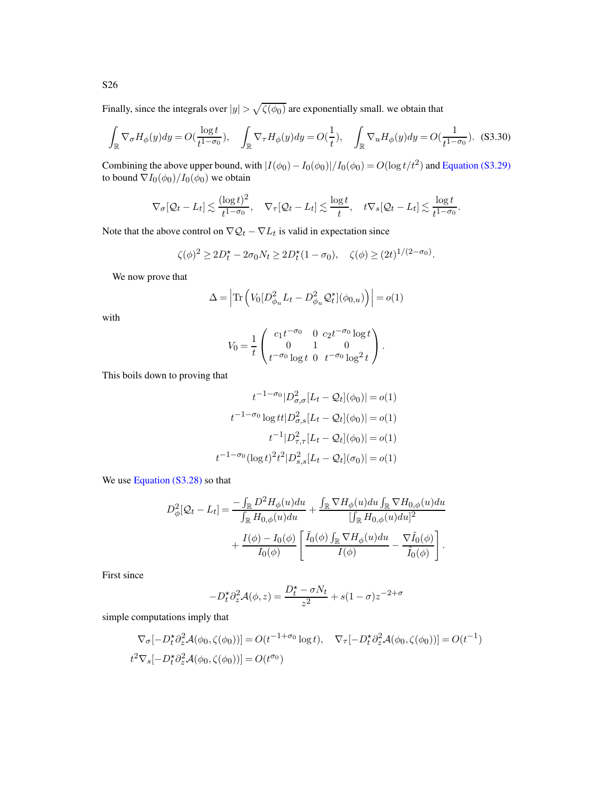Finally, since the integrals over  $|y| > \sqrt{\zeta(\phi_0)}$  are exponentially small. we obtain that

$$
\int_{\mathbb{R}} \nabla_{\sigma} H_{\phi}(y) dy = O(\frac{\log t}{t^{1-\sigma_0}}), \quad \int_{\mathbb{R}} \nabla_{\tau} H_{\phi}(y) dy = O(\frac{1}{t}), \quad \int_{\mathbb{R}} \nabla_{u} H_{\phi}(y) dy = O(\frac{1}{t^{1-\sigma_0}}). \tag{S3.30}
$$

Combining the above upper bound, with  $|I(\phi_0) - I_0(\phi_0)|/I_0(\phi_0) = O(\log t/t^2)$  and [Equation \(S3.29\)](#page-54-0) to bound  $\nabla I_0(\phi_0)/I_0(\phi_0)$  we obtain

$$
\nabla_{\sigma}[\mathcal{Q}_t - L_t] \lesssim \frac{(\log t)^2}{t^{1-\sigma_0}}, \quad \nabla_{\tau}[\mathcal{Q}_t - L_t] \lesssim \frac{\log t}{t}, \quad t \nabla_s[\mathcal{Q}_t - L_t] \lesssim \frac{\log t}{t^{1-\sigma_0}}.
$$

Note that the above control on  $\nabla Q_t - \nabla L_t$  is valid in expectation since

$$
\zeta(\phi)^2 \ge 2D_t^* - 2\sigma_0 N_t \ge 2D_t^*(1 - \sigma_0), \quad \zeta(\phi) \ge (2t)^{1/(2-\sigma_0)}.
$$

We now prove that

<span id="page-56-0"></span>
$$
\Delta = \left| \text{Tr} \left( V_0 [D_{\phi_u}^2 L_t - D_{\phi_u}^2 \mathcal{Q}_t^*](\phi_{0,u}) \right) \right| = o(1)
$$

with

$$
V_0 = \frac{1}{t} \begin{pmatrix} c_1 t^{-\sigma_0} & 0 & c_2 t^{-\sigma_0} \log t \\ 0 & 1 & 0 \\ t^{-\sigma_0} \log t & 0 & t^{-\sigma_0} \log^2 t \end{pmatrix}.
$$

This boils down to proving that

$$
t^{-1-\sigma_0}|D^2_{\sigma,\sigma}[L_t - Q_t](\phi_0)| = o(1)
$$

$$
t^{-1-\sigma_0}\log t|D^2_{\sigma,s}[L_t - Q_t](\phi_0)| = o(1)
$$

$$
t^{-1}|D^2_{\tau,\tau}[L_t - Q_t](\phi_0)| = o(1)
$$

$$
t^{-1-\sigma_0}(\log t)^2 t^2|D^2_{s,s}[L_t - Q_t](\sigma_0)| = o(1)
$$

We use [Equation \(S3.28\)](#page-54-1) so that

$$
D_{\phi}^{2}[\mathcal{Q}_{t} - L_{t}] = \frac{-\int_{\mathbb{R}} D^{2} H_{\phi}(u) du}{\int_{\mathbb{R}} H_{0,\phi}(u) du} + \frac{\int_{\mathbb{R}} \nabla H_{\phi}(u) du \int_{\mathbb{R}} \nabla H_{0,\phi}(u) du}{[\int_{\mathbb{R}} H_{0,\phi}(u) du]^{2}} + \frac{I(\phi) - I_{0}(\phi)}{I_{0}(\phi)} \left[ \frac{\tilde{I}_{0}(\phi) \int_{\mathbb{R}} \nabla H_{\phi}(u) du}{I(\phi)} - \frac{\nabla \tilde{I}_{0}(\phi)}{\tilde{I}_{0}(\phi)} \right].
$$

First since

$$
-D_t^{\star}\partial_z^2 \mathcal{A}(\phi, z) = \frac{D_t^{\star} - \sigma N_t}{z^2} + s(1 - \sigma)z^{-2 + \sigma}
$$

simple computations imply that

$$
\nabla_{\sigma}[-D_t^{\star}\partial_z^2 \mathcal{A}(\phi_0,\zeta(\phi_0))] = O(t^{-1+\sigma_0}\log t), \quad \nabla_{\tau}[-D_t^{\star}\partial_z^2 \mathcal{A}(\phi_0,\zeta(\phi_0))] = O(t^{-1})
$$
  

$$
t^2 \nabla_s[-D_t^{\star}\partial_z^2 \mathcal{A}(\phi_0,\zeta(\phi_0))] = O(t^{\sigma_0})
$$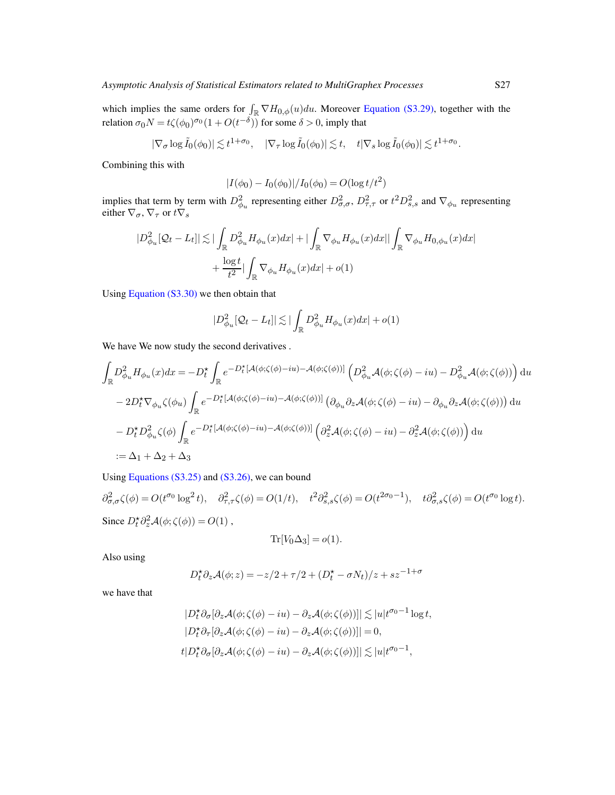which implies the same orders for  $\int_{\mathbb{R}} \nabla H_{0,\phi}(u) du$ . Moreover [Equation \(S3.29\),](#page-54-0) together with the relation  $\sigma_0 N = t \zeta(\phi_0)^{\sigma_0} (1 + O(t^{-\delta}))$  for some  $\delta > 0$ , imply that

$$
|\nabla_{\sigma} \log \tilde{I}_0(\phi_0)| \lesssim t^{1+\sigma_0}, \quad |\nabla_{\tau} \log \tilde{I}_0(\phi_0)| \lesssim t, \quad t|\nabla_s \log \tilde{I}_0(\phi_0)| \lesssim t^{1+\sigma_0}.
$$

Combining this with

$$
|I(\phi_0) - I_0(\phi_0)|/I_0(\phi_0) = O(\log t/t^2)
$$

implies that term by term with  $D_{\phi_u}^2$  representing either  $D_{\sigma,\sigma}^2$ ,  $D_{\tau,\tau}^2$  or  $t^2 D_{s,s}^2$  and  $\nabla_{\phi_u}$  representing either  $\nabla_{\sigma}$ ,  $\nabla_{\tau}$  or  $t\nabla_s$ 

$$
\begin{aligned} |D_{\phi_u}^2[\mathcal{Q}_t-L_t]| \lesssim & ~{} |\int_{\mathbb{R}} D_{\phi_u}^2 H_{\phi_u}(x) dx | + |\int_{\mathbb{R}} \nabla_{\phi_u} H_{\phi_u}(x) dx| |\int_{\mathbb{R}} \nabla_{\phi_u} H_{0,\phi_u}(x) dx| \\ & ~{} + \frac{\log t}{t^2} |\int_{\mathbb{R}} \nabla_{\phi_u} H_{\phi_u}(x) dx| + o(1) \end{aligned}
$$

Using [Equation \(S3.30\)](#page-56-0) we then obtain that

$$
|D^2_{\phi_u}[Q_t - L_t]| \lesssim |\int_{\mathbb{R}} D^2_{\phi_u} H_{\phi_u}(x) dx| + o(1)
$$

We have We now study the second derivatives .

$$
\int_{\mathbb{R}} D_{\phi_u}^2 H_{\phi_u}(x) dx = -D_t^{\star} \int_{\mathbb{R}} e^{-D_t^{\star} \left[ \mathcal{A}(\phi; \zeta(\phi) - iu) - \mathcal{A}(\phi; \zeta(\phi)) \right]} \left( D_{\phi_u}^2 \mathcal{A}(\phi; \zeta(\phi) - iu) - D_{\phi_u}^2 \mathcal{A}(\phi; \zeta(\phi)) \right) du
$$
  
\n
$$
- 2D_t^{\star} \nabla_{\phi_u} \zeta(\phi_u) \int_{\mathbb{R}} e^{-D_t^{\star} \left[ \mathcal{A}(\phi; \zeta(\phi) - iu) - \mathcal{A}(\phi; \zeta(\phi)) \right]} \left( \partial_{\phi_u} \partial_z \mathcal{A}(\phi; \zeta(\phi) - iu) - \partial_{\phi_u} \partial_z \mathcal{A}(\phi; \zeta(\phi)) \right) du
$$
  
\n
$$
- D_t^{\star} D_{\phi_u}^2 \zeta(\phi) \int_{\mathbb{R}} e^{-D_t^{\star} \left[ \mathcal{A}(\phi; \zeta(\phi) - iu) - \mathcal{A}(\phi; \zeta(\phi)) \right]} \left( \partial_z^2 \mathcal{A}(\phi; \zeta(\phi) - iu) - \partial_z^2 \mathcal{A}(\phi; \zeta(\phi)) \right) du
$$
  
\n
$$
:= \Delta_1 + \Delta_2 + \Delta_3
$$

Using [Equations \(S3.25\)](#page-53-0) and [\(S3.26\),](#page-53-1) we can bound

 $\partial_{\sigma,\sigma}^2 \zeta(\phi) = O(t^{\sigma_0} \log^2 t), \quad \partial_{\tau,\tau}^2 \zeta(\phi) = O(1/t), \quad t^2 \partial_{s,s}^2 \zeta(\phi) = O(t^{2\sigma_0 - 1}), \quad t \partial_{\sigma,s}^2 \zeta(\phi) = O(t^{\sigma_0} \log t).$ Since  $D_t^* \partial_z^2 \mathcal{A}(\phi; \zeta(\phi)) = O(1)$ ,

$$
\text{Tr}[V_0\Delta_3]=o(1).
$$

Also using

$$
D_t^{\star} \partial_z \mathcal{A}(\phi; z) = -z/2 + \tau/2 + (D_t^{\star} - \sigma N_t)/z + sz^{-1+\sigma}
$$

we have that

$$
|D_t^{\star} \partial_{\sigma} [\partial_z \mathcal{A}(\phi; \zeta(\phi) - iu) - \partial_z \mathcal{A}(\phi; \zeta(\phi))]| \lesssim |u| t^{\sigma_0 - 1} \log t,
$$
  
\n
$$
|D_t^{\star} \partial_{\tau} [\partial_z \mathcal{A}(\phi; \zeta(\phi) - iu) - \partial_z \mathcal{A}(\phi; \zeta(\phi))]| = 0,
$$
  
\n
$$
t|D_t^{\star} \partial_{\sigma} [\partial_z \mathcal{A}(\phi; \zeta(\phi) - iu) - \partial_z \mathcal{A}(\phi; \zeta(\phi))]| \lesssim |u| t^{\sigma_0 - 1},
$$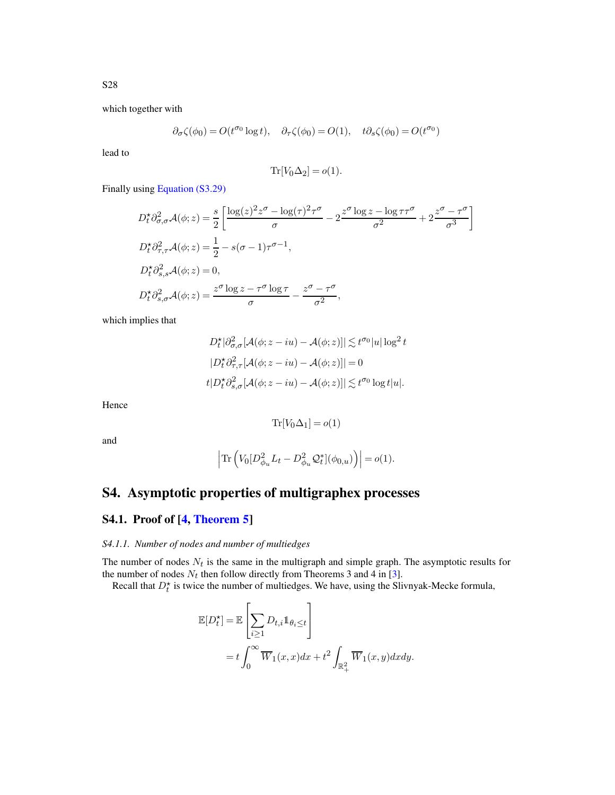which together with

$$
\partial_\sigma \zeta(\phi_0) = O(t^{\sigma_0} \log t), \quad \partial_\tau \zeta(\phi_0) = O(1), \quad t \partial_s \zeta(\phi_0) = O(t^{\sigma_0})
$$

lead to

$$
\text{Tr}[V_0 \Delta_2] = o(1).
$$

Finally using [Equation \(S3.29\)](#page-54-0)

$$
D_t^* \partial_{\sigma,\sigma}^2 \mathcal{A}(\phi; z) = \frac{s}{2} \left[ \frac{\log(z)^2 z^{\sigma} - \log(\tau)^2 \tau^{\sigma}}{\sigma} - 2 \frac{z^{\sigma} \log z - \log \tau \tau^{\sigma}}{\sigma^2} + 2 \frac{z^{\sigma} - \tau^{\sigma}}{\sigma^3} \right]
$$
  
\n
$$
D_t^* \partial_{\tau,\tau}^2 \mathcal{A}(\phi; z) = \frac{1}{2} - s(\sigma - 1)\tau^{\sigma - 1},
$$
  
\n
$$
D_t^* \partial_{s,s}^2 \mathcal{A}(\phi; z) = 0,
$$
  
\n
$$
D_t^* \partial_{s,\sigma}^2 \mathcal{A}(\phi; z) = \frac{z^{\sigma} \log z - \tau^{\sigma} \log \tau}{\sigma} - \frac{z^{\sigma} - \tau^{\sigma}}{\sigma^2},
$$

which implies that

$$
D_t^{\star} |\partial_{\sigma,\sigma}^2[\mathcal{A}(\phi; z - iu) - \mathcal{A}(\phi; z)]| \lesssim t^{\sigma_0} |u| \log^2 t
$$
  

$$
|D_t^{\star} \partial_{\tau,\tau}^2[\mathcal{A}(\phi; z - iu) - \mathcal{A}(\phi; z)]| = 0
$$
  

$$
t | D_t^{\star} \partial_{s,\sigma}^2[\mathcal{A}(\phi; z - iu) - \mathcal{A}(\phi; z)]| \lesssim t^{\sigma_0} \log t |u|.
$$

Hence

$$
\text{Tr}[V_0\Delta_1]=o(1)
$$

and

$$
\left|\text{Tr}\left(V_0[D_{\phi_u}^2L_t-D_{\phi_u}^2\mathcal{Q}_t^*](\phi_{0,u})\right)\right|=o(1).
$$

# S4. Asymptotic properties of multigraphex processes

## S4.1. Proof of [\[4,](#page-78-0) [Theorem 5\]](#page-13-0)

### *S4.1.1. Number of nodes and number of multiedges*

The number of nodes  $N_t$  is the same in the multigraph and simple graph. The asymptotic results for the number of nodes  $N_t$  then follow directly from Theorems 3 and 4 in [\[3\]](#page-78-1).

Recall that  $D_t^*$  is twice the number of multiedges. We have, using the Slivnyak-Mecke formula,

$$
\mathbb{E}[D_t^{\star}] = \mathbb{E}\left[\sum_{i\geq 1} D_{t,i} \mathbb{1}_{\theta_i \leq t}\right]
$$
  
=  $t \int_0^{\infty} \overline{W}_1(x,x) dx + t^2 \int_{\mathbb{R}_+^2} \overline{W}_1(x,y) dx dy.$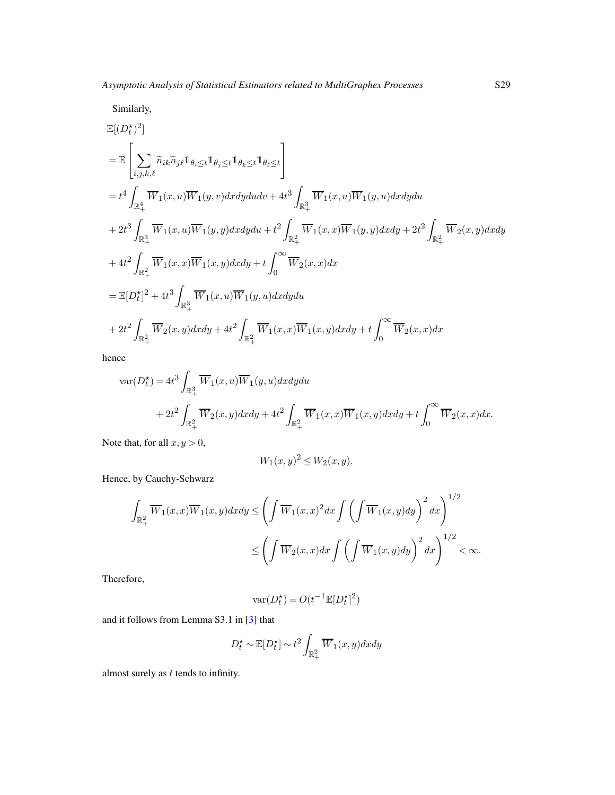Similarly,

$$
\begin{split} &\mathbb{E}[(D_{t}^{\star})^{2}] \\ &=\mathbb{E}\left[\sum_{i,j,k,\ell}\widetilde{n}_{ik}\widetilde{n}_{j\ell}\mathbbm{1}_{\theta_{i}\leq t}\mathbbm{1}_{\theta_{j}\leq t}\mathbbm{1}_{\theta_{k}\leq t}\mathbbm{1}_{\theta_{\ell}\leq t}\right] \\ &=t^{4}\int_{\mathbb{R}^{4}_{+}}\overline{W}_{1}(x,u)\overline{W}_{1}(y,v)dxdydudv+4t^{3}\int_{\mathbb{R}^{3}_{+}}\overline{W}_{1}(x,u)\overline{W}_{1}(y,u)dxdydu \\ &+2t^{3}\int_{\mathbb{R}^{3}_{+}}\overline{W}_{1}(x,u)\overline{W}_{1}(y,y)dxdydu+t^{2}\int_{\mathbb{R}^{2}_{+}}\overline{W}_{1}(x,x)\overline{W}_{1}(y,y)dxdy+2t^{2}\int_{\mathbb{R}^{2}_{+}}\overline{W}_{2}(x,y)dxdy \\ &+4t^{2}\int_{\mathbb{R}^{2}_{+}}\overline{W}_{1}(x,x)\overline{W}_{1}(x,y)dxdy+t\int_{0}^{\infty}\overline{W}_{2}(x,x)dx \\ &=\mathbb{E}[D_{t}^{\star}]^{2}+4t^{3}\int_{\mathbb{R}^{3}_{+}}\overline{W}_{1}(x,u)\overline{W}_{1}(y,u)dxdydu \\ &+2t^{2}\int_{\mathbb{R}^{2}_{+}}\overline{W}_{2}(x,y)dxdy+4t^{2}\int_{\mathbb{R}^{2}_{+}}\overline{W}_{1}(x,x)\overline{W}_{1}(x,y)dxdy+t\int_{0}^{\infty}\overline{W}_{2}(x,x)dx \end{split}
$$

hence

$$
\begin{aligned} \text{var}(D_t^{\star})&=4t^3\int_{\mathbb{R}^3_+}\overline{W}_1(x,u)\overline{W}_1(y,u) dxdydu\\&+2t^2\int_{\mathbb{R}^2_+}\overline{W}_2(x,y)dxdy+4t^2\int_{\mathbb{R}^2_+}\overline{W}_1(x,x)\overline{W}_1(x,y)dxdy+t\int_0^{\infty}\overline{W}_2(x,x)dx. \end{aligned}
$$

Note that, for all  $x, y > 0$ ,

$$
W_1(x,y)^2 \le W_2(x,y).
$$

Hence, by Cauchy-Schwarz

$$
\int_{\mathbb{R}^2_+} \overline{W}_1(x,x) \overline{W}_1(x,y) dx dy \le \left( \int \overline{W}_1(x,x)^2 dx \int \left( \int \overline{W}_1(x,y) dy \right)^2 dx \right)^{1/2} \le \left( \int \overline{W}_2(x,x) dx \int \left( \int \overline{W}_1(x,y) dy \right)^2 dx \right)^{1/2} < \infty.
$$

Therefore,

$$
\text{var}(D_t^{\star}) = O(t^{-1}\mathbb{E}[D_t^{\star}]^2)
$$

and it follows from Lemma S3.1 in [\[3\]](#page-78-1) that

$$
D_t^{\star} \sim \mathbb{E}[D_t^{\star}] \sim t^2 \int_{\mathbb{R}_+^2} \overline{W}_1(x, y) dx dy
$$

almost surely as  $t$  tends to infinity.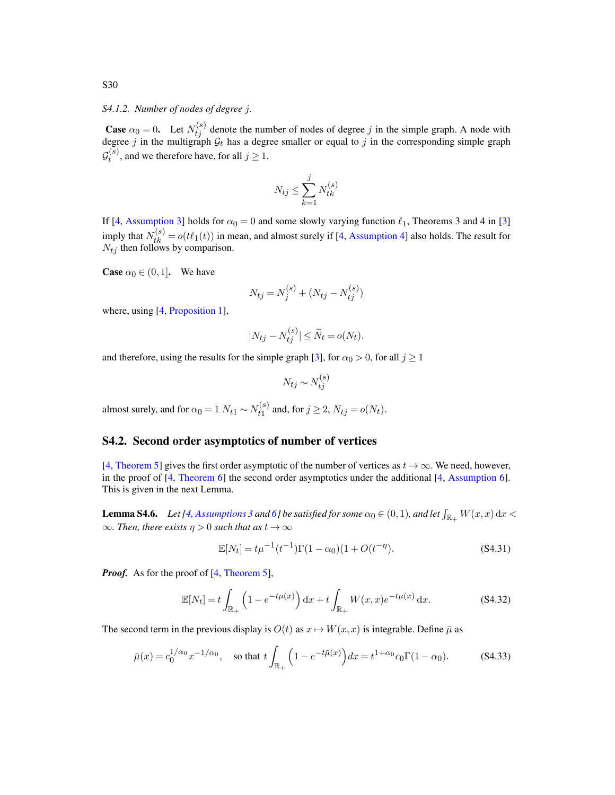*S4.1.2. Number of nodes of degree* j*.*

**Case**  $\alpha_0 = 0$ . Let  $N_{tj}^{(s)}$  denote the number of nodes of degree j in the simple graph. A node with degree j in the multigraph  $\mathcal{G}_t$  has a degree smaller or equal to j in the corresponding simple graph  $\mathcal{G}^{(s)}_t$  $t^{(s)}$ , and we therefore have, for all  $j \ge 1$ .

$$
N_{tj} \le \sum_{k=1}^{j} N_{tk}^{(s)}
$$

If [\[4,](#page-78-0) [Assumption 3\]](#page-11-0) holds for  $\alpha_0 = 0$  and some slowly varying function  $\ell_1$ , Theorems 3 and 4 in [\[3](#page-78-1)] imply that  $N_{tk}^{(s)} = o(t\ell_1(t))$  in mean, and almost surely if [\[4,](#page-78-0) [Assumption 4\]](#page-11-1) also holds. The result for  $N_{tj}$  then follows by comparison.

**Case**  $\alpha_0 \in (0, 1]$ . We have

$$
N_{tj} = N_j^{(s)} + (N_{tj} - N_{tj}^{(s)})
$$

where, using [\[4,](#page-78-0) [Proposition 1\]](#page-12-0),

$$
|N_{tj} - N_{tj}^{(s)}| \le \widetilde{N}_t = o(N_t).
$$

and therefore, using the results for the simple graph [\[3](#page-78-1)], for  $\alpha_0 > 0$ , for all  $j \ge 1$ 

$$
N_{tj} \sim N_{tj}^{(s)}
$$

almost surely, and for  $\alpha_0 = 1$   $N_{t1} \sim N_{t1}^{(s)}$  $t_1^{(s)}$  and, for  $j \ge 2$ ,  $N_{tj} = o(N_t)$ .

## S4.2. Second order asymptotics of number of vertices

[\[4](#page-78-0), [Theorem 5\]](#page-13-0) gives the first order asymptotic of the number of vertices as  $t \to \infty$ . We need, however, in the proof of [\[4](#page-78-0), [Theorem 6\]](#page-13-1) the second order asymptotics under the additional [\[4,](#page-78-0) [Assumption 6\]](#page-12-1). This is given in the next Lemma.

**Lemma S4.6.** Let [\[4](#page-78-0), [Assumptions 3](#page-11-0) and [6\]](#page-12-1) be satisfied for some  $\alpha_0 \in (0,1)$ , and let  $\int_{\mathbb{R}_+} W(x,x) dx$  <  $\infty$ *. Then, there exists*  $\eta > 0$  *such that as*  $t \to \infty$ 

<span id="page-60-1"></span><span id="page-60-0"></span>
$$
\mathbb{E}[N_t] = t\mu^{-1}(t^{-1})\Gamma(1-\alpha_0)(1+O(t^{-\eta}).
$$
\n(S4.31)

*Proof.* As for the proof of [\[4](#page-78-0), [Theorem 5\]](#page-13-0),

$$
\mathbb{E}[N_t] = t \int_{\mathbb{R}_+} \left( 1 - e^{-t\mu(x)} \right) dx + t \int_{\mathbb{R}_+} W(x, x) e^{-t\mu(x)} dx.
$$
 (S4.32)

The second term in the previous display is  $O(t)$  as  $x \mapsto W(x, x)$  is integrable. Define  $\bar{\mu}$  as

<span id="page-60-2"></span>
$$
\bar{\mu}(x) = c_0^{1/\alpha_0} x^{-1/\alpha_0}, \quad \text{so that } t \int_{\mathbb{R}_+} \left( 1 - e^{-t\bar{\mu}(x)} \right) dx = t^{1+\alpha_0} c_0 \Gamma(1-\alpha_0). \tag{S4.33}
$$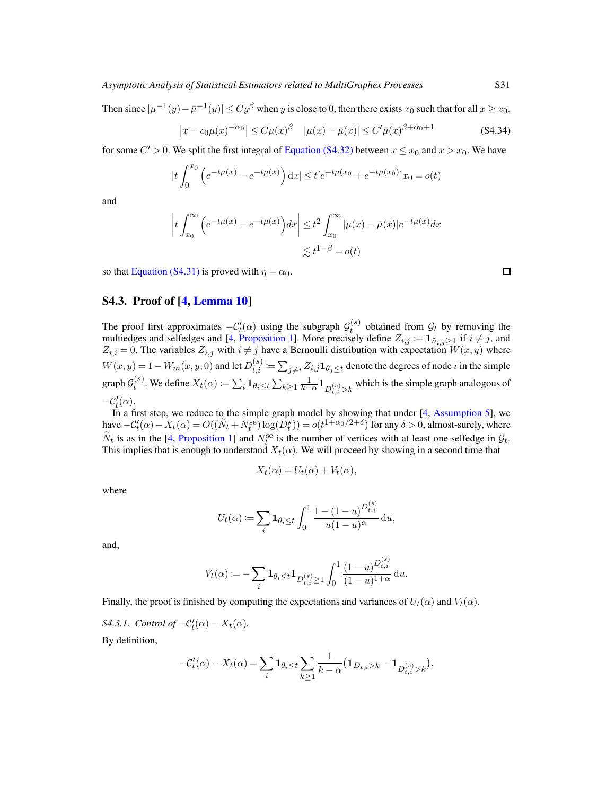Then since  $|\mu^{-1}(y) - \bar{\mu}^{-1}(y)| \le Cy^{\beta}$  when y is close to 0, then there exists  $x_0$  such that for all  $x \ge x_0$ ,

<span id="page-61-0"></span>
$$
\left| x - c_0 \mu(x)^{-\alpha_0} \right| \le C \mu(x)^{\beta} \quad |\mu(x) - \bar{\mu}(x)| \le C' \bar{\mu}(x)^{\beta + \alpha_0 + 1} \tag{S4.34}
$$

for some  $C' > 0$ . We split the first integral of [Equation \(S4.32\)](#page-60-0) between  $x \le x_0$  and  $x > x_0$ . We have

$$
|t\int_0^{x_0} \left(e^{-t\bar{\mu}(x)} - e^{-t\mu(x)}\right) dx| \le t[e^{-t\mu(x_0)} + e^{-t\mu(x_0)}]x_0 = o(t)
$$

and

$$
\left|t\int_{x_0}^{\infty} \left(e^{-t\bar{\mu}(x)} - e^{-t\mu(x)}\right)dx\right| \leq t^2 \int_{x_0}^{\infty} |\mu(x) - \bar{\mu}(x)|e^{-t\bar{\mu}(x)}dx
$$

$$
\lesssim t^{1-\beta} = o(t)
$$

so that [Equation \(S4.31\)](#page-60-1) is proved with  $\eta = \alpha_0$ .

### S4.3. Proof of [\[4,](#page-78-0) [Lemma 10\]](#page-28-0)

The proof first approximates  $-C'_{t}(\alpha)$  using the subgraph  $\mathcal{G}_{t}^{(s)}$  $t_t^{(s)}$  obtained from  $\mathcal{G}_t$  by removing the multiedges and selfedges and [\[4,](#page-78-0) [Proposition 1\]](#page-12-0). More precisely define  $Z_{i,j} := \mathbf{1}_{\tilde{n}_{i,j}\geq 1}$  if  $i \neq j$ , and  $Z_{i,i} = 0$ . The variables  $Z_{i,j}$  with  $i \neq j$  have a Bernoulli distribution with expectation  $W(x, y)$  where  $W(x,y) = 1 - W_m(x,y,0)$  and let  $D_{t,i}^{(s)} := \sum_{j \neq i} Z_{i,j} \mathbf{1}_{\theta_j \leq t}$  denote the degrees of node i in the simple graph  $\mathcal{G}_t^{(s)}$  $t^{(s)}$ . We define  $X_t(\alpha) := \sum_i \mathbf{1}_{\theta_i \le t} \sum_{k \ge 1} \frac{1}{k-\alpha} \mathbf{1}_{D_{t,i}^{(s)} > k}$  which is the simple graph analogous of  $-\mathcal{C}'_t(\alpha)$ .

 $t_t(\alpha)$ .<br>In a first step, we reduce to the simple graph model by showing that under [\[4](#page-78-0), [Assumption 5\]](#page-12-2), we have  $-C'_t(\alpha) - X_t(\alpha) = O((\widetilde{N}_t + N_t^{\text{se}}) \log(D_t^{\star})) = o(t^{1+\alpha_0/2+\delta})$  for any  $\delta > 0$ , almost-surely, where  $\widetilde{N}_t$  is as in the [\[4](#page-78-0), [Proposition 1\]](#page-12-0) and  $N_t^{\text{se}}$  is the number of vertices with at least one selfedge in  $\mathcal{G}_t$ . This implies that is enough to understand  $X_t(\alpha)$ . We will proceed by showing in a second time that

$$
X_t(\alpha) = U_t(\alpha) + V_t(\alpha),
$$

where

$$
U_t(\alpha) := \sum_i \mathbf{1}_{\theta_i \le t} \int_0^1 \frac{1 - (1 - u)^{D_{t,i}^{(s)}}}{u(1 - u)^{\alpha}} du,
$$

and,

$$
V_t(\alpha) \coloneqq -\sum_i \mathbf{1}_{\theta_i \le t} \mathbf{1}_{D_{t,i}^{(s)} \ge 1} \int_0^1 \frac{(1-u)^{D_{t,i}^{(s)}}}{(1-u)^{1+\alpha}} \mathrm{d}u.
$$

 $(A<sub>s</sub>)$ 

Finally, the proof is finished by computing the expectations and variances of  $U_t(\alpha)$  and  $V_t(\alpha)$ .

*S4.3.1. Control of*  $-C'_t(\alpha) - X_t(\alpha)$ . By definition,

$$
-\mathcal{C}'_t(\alpha) - X_t(\alpha) = \sum_i \mathbf{1}_{\theta_i \le t} \sum_{k \ge 1} \frac{1}{k - \alpha} \left( \mathbf{1}_{D_{t,i} > k} - \mathbf{1}_{D_{t,i}^{(s)} > k} \right).
$$

 $\Box$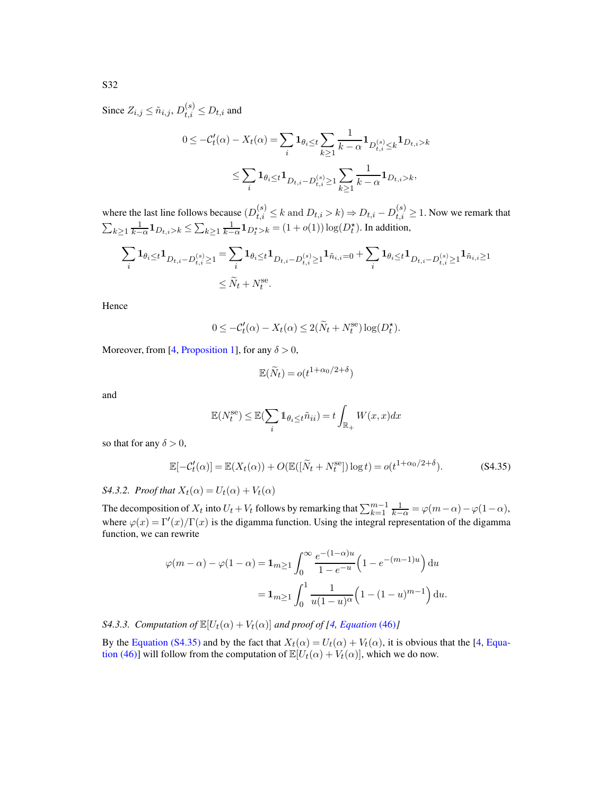Since  $Z_{i,j} \leq \tilde{n}_{i,j}, D_{t,i}^{(s)} \leq D_{t,i}$  and

$$
0 \le -C'_t(\alpha) - X_t(\alpha) = \sum_i \mathbf{1}_{\theta_i \le t} \sum_{k \ge 1} \frac{1}{k - \alpha} \mathbf{1}_{D_{t,i}^{(s)} \le k} \mathbf{1}_{D_{t,i} > k}
$$

$$
\le \sum_i \mathbf{1}_{\theta_i \le t} \mathbf{1}_{D_{t,i} - D_{t,i}^{(s)} \ge 1} \sum_{k \ge 1} \frac{1}{k - \alpha} \mathbf{1}_{D_{t,i} > k},
$$

where the last line follows because  $(D_{t,i}^{(s)} \le k \text{ and } D_{t,i} > k) \Rightarrow D_{t,i} - D_{t,i}^{(s)} \ge 1$ . Now we remark that  $\sum_{k\geq 1}\frac{1}{k-\alpha}\mathbf{1}_{D_{t,i}>k}\leq \sum_{k\geq 1}\frac{1}{k-\alpha}\mathbf{1}_{D_{t}^{*}>k}=(1+o(1))\log(D_{t}^{*}).$  In addition,

$$
\begin{split} \sum_{i} \mathbf{1}_{\theta_i \leq t} \mathbf{1}_{D_{t,i} - D_{t,i}^{(s)} \geq 1} & = \sum_{i} \mathbf{1}_{\theta_i \leq t} \mathbf{1}_{D_{t,i} - D_{t,i}^{(s)} \geq 1} \mathbf{1}_{\tilde{n}_{i,i} = 0} + \sum_{i} \mathbf{1}_{\theta_i \leq t} \mathbf{1}_{D_{t,i} - D_{t,i}^{(s)} \geq 1} \mathbf{1}_{\tilde{n}_{i,i} \geq 1} \\ & \leq \tilde{N}_t + N_t^{\text{se}}. \end{split}
$$

Hence

$$
0 \le -C'_t(\alpha) - X_t(\alpha) \le 2(\widetilde{N}_t + N_t^{\text{se}}) \log(D_t^{\star}).
$$

Moreover, from [\[4,](#page-78-0) [Proposition 1\]](#page-12-0), for any  $\delta > 0$ ,

<span id="page-62-0"></span>
$$
\mathbb{E}(\widetilde{N}_t) = o(t^{1+\alpha_0/2+\delta})
$$

and

$$
\mathbb{E}(N_t^{\text{se}}) \le \mathbb{E}(\sum_i \mathbb{1}_{\theta_i \le t} \tilde{n}_{ii}) = t \int_{\mathbb{R}_+} W(x, x) dx
$$

so that for any  $\delta > 0$ ,

$$
\mathbb{E}[-\mathcal{C}'_t(\alpha)] = \mathbb{E}(X_t(\alpha)) + O(\mathbb{E}([\widetilde{N}_t + N_t^{\text{se}}])\log t) = o(t^{1+\alpha_0/2+\delta}).\tag{S4.35}
$$

*S4.3.2. Proof that*  $X_t(\alpha) = U_t(\alpha) + V_t(\alpha)$ 

The decomposition of  $X_t$  into  $U_t + V_t$  follows by remarking that  $\sum_{k=1}^{m-1} \frac{1}{k-\alpha} = \varphi(m-\alpha) - \varphi(1-\alpha)$ , where  $\varphi(x) = \Gamma'(x)/\Gamma(x)$  is the digamma function. Using the integral representation of the digamma function, we can rewrite

$$
\varphi(m-\alpha) - \varphi(1-\alpha) = \mathbf{1}_{m \ge 1} \int_0^\infty \frac{e^{-(1-\alpha)u}}{1 - e^{-u}} \left(1 - e^{-(m-1)u}\right) du
$$

$$
= \mathbf{1}_{m \ge 1} \int_0^1 \frac{1}{u(1-u)^{\alpha}} \left(1 - (1-u)^{m-1}\right) du.
$$

<span id="page-62-1"></span>*S4.3.3. Computation of*  $\mathbb{E}[U_t(\alpha) + V_t(\alpha)]$  *and proof of* [\[4,](#page-78-0) *[Equation](#page-28-1)* (46)]

By the [Equation \(S4.35\)](#page-62-0) and by the fact that  $X_t(\alpha) = U_t(\alpha) + V_t(\alpha)$ , it is obvious that the [\[4](#page-78-0), Equation (46)] will follow from the computation of  $\mathbb{E}[U_t(\alpha) + V_t(\alpha)]$  $\mathbb{E}[U_t(\alpha) + V_t(\alpha)]$  $\mathbb{E}[U_t(\alpha) + V_t(\alpha)]$ , which we do now.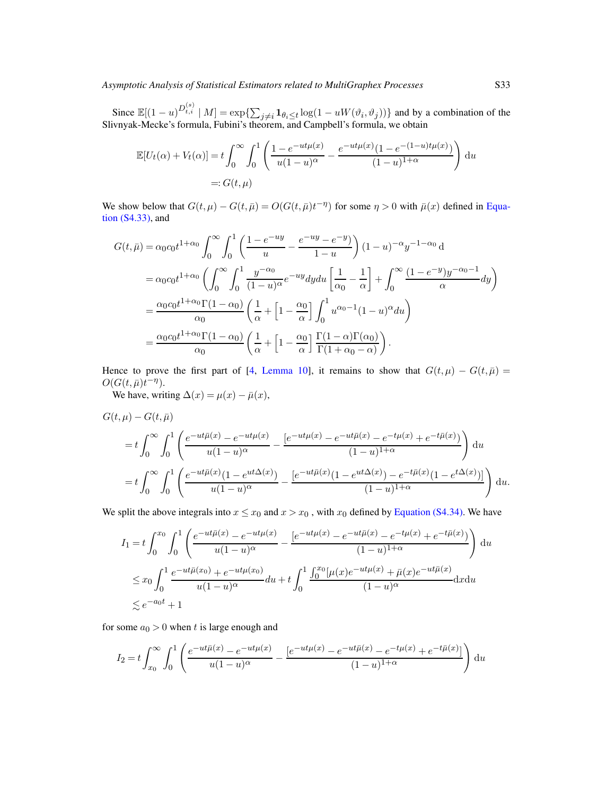Since  $\mathbb{E}[(1-u)^{D_{t,i}^{(s)}} | M] = \exp\{\sum_{j\neq i} \mathbf{1}_{\theta_j \leq t} \log(1 - uW(\vartheta_i, \vartheta_j))\}$  and by a combination of the Slivnyak-Mecke's formula, Fubini's theorem, and Campbell's formula, we obtain

$$
\mathbb{E}[U_t(\alpha) + V_t(\alpha)] = t \int_0^\infty \int_0^1 \left( \frac{1 - e^{-ut\mu(x)}}{u(1 - u)^\alpha} - \frac{e^{-ut\mu(x)}(1 - e^{-(1 - u)t\mu(x)})}{(1 - u)^{1 + \alpha}} \right) du
$$
  
=:  $G(t, \mu)$ 

We show below that  $G(t,\mu) - G(t,\bar{\mu}) = O(G(t,\bar{\mu})t^{-\eta})$  for some  $\eta > 0$  with  $\bar{\mu}(x)$  defined in Equation (S4.33), and

$$
G(t,\bar{\mu}) = \alpha_0 c_0 t^{1+\alpha_0} \int_0^{\infty} \int_0^1 \left( \frac{1-e^{-uy}}{u} - \frac{e^{-uy}-e^{-y}}{1-u} \right) (1-u)^{-\alpha} y^{-1-\alpha_0} d
$$
  
\n
$$
= \alpha_0 c_0 t^{1+\alpha_0} \left( \int_0^{\infty} \int_0^1 \frac{y^{-\alpha_0}}{(1-u)^{\alpha}} e^{-uy} dy du \left[ \frac{1}{\alpha_0} - \frac{1}{\alpha} \right] + \int_0^{\infty} \frac{(1-e^{-y})y^{-\alpha_0-1}}{\alpha} dy \right)
$$
  
\n
$$
= \frac{\alpha_0 c_0 t^{1+\alpha_0} \Gamma(1-\alpha_0)}{\alpha_0} \left( \frac{1}{\alpha} + \left[ 1 - \frac{\alpha_0}{\alpha} \right] \int_0^1 u^{\alpha_0-1} (1-u)^{\alpha} du \right)
$$
  
\n
$$
= \frac{\alpha_0 c_0 t^{1+\alpha_0} \Gamma(1-\alpha_0)}{\alpha_0} \left( \frac{1}{\alpha} + \left[ 1 - \frac{\alpha_0}{\alpha} \right] \frac{\Gamma(1-\alpha) \Gamma(\alpha_0)}{\Gamma(1+\alpha_0-\alpha)} \right).
$$

Hence to prove the first part of [\[4](#page-78-0), [Lemma 10\]](#page-28-0), it remains to show that  $G(t, \mu) - G(t, \bar{\mu}) =$  $O(G(t,\bar{\mu})t^{-\eta}).$ 

We have, writing  $\Delta(x) = \mu(x) - \bar{\mu}(x)$ ,

$$
G(t,\mu) - G(t,\bar{\mu})
$$
  
=  $t \int_0^{\infty} \int_0^1 \left( \frac{e^{-ut\bar{\mu}(x)} - e^{-ut\mu(x)}}{u(1-u)^{\alpha}} - \frac{[e^{-ut\mu(x)} - e^{-ut\bar{\mu}(x)} - e^{-t\mu(x)} + e^{-t\bar{\mu}(x)})}{(1-u)^{1+\alpha}} \right) du$   
=  $t \int_0^{\infty} \int_0^1 \left( \frac{e^{-ut\bar{\mu}(x)}(1 - e^{ut\Delta(x)})}{u(1-u)^{\alpha}} - \frac{[e^{-ut\bar{\mu}(x)}(1 - e^{ut\Delta(x)}) - e^{-t\bar{\mu}(x)}(1 - e^{t\Delta(x)})]}{(1-u)^{1+\alpha}} \right) du.$ 

We split the above integrals into  $x \le x_0$  and  $x > x_0$ , with  $x_0$  defined by [Equation \(S4.34\).](#page-61-0) We have

$$
I_1 = t \int_0^{x_0} \int_0^1 \left( \frac{e^{-ut\bar{\mu}(x)} - e^{-ut\mu(x)}}{u(1-u)^\alpha} - \frac{[e^{-ut\bar{\mu}(x)} - e^{-ut\bar{\mu}(x)} - e^{-t\mu(x)} + e^{-t\bar{\mu}(x)})}{(1-u)^{1+\alpha}} \right) du
$$
  

$$
\leq x_0 \int_0^1 \frac{e^{-ut\bar{\mu}(x_0)} + e^{-ut\mu(x_0)}}{u(1-u)^\alpha} du + t \int_0^1 \frac{\int_0^{x_0} [\mu(x)e^{-ut\mu(x)} + \bar{\mu}(x)e^{-ut\bar{\mu}(x)}}{(1-u)^\alpha} dx du
$$
  

$$
\leq e^{-a_0 t} + 1
$$

for some  $a_0 > 0$  when t is large enough and

$$
I_2 = t \int_{x_0}^{\infty} \int_0^1 \left( \frac{e^{-ut\bar{\mu}(x)} - e^{-ut\mu(x)}}{u(1-u)^{\alpha}} - \frac{[e^{-ut\mu(x)} - e^{-ut\bar{\mu}(x)} - e^{-t\mu(x)} + e^{-t\bar{\mu}(x)}]}{(1-u)^{1+\alpha}} \right) du
$$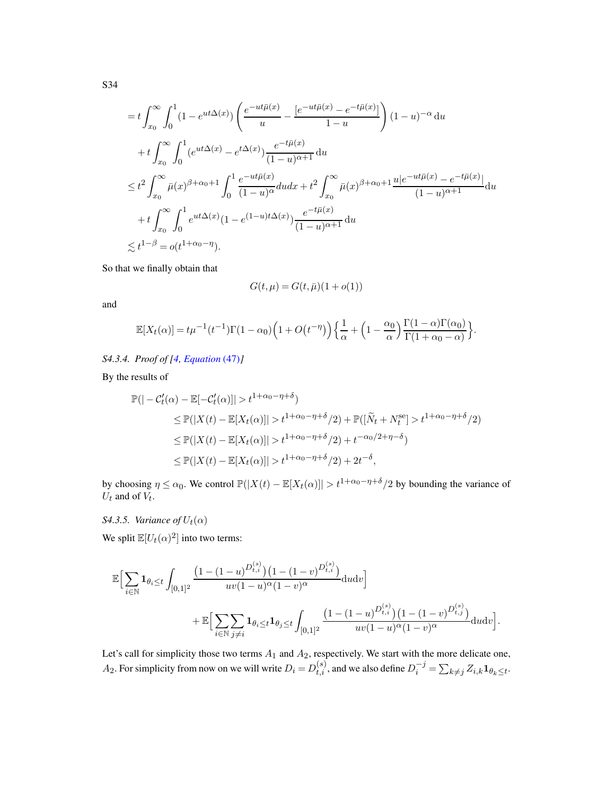$$
= t \int_{x_0}^{\infty} \int_0^1 (1 - e^{ut\Delta(x)}) \left( \frac{e^{-ut\bar{\mu}(x)}}{u} - \frac{[e^{-ut\bar{\mu}(x)} - e^{-t\bar{\mu}(x)}]}{1 - u} \right) (1 - u)^{-\alpha} du
$$
  
+  $t \int_{x_0}^{\infty} \int_0^1 (e^{ut\Delta(x)} - e^{t\Delta(x)}) \frac{e^{-t\bar{\mu}(x)}}{(1 - u)^{\alpha + 1}} du$   
 $\leq t^2 \int_{x_0}^{\infty} \bar{\mu}(x)^{\beta + \alpha_0 + 1} \int_0^1 \frac{e^{-ut\bar{\mu}(x)}}{(1 - u)^{\alpha}} du dx + t^2 \int_{x_0}^{\infty} \bar{\mu}(x)^{\beta + \alpha_0 + 1} \frac{u|e^{-ut\bar{\mu}(x)} - e^{-t\bar{\mu}(x)}|}{(1 - u)^{\alpha + 1}} du$   
+  $t \int_{x_0}^{\infty} \int_0^1 e^{ut\Delta(x)} (1 - e^{(1 - u)t\Delta(x)}) \frac{e^{-t\bar{\mu}(x)}}{(1 - u)^{\alpha + 1}} du$   
 $\leq t^{1 - \beta} = o(t^{1 + \alpha_0 - \eta}).$ 

So that we finally obtain that

$$
G(t, \mu) = G(t, \bar{\mu})(1 + o(1))
$$

and

$$
\mathbb{E}[X_t(\alpha)] = t\mu^{-1}(t^{-1})\Gamma(1-\alpha_0)\left(1+O(t^{-\eta})\right)\left\{\frac{1}{\alpha} + \left(1-\frac{\alpha_0}{\alpha}\right)\frac{\Gamma(1-\alpha)\Gamma(\alpha_0)}{\Gamma(1+\alpha_0-\alpha)}\right\}.
$$

*S4.3.4. Proof of [\[4](#page-78-0), [Equation](#page-28-2)* (47)*]*

By the results of

$$
\mathbb{P}(|-\mathcal{C}'_t(\alpha) - \mathbb{E}[-\mathcal{C}'_t(\alpha)]| > t^{1+\alpha_0-\eta+\delta})
$$
  
\n
$$
\leq \mathbb{P}(|X(t) - \mathbb{E}[X_t(\alpha)]| > t^{1+\alpha_0-\eta+\delta}/2) + \mathbb{P}([\widetilde{N}_t + N_t^{\text{se}}] > t^{1+\alpha_0-\eta+\delta}/2)
$$
  
\n
$$
\leq \mathbb{P}(|X(t) - \mathbb{E}[X_t(\alpha)]| > t^{1+\alpha_0-\eta+\delta}/2) + t^{-\alpha_0/2+\eta-\delta})
$$
  
\n
$$
\leq \mathbb{P}(|X(t) - \mathbb{E}[X_t(\alpha)]| > t^{1+\alpha_0-\eta+\delta}/2) + 2t^{-\delta},
$$

by choosing  $\eta \leq \alpha_0$ . We control  $\mathbb{P}(|X(t) - \mathbb{E}[X_t(\alpha)]| > t^{1+\alpha_0-\eta+\delta}/2$  by bounding the variance of  $\mathcal{U}_t$  and of  $\mathcal{V}_t.$ 

### *S4.3.5. Variance of*  $U_t(\alpha)$

We split  $\mathbb{E}[U_t(\alpha)^2]$  into two terms:

$$
\mathbb{E}\Big[\sum_{i\in\mathbb{N}}\mathbf{1}_{\theta_i\leq t}\int_{[0,1]^2}\frac{\left(1-(1-u)^{D_{t,i}^{(s)}}\right)\left(1-(1-v)^{D_{t,i}^{(s)}}\right)}{uv(1-u)^{\alpha}(1-v)^{\alpha}}\mathrm{d}u\mathrm{d}v\Big] \n+\mathbb{E}\Big[\sum_{i\in\mathbb{N}}\sum_{j\neq i}\mathbf{1}_{\theta_i\leq t}\mathbf{1}_{\theta_j\leq t}\int_{[0,1]^2}\frac{\left(1-(1-u)^{D_{t,i}^{(s)}}\right)\left(1-(1-v)^{D_{t,j}^{(s)}}\right)}{uv(1-u)^{\alpha}(1-v)^{\alpha}}\mathrm{d}u\mathrm{d}v\Big].
$$

Let's call for simplicity those two terms  $A_1$  and  $A_2$ , respectively. We start with the more delicate one,  $A_2$ . For simplicity from now on we will write  $D_i = D_{t,i}^{(s)}$ , and we also define  $D_i^{-j} = \sum_{k \neq j} Z_{i,k} \mathbf{1}_{\theta_k \leq t}$ .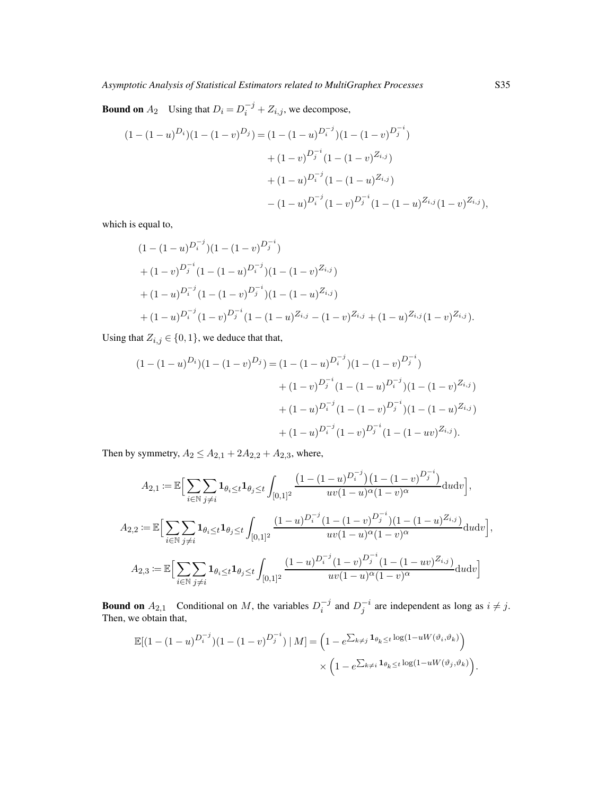**Bound on**  $A_2$  Using that  $D_i = D_i^{-j} + Z_{i,j}$ , we decompose,

$$
(1 - (1 - u)^{D_i})(1 - (1 - v)^{D_j}) = (1 - (1 - u)^{D_i^{-j}})(1 - (1 - v)^{D_j^{-i}})
$$
  
+ 
$$
(1 - v)^{D_j^{-i}}(1 - (1 - v)^{Z_{i,j}})
$$
  
+ 
$$
(1 - u)^{D_i^{-j}}(1 - (1 - u)^{Z_{i,j}})
$$
  
- 
$$
(1 - u)^{D_i^{-j}}(1 - v)^{D_j^{-i}}(1 - (1 - u)^{Z_{i,j}}(1 - v)^{Z_{i,j}}),
$$

which is equal to,

$$
(1 - (1 - u)^{D_i^{-j}})(1 - (1 - v)^{D_j^{-i}})
$$
  
+ 
$$
(1 - v)^{D_j^{-i}}(1 - (1 - u)^{D_i^{-j}})(1 - (1 - v)^{Z_{i,j}})
$$
  
+ 
$$
(1 - u)^{D_i^{-j}}(1 - (1 - v)^{D_j^{-i}})(1 - (1 - u)^{Z_{i,j}})
$$
  
+ 
$$
(1 - u)^{D_i^{-j}}(1 - v)^{D_j^{-i}}(1 - (1 - u)^{Z_{i,j}} - (1 - v)^{Z_{i,j}} + (1 - u)^{Z_{i,j}}(1 - v)^{Z_{i,j}}).
$$

Using that  $Z_{i,j} \in \{0,1\}$ , we deduce that that,

$$
(1 - (1 - u)^{D_i})(1 - (1 - v)^{D_j}) = (1 - (1 - u)^{D_i^{-j}})(1 - (1 - v)^{D_j^{-i}})
$$

$$
+ (1 - v)^{D_j^{-i}}(1 - (1 - u)^{D_i^{-j}})(1 - (1 - v)^{Z_{i,j}})
$$

$$
+ (1 - u)^{D_i^{-j}}(1 - (1 - v)^{D_j^{-i}})(1 - (1 - u)^{Z_{i,j}})
$$

$$
+ (1 - u)^{D_i^{-j}}(1 - v)^{D_j^{-i}}(1 - (1 - uv)^{Z_{i,j}}).
$$

Then by symmetry,  $A_2 \le A_{2,1} + 2A_{2,2} + A_{2,3}$ , where,

$$
A_{2,1} := \mathbb{E}\Big[\sum_{i \in \mathbb{N}} \sum_{j \neq i} \mathbf{1}_{\theta_i \leq t} \mathbf{1}_{\theta_j \leq t} \int_{[0,1]^2} \frac{\left(1 - (1 - u)^{D_i^{-j}}\right) \left(1 - (1 - v)^{D_j^{-i}}\right)}{uv(1 - u)^{\alpha}(1 - v)^{\alpha}} du dv\Big],
$$
  
\n
$$
A_{2,2} := \mathbb{E}\Big[\sum_{i \in \mathbb{N}} \sum_{j \neq i} \mathbf{1}_{\theta_i \leq t} \mathbf{1}_{\theta_j \leq t} \int_{[0,1]^2} \frac{(1 - u)^{D_i^{-j}} (1 - (1 - v)^{D_j^{-i}})(1 - (1 - u)^{Z_{i,j}})}{uv(1 - u)^{\alpha}(1 - v)^{\alpha}} du dv\Big],
$$
  
\n
$$
A_{2,3} := \mathbb{E}\Big[\sum_{i \in \mathbb{N}} \sum_{j \neq i} \mathbf{1}_{\theta_i \leq t} \mathbf{1}_{\theta_j \leq t} \int_{[0,1]^2} \frac{(1 - u)^{D_i^{-j}} (1 - v)^{D_j^{-i}} (1 - (1 - uv)^{Z_{i,j}})}{uv(1 - u)^{\alpha}(1 - v)^{\alpha}} du dv\Big]
$$

**Bound on**  $A_{2,1}$  Conditional on M, the variables  $D_i^{-j}$  $i^{-j}$  and  $D_j^{-i}$  are independent as long as  $i \neq j$ . Then, we obtain that,

$$
\mathbb{E}[(1-(1-u)^{D_i^{-j}})(1-(1-v)^{D_j^{-i}}) | M] = \left(1 - e^{\sum_{k\neq j} \mathbf{1}_{\theta_k \leq t} \log(1-uW(\vartheta_i, \vartheta_k))}\right) \times \left(1 - e^{\sum_{k\neq i} \mathbf{1}_{\theta_k \leq t} \log(1-uW(\vartheta_j, \vartheta_k))}\right).
$$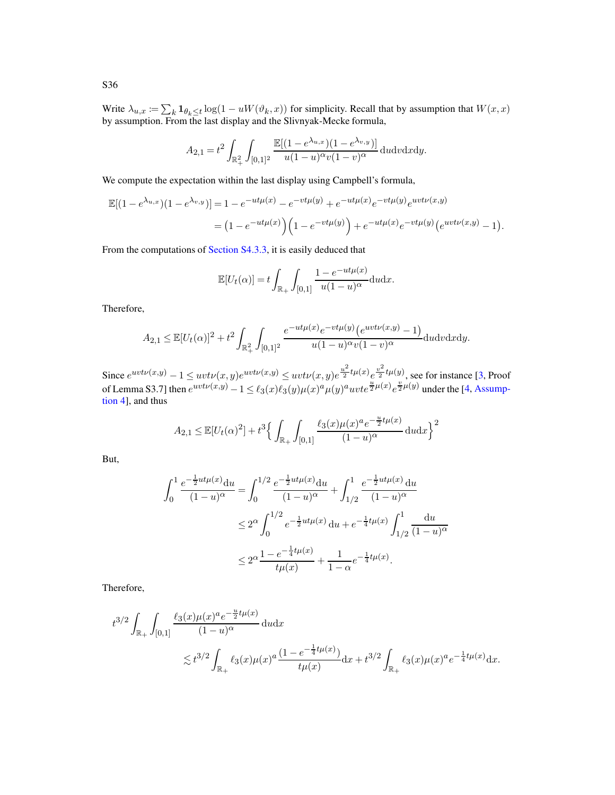Write  $\lambda_{u,x} := \sum_k \mathbf{1}_{\theta_k \le t} \log(1 - uW(\theta_k, x))$  for simplicity. Recall that by assumption that  $W(x, x)$ by assumption. From the last display and the Slivnyak-Mecke formula,

$$
A_{2,1}=t^2\int_{\mathbb{R}_+^2}\int_{[0,1]^2}\frac{\mathbb{E}[(1-e^{\lambda_{u,x}})(1-e^{\lambda_{v,y}})]}{u(1-u)^\alpha v(1-v)^\alpha}\,\mathrm{d} u\mathrm{d} v\mathrm{d} x\mathrm{d} y.
$$

We compute the expectation within the last display using Campbell's formula,

$$
\mathbb{E}[(1 - e^{\lambda u,x})(1 - e^{\lambda v,y})] = 1 - e^{-ut\mu(x)} - e^{-vt\mu(y)} + e^{-ut\mu(x)}e^{-vt\mu(y)}e^{uvt\mu(x,y)}
$$
  
= 
$$
(1 - e^{-ut\mu(x)})\left(1 - e^{-vt\mu(y)}\right) + e^{-ut\mu(x)}e^{-vt\mu(y)}\left(e^{uvt\mu(x,y)} - 1\right).
$$

From the computations of [Section S4.3.3,](#page-62-1) it is easily deduced that

$$
\mathbb{E}[U_t(\alpha)] = t \int_{\mathbb{R}_+} \int_{[0,1]} \frac{1 - e^{-ut\mu(x)}}{u(1-u)^{\alpha}} du dx.
$$

Therefore,

$$
A_{2,1} \leq \mathbb{E}[U_t(\alpha)]^2 + t^2 \int_{\mathbb{R}_+^2} \int_{[0,1]^2} \frac{e^{-ut\mu(x)}e^{-vt\mu(y)}\left(e^{uvt\nu(x,y)} - 1\right)}{u(1-u)^\alpha v(1-v)^\alpha} \mathrm{d}u \mathrm{d}v \mathrm{d}x \mathrm{d}y.
$$

Since  $e^{uvt\mathcal{V}(x,y)} - 1 \leq uvt\mathcal{V}(x,y)e^{uvt\mathcal{V}(x,y)} \leq uvt\mathcal{V}(x,y)e^{\frac{u^2}{2}}$  $\frac{u^2}{2}t\mu(x)\frac{v^2}{2}$  $\frac{\sqrt{2}}{2}$ t $\mu(y)$ , see for instance [\[3](#page-78-1), Proof of Lemma S3.7] then  $e^{uvt\nu(x,y)} - 1 \leq \ell_3(x)\ell_3(y)\mu(x)^a\mu(y)^a uvt e^{\frac{u}{2}\mu(x)}e^{\frac{v}{2}\mu(y)}$  under the [\[4,](#page-78-0) Assumption 4], and thus

$$
A_{2,1} \le \mathbb{E}[U_t(\alpha)^2] + t^3 \Big\{ \int_{\mathbb{R}_+} \int_{[0,1]} \frac{\ell_3(x) \mu(x)^a e^{-\frac{u}{2}t\mu(x)}}{(1-u)^\alpha} \, \mathrm{d}u \mathrm{d}x \Big\}^2
$$

But,

$$
\int_0^1 \frac{e^{-\frac{1}{2}ut\mu(x)}du}{(1-u)^\alpha} = \int_0^{1/2} \frac{e^{-\frac{1}{2}ut\mu(x)}du}{(1-u)^\alpha} + \int_{1/2}^1 \frac{e^{-\frac{1}{2}ut\mu(x)}du}{(1-u)^\alpha}
$$
  

$$
\leq 2^\alpha \int_0^{1/2} e^{-\frac{1}{2}ut\mu(x)} du + e^{-\frac{1}{4}t\mu(x)} \int_{1/2}^1 \frac{du}{(1-u)^\alpha}
$$
  

$$
\leq 2^\alpha \frac{1 - e^{-\frac{1}{4}t\mu(x)}}{t\mu(x)} + \frac{1}{1-\alpha} e^{-\frac{1}{4}t\mu(x)}.
$$

Therefore,

$$
t^{3/2} \int_{\mathbb{R}_+} \int_{[0,1]} \frac{\ell_3(x)\mu(x)^a e^{-\frac{u}{2}t\mu(x)}}{(1-u)^\alpha} \, \mathrm{d}u \mathrm{d}x
$$
  

$$
\lesssim t^{3/2} \int_{\mathbb{R}_+} \ell_3(x)\mu(x)^a \frac{(1-e^{-\frac{1}{4}t\mu(x)}}{t\mu(x)} \mathrm{d}x + t^{3/2} \int_{\mathbb{R}_+} \ell_3(x)\mu(x)^a e^{-\frac{1}{4}t\mu(x)} \mathrm{d}x.
$$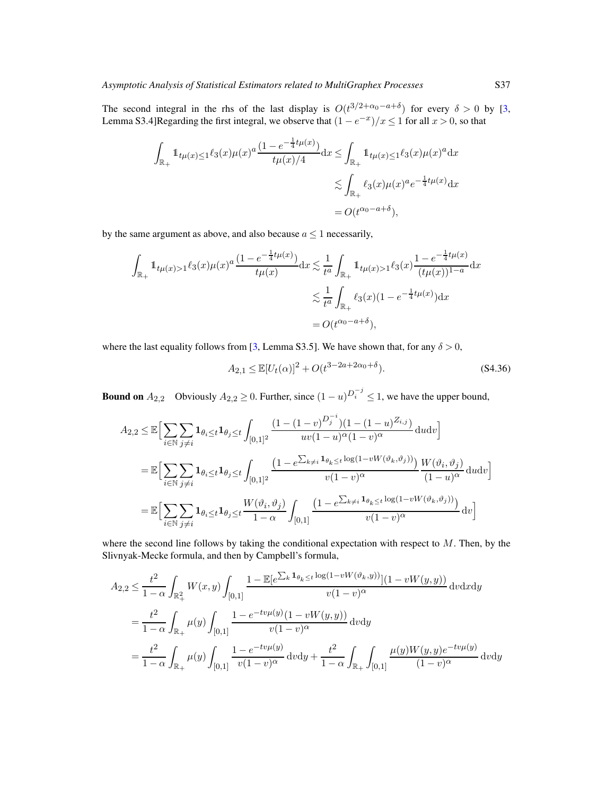The second integral in the rhs of the last display is  $O(t^{3/2+\alpha_0-a+\delta})$  for every  $\delta > 0$  by [\[3,](#page-78-1) Lemma S3.4]Regarding the first integral, we observe that  $(1 - e^{-x})/x \le 1$  for all  $x > 0$ , so that

$$
\int_{\mathbb{R}_+} 1_{t\mu(x)\leq 1} \ell_3(x)\mu(x)^a \frac{(1 - e^{-\frac{1}{4}t\mu(x)})}{t\mu(x)/4} dx \leq \int_{\mathbb{R}_+} 1_{t\mu(x)\leq 1} \ell_3(x)\mu(x)^a dx
$$
  

$$
\lesssim \int_{\mathbb{R}_+} \ell_3(x)\mu(x)^a e^{-\frac{1}{4}t\mu(x)} dx
$$
  

$$
= O(t^{\alpha_0 - a + \delta}),
$$

by the same argument as above, and also because  $a \leq 1$  necessarily,

$$
\int_{\mathbb{R}_+} 1_{t\mu(x)>1} \ell_3(x)\mu(x)^a \frac{(1-e^{-\frac{1}{4}t\mu(x)})}{t\mu(x)} dx \lesssim \frac{1}{t^a} \int_{\mathbb{R}_+} 1_{t\mu(x)>1} \ell_3(x) \frac{1-e^{-\frac{1}{4}t\mu(x)}}{(t\mu(x))^{1-a}} dx
$$
  

$$
\lesssim \frac{1}{t^a} \int_{\mathbb{R}_+} \ell_3(x)(1-e^{-\frac{1}{4}t\mu(x)}) dx
$$
  

$$
= O(t^{\alpha_0 - a + \delta}),
$$

where the last equality follows from [\[3,](#page-78-1) Lemma S3.5]. We have shown that, for any  $\delta > 0$ ,

<span id="page-67-0"></span>
$$
A_{2,1} \le \mathbb{E}[U_t(\alpha)]^2 + O(t^{3-2a+2\alpha_0+\delta}).
$$
\n(84.36)

**Bound on**  $A_{2,2}$  Obviously  $A_{2,2} \ge 0$ . Further, since  $(1-u)^{D_i^{-j}} \le 1$ , we have the upper bound,

$$
A_{2,2} \leq \mathbb{E}\Big[\sum_{i\in\mathbb{N}}\sum_{j\neq i}\mathbf{1}_{\theta_i\leq t}\mathbf{1}_{\theta_j\leq t}\int_{[0,1]^2}\frac{(1-(1-v)^{D_j^{-i}})(1-(1-u)^{Z_{i,j}})}{uv(1-u)^\alpha(1-v)^\alpha}\mathrm{d}u\mathrm{d}v\Big]
$$
  
\n
$$
= \mathbb{E}\Big[\sum_{i\in\mathbb{N}}\sum_{j\neq i}\mathbf{1}_{\theta_i\leq t}\mathbf{1}_{\theta_j\leq t}\int_{[0,1]^2}\frac{(1-e^{\sum_{k\neq i}\mathbf{1}_{\theta_k\leq t}\log(1-vW(\vartheta_k,\vartheta_j))})}{v(1-v)^\alpha}\frac{W(\vartheta_i,\vartheta_j)}{(1-u)^\alpha}\mathrm{d}u\mathrm{d}v\Big]
$$
  
\n
$$
= \mathbb{E}\Big[\sum_{i\in\mathbb{N}}\sum_{j\neq i}\mathbf{1}_{\theta_i\leq t}\mathbf{1}_{\theta_j\leq t}\frac{W(\vartheta_i,\vartheta_j)}{1-\alpha}\int_{[0,1]}\frac{(1-e^{\sum_{k\neq i}\mathbf{1}_{\theta_k\leq t}\log(1-vW(\vartheta_k,\vartheta_j))})}{v(1-v)^\alpha}\mathrm{d}v\Big]
$$

where the second line follows by taking the conditional expectation with respect to  $M$ . Then, by the Slivnyak-Mecke formula, and then by Campbell's formula,

$$
A_{2,2} \leq \frac{t^2}{1-\alpha} \int_{\mathbb{R}_+^2} W(x,y) \int_{[0,1]} \frac{1 - \mathbb{E}[e^{\sum_k \mathbf{1}_{\theta_k \leq t} \log(1 - vW(\vartheta_k, y))}](1 - vW(y,y))}{v(1-v)^{\alpha}} dv dx dy
$$
  

$$
= \frac{t^2}{1-\alpha} \int_{\mathbb{R}_+} \mu(y) \int_{[0,1]} \frac{1 - e^{-tv\mu(y)}(1 - vW(y,y))}{v(1-v)^{\alpha}} dv dy
$$
  

$$
= \frac{t^2}{1-\alpha} \int_{\mathbb{R}_+} \mu(y) \int_{[0,1]} \frac{1 - e^{-tv\mu(y)}}{v(1-v)^{\alpha}} dv dy + \frac{t^2}{1-\alpha} \int_{\mathbb{R}_+} \int_{[0,1]} \frac{\mu(y)W(y,y)e^{-tv\mu(y)}}{(1-v)^{\alpha}} dv dy
$$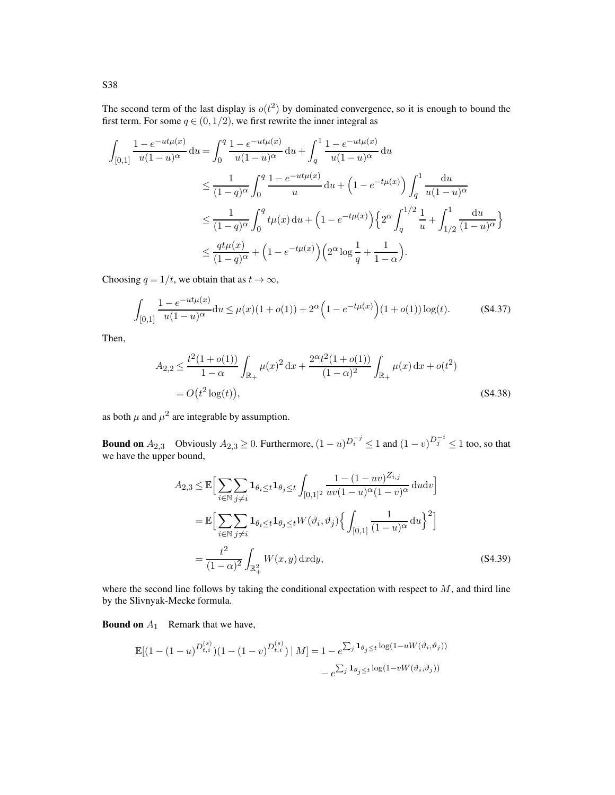The second term of the last display is  $o(t^2)$  by dominated convergence, so it is enough to bound the first term. For some  $q \in (0, 1/2)$ , we first rewrite the inner integral as

$$
\int_{[0,1]} \frac{1 - e^{-ut\mu(x)}}{u(1-u)^\alpha} du = \int_0^q \frac{1 - e^{-ut\mu(x)}}{u(1-u)^\alpha} du + \int_q^1 \frac{1 - e^{-ut\mu(x)}}{u(1-u)^\alpha} du
$$
  
\n
$$
\leq \frac{1}{(1-q)^\alpha} \int_0^q \frac{1 - e^{-ut\mu(x)}}{u} du + \left(1 - e^{-t\mu(x)}\right) \int_q^1 \frac{du}{u(1-u)^\alpha}
$$
  
\n
$$
\leq \frac{1}{(1-q)^\alpha} \int_0^q t\mu(x) du + \left(1 - e^{-t\mu(x)}\right) \left\{2^\alpha \int_q^{1/2} \frac{1}{u} + \int_{1/2}^1 \frac{du}{(1-u)^\alpha}\right\}
$$
  
\n
$$
\leq \frac{qt\mu(x)}{(1-q)^\alpha} + \left(1 - e^{-t\mu(x)}\right) \left(2^\alpha \log \frac{1}{q} + \frac{1}{1-\alpha}\right).
$$

Choosing  $q = 1/t$ , we obtain that as  $t \to \infty$ ,

<span id="page-68-0"></span>
$$
\int_{[0,1]} \frac{1 - e^{-ut\mu(x)}}{u(1 - u)^{\alpha}} du \le \mu(x)(1 + o(1)) + 2^{\alpha} \left(1 - e^{-t\mu(x)}\right) (1 + o(1)) \log(t).
$$
 (S4.37)

Then,

$$
A_{2,2} \le \frac{t^2(1+o(1))}{1-\alpha} \int_{\mathbb{R}_+} \mu(x)^2 dx + \frac{2^{\alpha}t^2(1+o(1))}{(1-\alpha)^2} \int_{\mathbb{R}_+} \mu(x) dx + o(t^2)
$$
  
=  $O(t^2 \log(t)),$  (S4.38)

as both  $\mu$  and  $\mu^2$  are integrable by assumption.

**Bound on**  $A_{2,3}$  Obviously  $A_{2,3} \ge 0$ . Furthermore,  $(1-u)^{D_i^{-j}} \le 1$  and  $(1-v)^{D_j^{-i}} \le 1$  too, so that we have the upper bound,

<span id="page-68-1"></span>
$$
A_{2,3} \leq \mathbb{E}\Big[\sum_{i\in\mathbb{N}}\sum_{j\neq i}\mathbf{1}_{\theta_i\leq t}\mathbf{1}_{\theta_j\leq t}\int_{[0,1]^2} \frac{1-(1-uv)^{Z_{i,j}}}{uv(1-u)^{\alpha}(1-v)^{\alpha}}\, \mathrm{d}u\mathrm{d}v\Big]
$$
  
\n
$$
= \mathbb{E}\Big[\sum_{i\in\mathbb{N}}\sum_{j\neq i}\mathbf{1}_{\theta_i\leq t}\mathbf{1}_{\theta_j\leq t}W(\vartheta_i,\vartheta_j)\Big\{\int_{[0,1]}\frac{1}{(1-u)^{\alpha}}\, \mathrm{d}u\Big\}^2\Big]
$$
  
\n
$$
= \frac{t^2}{(1-\alpha)^2}\int_{\mathbb{R}_+^2} W(x,y)\, \mathrm{d}x\mathrm{d}y,
$$
 (S4.39)

where the second line follows by taking the conditional expectation with respect to  $M$ , and third line by the Slivnyak-Mecke formula.

**Bound on**  $A_1$  Remark that we have,

$$
\mathbb{E}[(1 - (1 - u)^{D_{t,i}^{(s)}})(1 - (1 - v)^{D_{t,i}^{(s)}}) | M] = 1 - e^{\sum_j \mathbf{1}_{\theta_j \le t} \log(1 - uW(\vartheta_i, \vartheta_j))} - e^{\sum_j \mathbf{1}_{\theta_j \le t} \log(1 - vW(\vartheta_i, \vartheta_j))}
$$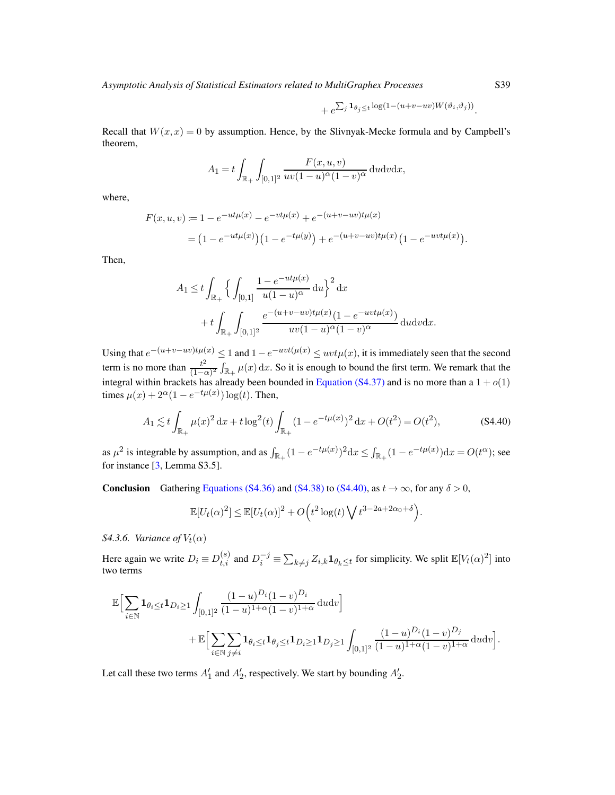$$
+ e^{\sum_j \mathbf{1}_{\theta_j \leq t} \log(1 - (u + v - uv)W(\vartheta_i, \vartheta_j))}.
$$

Recall that  $W(x, x) = 0$  by assumption. Hence, by the Slivnyak-Mecke formula and by Campbell's theorem,

$$
A_1 = t \int_{\mathbb{R}_+} \int_{[0,1]^2} \frac{F(x,u,v)}{uv(1-u)^\alpha (1-v)^\alpha} \, \mathrm{d}u \mathrm{d}v \mathrm{d}x,
$$

where,

$$
F(x, u, v) := 1 - e^{-ut\mu(x)} - e^{-vt\mu(x)} + e^{-(u+v-uv)t\mu(x)}
$$
  
=  $(1 - e^{-ut\mu(x)})(1 - e^{-t\mu(y)}) + e^{-(u+v-uv)t\mu(x)}(1 - e^{-uvt\mu(x)}).$ 

Then,

$$
A_1 \le t \int_{\mathbb{R}_+} \Big\{ \int_{[0,1]} \frac{1 - e^{-ut\mu(x)}}{u(1 - u)^{\alpha}} du \Big\}^2 dx + t \int_{\mathbb{R}_+} \int_{[0,1]^2} \frac{e^{-(u+v - uv)t\mu(x)}(1 - e^{-uvt\mu(x)})}{uv(1 - u)^{\alpha}(1 - v)^{\alpha}} du dv dx.
$$

Using that  $e^{-(u+v-uv)t\mu(x)} \leq 1$  and  $1-e^{-uvt(\mu(x))} \leq uvt\mu(x)$ , it is immediately seen that the second term is no more than  $\frac{t^2}{1-t^2}$  $\frac{t^2}{(1-\alpha)^2} \int_{\mathbb{R}_+} \mu(x) dx$ . So it is enough to bound the first term. We remark that the integral within brackets has already been bounded in [Equation \(S4.37\)](#page-68-0) and is no more than a  $1 + o(1)$ times  $\mu(x) + 2^{\alpha}(1 - e^{-t\mu(x)}) \log(t)$ . Then,

$$
A_1 \lesssim t \int_{\mathbb{R}_+} \mu(x)^2 dx + t \log^2(t) \int_{\mathbb{R}_+} (1 - e^{-t\mu(x)})^2 dx + O(t^2) = O(t^2),
$$
 (S4.40)

as  $\mu^2$  is integrable by assumption, and as  $\int_{\mathbb{R}_+} (1 - e^{-t\mu(x)})^2 dx \le \int_{\mathbb{R}_+} (1 - e^{-t\mu(x)}) dx = O(t^{\alpha})$ ; see for instance  $[3,$  Lemma S3.5].

**Conclusion** Gathering [Equations \(S4.36\)](#page-67-0) and [\(S4.38\)](#page-68-1) to [\(S4.40\),](#page-69-0) as  $t \to \infty$ , for any  $\delta > 0$ ,

<span id="page-69-0"></span>
$$
\mathbb{E}[U_t(\alpha)^2] \le \mathbb{E}[U_t(\alpha)]^2 + O\Big(t^2 \log(t) \bigvee t^{3-2a+2\alpha_0+\delta}\Big).
$$

*S4.3.6. Variance of*  $V_t(\alpha)$ 

Here again we write  $D_i \equiv D_{t,i}^{(s)}$  and  $D_i^{-j} \equiv \sum_{k \neq j} Z_{i,k} \mathbf{1}_{\theta_k \leq t}$  for simplicity. We split  $\mathbb{E}[V_t(\alpha)^2]$  into two terms

$$
\mathbb{E}\Big[\sum_{i\in\mathbb{N}}\mathbf{1}_{\theta_i\leq t}\mathbf{1}_{D_i\geq 1}\int_{[0,1]^2}\frac{(1-u)^{D_i}(1-v)^{D_i}}{(1-u)^{1+\alpha}(1-v)^{1+\alpha}}\,\mathrm{d}u\mathrm{d}v\Big] \n+ \mathbb{E}\Big[\sum_{i\in\mathbb{N}}\sum_{j\neq i}\mathbf{1}_{\theta_i\leq t}\mathbf{1}_{\theta_j\leq t}\mathbf{1}_{D_i\geq 1}\mathbf{1}_{D_j\geq 1}\int_{[0,1]^2}\frac{(1-u)^{D_i}(1-v)^{D_j}}{(1-u)^{1+\alpha}(1-v)^{1+\alpha}}\,\mathrm{d}u\mathrm{d}v\Big].
$$

Let call these two terms  $A'_1$  and  $A'_2$ , respectively. We start by bounding  $A'_2$ .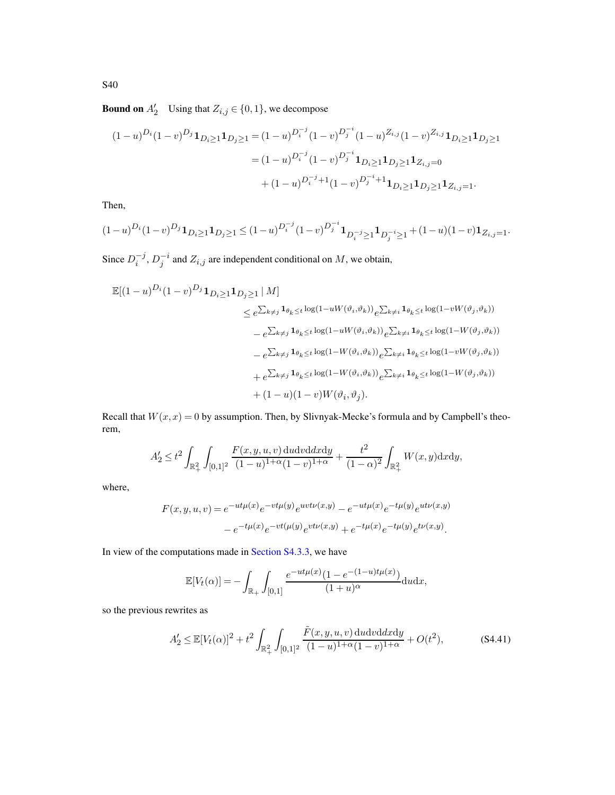**Bound on**  $A'_2$  Using that  $Z_{i,j} \in \{0,1\}$ , we decompose

$$
(1-u)^{D_i}(1-v)^{D_j}\mathbf{1}_{D_i\geq 1}\mathbf{1}_{D_j\geq 1} = (1-u)^{D_i^{-j}}(1-v)^{D_j^{-i}}(1-u)^{Z_{i,j}}(1-v)^{Z_{i,j}}\mathbf{1}_{D_i\geq 1}\mathbf{1}_{D_j\geq 1}
$$

$$
= (1-u)^{D_i^{-j}}(1-v)^{D_j^{-i}}\mathbf{1}_{D_i\geq 1}\mathbf{1}_{D_j\geq 1}\mathbf{1}_{Z_{i,j}=0}
$$

$$
+(1-u)^{D_i^{-j}+1}(1-v)^{D_j^{-i}+1}\mathbf{1}_{D_i\geq 1}\mathbf{1}_{D_j\geq 1}\mathbf{1}_{Z_{i,j}=1}.
$$

Then,

$$
(1-u)^{D_i}(1-v)^{D_j}\mathbf{1}_{D_i\geq 1}\mathbf{1}_{D_j\geq 1} \leq (1-u)^{D_i^{-j}}(1-v)^{D_j^{-i}}\mathbf{1}_{D_i^{-j}\geq 1}\mathbf{1}_{D_j^{-i}\geq 1}+(1-u)(1-v)\mathbf{1}_{Z_{i,j}=1}.
$$

Since  $D_i^{-j}$  $i^{-j}$ ,  $D_j^{-i}$  and  $Z_{i,j}$  are independent conditional on M, we obtain,

$$
\mathbb{E}[(1-u)^{D_i}(1-v)^{D_j}\mathbf{1}_{D_i\geq 1}\mathbf{1}_{D_j\geq 1} | M]
$$
\n
$$
\leq e^{\sum_{k\neq j}\mathbf{1}_{\theta_k\leq t}\log(1-uW(\vartheta_i,\vartheta_k))}e^{\sum_{k\neq i}\mathbf{1}_{\theta_k\leq t}\log(1-vW(\vartheta_j,\vartheta_k))}
$$
\n
$$
-e^{\sum_{k\neq j}\mathbf{1}_{\theta_k\leq t}\log(1-uW(\vartheta_i,\vartheta_k))}e^{\sum_{k\neq i}\mathbf{1}_{\theta_k\leq t}\log(1-W(\vartheta_j,\vartheta_k))}
$$
\n
$$
-e^{\sum_{k\neq j}\mathbf{1}_{\theta_k\leq t}\log(1-W(\vartheta_i,\vartheta_k))}e^{\sum_{k\neq i}\mathbf{1}_{\theta_k\leq t}\log(1-vW(\vartheta_j,\vartheta_k))}
$$
\n
$$
+e^{\sum_{k\neq j}\mathbf{1}_{\theta_k\leq t}\log(1-W(\vartheta_i,\vartheta_k))}e^{\sum_{k\neq i}\mathbf{1}_{\theta_k\leq t}\log(1-W(\vartheta_j,\vartheta_k))}
$$
\n
$$
+(1-u)(1-v)W(\vartheta_i,\vartheta_j).
$$

Recall that  $W(x, x) = 0$  by assumption. Then, by Slivnyak-Mecke's formula and by Campbell's theorem,

$$
A'_2 \le t^2 \int_{\mathbb{R}_+^2} \int_{[0,1]^2} \frac{F(x,y,u,v) \, \mathrm{d}u \mathrm{d}v \mathrm{d}x \mathrm{d}y}{(1-u)^{1+\alpha}(1-v)^{1+\alpha}} + \frac{t^2}{(1-\alpha)^2} \int_{\mathbb{R}_+^2} W(x,y) \mathrm{d}x \mathrm{d}y,
$$

where,

$$
F(x, y, u, v) = e^{-ut\mu(x)} e^{-vt\mu(y)} e^{uvt\nu(x,y)} - e^{-ut\mu(x)} e^{-t\mu(y)} e^{ut\nu(x,y)} - e^{-t\mu(x)} e^{-vt(\mu(y)} e^{vt\nu(x,y)} + e^{-t\mu(x)} e^{-t\mu(y)} e^{t\nu(x,y)}.
$$

In view of the computations made in [Section S4.3.3,](#page-62-1) we have

$$
\mathbb{E}[V_t(\alpha)] = -\int_{\mathbb{R}_+} \int_{[0,1]} \frac{e^{-ut\mu(x)}(1 - e^{-(1-u)t\mu(x)})}{(1+u)^{\alpha}} du dx,
$$

so the previous rewrites as

$$
A'_2 \le \mathbb{E}[V_t(\alpha)]^2 + t^2 \int_{\mathbb{R}_+^2} \int_{[0,1]^2} \frac{\tilde{F}(x, y, u, v) \, \mathrm{d}u \, \mathrm{d}v \, \mathrm{d}x \, \mathrm{d}y}{(1 - u)^{1 + \alpha}(1 - v)^{1 + \alpha}} + O(t^2),\tag{S4.41}
$$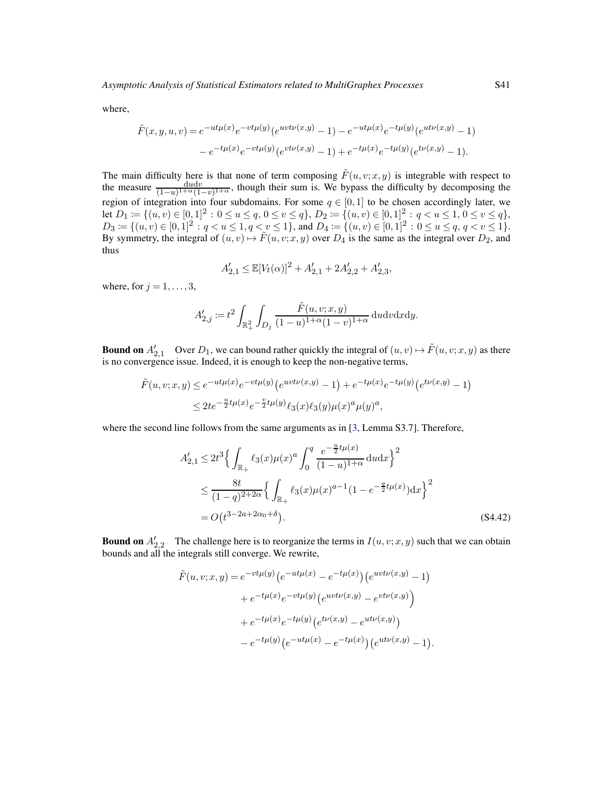where,

$$
\tilde{F}(x, y, u, v) = e^{-ut\mu(x)} e^{-vt\mu(y)} (e^{uvt\nu(x,y)} - 1) - e^{-ut\mu(x)} e^{-t\mu(y)} (e^{ut\nu(x,y)} - 1)
$$

$$
- e^{-t\mu(x)} e^{-vt\mu(y)} (e^{vt\nu(x,y)} - 1) + e^{-t\mu(x)} e^{-t\mu(y)} (e^{tv(x,y)} - 1).
$$

The main difficulty here is that none of term composing  $\tilde{F}(u, v; x, y)$  is integrable with respect to the measure  $\frac{dudv}{(1-u)^{1+\alpha}(1-v)^{1+\alpha}}$ , though their sum is. We bypass the difficulty by decomposing the region of integration into four subdomains. For some  $q \in [0,1]$  to be chosen accordingly later, we let  $D_1 := \{(u, v) \in [0, 1]^2 : 0 \le u \le q, 0 \le v \le q\}, D_2 := \{(u, v) \in [0, 1]^2 : q < u \le 1, 0 \le v \le q\},$  $D_3 := \{(u, v) \in [0, 1]^2 : q < u \le 1, q < v \le 1\}$ , and  $D_4 := \{(u, v) \in [0, 1]^2 : 0 \le u \le q, q < v \le 1\}$ . By symmetry, the integral of  $(u, v) \mapsto \tilde{F}(u, v; x, y)$  over  $D_4$  is the same as the integral over  $D_2$ , and thus

$$
A'_{2,1} \le \mathbb{E}[V_t(\alpha)]^2 + A'_{2,1} + 2A'_{2,2} + A'_{2,3},
$$

where, for  $j = 1, \ldots, 3$ ,

$$
A'_{2,j} := t^2 \int_{\mathbb{R}_+^2} \int_{D_j} \frac{\tilde{F}(u, v; x, y)}{(1 - u)^{1 + \alpha} (1 - v)^{1 + \alpha}} \, \mathrm{d}u \mathrm{d}v \mathrm{d}x \mathrm{d}y.
$$

**Bound on**  $A'_{2,1}$  Over  $D_1$ , we can bound rather quickly the integral of  $(u, v) \mapsto \tilde{F}(u, v; x, y)$  as there is no convergence issue. Indeed, it is enough to keep the non-negative terms,

$$
\tilde{F}(u, v; x, y) \le e^{-ut\mu(x)} e^{-vt\mu(y)} \left(e^{uvt\nu(x,y)} - 1\right) + e^{-t\mu(x)} e^{-t\mu(y)} \left(e^{t\nu(x,y)} - 1\right)
$$
\n
$$
\le 2t e^{-\frac{u}{2}t\mu(x)} e^{-\frac{v}{2}t\mu(y)} \ell_3(x) \ell_3(y) \mu(x)^a \mu(y)^a,
$$

where the second line follows from the same arguments as in [\[3,](#page-78-1) Lemma S3.7]. Therefore,

$$
A'_{2,1} \le 2t^3 \Big\{ \int_{\mathbb{R}_+} \ell_3(x) \mu(x)^a \int_0^q \frac{e^{-\frac{u}{2}t\mu(x)}}{(1-u)^{1+\alpha}} du dx \Big\}^2
$$
  
\n
$$
\le \frac{8t}{(1-q)^{2+2\alpha}} \Big\{ \int_{\mathbb{R}_+} \ell_3(x) \mu(x)^{a-1} (1 - e^{-\frac{a}{2}t\mu(x)}) dx \Big\}^2
$$
  
\n
$$
= O(t^{3-2a+2\alpha_0+\delta}).
$$
\n(S4.42)

**Bound on**  $A'_{2,2}$  The challenge here is to reorganize the terms in  $I(u, v; x, y)$  such that we can obtain bounds and all the integrals still converge. We rewrite,

$$
\tilde{F}(u, v; x, y) = e^{-vt\mu(y)} (e^{-ut\mu(x)} - e^{-t\mu(x)}) (e^{uvt\nu(x,y)} - 1) \n+ e^{-t\mu(x)} e^{-vt\mu(y)} (e^{uvt\nu(x,y)} - e^{vt\nu(x,y)}) \n+ e^{-t\mu(x)} e^{-t\mu(y)} (e^{t\nu(x,y)} - e^{ut\nu(x,y)}) \n- e^{-t\mu(y)} (e^{-ut\mu(x)} - e^{-t\mu(x)}) (e^{ut\nu(x,y)} - 1).
$$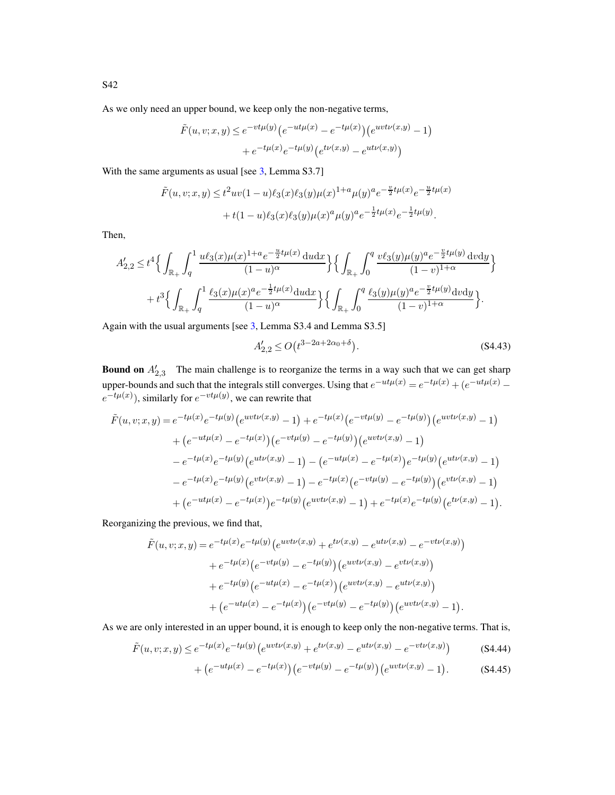As we only need an upper bound, we keep only the non-negative terms,

$$
\tilde{F}(u, v; x, y) \le e^{-vt\mu(y)} \left( e^{-ut\mu(x)} - e^{-t\mu(x)} \right) \left( e^{uvt\nu(x,y)} - 1 \right) \n+ e^{-t\mu(x)} e^{-t\mu(y)} \left( e^{t\nu(x,y)} - e^{ut\nu(x,y)} \right)
$$

With the same arguments as usual [see [3](#page-78-0), Lemma S3.7]

$$
\tilde{F}(u, v; x, y) \le t^2 uv(1-u)\ell_3(x)\ell_3(y)\mu(x)^{1+a}\mu(y)^a e^{-\frac{v}{2}t\mu(x)}e^{-\frac{u}{2}t\mu(x)} \n+ t(1-u)\ell_3(x)\ell_3(y)\mu(x)^a\mu(y)^a e^{-\frac{1}{2}t\mu(x)}e^{-\frac{1}{2}t\mu(y)}.
$$

Then,

$$
A'_{2,2} \leq t^4 \Big\{ \int_{\mathbb{R}_+} \int_q^1 \frac{u\ell_3(x)\mu(x)^{1+a} e^{-\frac{u}{2}t\mu(x)} du dx}{(1-u)^\alpha} \Big\} \Big\{ \int_{\mathbb{R}_+} \int_0^q \frac{v\ell_3(y)\mu(y)^a e^{-\frac{v}{2}t\mu(y)} dv dy}{(1-v)^{1+\alpha}} \Big\} + t^3 \Big\{ \int_{\mathbb{R}_+} \int_q^1 \frac{\ell_3(x)\mu(x)^a e^{-\frac{1}{2}t\mu(x)} du dx}{(1-u)^\alpha} \Big\} \Big\{ \int_{\mathbb{R}_+} \int_0^q \frac{\ell_3(y)\mu(y)^a e^{-\frac{v}{2}t\mu(y)} dv dy}{(1-v)^{1+\alpha}} \Big\}.
$$

Again with the usual arguments [see [3](#page-78-0), Lemma S3.4 and Lemma S3.5]

<span id="page-72-2"></span>
$$
A'_{2,2} \le O(t^{3-2a+2\alpha_0+\delta}).
$$
\n(84.43)

**Bound on**  $A'_{2,3}$  The main challenge is to reorganize the terms in a way such that we can get sharp 2,3 upper-bounds and such that the integrals still converges. Using that  $e^{-ut\mu(x)} = e^{-t\mu(x)} + (e^{-ut\mu(x)}$  $e^{-t\mu(x)}$ ), similarly for  $e^{-vt\mu(y)}$ , we can rewrite that

$$
\tilde{F}(u, v; x, y) = e^{-t\mu(x)} e^{-t\mu(y)} \left( e^{uvt\nu(x,y)} - 1 \right) + e^{-t\mu(x)} \left( e^{-vt\mu(y)} - e^{-t\mu(y)} \right) \left( e^{uvt\nu(x,y)} - 1 \right) \n+ \left( e^{-ut\mu(x)} - e^{-t\mu(x)} \right) \left( e^{-vt\mu(y)} - e^{-t\mu(y)} \right) \left( e^{uvt\nu(x,y)} - 1 \right) \n- e^{-t\mu(x)} e^{-t\mu(y)} \left( e^{ut\nu(x,y)} - 1 \right) - \left( e^{-ut\mu(x)} - e^{-t\mu(x)} \right) e^{-t\mu(y)} \left( e^{ut\nu(x,y)} - 1 \right) \n- e^{-t\mu(x)} e^{-t\mu(y)} \left( e^{vt\nu(x,y)} - 1 \right) - e^{-t\mu(x)} \left( e^{-vt\mu(y)} - e^{-t\mu(y)} \right) \left( e^{vt\nu(x,y)} - 1 \right) \n+ \left( e^{-ut\mu(x)} - e^{-t\mu(x)} \right) e^{-t\mu(y)} \left( e^{uvt\nu(x,y)} - 1 \right) + e^{-t\mu(x)} e^{-t\mu(y)} \left( e^{t\nu(x,y)} - 1 \right).
$$

Reorganizing the previous, we find that,

$$
\tilde{F}(u, v; x, y) = e^{-t\mu(x)} e^{-t\mu(y)} \left( e^{uvt\nu(x,y)} + e^{t\nu(x,y)} - e^{ut\nu(x,y)} - e^{-vt\nu(x,y)} \right) \n+ e^{-t\mu(x)} \left( e^{-vt\mu(y)} - e^{-t\mu(y)} \right) \left( e^{uvt\nu(x,y)} - e^{vt\nu(x,y)} \right) \n+ e^{-t\mu(y)} \left( e^{-ut\mu(x)} - e^{-t\mu(x)} \right) \left( e^{uvt\nu(x,y)} - e^{ut\nu(x,y)} \right) \n+ \left( e^{-ut\mu(x)} - e^{-t\mu(x)} \right) \left( e^{-vt\mu(y)} - e^{-t\mu(y)} \right) \left( e^{uvt\nu(x,y)} - 1 \right).
$$

As we are only interested in an upper bound, it is enough to keep only the non-negative terms. That is,

$$
\tilde{F}(u,v;x,y) \le e^{-t\mu(x)}e^{-t\mu(y)}\left(e^{uvt\nu(x,y)} + e^{t\nu(x,y)} - e^{ut\nu(x,y)} - e^{-vt\nu(x,y)}\right)
$$
(S4.44)

<span id="page-72-1"></span><span id="page-72-0"></span>+ 
$$
(e^{-ut\mu(x)} - e^{-t\mu(x)}) (e^{-vt\mu(y)} - e^{-t\mu(y)}) (e^{uvt\mu(x,y)} - 1).
$$
 (S4.45)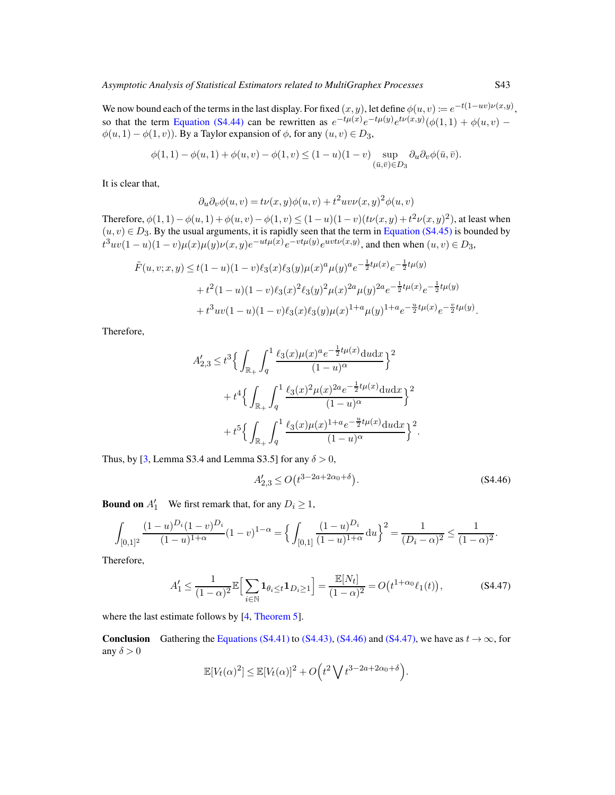We now bound each of the terms in the last display. For fixed  $(x, y)$ , let define  $\phi(u, v) \coloneqq e^{-t(1 - uv)\nu(x, y)}$ , so that the term [Equation \(S4.44\)](#page-72-0) can be rewritten as  $e^{-t\mu(x)}e^{-t\mu(y)}e^{t\nu(x,y)}(\phi(1,1)+\phi(u,v)$  $\phi(u, 1) - \phi(1, v)$ ). By a Taylor expansion of  $\phi$ , for any  $(u, v) \in D_3$ ,

$$
\phi(1,1) - \phi(u,1) + \phi(u,v) - \phi(1,v) \le (1-u)(1-v) \sup_{(\bar{u},\bar{v}) \in D_3} \partial_u \partial_v \phi(\bar{u},\bar{v}).
$$

It is clear that,

$$
\partial_u \partial_v \phi(u, v) = t\nu(x, y)\phi(u, v) + t^2 uv\nu(x, y)^2 \phi(u, v)
$$

Therefore,  $\phi(1,1) - \phi(u,1) + \phi(u,v) - \phi(1,v) \le (1-u)(1-v)(t\nu(x,y) + t^2\nu(x,y)^2)$ , at least when  $(u, v) \in D_3$ . By the usual arguments, it is rapidly seen that the term in [Equation \(S4.45\)](#page-72-1) is bounded by  $t^3uv(1-u)(1-v)\mu(x)\mu(y)\nu(x,y)e^{-ut\mu(x)}e^{-vt\mu(y)}e^{uvt\nu(x,y)}$ , and then when  $(u, v) \in D_3$ ,

$$
\tilde{F}(u, v; x, y) \le t(1 - u)(1 - v)\ell_3(x)\ell_3(y)\mu(x)^a \mu(y)^a e^{-\frac{1}{2}t\mu(x)} e^{-\frac{1}{2}t\mu(y)} \n+ t^2(1 - u)(1 - v)\ell_3(x)^2 \ell_3(y)^2 \mu(x)^{2a} \mu(y)^{2a} e^{-\frac{1}{2}t\mu(x)} e^{-\frac{1}{2}t\mu(y)} \n+ t^3 uv(1 - u)(1 - v)\ell_3(x)\ell_3(y)\mu(x)^{1+a} \mu(y)^{1+a} e^{-\frac{u}{2}t\mu(x)} e^{-\frac{v}{2}t\mu(y)}
$$

Therefore,

$$
A'_{2,3} \leq t^3 \Big\{ \int_{\mathbb{R}_+} \int_q^1 \frac{\ell_3(x) \mu(x)^a e^{-\frac{1}{2}t\mu(x)} \, du dx}{(1-u)^\alpha} \Big\}^2 + t^4 \Big\{ \int_{\mathbb{R}_+} \int_q^1 \frac{\ell_3(x)^2 \mu(x)^{2a} e^{-\frac{1}{2}t\mu(x)} \, du dx}{(1-u)^\alpha} \Big\}^2 + t^5 \Big\{ \int_{\mathbb{R}_+} \int_q^1 \frac{\ell_3(x) \mu(x)^{1+a} e^{-\frac{u}{2}t\mu(x)} \, du dx}{(1-u)^\alpha} \Big\}^2.
$$

Thus, by [\[3,](#page-78-0) Lemma S3.4 and Lemma S3.5] for any  $\delta > 0$ ,

<span id="page-73-1"></span><span id="page-73-0"></span>
$$
A'_{2,3} \le O(t^{3-2a+2\alpha_0+\delta}).
$$
\n(84.46)

**Bound on**  $A'_1$  We first remark that, for any  $D_i \ge 1$ ,

$$
\int_{[0,1]^2} \frac{(1-u)^{D_i}(1-v)^{D_i}}{(1-u)^{1+\alpha}} (1-v)^{1-\alpha} = \left\{ \int_{[0,1]} \frac{(1-u)^{D_i}}{(1-u)^{1+\alpha}} du \right\}^2 = \frac{1}{(D_i - \alpha)^2} \le \frac{1}{(1-\alpha)^2}.
$$

Therefore,

$$
A'_1 \le \frac{1}{(1-\alpha)^2} \mathbb{E}\Big[\sum_{i \in \mathbb{N}} \mathbf{1}_{\theta_i \le t} \mathbf{1}_{D_i \ge 1}\Big] = \frac{\mathbb{E}[N_t]}{(1-\alpha)^2} = O\big(t^{1+\alpha_0} \ell_1(t)\big),\tag{S4.47}
$$

where the last estimate follows by [\[4](#page-78-1), [Theorem 5\]](#page-13-0).

**Conclusion** Gathering the [Equations \(S4.41\)](#page-70-0) to [\(S4.43\),](#page-72-2) [\(S4.46\)](#page-73-0) and [\(S4.47\),](#page-73-1) we have as  $t \to \infty$ , for any  $\delta > 0$ 

$$
\mathbb{E}[V_t(\alpha)^2] \le \mathbb{E}[V_t(\alpha)]^2 + O\left(t^2 \bigvee t^{3-2a+2\alpha_0+\delta}\right).
$$

.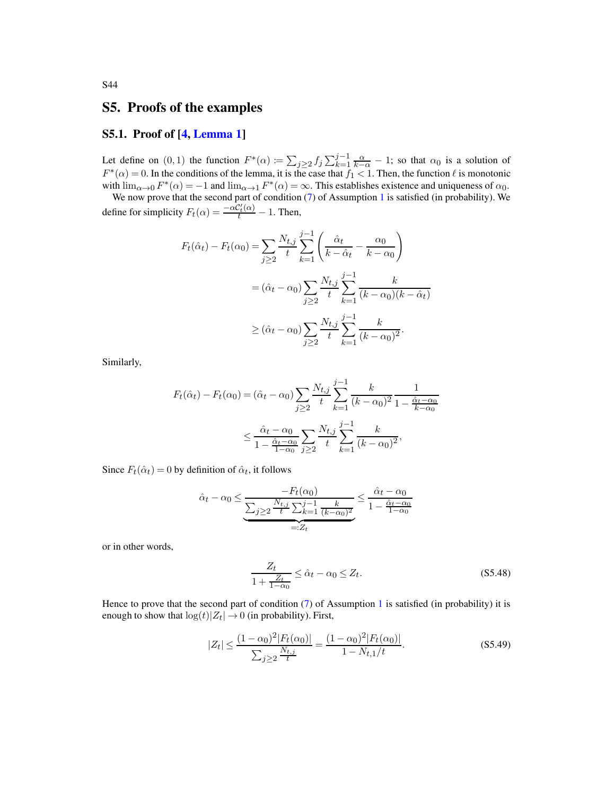## S5. Proofs of the examples

## S5.1. Proof of [\[4,](#page-78-1) [Lemma 1\]](#page-8-0)

Let define on  $(0,1)$  the function  $F^*(\alpha) := \sum_{j\geq 2} f_j \sum_{k=1}^{j-1} \frac{\alpha}{k-\alpha} - 1$ ; so that  $\alpha_0$  is a solution of  $F^*(\alpha) = 0$ . In the conditions of the lemma, it is the case that  $f_1 < 1$ . Then, the function  $\ell$  is monotonic with  $\lim_{\alpha\to 0} F^*(\alpha) = -1$  and  $\lim_{\alpha\to 1} F^*(\alpha) = \infty$ . This establishes existence and uniqueness of  $\alpha_0$ .

We now prove that the second part of condition [\(7\)](#page-4-0) of Assumption [1](#page-3-0) is satisfied (in probability). We define for simplicity  $F_t(\alpha) = \frac{-\alpha C_t'(\alpha)}{t} - 1$ . Then,

$$
F_t(\hat{\alpha}_t) - F_t(\alpha_0) = \sum_{j \ge 2} \frac{N_{t,j}}{t} \sum_{k=1}^{j-1} \left( \frac{\hat{\alpha}_t}{k - \hat{\alpha}_t} - \frac{\alpha_0}{k - \alpha_0} \right)
$$
  

$$
= (\hat{\alpha}_t - \alpha_0) \sum_{j \ge 2} \frac{N_{t,j}}{t} \sum_{k=1}^{j-1} \frac{k}{(k - \alpha_0)(k - \hat{\alpha}_t)}
$$
  

$$
\ge (\hat{\alpha}_t - \alpha_0) \sum_{j \ge 2} \frac{N_{t,j}}{t} \sum_{k=1}^{j-1} \frac{k}{(k - \alpha_0)^2}.
$$

Similarly,

$$
F_t(\hat{\alpha}_t) - F_t(\alpha_0) = (\hat{\alpha}_t - \alpha_0) \sum_{j \ge 2} \frac{N_{t,j}}{t} \sum_{k=1}^{j-1} \frac{k}{(k - \alpha_0)^2} \frac{1}{1 - \frac{\hat{\alpha}_t - \alpha_0}{k - \alpha_0}}
$$
  

$$
\le \frac{\hat{\alpha}_t - \alpha_0}{1 - \frac{\hat{\alpha}_t - \alpha_0}{1 - \alpha_0}} \sum_{j \ge 2} \frac{N_{t,j}}{t} \sum_{k=1}^{j-1} \frac{k}{(k - \alpha_0)^2},
$$

Since  $F_t(\hat{\alpha}_t) = 0$  by definition of  $\hat{\alpha}_t$ , it follows

$$
\hat{\alpha}_t - \alpha_0 \le \underbrace{\frac{-F_t(\alpha_0)}{\sum_{j\ge 2} \frac{N_{t,j}}{t} \sum_{k=1}^{j-1} \frac{k}{(k-\alpha_0)^2}}}_{=:Z_t} \le \frac{\hat{\alpha}_t - \alpha_0}{1 - \frac{\hat{\alpha}_t - \alpha_0}{1 - \alpha_0}}
$$

or in other words,

<span id="page-74-0"></span>
$$
\frac{Z_t}{1 + \frac{Z_t}{1 - \alpha_0}} \le \hat{\alpha}_t - \alpha_0 \le Z_t.
$$
\n(S5.48)

Hence to prove that the second part of condition  $(7)$  of Assumption [1](#page-3-0) is satisfied (in probability) it is enough to show that  $\log(t)|Z_t| \to 0$  (in probability). First,

<span id="page-74-1"></span>
$$
|Z_t| \le \frac{(1-\alpha_0)^2 |F_t(\alpha_0)|}{\sum_{j\ge 2} \frac{N_{t,j}}{t}} = \frac{(1-\alpha_0)^2 |F_t(\alpha_0)|}{1 - N_{t,1}/t}.
$$
\n
$$
(S5.49)
$$

S44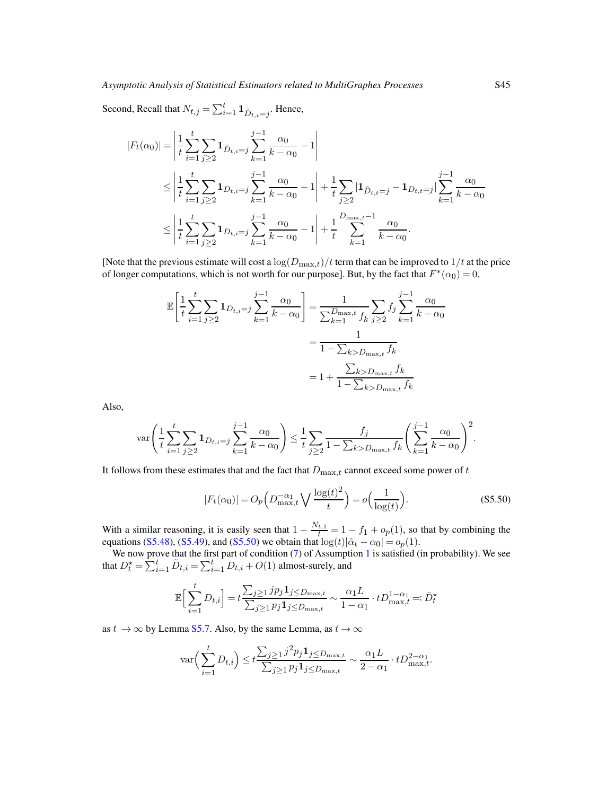Second, Recall that  $N_{t,j} = \sum_{i=1}^{t} \mathbf{1}_{\tilde{D}_{t,i} = j}$ . Hence,

$$
|F_t(\alpha_0)| = \left| \frac{1}{t} \sum_{i=1}^t \sum_{j\geq 2} \mathbf{1}_{\tilde{D}_{t,i}=j} \sum_{k=1}^{j-1} \frac{\alpha_0}{k-\alpha_0} - 1 \right|
$$
  

$$
\leq \left| \frac{1}{t} \sum_{i=1}^t \sum_{j\geq 2} \mathbf{1}_{D_{t,i}=j} \sum_{k=1}^{j-1} \frac{\alpha_0}{k-\alpha_0} - 1 \right| + \frac{1}{t} \sum_{j\geq 2} |\mathbf{1}_{\tilde{D}_{t,i}=j} - \mathbf{1}_{D_{t,i}=j}| \sum_{k=1}^{j-1} \frac{\alpha_0}{k-\alpha_0} \right|
$$
  

$$
\leq \left| \frac{1}{t} \sum_{i=1}^t \sum_{j\geq 2} \mathbf{1}_{D_{t,i}=j} \sum_{k=1}^{j-1} \frac{\alpha_0}{k-\alpha_0} - 1 \right| + \frac{1}{t} \sum_{k=1}^{D_{\text{max},t}-1} \frac{\alpha_0}{k-\alpha_0}.
$$

[Note that the previous estimate will cost a  $\log(D_{\text{max},t})/t$  term that can be improved to  $1/t$  at the price of longer computations, which is not worth for our purpose]. But, by the fact that  $F^*(\alpha_0) = 0$ ,

$$
\mathbb{E}\left[\frac{1}{t}\sum_{i=1}^{t}\sum_{j\geq 2}\mathbf{1}_{D_{t,i}=j}\sum_{k=1}^{j-1}\frac{\alpha_{0}}{k-\alpha_{0}}\right] = \frac{1}{\sum_{k=1}^{D_{\max,t}}f_{k}}\sum_{j\geq 2}f_{j}\sum_{k=1}^{j-1}\frac{\alpha_{0}}{k-\alpha_{0}} \n= \frac{1}{1-\sum_{k>D_{\max,t}}f_{k}} \n= 1 + \frac{\sum_{k>D_{\max,t}}f_{k}}{1-\sum_{k>D_{\max,t}}f_{k}}
$$

Also,

$$
\text{var}\left(\frac{1}{t}\sum_{i=1}^t \sum_{j\geq 2} \mathbf{1}_{D_{t,i}=j} \sum_{k=1}^{j-1} \frac{\alpha_0}{k-\alpha_0}\right) \leq \frac{1}{t} \sum_{j\geq 2} \frac{f_j}{1-\sum_{k>D_{\text{max},t}} f_k} \left(\sum_{k=1}^{j-1} \frac{\alpha_0}{k-\alpha_0}\right)^2.
$$

It follows from these estimates that and the fact that  $D_{\text{max},t}$  cannot exceed some power of t

<span id="page-75-0"></span>
$$
|F_t(\alpha_0)| = O_p\left(D_{\text{max},t}^{-\alpha_1}\bigvee\frac{\log(t)^2}{t}\right) = o\left(\frac{1}{\log(t)}\right). \tag{S5.50}
$$

With a similar reasoning, it is easily seen that  $1 - \frac{N_{t,1}}{t} = 1 - f_1 + o_p(1)$ , so that by combining the equations [\(S5.48\)](#page-74-0), [\(S5.49\)](#page-74-1), and [\(S5.50\)](#page-75-0) we obtain that  $log(t)|\hat{\alpha}_t - \alpha_0| = o_p(1)$ .

We now prove that the first part of condition [\(7\)](#page-4-0) of Assumption [1](#page-3-0) is satisfied (in probability). We see that  $D_t^* = \sum_{i=1}^t \tilde{D}_{t,i} = \sum_{i=1}^t D_{t,i} + O(1)$  almost-surely, and

$$
\mathbb{E}\Big[\sum_{i=1}^t D_{t,i}\Big] = t \frac{\sum_{j\geq 1} j p_j \mathbf{1}_{j\leq D_{\max,t}}}{\sum_{j\geq 1} p_j \mathbf{1}_{j\leq D_{\max,t}}} \sim \frac{\alpha_1 L}{1 - \alpha_1} \cdot t D_{\max,t}^{1 - \alpha_1} =: \bar{D}_t^\star
$$

as  $t \to \infty$  by Lemma [S5.7.](#page-76-0) Also, by the same Lemma, as  $t \to \infty$ 

$$
\text{var}\Big(\sum_{i=1}^t D_{t,i}\Big) \leq t \frac{\sum_{j\geq 1} j^2 p_j \mathbf{1}_{j \leq D_{\text{max},t}}}{\sum_{j\geq 1} p_j \mathbf{1}_{j \leq D_{\text{max},t}}} \sim \frac{\alpha_1 L}{2 - \alpha_1} \cdot t D_{\text{max},t}^{2 - \alpha_1}.
$$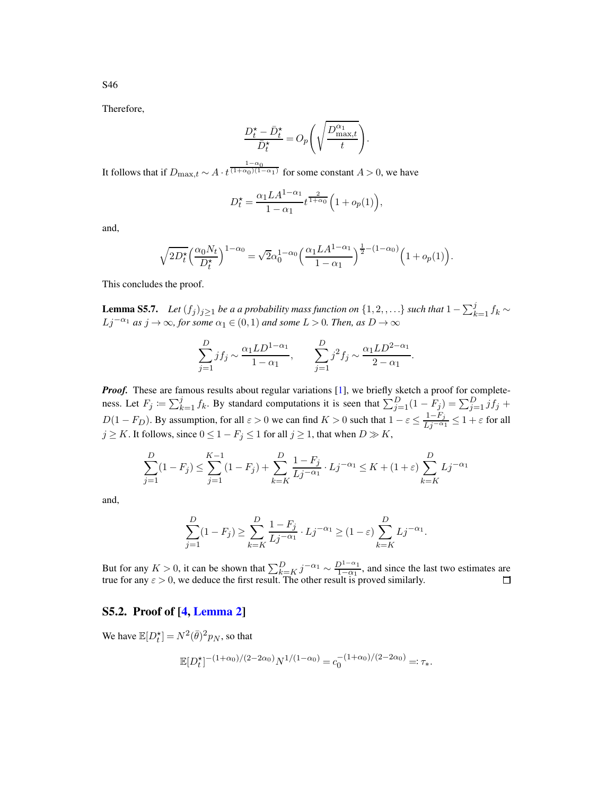S46

Therefore,

$$
\frac{D_t^{\star} - \bar{D}_t^{\star}}{\bar{D}_t^{\star}} = O_p\Bigg(\sqrt{\frac{D_{\text{max},t}^{\alpha_1}}{t}}\Bigg).
$$

It follows that if  $D_{\max,t} \sim A \cdot t^{\frac{1-\alpha_0}{(1+\alpha_0)(1-\alpha_1)}}$  for some constant  $A > 0$ , we have

$$
D_t^{\star} = \frac{\alpha_1 L A^{1-\alpha_1}}{1-\alpha_1} t^{\frac{2}{1+\alpha_0}} \Big( 1 + o_p(1) \Big),
$$

and,

$$
\sqrt{2D_t^{\star}}\left(\frac{\alpha_0 N_t}{D_t^{\star}}\right)^{1-\alpha_0} = \sqrt{2}\alpha_0^{1-\alpha_0}\left(\frac{\alpha_1 L A^{1-\alpha_1}}{1-\alpha_1}\right)^{\frac{1}{2}-(1-\alpha_0)}\left(1+o_p(1)\right).
$$

<span id="page-76-0"></span>This concludes the proof.

**Lemma S5.7.** Let  $(f_j)_{j\geq 1}$  be a a probability mass function on  $\{1, 2, \ldots\}$  such that  $1 - \sum_{k=1}^j f_k \sim$  $Lj^{-\alpha_1}$  *as*  $j \to \infty$ *, for some*  $\alpha_1 \in (0,1)$  *and some*  $L > 0$ *. Then, as*  $D \to \infty$ 

$$
\sum_{j=1}^{D} j f_j \sim \frac{\alpha_1 L D^{1-\alpha_1}}{1-\alpha_1}, \qquad \sum_{j=1}^{D} j^2 f_j \sim \frac{\alpha_1 L D^{2-\alpha_1}}{2-\alpha_1}.
$$

*Proof.* These are famous results about regular variations [\[1\]](#page-77-0), we briefly sketch a proof for completeness. Let  $F_j \coloneqq \sum_{k=1}^j f_k$ . By standard computations it is seen that  $\sum_{j=1}^D (1 - F_j) = \sum_{j=1}^D j f_j$  +  $D(1 - F_D)$ . By assumption, for all  $\varepsilon > 0$  we can find  $K > 0$  such that  $1 - \varepsilon \le \frac{1 - F_j}{Lj^{-\alpha_1}} \le 1 + \varepsilon$  for all  $j \geq K$ . It follows, since  $0 \leq 1 - F_j \leq 1$  for all  $j \geq 1$ , that when  $D \gg K$ ,

$$
\sum_{j=1}^{D} (1 - F_j) \le \sum_{j=1}^{K-1} (1 - F_j) + \sum_{k=K}^{D} \frac{1 - F_j}{Lj^{-\alpha_1}} \cdot Lj^{-\alpha_1} \le K + (1 + \varepsilon) \sum_{k=K}^{D} Lj^{-\alpha_1}
$$

and,

$$
\sum_{j=1}^{D} (1 - F_j) \ge \sum_{k=K}^{D} \frac{1 - F_j}{Lj^{-\alpha_1}} \cdot Lj^{-\alpha_1} \ge (1 - \varepsilon) \sum_{k=K}^{D} Lj^{-\alpha_1}.
$$

But for any  $K > 0$ , it can be shown that  $\sum_{k=K}^{D} j^{-\alpha_1} \sim \frac{D^{1-\alpha_1}}{1-\alpha_1}$ , and since the last two estimates are true for any  $\varepsilon > 0$ , we deduce the first result. The other result is proved similarly.

## S5.2. Proof of [\[4,](#page-78-1) [Lemma 2\]](#page-9-0)

We have  $\mathbb{E}[D_t^{\star}] = N^2(\bar{\theta})^2 p_N$ , so that

$$
\mathbb{E}[D_t^{\star}]^{-(1+\alpha_0)/(2-2\alpha_0)}N^{1/(1-\alpha_0)} = c_0^{-(1+\alpha_0)/(2-2\alpha_0)} =: \tau_*.
$$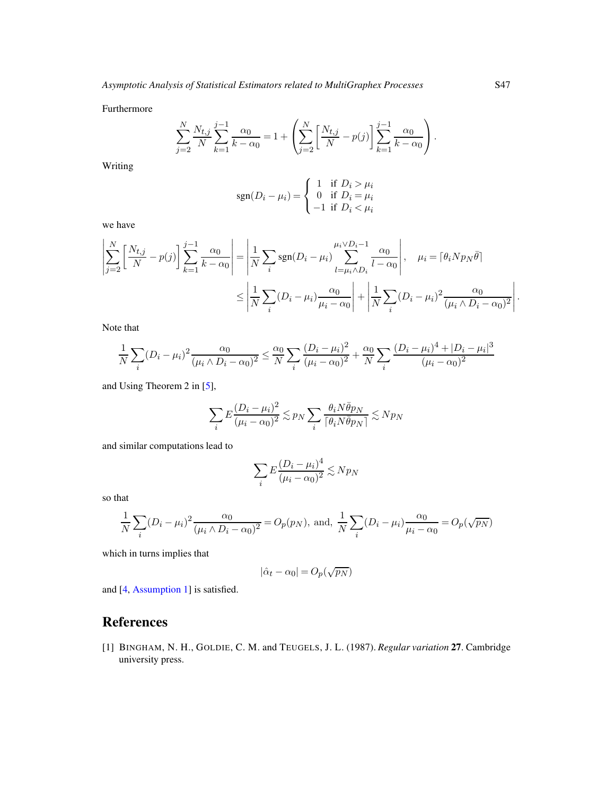Furthermore

$$
\sum_{j=2}^{N} \frac{N_{t,j}}{N} \sum_{k=1}^{j-1} \frac{\alpha_0}{k - \alpha_0} = 1 + \left( \sum_{j=2}^{N} \left[ \frac{N_{t,j}}{N} - p(j) \right] \sum_{k=1}^{j-1} \frac{\alpha_0}{k - \alpha_0} \right).
$$

Writing

$$
sgn(D_i - \mu_i) = \begin{cases} 1 & \text{if } D_i > \mu_i \\ 0 & \text{if } D_i = \mu_i \\ -1 & \text{if } D_i < \mu_i \end{cases}
$$

we have

$$
\left| \sum_{j=2}^{N} \left[ \frac{N_{t,j}}{N} - p(j) \right] \sum_{k=1}^{j-1} \frac{\alpha_0}{k - \alpha_0} \right| = \left| \frac{1}{N} \sum_{i} \text{sgn}(D_i - \mu_i) \sum_{l=\mu_i \wedge D_i}^{\mu_i \vee D_i - 1} \frac{\alpha_0}{l - \alpha_0} \right|, \quad \mu_i = \lceil \theta_i N p_N \bar{\theta} \rceil
$$

$$
\leq \left| \frac{1}{N} \sum_{i} (D_i - \mu_i) \frac{\alpha_0}{\mu_i - \alpha_0} \right| + \left| \frac{1}{N} \sum_{i} (D_i - \mu_i)^2 \frac{\alpha_0}{(\mu_i \wedge D_i - \alpha_0)^2} \right|
$$

Note that

$$
\frac{1}{N}\sum_{i}(D_i - \mu_i)^2 \frac{\alpha_0}{(\mu_i \wedge D_i - \alpha_0)^2} \le \frac{\alpha_0}{N}\sum_{i}\frac{(D_i - \mu_i)^2}{(\mu_i - \alpha_0)^2} + \frac{\alpha_0}{N}\sum_{i}\frac{(D_i - \mu_i)^4 + |D_i - \mu_i|^3}{(\mu_i - \alpha_0)^2}
$$

and Using Theorem 2 in [\[5\]](#page-78-2),

$$
\sum_i E \frac{(D_i - \mu_i)^2}{(\mu_i - \alpha_0)^2} \lesssim p_N \sum_i \frac{\theta_i N \bar{\theta} p_N}{\lceil \theta_i N \bar{\theta} p_N \rceil} \lesssim N p_N
$$

and similar computations lead to

$$
\sum_{i} E \frac{(D_i - \mu_i)^4}{(\mu_i - \alpha_0)^2} \lesssim N p_N
$$

so that

$$
\frac{1}{N} \sum_{i} (D_i - \mu_i)^2 \frac{\alpha_0}{(\mu_i \wedge D_i - \alpha_0)^2} = O_p(p_N), \text{ and, } \frac{1}{N} \sum_{i} (D_i - \mu_i) \frac{\alpha_0}{\mu_i - \alpha_0} = O_p(\sqrt{p_N})
$$

which in turns implies that

$$
|\hat{\alpha}_t - \alpha_0| = O_p(\sqrt{p_N})
$$

and [\[4](#page-78-1), [Assumption 1\]](#page-3-0) is satisfied.

## References

<span id="page-77-0"></span>[1] BINGHAM, N. H., GOLDIE, C. M. and TEUGELS, J. L. (1987). *Regular variation* 27. Cambridge university press.

.